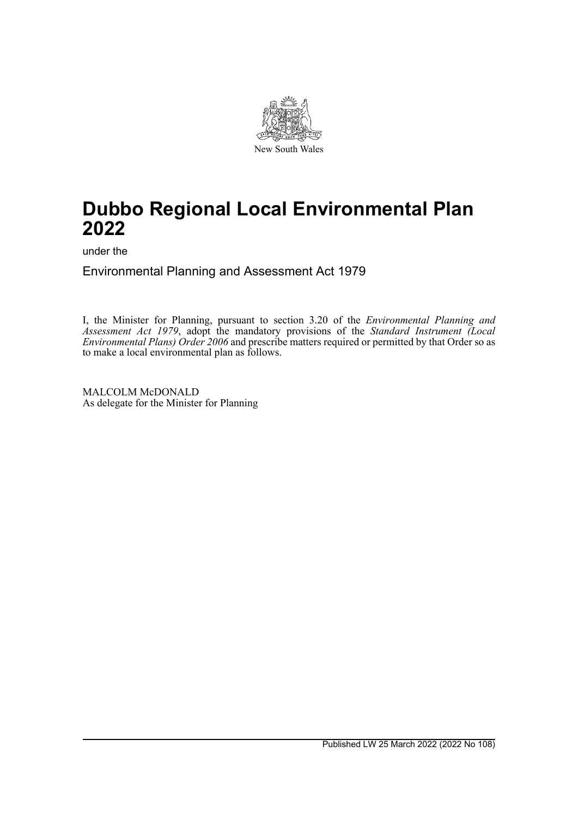

# **Dubbo Regional Local Environmental Plan 2022**

under the

Environmental Planning and Assessment Act 1979

I, the Minister for Planning, pursuant to section 3.20 of the *Environmental Planning and Assessment Act 1979*, adopt the mandatory provisions of the *Standard Instrument (Local Environmental Plans) Order 2006* and prescribe matters required or permitted by that Order so as to make a local environmental plan as follows.

MALCOLM McDONALD As delegate for the Minister for Planning

Published LW 25 March 2022 (2022 No 108)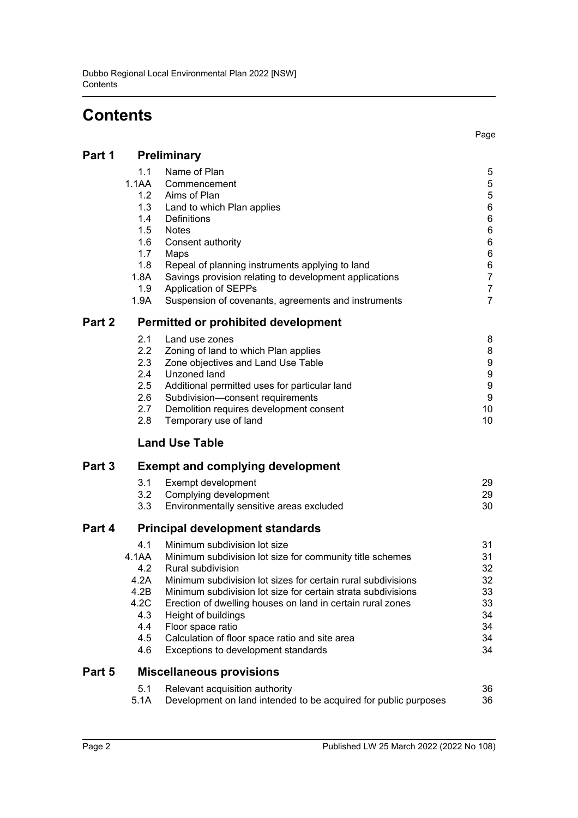# **Contents**

| Part 1 | Preliminary                                                                          |                                                                                                                                                                                                                                                                                                                                                                                                                                                  |                                                                                                 |  |
|--------|--------------------------------------------------------------------------------------|--------------------------------------------------------------------------------------------------------------------------------------------------------------------------------------------------------------------------------------------------------------------------------------------------------------------------------------------------------------------------------------------------------------------------------------------------|-------------------------------------------------------------------------------------------------|--|
|        | 1.1<br>1.1AA<br>1.2<br>1.3<br>1.4<br>1.5<br>1.6<br>1.7<br>1.8<br>1.8A<br>1.9<br>1.9A | Name of Plan<br>Commencement<br>Aims of Plan<br>Land to which Plan applies<br>Definitions<br><b>Notes</b><br>Consent authority<br>Maps<br>Repeal of planning instruments applying to land<br>Savings provision relating to development applications<br>Application of SEPPs<br>Suspension of covenants, agreements and instruments                                                                                                               | 5<br>5<br>5<br>6<br>6<br>6<br>6<br>6<br>6<br>$\overline{7}$<br>$\overline{7}$<br>$\overline{7}$ |  |
| Part 2 | <b>Permitted or prohibited development</b>                                           |                                                                                                                                                                                                                                                                                                                                                                                                                                                  |                                                                                                 |  |
|        | 2.1<br>2.2<br>2.3<br>2.4<br>2.5<br>2.6<br>2.7<br>2.8                                 | Land use zones<br>Zoning of land to which Plan applies<br>Zone objectives and Land Use Table<br>Unzoned land<br>Additional permitted uses for particular land<br>Subdivision-consent requirements<br>Demolition requires development consent<br>Temporary use of land                                                                                                                                                                            | 8<br>8<br>9<br>$\boldsymbol{9}$<br>$\boldsymbol{9}$<br>9<br>10<br>10                            |  |
|        |                                                                                      | <b>Land Use Table</b>                                                                                                                                                                                                                                                                                                                                                                                                                            |                                                                                                 |  |
| Part 3 |                                                                                      | <b>Exempt and complying development</b>                                                                                                                                                                                                                                                                                                                                                                                                          |                                                                                                 |  |
|        | 3.1<br>3.2<br>3.3                                                                    | Exempt development<br>Complying development<br>Environmentally sensitive areas excluded                                                                                                                                                                                                                                                                                                                                                          | 29<br>29<br>30                                                                                  |  |
| Part 4 | <b>Principal development standards</b>                                               |                                                                                                                                                                                                                                                                                                                                                                                                                                                  |                                                                                                 |  |
|        | 4.1<br>4.1AA<br>4.2<br>4.2A<br>4.2B<br>4.2C<br>4.3<br>4.4<br>4.5<br>4.6              | Minimum subdivision lot size<br>Minimum subdivision lot size for community title schemes<br>Rural subdivision<br>Minimum subdivision lot sizes for certain rural subdivisions<br>Minimum subdivision lot size for certain strata subdivisions<br>Erection of dwelling houses on land in certain rural zones<br>Height of buildings<br>Floor space ratio<br>Calculation of floor space ratio and site area<br>Exceptions to development standards | 31<br>31<br>32<br>32<br>33<br>33<br>34<br>34<br>34<br>34                                        |  |
| Part 5 |                                                                                      | <b>Miscellaneous provisions</b>                                                                                                                                                                                                                                                                                                                                                                                                                  |                                                                                                 |  |
|        | 5.1<br>5.1A                                                                          | Relevant acquisition authority<br>Development on land intended to be acquired for public purposes                                                                                                                                                                                                                                                                                                                                                | 36<br>36                                                                                        |  |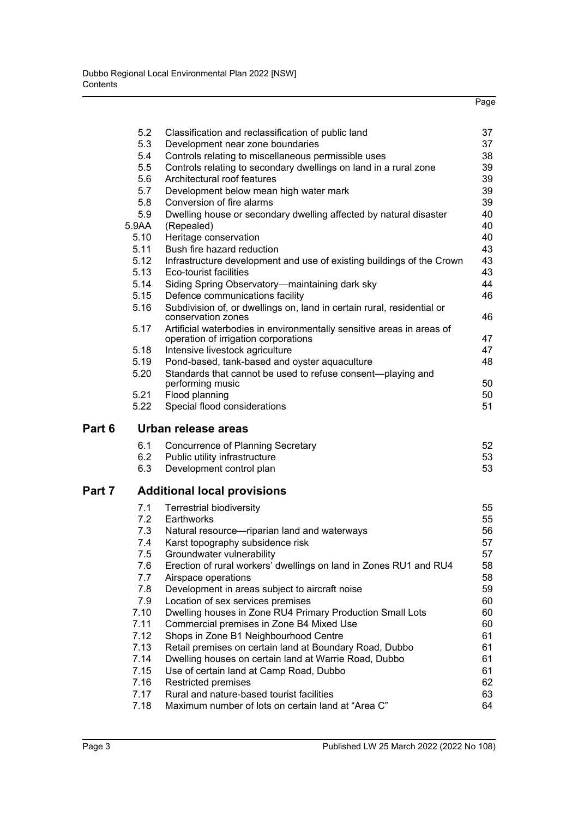|        |            |                                                                                                               | Page     |
|--------|------------|---------------------------------------------------------------------------------------------------------------|----------|
|        | 5.2        | Classification and reclassification of public land                                                            | 37       |
|        | 5.3        | Development near zone boundaries                                                                              | 37       |
|        | 5.4        | Controls relating to miscellaneous permissible uses                                                           | 38       |
|        | 5.5        | Controls relating to secondary dwellings on land in a rural zone                                              | 39       |
|        | 5.6        | Architectural roof features                                                                                   | 39       |
|        | 5.7        | Development below mean high water mark                                                                        | 39       |
|        | 5.8        | Conversion of fire alarms                                                                                     | 39       |
|        | 5.9        | Dwelling house or secondary dwelling affected by natural disaster                                             | 40       |
|        | 5.9AA      | (Repealed)                                                                                                    | 40       |
|        | 5.10       | Heritage conservation                                                                                         | 40       |
|        | 5.11       | Bush fire hazard reduction                                                                                    | 43       |
|        | 5.12       | Infrastructure development and use of existing buildings of the Crown                                         | 43       |
|        | 5.13       | Eco-tourist facilities                                                                                        | 43       |
|        | 5.14       | Siding Spring Observatory-maintaining dark sky                                                                | 44       |
|        | 5.15       | Defence communications facility                                                                               | 46       |
|        | 5.16       | Subdivision of, or dwellings on, land in certain rural, residential or<br>conservation zones                  | 46       |
|        | 5.17       | Artificial waterbodies in environmentally sensitive areas in areas of<br>operation of irrigation corporations | 47       |
|        | 5.18       | Intensive livestock agriculture                                                                               | 47       |
|        | 5.19       | Pond-based, tank-based and oyster aquaculture                                                                 | 48       |
|        | 5.20       | Standards that cannot be used to refuse consent-playing and<br>performing music                               | 50       |
|        | 5.21       | Flood planning                                                                                                | 50       |
|        | 5.22       | Special flood considerations                                                                                  | 51       |
| Part 6 |            | Urban release areas                                                                                           |          |
|        | 6.1        | Concurrence of Planning Secretary                                                                             | 52       |
|        | 6.2        | Public utility infrastructure                                                                                 | 53       |
|        | 6.3        | Development control plan                                                                                      | 53       |
| Part 7 |            | <b>Additional local provisions</b>                                                                            |          |
|        | 7.1        | <b>Terrestrial biodiversity</b>                                                                               | 55       |
|        | 7.2        | Earthworks                                                                                                    | 55       |
|        | 7.3        | Natural resource-riparian land and waterways                                                                  | 56       |
|        | 7.4        | Karst topography subsidence risk                                                                              | 57       |
|        | 7.5        | Groundwater vulnerability                                                                                     | 57       |
|        | 7.6        | Erection of rural workers' dwellings on land in Zones RU1 and RU4                                             | 58       |
|        | 7.7        | Airspace operations                                                                                           | 58       |
|        | 7.8<br>7.9 | Development in areas subject to aircraft noise                                                                | 59       |
|        | 7.10       | Location of sex services premises                                                                             | 60<br>60 |
|        | 7.11       | Dwelling houses in Zone RU4 Primary Production Small Lots<br>Commercial premises in Zone B4 Mixed Use         | 60       |
|        | 7.12       | Shops in Zone B1 Neighbourhood Centre                                                                         | 61       |
|        | 7.13       | Retail premises on certain land at Boundary Road, Dubbo                                                       | 61       |
|        | 7.14       | Dwelling houses on certain land at Warrie Road, Dubbo                                                         | 61       |
|        | 7.15       | Use of certain land at Camp Road, Dubbo                                                                       | 61       |
|        | 7.16       | Restricted premises                                                                                           | 62       |
|        | 7.17       | Rural and nature-based tourist facilities                                                                     | 63       |
|        | 7.18       | Maximum number of lots on certain land at "Area C"                                                            | 64       |
|        |            |                                                                                                               |          |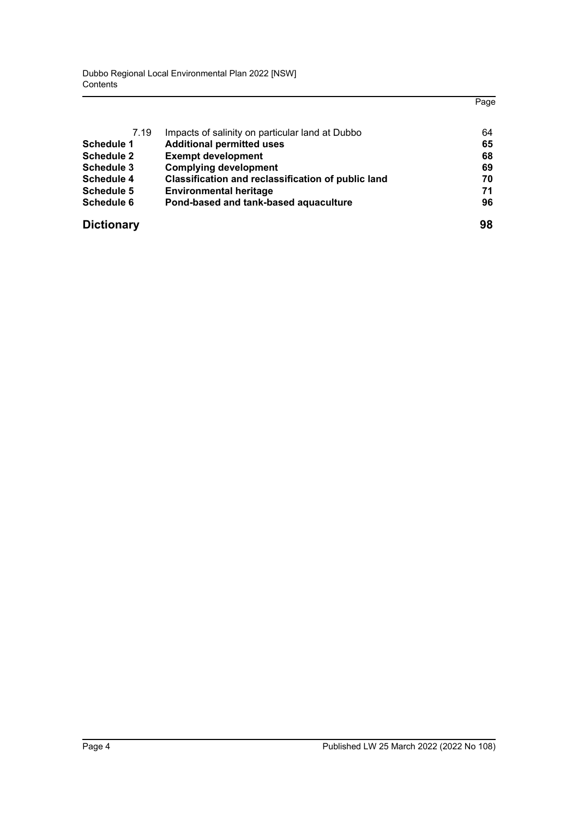Dubbo Regional Local Environmental Plan 2022 [NSW] **Contents** 

|                   |                                                           | Page |
|-------------------|-----------------------------------------------------------|------|
| 7.19              |                                                           | 64   |
|                   | Impacts of salinity on particular land at Dubbo           |      |
| Schedule 1        | <b>Additional permitted uses</b>                          | 65   |
| <b>Schedule 2</b> | <b>Exempt development</b>                                 | 68   |
| Schedule 3        | <b>Complying development</b>                              | 69   |
| <b>Schedule 4</b> | <b>Classification and reclassification of public land</b> | 70   |
| <b>Schedule 5</b> | <b>Environmental heritage</b>                             | 71   |
| Schedule 6        | Pond-based and tank-based aquaculture                     | 96   |
| <b>Dictionary</b> |                                                           | 98   |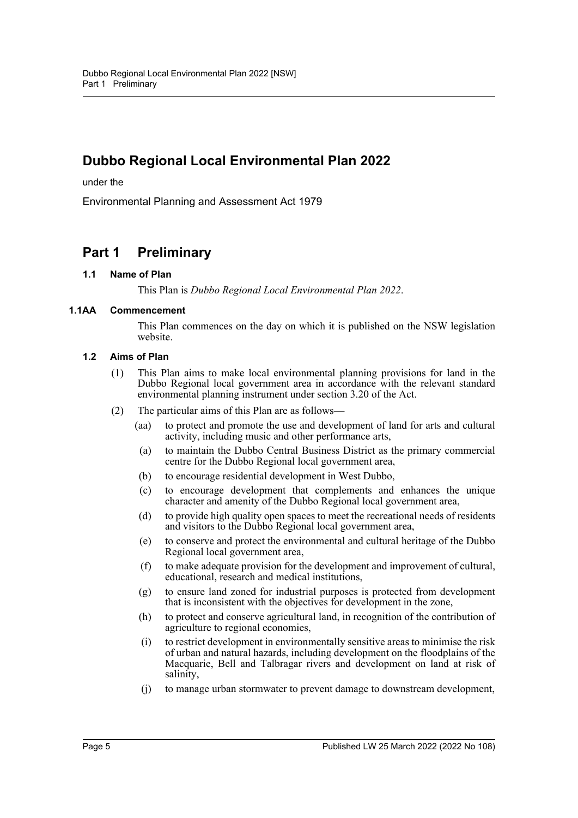## **Dubbo Regional Local Environmental Plan 2022**

under the

Environmental Planning and Assessment Act 1979

## **Part 1 Preliminary**

### **1.1 Name of Plan**

This Plan is *Dubbo Regional Local Environmental Plan 2022*.

#### **1.1AA Commencement**

This Plan commences on the day on which it is published on the NSW legislation website.

#### **1.2 Aims of Plan**

- (1) This Plan aims to make local environmental planning provisions for land in the Dubbo Regional local government area in accordance with the relevant standard environmental planning instrument under section 3.20 of the Act.
- (2) The particular aims of this Plan are as follows—
	- (aa) to protect and promote the use and development of land for arts and cultural activity, including music and other performance arts,
	- (a) to maintain the Dubbo Central Business District as the primary commercial centre for the Dubbo Regional local government area,
	- (b) to encourage residential development in West Dubbo,
	- (c) to encourage development that complements and enhances the unique character and amenity of the Dubbo Regional local government area,
	- (d) to provide high quality open spaces to meet the recreational needs of residents and visitors to the Dubbo Regional local government area,
	- (e) to conserve and protect the environmental and cultural heritage of the Dubbo Regional local government area,
	- (f) to make adequate provision for the development and improvement of cultural, educational, research and medical institutions,
	- (g) to ensure land zoned for industrial purposes is protected from development that is inconsistent with the objectives for development in the zone,
	- (h) to protect and conserve agricultural land, in recognition of the contribution of agriculture to regional economies,
	- (i) to restrict development in environmentally sensitive areas to minimise the risk of urban and natural hazards, including development on the floodplains of the Macquarie, Bell and Talbragar rivers and development on land at risk of salinity,
	- (j) to manage urban stormwater to prevent damage to downstream development,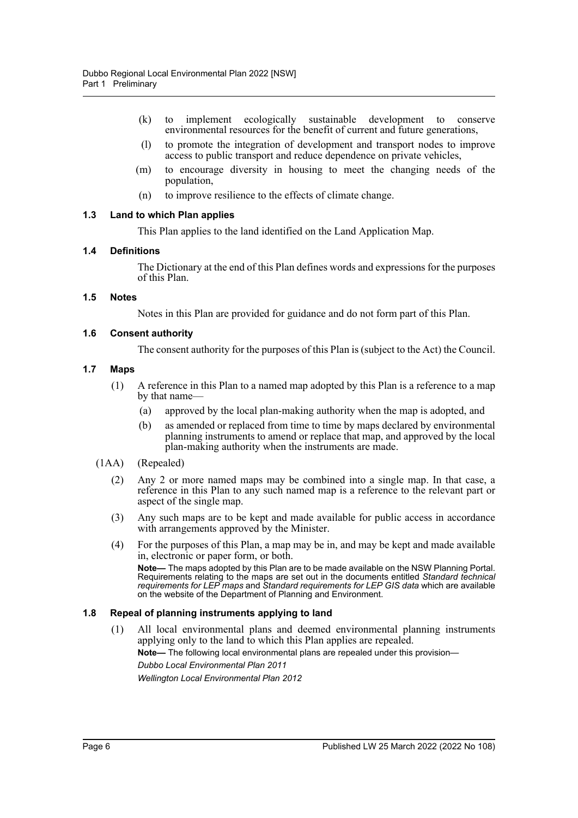- (k) to implement ecologically sustainable development to conserve environmental resources for the benefit of current and future generations,
- (l) to promote the integration of development and transport nodes to improve access to public transport and reduce dependence on private vehicles,
- (m) to encourage diversity in housing to meet the changing needs of the population,
- (n) to improve resilience to the effects of climate change.

#### **1.3 Land to which Plan applies**

This Plan applies to the land identified on the Land Application Map.

#### **1.4 Definitions**

The Dictionary at the end of this Plan defines words and expressions for the purposes of this Plan.

#### **1.5 Notes**

Notes in this Plan are provided for guidance and do not form part of this Plan.

#### **1.6 Consent authority**

The consent authority for the purposes of this Plan is (subject to the Act) the Council.

#### **1.7 Maps**

- (1) A reference in this Plan to a named map adopted by this Plan is a reference to a map by that name—
	- (a) approved by the local plan-making authority when the map is adopted, and
	- (b) as amended or replaced from time to time by maps declared by environmental planning instruments to amend or replace that map, and approved by the local plan-making authority when the instruments are made.

#### (1AA) (Repealed)

- (2) Any 2 or more named maps may be combined into a single map. In that case, a reference in this Plan to any such named map is a reference to the relevant part or aspect of the single map.
- (3) Any such maps are to be kept and made available for public access in accordance with arrangements approved by the Minister.
- (4) For the purposes of this Plan, a map may be in, and may be kept and made available in, electronic or paper form, or both.

**Note—** The maps adopted by this Plan are to be made available on the NSW Planning Portal. Requirements relating to the maps are set out in the documents entitled *Standard technical requirements for LEP maps* and *Standard requirements for LEP GIS data* which are available on the website of the Department of Planning and Environment.

#### **1.8 Repeal of planning instruments applying to land**

(1) All local environmental plans and deemed environmental planning instruments applying only to the land to which this Plan applies are repealed.

**Note—** The following local environmental plans are repealed under this provision—

*Dubbo Local Environmental Plan 2011 Wellington Local Environmental Plan 2012*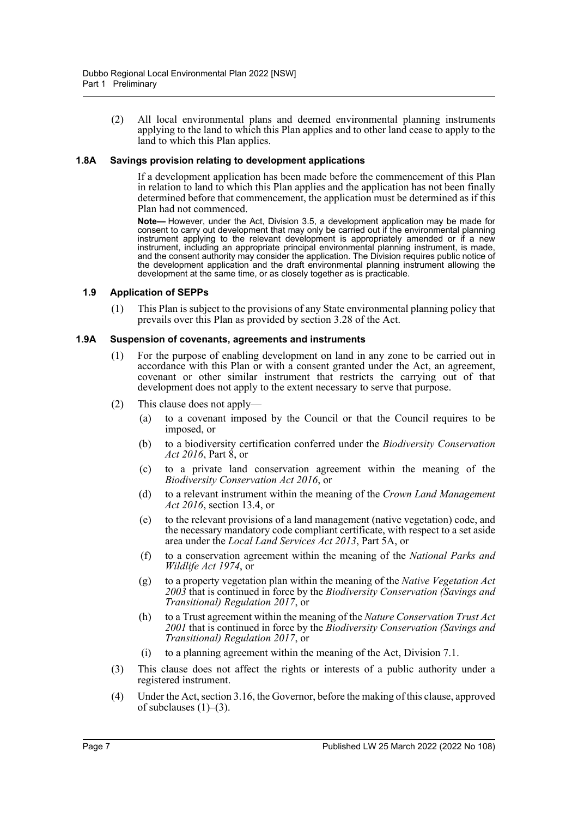(2) All local environmental plans and deemed environmental planning instruments applying to the land to which this Plan applies and to other land cease to apply to the land to which this Plan applies.

#### **1.8A Savings provision relating to development applications**

If a development application has been made before the commencement of this Plan in relation to land to which this Plan applies and the application has not been finally determined before that commencement, the application must be determined as if this Plan had not commenced.

**Note—** However, under the Act, Division 3.5, a development application may be made for consent to carry out development that may only be carried out if the environmental planning instrument applying to the relevant development is appropriately amended or if a new instrument, including an appropriate principal environmental planning instrument, is made, and the consent authority may consider the application. The Division requires public notice of the development application and the draft environmental planning instrument allowing the development at the same time, or as closely together as is practicable.

#### **1.9 Application of SEPPs**

(1) This Plan is subject to the provisions of any State environmental planning policy that prevails over this Plan as provided by section 3.28 of the Act.

#### **1.9A Suspension of covenants, agreements and instruments**

- (1) For the purpose of enabling development on land in any zone to be carried out in accordance with this Plan or with a consent granted under the Act, an agreement, covenant or other similar instrument that restricts the carrying out of that development does not apply to the extent necessary to serve that purpose.
- (2) This clause does not apply—
	- (a) to a covenant imposed by the Council or that the Council requires to be imposed, or
	- (b) to a biodiversity certification conferred under the *Biodiversity Conservation Act 2016*, Part 8, or
	- (c) to a private land conservation agreement within the meaning of the *Biodiversity Conservation Act 2016*, or
	- (d) to a relevant instrument within the meaning of the *Crown Land Management Act 2016*, section 13.4, or
	- (e) to the relevant provisions of a land management (native vegetation) code, and the necessary mandatory code compliant certificate, with respect to a set aside area under the *Local Land Services Act 2013*, Part 5A, or
	- (f) to a conservation agreement within the meaning of the *National Parks and Wildlife Act 1974*, or
	- (g) to a property vegetation plan within the meaning of the *Native Vegetation Act 2003* that is continued in force by the *Biodiversity Conservation (Savings and Transitional) Regulation 2017*, or
	- (h) to a Trust agreement within the meaning of the *Nature Conservation Trust Act 2001* that is continued in force by the *Biodiversity Conservation (Savings and Transitional) Regulation 2017*, or
	- (i) to a planning agreement within the meaning of the Act, Division 7.1.
- (3) This clause does not affect the rights or interests of a public authority under a registered instrument.
- (4) Under the Act, section 3.16, the Governor, before the making of this clause, approved of subclauses  $(1)$ – $(3)$ .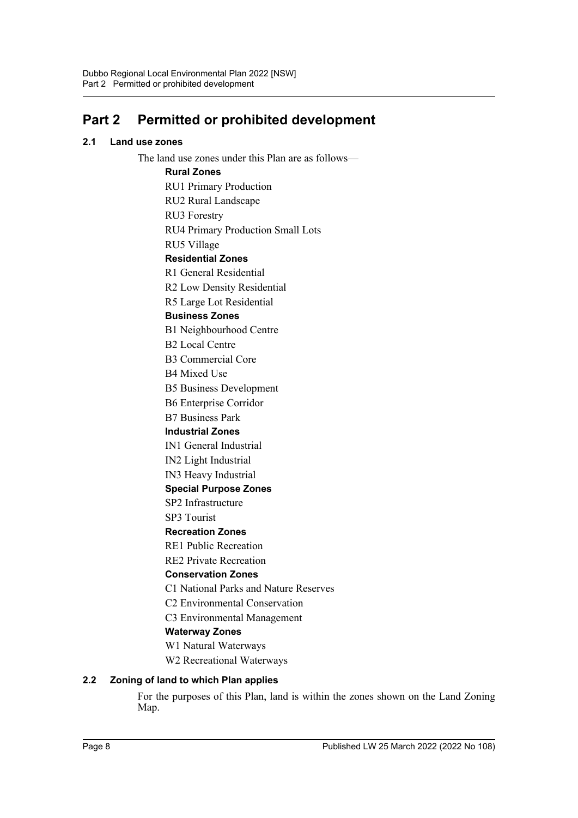## **Part 2 Permitted or prohibited development**

## **2.1 Land use zones**

The land use zones under this Plan are as follows— **Rural Zones** RU1 Primary Production RU2 Rural Landscape RU3 Forestry RU4 Primary Production Small Lots RU5 Village **Residential Zones** R1 General Residential R2 Low Density Residential R5 Large Lot Residential **Business Zones** B1 Neighbourhood Centre B2 Local Centre B3 Commercial Core B4 Mixed Use B5 Business Development B6 Enterprise Corridor B7 Business Park **Industrial Zones** IN1 General Industrial IN2 Light Industrial IN3 Heavy Industrial **Special Purpose Zones** SP2 Infrastructure SP3 Tourist **Recreation Zones** RE1 Public Recreation RE2 Private Recreation **Conservation Zones** C1 National Parks and Nature Reserves C2 Environmental Conservation C3 Environmental Management **Waterway Zones** W1 Natural Waterways W2 Recreational Waterways **2.2 Zoning of land to which Plan applies** For the purposes of this Plan, land is within the zones shown on the Land Zoning Map.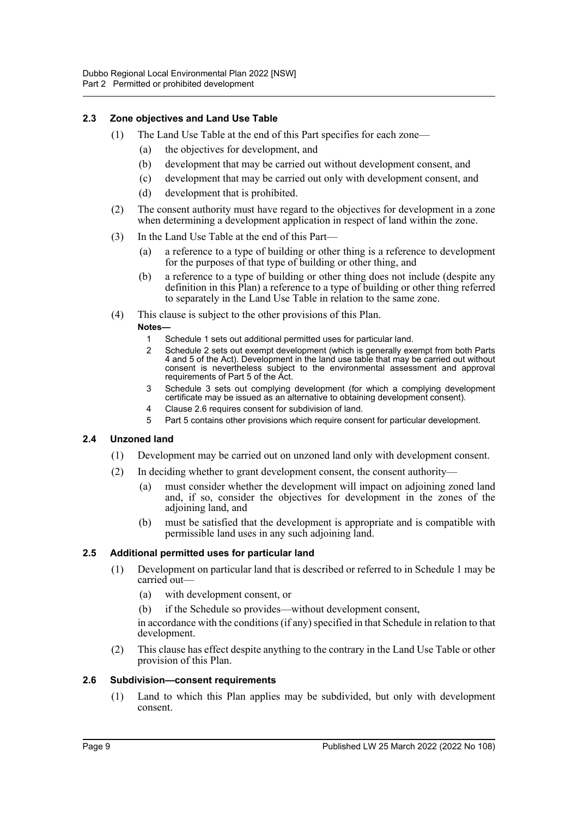## **2.3 Zone objectives and Land Use Table**

- (1) The Land Use Table at the end of this Part specifies for each zone—
	- (a) the objectives for development, and
	- (b) development that may be carried out without development consent, and
	- (c) development that may be carried out only with development consent, and
	- (d) development that is prohibited.
- (2) The consent authority must have regard to the objectives for development in a zone when determining a development application in respect of land within the zone.
- (3) In the Land Use Table at the end of this Part—
	- (a) a reference to a type of building or other thing is a reference to development for the purposes of that type of building or other thing, and
	- (b) a reference to a type of building or other thing does not include (despite any definition in this Plan) a reference to a type of building or other thing referred to separately in the Land Use Table in relation to the same zone.
- (4) This clause is subject to the other provisions of this Plan. **Notes—**
	- 1 Schedule 1 sets out additional permitted uses for particular land.
	- 2 Schedule 2 sets out exempt development (which is generally exempt from both Parts 4 and 5 of the Act). Development in the land use table that may be carried out without consent is nevertheless subject to the environmental assessment and approval requirements of Part 5 of the Act.
	- 3 Schedule 3 sets out complying development (for which a complying development certificate may be issued as an alternative to obtaining development consent).
	- 4 Clause 2.6 requires consent for subdivision of land.
	- 5 Part 5 contains other provisions which require consent for particular development.

## **2.4 Unzoned land**

- (1) Development may be carried out on unzoned land only with development consent.
- (2) In deciding whether to grant development consent, the consent authority—
	- (a) must consider whether the development will impact on adjoining zoned land and, if so, consider the objectives for development in the zones of the adjoining land, and
	- (b) must be satisfied that the development is appropriate and is compatible with permissible land uses in any such adjoining land.

#### **2.5 Additional permitted uses for particular land**

- (1) Development on particular land that is described or referred to in Schedule 1 may be carried out—
	- (a) with development consent, or
	- (b) if the Schedule so provides—without development consent,

in accordance with the conditions (if any) specified in that Schedule in relation to that development.

(2) This clause has effect despite anything to the contrary in the Land Use Table or other provision of this Plan.

#### **2.6 Subdivision—consent requirements**

(1) Land to which this Plan applies may be subdivided, but only with development consent.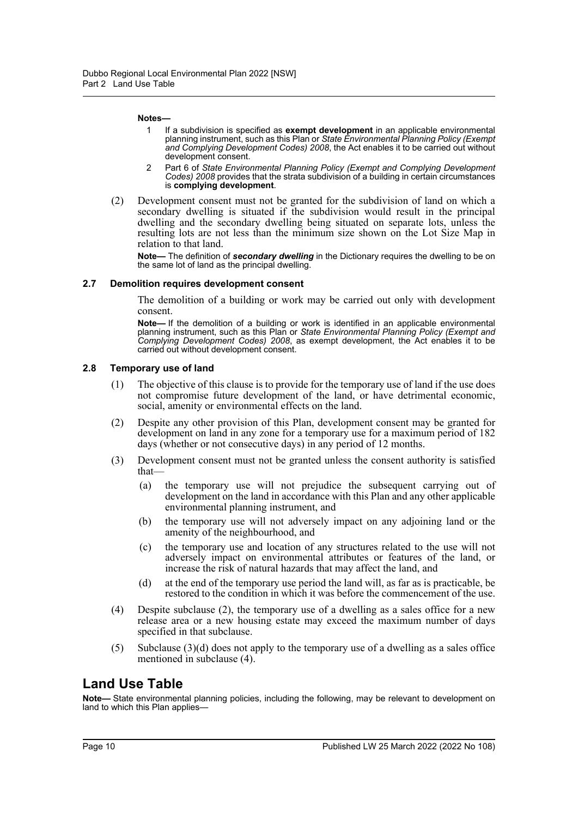#### **Notes—**

- 1 If a subdivision is specified as **exempt development** in an applicable environmental planning instrument, such as this Plan or *State Environmental Planning Policy (Exempt and Complying Development Codes) 2008*, the Act enables it to be carried out without development consent.
- 2 Part 6 of *State Environmental Planning Policy (Exempt and Complying Development Codes) 2008* provides that the strata subdivision of a building in certain circumstances is **complying development**.
- (2) Development consent must not be granted for the subdivision of land on which a secondary dwelling is situated if the subdivision would result in the principal dwelling and the secondary dwelling being situated on separate lots, unless the resulting lots are not less than the minimum size shown on the Lot Size Map in relation to that land.

**Note—** The definition of *secondary dwelling* in the Dictionary requires the dwelling to be on the same lot of land as the principal dwelling.

#### **2.7 Demolition requires development consent**

The demolition of a building or work may be carried out only with development consent.

**Note—** If the demolition of a building or work is identified in an applicable environmental planning instrument, such as this Plan or *State Environmental Planning Policy (Exempt and Complying Development Codes) 2008*, as exempt development, the Act enables it to be carried out without development consent.

#### **2.8 Temporary use of land**

- (1) The objective of this clause is to provide for the temporary use of land if the use does not compromise future development of the land, or have detrimental economic, social, amenity or environmental effects on the land.
- (2) Despite any other provision of this Plan, development consent may be granted for development on land in any zone for a temporary use for a maximum period of 182 days (whether or not consecutive days) in any period of 12 months.
- (3) Development consent must not be granted unless the consent authority is satisfied that—
	- (a) the temporary use will not prejudice the subsequent carrying out of development on the land in accordance with this Plan and any other applicable environmental planning instrument, and
	- (b) the temporary use will not adversely impact on any adjoining land or the amenity of the neighbourhood, and
	- (c) the temporary use and location of any structures related to the use will not adversely impact on environmental attributes or features of the land, or increase the risk of natural hazards that may affect the land, and
	- (d) at the end of the temporary use period the land will, as far as is practicable, be restored to the condition in which it was before the commencement of the use.
- (4) Despite subclause (2), the temporary use of a dwelling as a sales office for a new release area or a new housing estate may exceed the maximum number of days specified in that subclause.
- (5) Subclause (3)(d) does not apply to the temporary use of a dwelling as a sales office mentioned in subclause (4).

## **Land Use Table**

**Note—** State environmental planning policies, including the following, may be relevant to development on land to which this Plan applies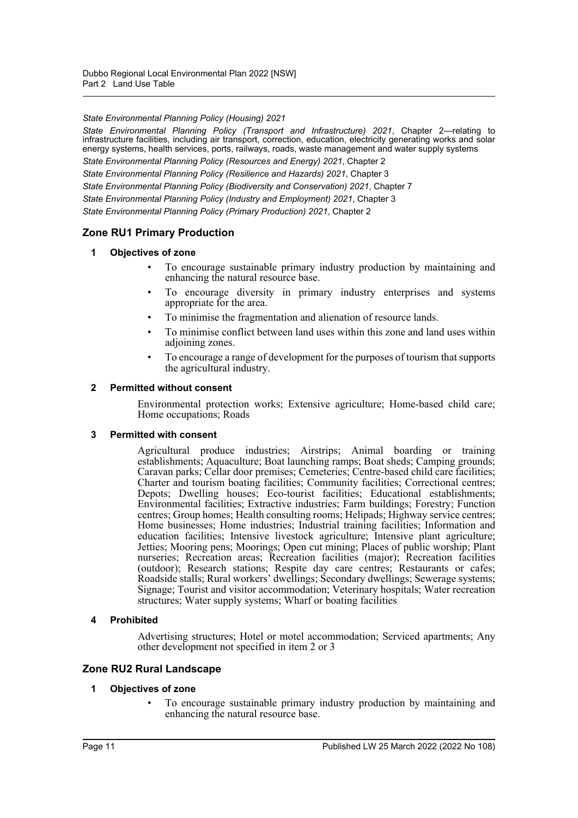*State Environmental Planning Policy (Housing) 2021*

*State Environmental Planning Policy (Transport and Infrastructure) 2021*, Chapter 2—relating to infrastructure facilities, including air transport, correction, education, electricity generating works and solar energy systems, health services, ports, railways, roads, waste management and water supply systems

*State Environmental Planning Policy (Resources and Energy) 2021*, Chapter 2

*State Environmental Planning Policy (Resilience and Hazards) 2021*, Chapter 3

*State Environmental Planning Policy (Biodiversity and Conservation) 2021*, Chapter 7

*State Environmental Planning Policy (Industry and Employment) 2021*, Chapter 3

*State Environmental Planning Policy (Primary Production) 2021*, Chapter 2

#### **Zone RU1 Primary Production**

#### **1 Objectives of zone**

- To encourage sustainable primary industry production by maintaining and enhancing the natural resource base.
- To encourage diversity in primary industry enterprises and systems appropriate for the area.
- To minimise the fragmentation and alienation of resource lands.
- To minimise conflict between land uses within this zone and land uses within adjoining zones.
- To encourage a range of development for the purposes of tourism that supports the agricultural industry.

#### **2 Permitted without consent**

Environmental protection works; Extensive agriculture; Home-based child care; Home occupations; Roads

#### **3 Permitted with consent**

Agricultural produce industries; Airstrips; Animal boarding or training establishments; Aquaculture; Boat launching ramps; Boat sheds; Camping grounds; Caravan parks; Cellar door premises; Cemeteries; Centre-based child care facilities; Charter and tourism boating facilities; Community facilities; Correctional centres; Depots; Dwelling houses; Eco-tourist facilities; Educational establishments; Environmental facilities; Extractive industries; Farm buildings; Forestry; Function centres; Group homes; Health consulting rooms; Helipads; Highway service centres; Home businesses; Home industries; Industrial training facilities; Information and education facilities; Intensive livestock agriculture; Intensive plant agriculture; Jetties; Mooring pens; Moorings; Open cut mining; Places of public worship; Plant nurseries; Recreation areas; Recreation facilities (major); Recreation facilities (outdoor); Research stations; Respite day care centres; Restaurants or cafes; Roadside stalls; Rural workers' dwellings; Secondary dwellings; Sewerage systems; Signage; Tourist and visitor accommodation; Veterinary hospitals; Water recreation structures; Water supply systems; Wharf or boating facilities

#### **4 Prohibited**

Advertising structures; Hotel or motel accommodation; Serviced apartments; Any other development not specified in item 2 or 3

#### **Zone RU2 Rural Landscape**

#### **1 Objectives of zone**

• To encourage sustainable primary industry production by maintaining and enhancing the natural resource base.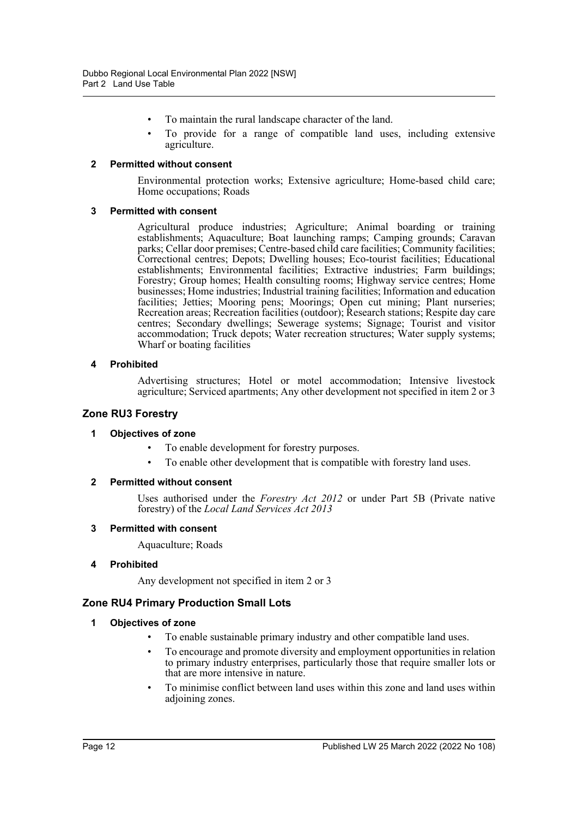- To maintain the rural landscape character of the land.
- To provide for a range of compatible land uses, including extensive agriculture.

#### **2 Permitted without consent**

Environmental protection works; Extensive agriculture; Home-based child care; Home occupations; Roads

#### **3 Permitted with consent**

Agricultural produce industries; Agriculture; Animal boarding or training establishments; Aquaculture; Boat launching ramps; Camping grounds; Caravan parks; Cellar door premises; Centre-based child care facilities; Community facilities; Correctional centres; Depots; Dwelling houses; Eco-tourist facilities; Educational establishments; Environmental facilities; Extractive industries; Farm buildings; Forestry; Group homes; Health consulting rooms; Highway service centres; Home businesses; Home industries; Industrial training facilities; Information and education facilities; Jetties; Mooring pens; Moorings; Open cut mining; Plant nurseries; Recreation areas; Recreation facilities (outdoor); Research stations; Respite day care centres; Secondary dwellings; Sewerage systems; Signage; Tourist and visitor accommodation; Truck depots; Water recreation structures; Water supply systems; Wharf or boating facilities

#### **4 Prohibited**

Advertising structures; Hotel or motel accommodation; Intensive livestock agriculture; Serviced apartments; Any other development not specified in item 2 or 3

## **Zone RU3 Forestry**

#### **1 Objectives of zone**

- To enable development for forestry purposes.
- To enable other development that is compatible with forestry land uses.

#### **2 Permitted without consent**

Uses authorised under the *Forestry Act 2012* or under Part 5B (Private native forestry) of the *Local Land Services Act 2013*

#### **3 Permitted with consent**

Aquaculture; Roads

#### **4 Prohibited**

Any development not specified in item 2 or 3

## **Zone RU4 Primary Production Small Lots**

#### **1 Objectives of zone**

- To enable sustainable primary industry and other compatible land uses.
- To encourage and promote diversity and employment opportunities in relation to primary industry enterprises, particularly those that require smaller lots or that are more intensive in nature.
- To minimise conflict between land uses within this zone and land uses within adjoining zones.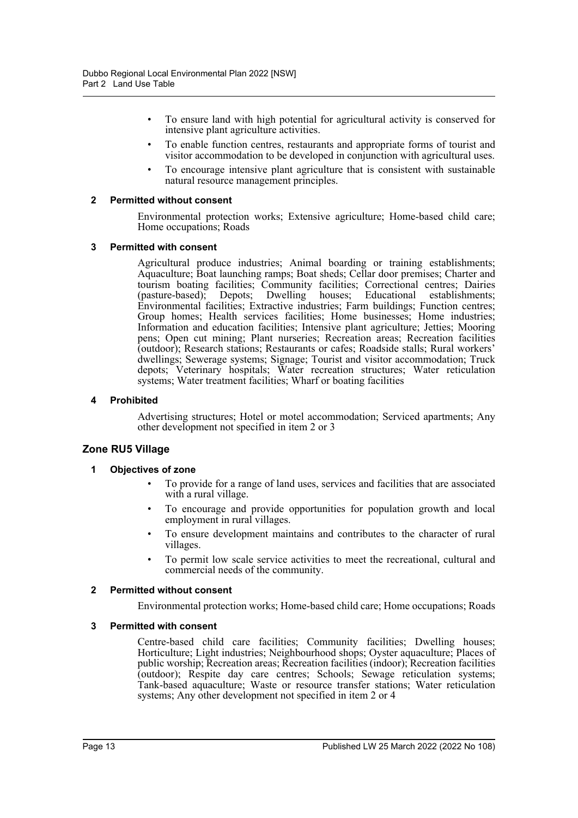- To ensure land with high potential for agricultural activity is conserved for intensive plant agriculture activities.
- To enable function centres, restaurants and appropriate forms of tourist and visitor accommodation to be developed in conjunction with agricultural uses.
- To encourage intensive plant agriculture that is consistent with sustainable natural resource management principles.

#### **2 Permitted without consent**

Environmental protection works; Extensive agriculture; Home-based child care; Home occupations; Roads

#### **3 Permitted with consent**

Agricultural produce industries; Animal boarding or training establishments; Aquaculture; Boat launching ramps; Boat sheds; Cellar door premises; Charter and tourism boating facilities; Community facilities; Correctional centres; Dairies (pasture-based); Depots; Dwelling houses; Educational establishments; Environmental facilities; Extractive industries; Farm buildings; Function centres; Group homes; Health services facilities; Home businesses; Home industries; Information and education facilities; Intensive plant agriculture; Jetties; Mooring pens; Open cut mining; Plant nurseries; Recreation areas; Recreation facilities (outdoor); Research stations; Restaurants or cafes; Roadside stalls; Rural workers' dwellings; Sewerage systems; Signage; Tourist and visitor accommodation; Truck depots; Veterinary hospitals; Water recreation structures; Water reticulation systems; Water treatment facilities; Wharf or boating facilities

#### **4 Prohibited**

Advertising structures; Hotel or motel accommodation; Serviced apartments; Any other development not specified in item 2 or 3

#### **Zone RU5 Village**

#### **1 Objectives of zone**

- To provide for a range of land uses, services and facilities that are associated with a rural village.
- To encourage and provide opportunities for population growth and local employment in rural villages.
- To ensure development maintains and contributes to the character of rural villages.
- To permit low scale service activities to meet the recreational, cultural and commercial needs of the community.

#### **2 Permitted without consent**

Environmental protection works; Home-based child care; Home occupations; Roads

#### **3 Permitted with consent**

Centre-based child care facilities; Community facilities; Dwelling houses; Horticulture; Light industries; Neighbourhood shops; Oyster aquaculture; Places of public worship; Recreation areas; Recreation facilities (indoor); Recreation facilities (outdoor); Respite day care centres; Schools; Sewage reticulation systems; Tank-based aquaculture; Waste or resource transfer stations; Water reticulation systems; Any other development not specified in item 2 or 4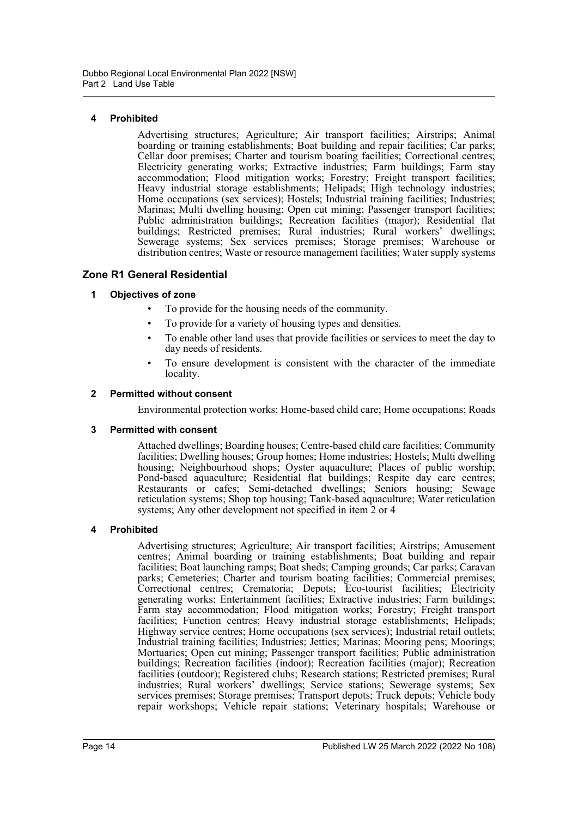## **4 Prohibited**

Advertising structures; Agriculture; Air transport facilities; Airstrips; Animal boarding or training establishments; Boat building and repair facilities; Car parks; Cellar door premises; Charter and tourism boating facilities; Correctional centres; Electricity generating works; Extractive industries; Farm buildings; Farm stay accommodation; Flood mitigation works; Forestry; Freight transport facilities; Heavy industrial storage establishments; Helipads; High technology industries; Home occupations (sex services); Hostels; Industrial training facilities; Industries; Marinas; Multi dwelling housing; Open cut mining; Passenger transport facilities; Public administration buildings; Recreation facilities (major); Residential flat buildings; Restricted premises; Rural industries; Rural workers' dwellings; Sewerage systems; Sex services premises; Storage premises; Warehouse or distribution centres; Waste or resource management facilities; Water supply systems

## **Zone R1 General Residential**

## **1 Objectives of zone**

- To provide for the housing needs of the community.
- To provide for a variety of housing types and densities.
- To enable other land uses that provide facilities or services to meet the day to day needs of residents.
- To ensure development is consistent with the character of the immediate locality.

#### **2 Permitted without consent**

Environmental protection works; Home-based child care; Home occupations; Roads

#### **3 Permitted with consent**

Attached dwellings; Boarding houses; Centre-based child care facilities; Community facilities; Dwelling houses; Group homes; Home industries; Hostels; Multi dwelling housing; Neighbourhood shops; Oyster aquaculture; Places of public worship; Pond-based aquaculture; Residential flat buildings; Respite day care centres; Restaurants or cafes; Semi-detached dwellings; Seniors housing; Sewage reticulation systems; Shop top housing; Tank-based aquaculture; Water reticulation systems; Any other development not specified in item 2 or 4

## **4 Prohibited**

Advertising structures; Agriculture; Air transport facilities; Airstrips; Amusement centres; Animal boarding or training establishments; Boat building and repair facilities; Boat launching ramps; Boat sheds; Camping grounds; Car parks; Caravan parks; Cemeteries; Charter and tourism boating facilities; Commercial premises; Correctional centres; Crematoria; Depots; Eco-tourist facilities; Electricity generating works; Entertainment facilities; Extractive industries; Farm buildings; Farm stay accommodation; Flood mitigation works; Forestry; Freight transport facilities; Function centres; Heavy industrial storage establishments; Helipads; Highway service centres; Home occupations (sex services); Industrial retail outlets; Industrial training facilities; Industries; Jetties; Marinas; Mooring pens; Moorings; Mortuaries; Open cut mining; Passenger transport facilities; Public administration buildings; Recreation facilities (indoor); Recreation facilities (major); Recreation facilities (outdoor); Registered clubs; Research stations; Restricted premises; Rural industries; Rural workers' dwellings; Service stations; Sewerage systems; Sex services premises; Storage premises; Transport depots; Truck depots; Vehicle body repair workshops; Vehicle repair stations; Veterinary hospitals; Warehouse or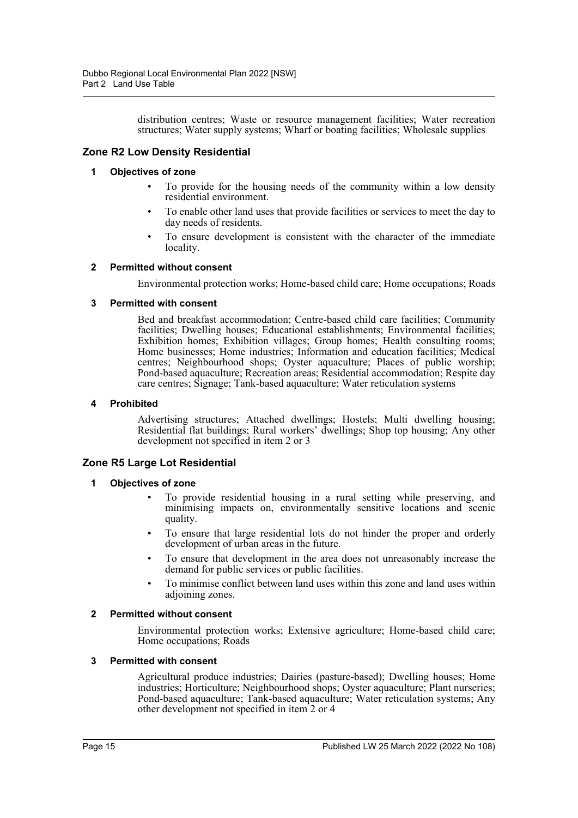distribution centres; Waste or resource management facilities; Water recreation structures; Water supply systems; Wharf or boating facilities; Wholesale supplies

## **Zone R2 Low Density Residential**

#### **1 Objectives of zone**

- To provide for the housing needs of the community within a low density residential environment.
- To enable other land uses that provide facilities or services to meet the day to day needs of residents.
- To ensure development is consistent with the character of the immediate locality.

#### **2 Permitted without consent**

Environmental protection works; Home-based child care; Home occupations; Roads

#### **3 Permitted with consent**

Bed and breakfast accommodation; Centre-based child care facilities; Community facilities; Dwelling houses; Educational establishments; Environmental facilities; Exhibition homes; Exhibition villages; Group homes; Health consulting rooms; Home businesses; Home industries; Information and education facilities; Medical centres; Neighbourhood shops; Oyster aquaculture; Places of public worship; Pond-based aquaculture; Recreation areas; Residential accommodation; Respite day care centres; Signage; Tank-based aquaculture; Water reticulation systems

#### **4 Prohibited**

Advertising structures; Attached dwellings; Hostels; Multi dwelling housing; Residential flat buildings; Rural workers' dwellings; Shop top housing; Any other development not specified in item 2 or 3

## **Zone R5 Large Lot Residential**

#### **1 Objectives of zone**

- To provide residential housing in a rural setting while preserving, and minimising impacts on, environmentally sensitive locations and scenic quality.
- To ensure that large residential lots do not hinder the proper and orderly development of urban areas in the future.
- To ensure that development in the area does not unreasonably increase the demand for public services or public facilities.
- To minimise conflict between land uses within this zone and land uses within adjoining zones.

#### **2 Permitted without consent**

Environmental protection works; Extensive agriculture; Home-based child care; Home occupations; Roads

#### **3 Permitted with consent**

Agricultural produce industries; Dairies (pasture-based); Dwelling houses; Home industries; Horticulture; Neighbourhood shops; Oyster aquaculture; Plant nurseries; Pond-based aquaculture; Tank-based aquaculture; Water reticulation systems; Any other development not specified in item 2 or 4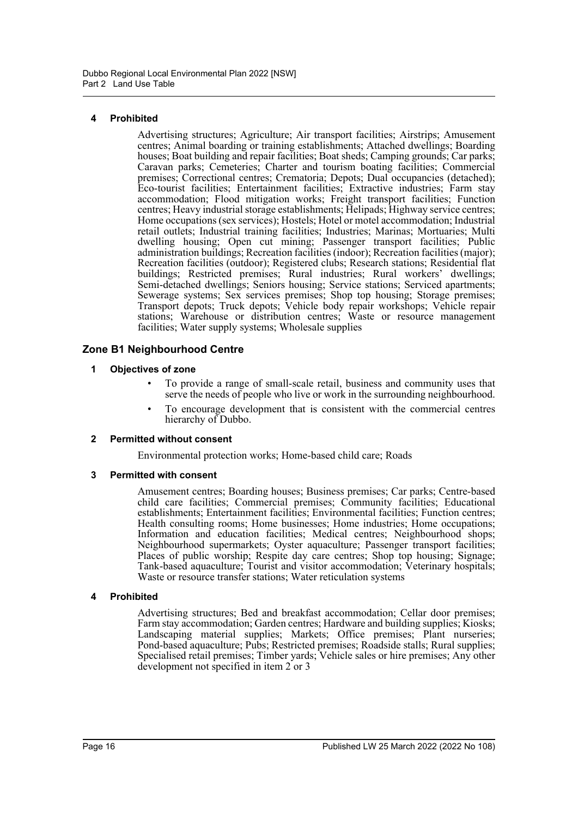## **4 Prohibited**

Advertising structures; Agriculture; Air transport facilities; Airstrips; Amusement centres; Animal boarding or training establishments; Attached dwellings; Boarding houses; Boat building and repair facilities; Boat sheds; Camping grounds; Car parks; Caravan parks; Cemeteries; Charter and tourism boating facilities; Commercial premises; Correctional centres; Crematoria; Depots; Dual occupancies (detached); Eco-tourist facilities; Entertainment facilities; Extractive industries; Farm stay accommodation; Flood mitigation works; Freight transport facilities; Function centres; Heavy industrial storage establishments; Helipads; Highway service centres; Home occupations (sex services); Hostels; Hotel or motel accommodation; Industrial retail outlets; Industrial training facilities; Industries; Marinas; Mortuaries; Multi dwelling housing; Open cut mining; Passenger transport facilities; Public administration buildings; Recreation facilities (indoor); Recreation facilities (major); Recreation facilities (outdoor); Registered clubs; Research stations; Residential flat buildings; Restricted premises; Rural industries; Rural workers' dwellings; Semi-detached dwellings; Seniors housing; Service stations; Serviced apartments; Sewerage systems; Sex services premises; Shop top housing; Storage premises; Transport depots; Truck depots; Vehicle body repair workshops; Vehicle repair stations; Warehouse or distribution centres; Waste or resource management facilities; Water supply systems; Wholesale supplies

## **Zone B1 Neighbourhood Centre**

## **1 Objectives of zone**

- To provide a range of small-scale retail, business and community uses that serve the needs of people who live or work in the surrounding neighbourhood.
- To encourage development that is consistent with the commercial centres hierarchy of Dubbo.

## **2 Permitted without consent**

Environmental protection works; Home-based child care; Roads

## **3 Permitted with consent**

Amusement centres; Boarding houses; Business premises; Car parks; Centre-based child care facilities; Commercial premises; Community facilities; Educational establishments; Entertainment facilities; Environmental facilities; Function centres; Health consulting rooms; Home businesses; Home industries; Home occupations; Information and education facilities; Medical centres; Neighbourhood shops; Neighbourhood supermarkets; Oyster aquaculture; Passenger transport facilities; Places of public worship; Respite day care centres; Shop top housing; Signage; Tank-based aquaculture; Tourist and visitor accommodation; Veterinary hospitals; Waste or resource transfer stations; Water reticulation systems

## **4 Prohibited**

Advertising structures; Bed and breakfast accommodation; Cellar door premises; Farm stay accommodation; Garden centres; Hardware and building supplies; Kiosks; Landscaping material supplies; Markets; Office premises; Plant nurseries; Pond-based aquaculture; Pubs; Restricted premises; Roadside stalls; Rural supplies; Specialised retail premises; Timber yards; Vehicle sales or hire premises; Any other development not specified in item 2 or 3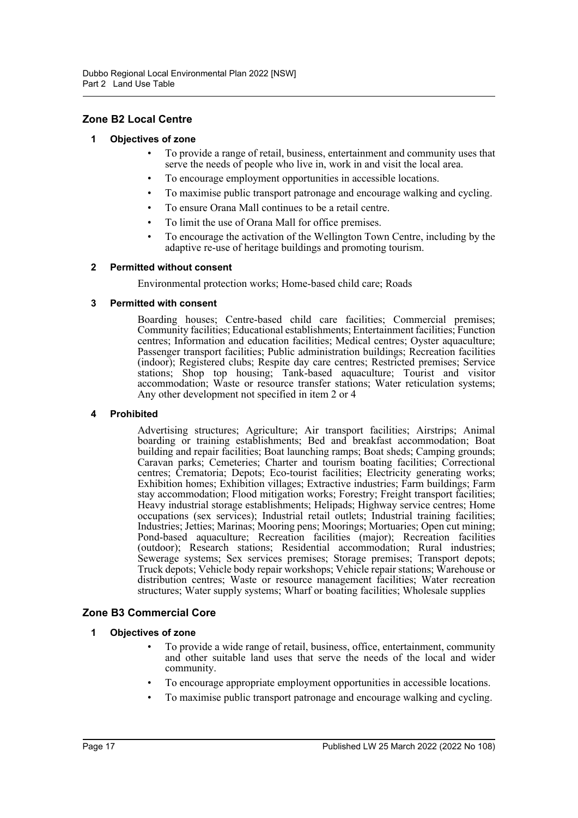## **Zone B2 Local Centre**

#### **1 Objectives of zone**

- To provide a range of retail, business, entertainment and community uses that serve the needs of people who live in, work in and visit the local area.
- To encourage employment opportunities in accessible locations.
- To maximise public transport patronage and encourage walking and cycling.
- To ensure Orana Mall continues to be a retail centre.
- To limit the use of Orana Mall for office premises.
- To encourage the activation of the Wellington Town Centre, including by the adaptive re-use of heritage buildings and promoting tourism.

#### **2 Permitted without consent**

Environmental protection works; Home-based child care; Roads

#### **3 Permitted with consent**

Boarding houses; Centre-based child care facilities; Commercial premises; Community facilities; Educational establishments; Entertainment facilities; Function centres; Information and education facilities; Medical centres; Oyster aquaculture; Passenger transport facilities; Public administration buildings; Recreation facilities (indoor); Registered clubs; Respite day care centres; Restricted premises; Service stations; Shop top housing; Tank-based aquaculture; Tourist and visitor accommodation; Waste or resource transfer stations; Water reticulation systems; Any other development not specified in item 2 or 4

#### **4 Prohibited**

Advertising structures; Agriculture; Air transport facilities; Airstrips; Animal boarding or training establishments; Bed and breakfast accommodation; Boat building and repair facilities; Boat launching ramps; Boat sheds; Camping grounds; Caravan parks; Cemeteries; Charter and tourism boating facilities; Correctional centres; Crematoria; Depots; Eco-tourist facilities; Electricity generating works; Exhibition homes; Exhibition villages; Extractive industries; Farm buildings; Farm stay accommodation; Flood mitigation works; Forestry; Freight transport facilities; Heavy industrial storage establishments; Helipads; Highway service centres; Home occupations (sex services); Industrial retail outlets; Industrial training facilities; Industries; Jetties; Marinas; Mooring pens; Moorings; Mortuaries; Open cut mining; Pond-based aquaculture; Recreation facilities (major); Recreation facilities (outdoor); Research stations; Residential accommodation; Rural industries; Sewerage systems; Sex services premises; Storage premises; Transport depots; Truck depots; Vehicle body repair workshops; Vehicle repair stations; Warehouse or distribution centres; Waste or resource management facilities; Water recreation structures; Water supply systems; Wharf or boating facilities; Wholesale supplies

## **Zone B3 Commercial Core**

#### **1 Objectives of zone**

- To provide a wide range of retail, business, office, entertainment, community and other suitable land uses that serve the needs of the local and wider community.
- To encourage appropriate employment opportunities in accessible locations.
- To maximise public transport patronage and encourage walking and cycling.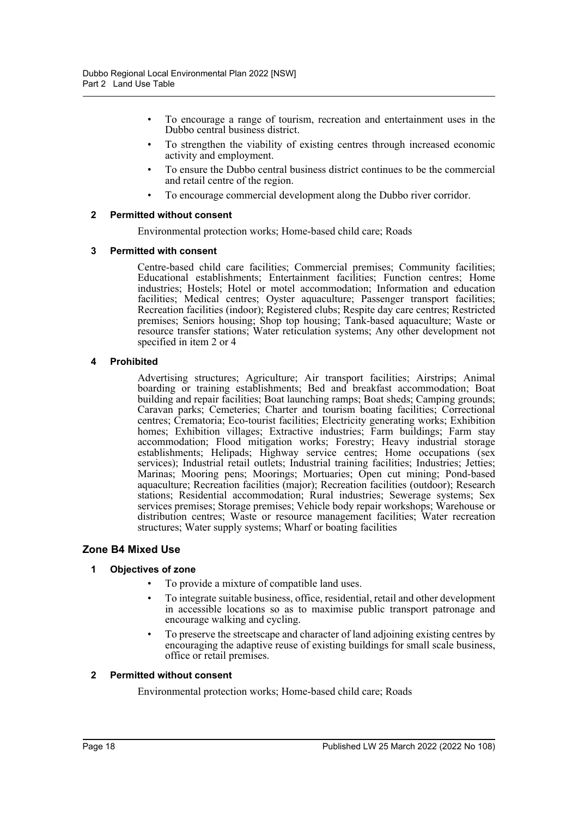- To encourage a range of tourism, recreation and entertainment uses in the Dubbo central business district.
- To strengthen the viability of existing centres through increased economic activity and employment.
- To ensure the Dubbo central business district continues to be the commercial and retail centre of the region.
- To encourage commercial development along the Dubbo river corridor.

#### **2 Permitted without consent**

Environmental protection works; Home-based child care; Roads

#### **3 Permitted with consent**

Centre-based child care facilities; Commercial premises; Community facilities; Educational establishments; Entertainment facilities; Function centres; Home industries; Hostels; Hotel or motel accommodation; Information and education facilities; Medical centres; Oyster aquaculture; Passenger transport facilities; Recreation facilities (indoor); Registered clubs; Respite day care centres; Restricted premises; Seniors housing; Shop top housing; Tank-based aquaculture; Waste or resource transfer stations; Water reticulation systems; Any other development not specified in item 2 or 4

#### **4 Prohibited**

Advertising structures; Agriculture; Air transport facilities; Airstrips; Animal boarding or training establishments; Bed and breakfast accommodation; Boat building and repair facilities; Boat launching ramps; Boat sheds; Camping grounds; Caravan parks; Cemeteries; Charter and tourism boating facilities; Correctional centres; Crematoria; Eco-tourist facilities; Electricity generating works; Exhibition homes; Exhibition villages; Extractive industries; Farm buildings; Farm stay accommodation; Flood mitigation works; Forestry; Heavy industrial storage establishments; Helipads; Highway service centres; Home occupations (sex services); Industrial retail outlets; Industrial training facilities; Industries; Jetties; Marinas; Mooring pens; Moorings; Mortuaries; Open cut mining; Pond-based aquaculture; Recreation facilities (major); Recreation facilities (outdoor); Research stations; Residential accommodation; Rural industries; Sewerage systems; Sex services premises; Storage premises; Vehicle body repair workshops; Warehouse or distribution centres; Waste or resource management facilities; Water recreation structures; Water supply systems; Wharf or boating facilities

## **Zone B4 Mixed Use**

## **1 Objectives of zone**

- To provide a mixture of compatible land uses.
- To integrate suitable business, office, residential, retail and other development in accessible locations so as to maximise public transport patronage and encourage walking and cycling.
- To preserve the streetscape and character of land adjoining existing centres by encouraging the adaptive reuse of existing buildings for small scale business, office or retail premises.

#### **2 Permitted without consent**

Environmental protection works; Home-based child care; Roads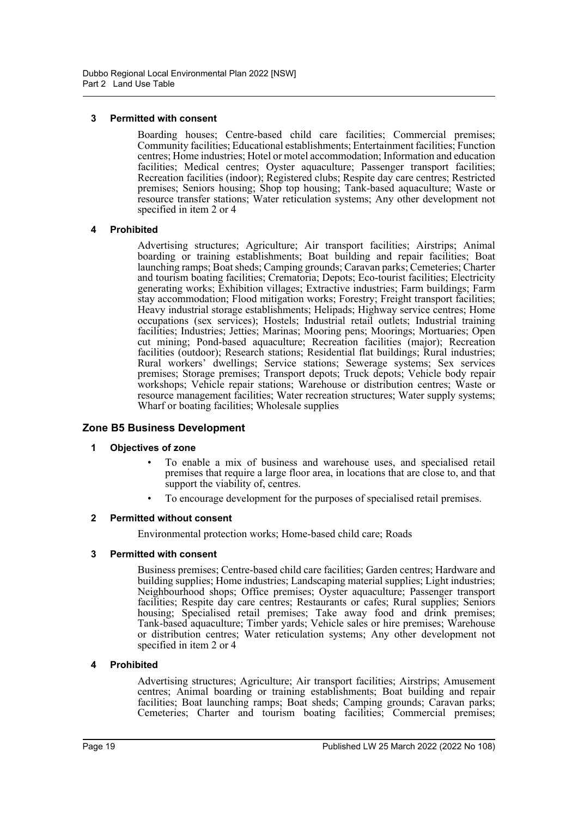#### **3 Permitted with consent**

Boarding houses; Centre-based child care facilities; Commercial premises; Community facilities; Educational establishments; Entertainment facilities; Function centres; Home industries; Hotel or motel accommodation; Information and education facilities; Medical centres; Oyster aquaculture; Passenger transport facilities; Recreation facilities (indoor); Registered clubs; Respite day care centres; Restricted premises; Seniors housing; Shop top housing; Tank-based aquaculture; Waste or resource transfer stations; Water reticulation systems; Any other development not specified in item 2 or 4

#### **4 Prohibited**

Advertising structures; Agriculture; Air transport facilities; Airstrips; Animal boarding or training establishments; Boat building and repair facilities; Boat launching ramps; Boat sheds; Camping grounds; Caravan parks; Cemeteries; Charter and tourism boating facilities; Crematoria; Depots; Eco-tourist facilities; Electricity generating works; Exhibition villages; Extractive industries; Farm buildings; Farm stay accommodation; Flood mitigation works; Forestry; Freight transport facilities; Heavy industrial storage establishments; Helipads; Highway service centres; Home occupations (sex services); Hostels; Industrial retail outlets; Industrial training facilities; Industries; Jetties; Marinas; Mooring pens; Moorings; Mortuaries; Open cut mining; Pond-based aquaculture; Recreation facilities (major); Recreation facilities (outdoor); Research stations; Residential flat buildings; Rural industries; Rural workers' dwellings; Service stations; Sewerage systems; Sex services premises; Storage premises; Transport depots; Truck depots; Vehicle body repair workshops; Vehicle repair stations; Warehouse or distribution centres; Waste or resource management facilities; Water recreation structures; Water supply systems; Wharf or boating facilities; Wholesale supplies

## **Zone B5 Business Development**

#### **1 Objectives of zone**

- To enable a mix of business and warehouse uses, and specialised retail premises that require a large floor area, in locations that are close to, and that support the viability of, centres.
- To encourage development for the purposes of specialised retail premises.

#### **2 Permitted without consent**

Environmental protection works; Home-based child care; Roads

#### **3 Permitted with consent**

Business premises; Centre-based child care facilities; Garden centres; Hardware and building supplies; Home industries; Landscaping material supplies; Light industries; Neighbourhood shops; Office premises; Oyster aquaculture; Passenger transport facilities; Respite day care centres; Restaurants or cafes; Rural supplies; Seniors housing; Specialised retail premises; Take away food and drink premises; Tank-based aquaculture; Timber yards; Vehicle sales or hire premises; Warehouse or distribution centres; Water reticulation systems; Any other development not specified in item 2 or 4

#### **4 Prohibited**

Advertising structures; Agriculture; Air transport facilities; Airstrips; Amusement centres; Animal boarding or training establishments; Boat building and repair facilities; Boat launching ramps; Boat sheds; Camping grounds; Caravan parks; Cemeteries; Charter and tourism boating facilities; Commercial premises;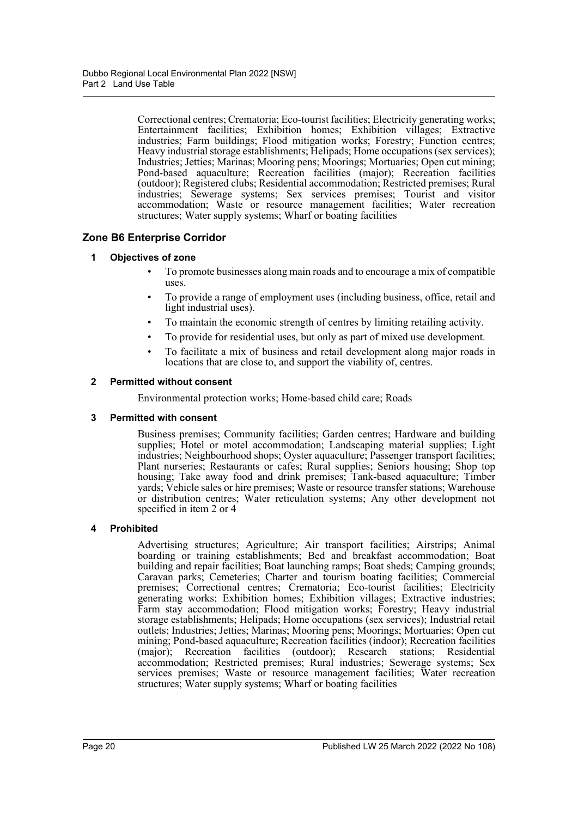Correctional centres; Crematoria; Eco-tourist facilities; Electricity generating works; Entertainment facilities; Exhibition homes; Exhibition villages; Extractive industries; Farm buildings; Flood mitigation works; Forestry; Function centres; Heavy industrial storage establishments; Helipads; Home occupations (sex services); Industries; Jetties; Marinas; Mooring pens; Moorings; Mortuaries; Open cut mining; Pond-based aquaculture; Recreation facilities (major); Recreation facilities (outdoor); Registered clubs; Residential accommodation; Restricted premises; Rural industries; Sewerage systems; Sex services premises; Tourist and visitor accommodation; Waste or resource management facilities; Water recreation structures; Water supply systems; Wharf or boating facilities

## **Zone B6 Enterprise Corridor**

## **1 Objectives of zone**

- To promote businesses along main roads and to encourage a mix of compatible uses.
- To provide a range of employment uses (including business, office, retail and light industrial uses).
- To maintain the economic strength of centres by limiting retailing activity.
- To provide for residential uses, but only as part of mixed use development.
- To facilitate a mix of business and retail development along major roads in locations that are close to, and support the viability of, centres.

## **2 Permitted without consent**

Environmental protection works; Home-based child care; Roads

## **3 Permitted with consent**

Business premises; Community facilities; Garden centres; Hardware and building supplies; Hotel or motel accommodation; Landscaping material supplies; Light industries; Neighbourhood shops; Oyster aquaculture; Passenger transport facilities; Plant nurseries; Restaurants or cafes; Rural supplies; Seniors housing; Shop top housing; Take away food and drink premises; Tank-based aquaculture; Timber yards; Vehicle sales or hire premises; Waste or resource transfer stations; Warehouse or distribution centres; Water reticulation systems; Any other development not specified in item 2 or 4

## **4 Prohibited**

Advertising structures; Agriculture; Air transport facilities; Airstrips; Animal boarding or training establishments; Bed and breakfast accommodation; Boat building and repair facilities; Boat launching ramps; Boat sheds; Camping grounds; Caravan parks; Cemeteries; Charter and tourism boating facilities; Commercial premises; Correctional centres; Crematoria; Eco-tourist facilities; Electricity generating works; Exhibition homes; Exhibition villages; Extractive industries; Farm stay accommodation; Flood mitigation works; Forestry; Heavy industrial storage establishments; Helipads; Home occupations (sex services); Industrial retail outlets; Industries; Jetties; Marinas; Mooring pens; Moorings; Mortuaries; Open cut mining; Pond-based aquaculture; Recreation facilities (indoor); Recreation facilities (major); Recreation facilities (outdoor); Research stations; Residential accommodation; Restricted premises; Rural industries; Sewerage systems; Sex services premises; Waste or resource management facilities; Water recreation structures; Water supply systems; Wharf or boating facilities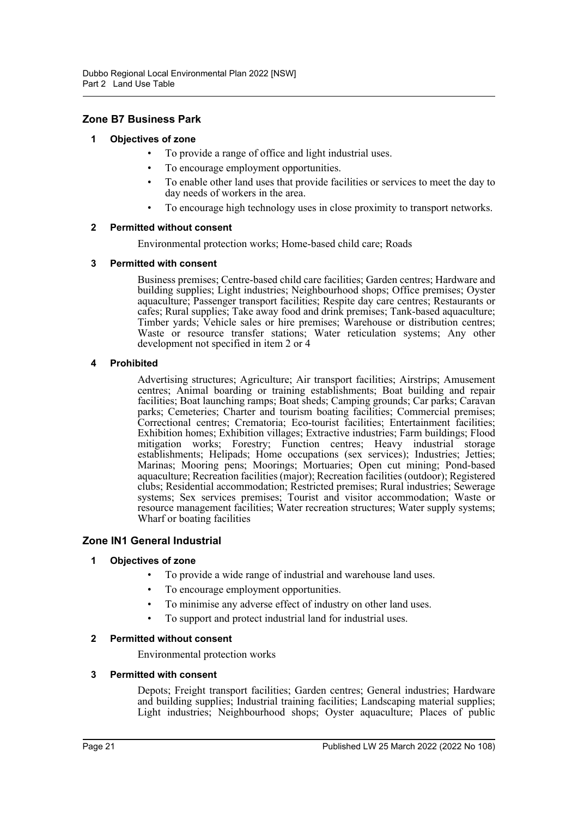## **Zone B7 Business Park**

## **1 Objectives of zone**

- To provide a range of office and light industrial uses.
- To encourage employment opportunities.
- To enable other land uses that provide facilities or services to meet the day to day needs of workers in the area.
- To encourage high technology uses in close proximity to transport networks.

#### **2 Permitted without consent**

Environmental protection works; Home-based child care; Roads

#### **3 Permitted with consent**

Business premises; Centre-based child care facilities; Garden centres; Hardware and building supplies; Light industries; Neighbourhood shops; Office premises; Oyster aquaculture; Passenger transport facilities; Respite day care centres; Restaurants or cafes; Rural supplies; Take away food and drink premises; Tank-based aquaculture; Timber yards; Vehicle sales or hire premises; Warehouse or distribution centres; Waste or resource transfer stations; Water reticulation systems; Any other development not specified in item 2 or 4

#### **4 Prohibited**

Advertising structures; Agriculture; Air transport facilities; Airstrips; Amusement centres; Animal boarding or training establishments; Boat building and repair facilities; Boat launching ramps; Boat sheds; Camping grounds; Car parks; Caravan parks; Cemeteries; Charter and tourism boating facilities; Commercial premises; Correctional centres; Crematoria; Eco-tourist facilities; Entertainment facilities; Exhibition homes; Exhibition villages; Extractive industries; Farm buildings; Flood mitigation works; Forestry; Function centres; Heavy industrial storage establishments; Helipads; Home occupations (sex services); Industries; Jetties; Marinas; Mooring pens; Moorings; Mortuaries; Open cut mining; Pond-based aquaculture; Recreation facilities (major); Recreation facilities (outdoor); Registered clubs; Residential accommodation; Restricted premises; Rural industries; Sewerage systems; Sex services premises; Tourist and visitor accommodation; Waste or resource management facilities; Water recreation structures; Water supply systems; Wharf or boating facilities

## **Zone IN1 General Industrial**

## **1 Objectives of zone**

- To provide a wide range of industrial and warehouse land uses.
- To encourage employment opportunities.
- To minimise any adverse effect of industry on other land uses.
- To support and protect industrial land for industrial uses.

#### **2 Permitted without consent**

Environmental protection works

#### **3 Permitted with consent**

Depots; Freight transport facilities; Garden centres; General industries; Hardware and building supplies; Industrial training facilities; Landscaping material supplies; Light industries; Neighbourhood shops; Oyster aquaculture; Places of public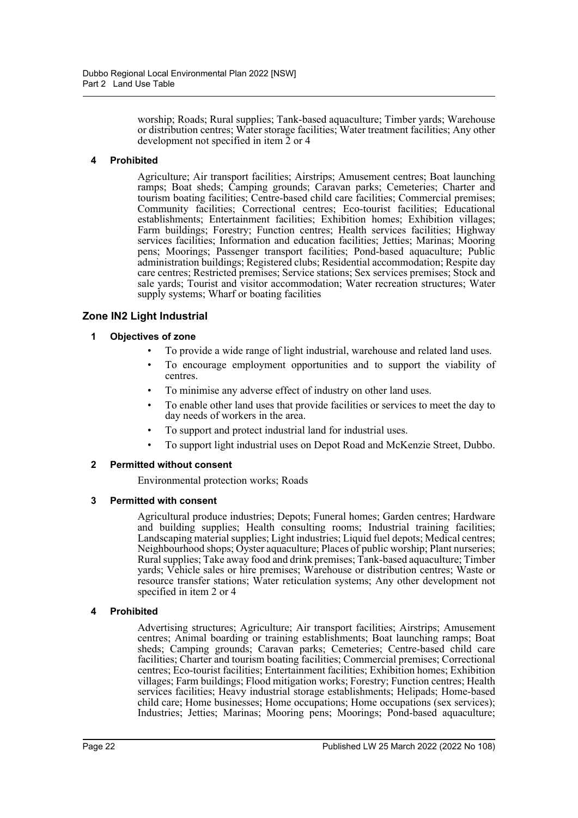worship; Roads; Rural supplies; Tank-based aquaculture; Timber yards; Warehouse or distribution centres; Water storage facilities; Water treatment facilities; Any other development not specified in item 2 or 4

## **4 Prohibited**

Agriculture; Air transport facilities; Airstrips; Amusement centres; Boat launching ramps; Boat sheds; Camping grounds; Caravan parks; Cemeteries; Charter and tourism boating facilities; Centre-based child care facilities; Commercial premises; Community facilities; Correctional centres; Eco-tourist facilities; Educational establishments; Entertainment facilities; Exhibition homes; Exhibition villages; Farm buildings; Forestry; Function centres; Health services facilities; Highway services facilities; Information and education facilities; Jetties; Marinas; Mooring pens; Moorings; Passenger transport facilities; Pond-based aquaculture; Public administration buildings; Registered clubs; Residential accommodation; Respite day care centres; Restricted premises; Service stations; Sex services premises; Stock and sale yards; Tourist and visitor accommodation; Water recreation structures; Water supply systems; Wharf or boating facilities

## **Zone IN2 Light Industrial**

## **1 Objectives of zone**

- To provide a wide range of light industrial, warehouse and related land uses.
- To encourage employment opportunities and to support the viability of centres.
- To minimise any adverse effect of industry on other land uses.
- To enable other land uses that provide facilities or services to meet the day to day needs of workers in the area.
- To support and protect industrial land for industrial uses.
- To support light industrial uses on Depot Road and McKenzie Street, Dubbo.

## **2 Permitted without consent**

Environmental protection works; Roads

## **3 Permitted with consent**

Agricultural produce industries; Depots; Funeral homes; Garden centres; Hardware and building supplies; Health consulting rooms; Industrial training facilities; Landscaping material supplies; Light industries; Liquid fuel depots; Medical centres; Neighbourhood shops; Oyster aquaculture; Places of public worship; Plant nurseries; Rural supplies; Take away food and drink premises; Tank-based aquaculture; Timber yards; Vehicle sales or hire premises; Warehouse or distribution centres; Waste or resource transfer stations; Water reticulation systems; Any other development not specified in item 2 or 4

## **4 Prohibited**

Advertising structures; Agriculture; Air transport facilities; Airstrips; Amusement centres; Animal boarding or training establishments; Boat launching ramps; Boat sheds; Camping grounds; Caravan parks; Cemeteries; Centre-based child care facilities; Charter and tourism boating facilities; Commercial premises; Correctional centres; Eco-tourist facilities; Entertainment facilities; Exhibition homes; Exhibition villages; Farm buildings; Flood mitigation works; Forestry; Function centres; Health services facilities; Heavy industrial storage establishments; Helipads; Home-based child care; Home businesses; Home occupations; Home occupations (sex services); Industries; Jetties; Marinas; Mooring pens; Moorings; Pond-based aquaculture;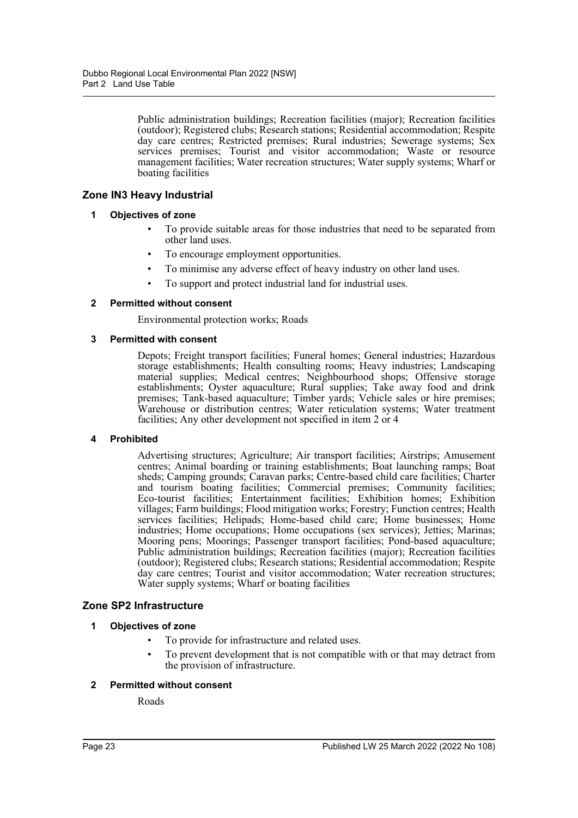Public administration buildings; Recreation facilities (major); Recreation facilities (outdoor); Registered clubs; Research stations; Residential accommodation; Respite day care centres; Restricted premises; Rural industries; Sewerage systems; Sex services premises; Tourist and visitor accommodation; Waste or resource management facilities; Water recreation structures; Water supply systems; Wharf or boating facilities

## **Zone IN3 Heavy Industrial**

## **1 Objectives of zone**

- To provide suitable areas for those industries that need to be separated from other land uses.
- To encourage employment opportunities.
- To minimise any adverse effect of heavy industry on other land uses.
- To support and protect industrial land for industrial uses.

## **2 Permitted without consent**

Environmental protection works; Roads

## **3 Permitted with consent**

Depots; Freight transport facilities; Funeral homes; General industries; Hazardous storage establishments; Health consulting rooms; Heavy industries; Landscaping material supplies; Medical centres; Neighbourhood shops; Offensive storage establishments; Oyster aquaculture; Rural supplies; Take away food and drink premises; Tank-based aquaculture; Timber yards; Vehicle sales or hire premises; Warehouse or distribution centres; Water reticulation systems; Water treatment facilities; Any other development not specified in item 2 or 4

## **4 Prohibited**

Advertising structures; Agriculture; Air transport facilities; Airstrips; Amusement centres; Animal boarding or training establishments; Boat launching ramps; Boat sheds; Camping grounds; Caravan parks; Centre-based child care facilities; Charter and tourism boating facilities; Commercial premises; Community facilities; Eco-tourist facilities; Entertainment facilities; Exhibition homes; Exhibition villages; Farm buildings; Flood mitigation works; Forestry; Function centres; Health services facilities; Helipads; Home-based child care; Home businesses; Home industries; Home occupations; Home occupations (sex services); Jetties; Marinas; Mooring pens; Moorings; Passenger transport facilities; Pond-based aquaculture; Public administration buildings; Recreation facilities (major); Recreation facilities (outdoor); Registered clubs; Research stations; Residential accommodation; Respite day care centres; Tourist and visitor accommodation; Water recreation structures; Water supply systems; Wharf or boating facilities

## **Zone SP2 Infrastructure**

## **1 Objectives of zone**

- To provide for infrastructure and related uses.
- To prevent development that is not compatible with or that may detract from the provision of infrastructure.

## **2 Permitted without consent**

Roads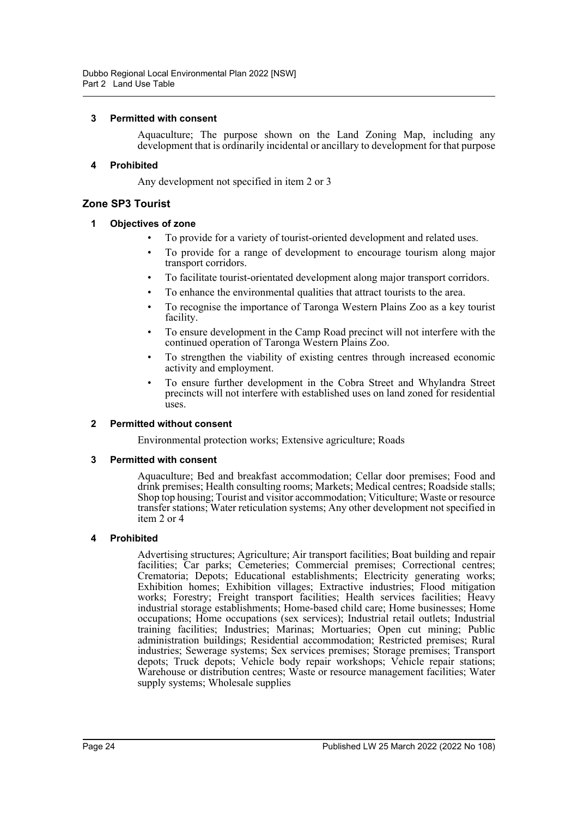## **3 Permitted with consent**

Aquaculture; The purpose shown on the Land Zoning Map, including any development that is ordinarily incidental or ancillary to development for that purpose

#### **4 Prohibited**

Any development not specified in item 2 or 3

## **Zone SP3 Tourist**

### **1 Objectives of zone**

- To provide for a variety of tourist-oriented development and related uses.
- To provide for a range of development to encourage tourism along major transport corridors.
- To facilitate tourist-orientated development along major transport corridors.
- To enhance the environmental qualities that attract tourists to the area.
- To recognise the importance of Taronga Western Plains Zoo as a key tourist facility.
- To ensure development in the Camp Road precinct will not interfere with the continued operation of Taronga Western Plains Zoo.
- To strengthen the viability of existing centres through increased economic activity and employment.
- To ensure further development in the Cobra Street and Whylandra Street precincts will not interfere with established uses on land zoned for residential uses.

## **2 Permitted without consent**

Environmental protection works; Extensive agriculture; Roads

#### **3 Permitted with consent**

Aquaculture; Bed and breakfast accommodation; Cellar door premises; Food and drink premises; Health consulting rooms; Markets; Medical centres; Roadside stalls; Shop top housing; Tourist and visitor accommodation; Viticulture; Waste or resource transfer stations; Water reticulation systems; Any other development not specified in item 2 or 4

#### **4 Prohibited**

Advertising structures; Agriculture; Air transport facilities; Boat building and repair facilities; Car parks; Cemeteries; Commercial premises; Correctional centres; Crematoria; Depots; Educational establishments; Electricity generating works; Exhibition homes; Exhibition villages; Extractive industries; Flood mitigation works; Forestry; Freight transport facilities; Health services facilities; Heavy industrial storage establishments; Home-based child care; Home businesses; Home occupations; Home occupations (sex services); Industrial retail outlets; Industrial training facilities; Industries; Marinas; Mortuaries; Open cut mining; Public administration buildings; Residential accommodation; Restricted premises; Rural industries; Sewerage systems; Sex services premises; Storage premises; Transport depots; Truck depots; Vehicle body repair workshops; Vehicle repair stations; Warehouse or distribution centres; Waste or resource management facilities; Water supply systems; Wholesale supplies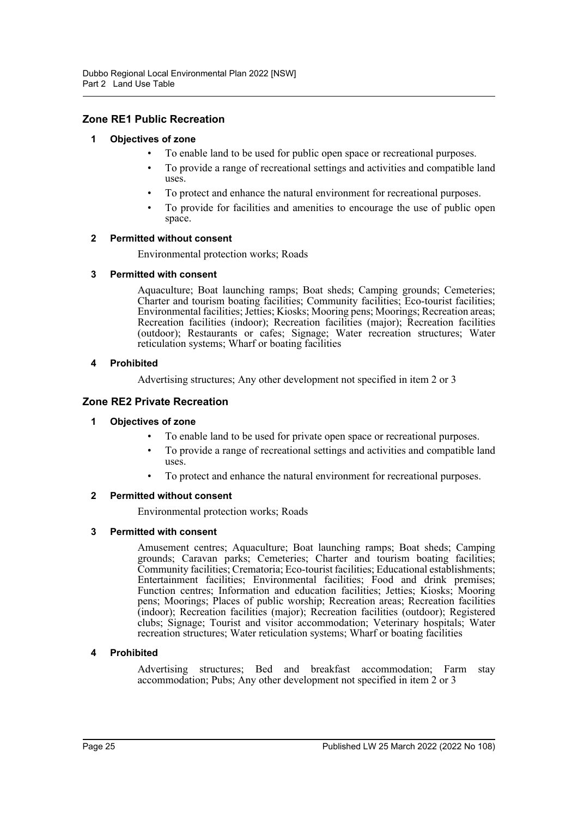## **Zone RE1 Public Recreation**

## **1 Objectives of zone**

- To enable land to be used for public open space or recreational purposes.
- To provide a range of recreational settings and activities and compatible land uses.
- To protect and enhance the natural environment for recreational purposes.
- To provide for facilities and amenities to encourage the use of public open space.

#### **2 Permitted without consent**

Environmental protection works; Roads

#### **3 Permitted with consent**

Aquaculture; Boat launching ramps; Boat sheds; Camping grounds; Cemeteries; Charter and tourism boating facilities; Community facilities; Eco-tourist facilities; Environmental facilities; Jetties; Kiosks; Mooring pens; Moorings; Recreation areas; Recreation facilities (indoor); Recreation facilities (major); Recreation facilities (outdoor); Restaurants or cafes; Signage; Water recreation structures; Water reticulation systems; Wharf or boating facilities

#### **4 Prohibited**

Advertising structures; Any other development not specified in item 2 or 3

## **Zone RE2 Private Recreation**

#### **1 Objectives of zone**

- To enable land to be used for private open space or recreational purposes.
- To provide a range of recreational settings and activities and compatible land uses.
- To protect and enhance the natural environment for recreational purposes.

## **2 Permitted without consent**

Environmental protection works; Roads

#### **3 Permitted with consent**

Amusement centres; Aquaculture; Boat launching ramps; Boat sheds; Camping grounds; Caravan parks; Cemeteries; Charter and tourism boating facilities; Community facilities; Crematoria; Eco-tourist facilities; Educational establishments; Entertainment facilities; Environmental facilities; Food and drink premises; Function centres; Information and education facilities; Jetties; Kiosks; Mooring pens; Moorings; Places of public worship; Recreation areas; Recreation facilities (indoor); Recreation facilities (major); Recreation facilities (outdoor); Registered clubs; Signage; Tourist and visitor accommodation; Veterinary hospitals; Water recreation structures; Water reticulation systems; Wharf or boating facilities

## **4 Prohibited**

Advertising structures; Bed and breakfast accommodation; Farm stay accommodation; Pubs; Any other development not specified in item 2 or 3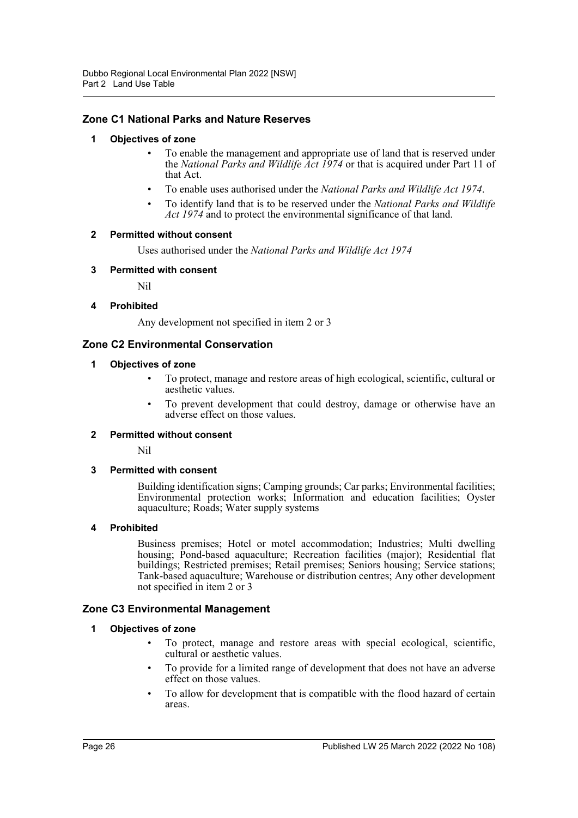## **Zone C1 National Parks and Nature Reserves**

## **1 Objectives of zone**

- To enable the management and appropriate use of land that is reserved under the *National Parks and Wildlife Act 1974* or that is acquired under Part 11 of that Act.
- To enable uses authorised under the *National Parks and Wildlife Act 1974*.
- To identify land that is to be reserved under the *National Parks and Wildlife Act 1974* and to protect the environmental significance of that land.

#### **2 Permitted without consent**

Uses authorised under the *National Parks and Wildlife Act 1974*

#### **3 Permitted with consent**

Nil

#### **4 Prohibited**

Any development not specified in item 2 or 3

## **Zone C2 Environmental Conservation**

#### **1 Objectives of zone**

- To protect, manage and restore areas of high ecological, scientific, cultural or aesthetic values.
- To prevent development that could destroy, damage or otherwise have an adverse effect on those values.

#### **2 Permitted without consent**

Nil

## **3 Permitted with consent**

Building identification signs; Camping grounds; Car parks; Environmental facilities; Environmental protection works; Information and education facilities; Oyster aquaculture; Roads; Water supply systems

#### **4 Prohibited**

Business premises; Hotel or motel accommodation; Industries; Multi dwelling housing; Pond-based aquaculture; Recreation facilities (major); Residential flat buildings; Restricted premises; Retail premises; Seniors housing; Service stations; Tank-based aquaculture; Warehouse or distribution centres; Any other development not specified in item 2 or 3

## **Zone C3 Environmental Management**

## **1 Objectives of zone**

- To protect, manage and restore areas with special ecological, scientific, cultural or aesthetic values.
- To provide for a limited range of development that does not have an adverse effect on those values.
- To allow for development that is compatible with the flood hazard of certain areas.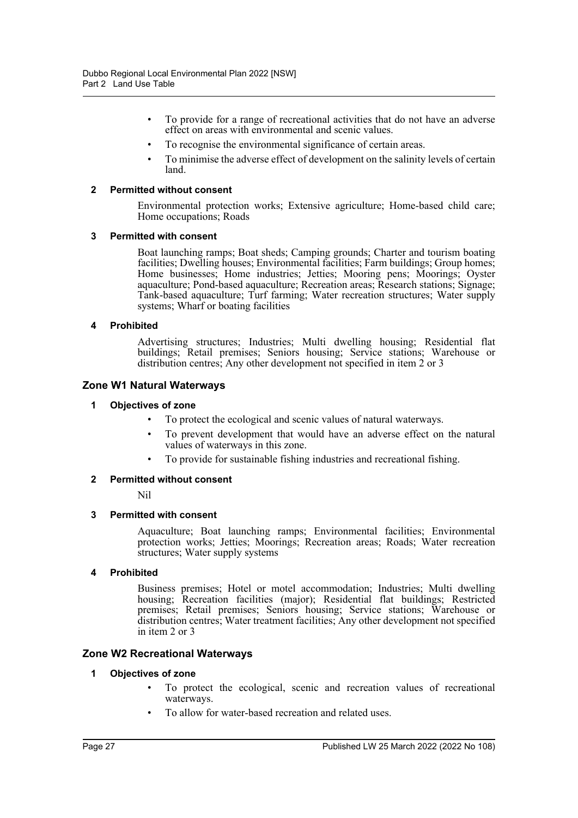- To provide for a range of recreational activities that do not have an adverse effect on areas with environmental and scenic values.
- To recognise the environmental significance of certain areas.
- To minimise the adverse effect of development on the salinity levels of certain land.

#### **2 Permitted without consent**

Environmental protection works; Extensive agriculture; Home-based child care; Home occupations; Roads

#### **3 Permitted with consent**

Boat launching ramps; Boat sheds; Camping grounds; Charter and tourism boating facilities; Dwelling houses; Environmental facilities; Farm buildings; Group homes; Home businesses; Home industries; Jetties; Mooring pens; Moorings; Oyster aquaculture; Pond-based aquaculture; Recreation areas; Research stations; Signage; Tank-based aquaculture; Turf farming; Water recreation structures; Water supply systems; Wharf or boating facilities

#### **4 Prohibited**

Advertising structures; Industries; Multi dwelling housing; Residential flat buildings; Retail premises; Seniors housing; Service stations; Warehouse or distribution centres; Any other development not specified in item 2 or 3

## **Zone W1 Natural Waterways**

#### **1 Objectives of zone**

- To protect the ecological and scenic values of natural waterways.
- To prevent development that would have an adverse effect on the natural values of waterways in this zone.
- To provide for sustainable fishing industries and recreational fishing.

## **2 Permitted without consent**

Nil

#### **3 Permitted with consent**

Aquaculture; Boat launching ramps; Environmental facilities; Environmental protection works; Jetties; Moorings; Recreation areas; Roads; Water recreation structures; Water supply systems

#### **4 Prohibited**

Business premises; Hotel or motel accommodation; Industries; Multi dwelling housing; Recreation facilities (major); Residential flat buildings; Restricted premises; Retail premises; Seniors housing; Service stations; Warehouse or distribution centres; Water treatment facilities; Any other development not specified in item 2 or 3

## **Zone W2 Recreational Waterways**

#### **1 Objectives of zone**

- To protect the ecological, scenic and recreation values of recreational waterways.
- To allow for water-based recreation and related uses.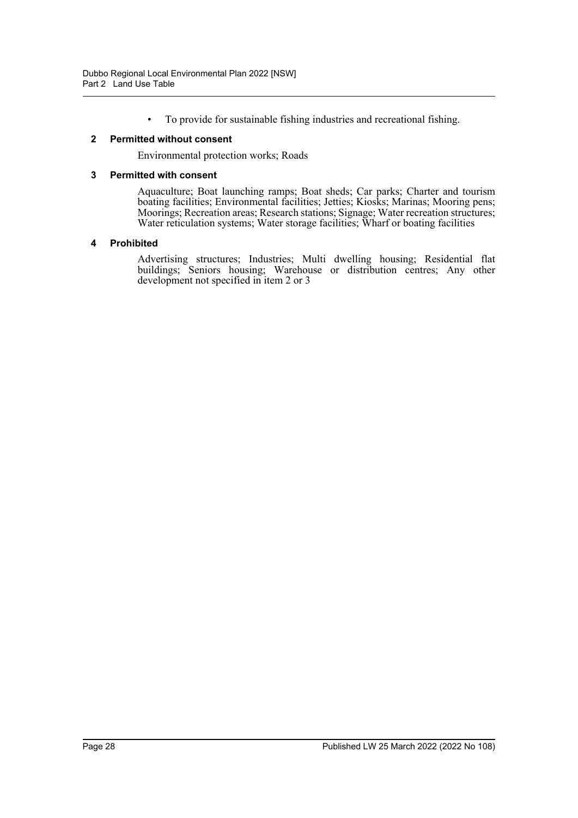• To provide for sustainable fishing industries and recreational fishing.

#### **2 Permitted without consent**

Environmental protection works; Roads

#### **3 Permitted with consent**

Aquaculture; Boat launching ramps; Boat sheds; Car parks; Charter and tourism boating facilities; Environmental facilities; Jetties; Kiosks; Marinas; Mooring pens; Moorings; Recreation areas; Research stations; Signage; Water recreation structures; Water reticulation systems; Water storage facilities; Wharf or boating facilities

#### **4 Prohibited**

Advertising structures; Industries; Multi dwelling housing; Residential flat buildings; Seniors housing; Warehouse or distribution centres; Any other development not specified in item 2 or 3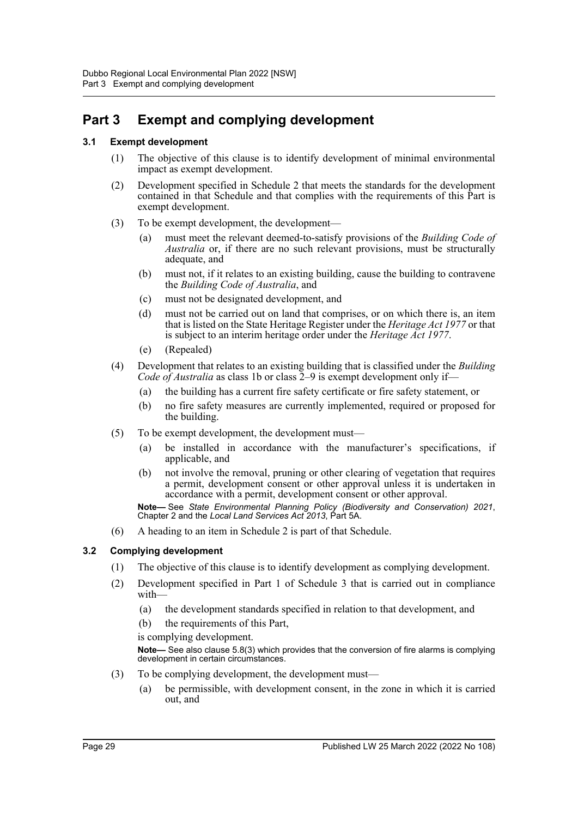## **Part 3 Exempt and complying development**

## **3.1 Exempt development**

- (1) The objective of this clause is to identify development of minimal environmental impact as exempt development.
- (2) Development specified in Schedule 2 that meets the standards for the development contained in that Schedule and that complies with the requirements of this Part is exempt development.
- (3) To be exempt development, the development—
	- (a) must meet the relevant deemed-to-satisfy provisions of the *Building Code of Australia* or, if there are no such relevant provisions, must be structurally adequate, and
	- (b) must not, if it relates to an existing building, cause the building to contravene the *Building Code of Australia*, and
	- (c) must not be designated development, and
	- (d) must not be carried out on land that comprises, or on which there is, an item that is listed on the State Heritage Register under the *Heritage Act 1977* or that is subject to an interim heritage order under the *Heritage Act 1977*.
	- (e) (Repealed)
- (4) Development that relates to an existing building that is classified under the *Building Code of Australia* as class 1b or class  $\tilde{2}-9$  is exempt development only if—
	- (a) the building has a current fire safety certificate or fire safety statement, or
	- (b) no fire safety measures are currently implemented, required or proposed for the building.
- (5) To be exempt development, the development must—
	- (a) be installed in accordance with the manufacturer's specifications, if applicable, and
	- (b) not involve the removal, pruning or other clearing of vegetation that requires a permit, development consent or other approval unless it is undertaken in accordance with a permit, development consent or other approval.

**Note—** See *State Environmental Planning Policy (Biodiversity and Conservation) 2021*, Chapter 2 and the *Local Land Services Act 2013*, Part 5A.

(6) A heading to an item in Schedule 2 is part of that Schedule.

## **3.2 Complying development**

- (1) The objective of this clause is to identify development as complying development.
- (2) Development specified in Part 1 of Schedule 3 that is carried out in compliance with—
	- (a) the development standards specified in relation to that development, and
	- (b) the requirements of this Part,

is complying development.

**Note—** See also clause 5.8(3) which provides that the conversion of fire alarms is complying development in certain circumstances.

- (3) To be complying development, the development must—
	- (a) be permissible, with development consent, in the zone in which it is carried out, and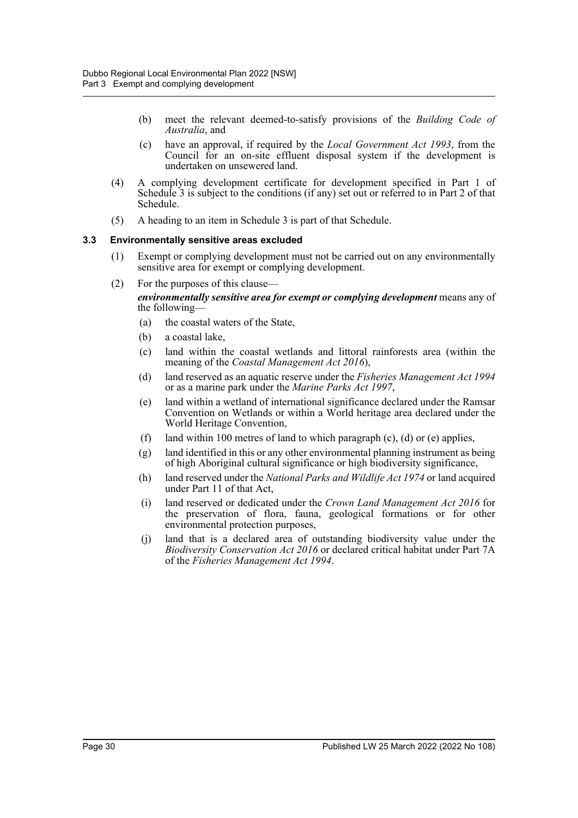- (b) meet the relevant deemed-to-satisfy provisions of the *Building Code of Australia*, and
- (c) have an approval, if required by the *Local Government Act 1993*, from the Council for an on-site effluent disposal system if the development is undertaken on unsewered land.
- (4) A complying development certificate for development specified in Part 1 of Schedule 3 is subject to the conditions (if any) set out or referred to in Part 2 of that Schedule.
- (5) A heading to an item in Schedule 3 is part of that Schedule.

#### **3.3 Environmentally sensitive areas excluded**

- (1) Exempt or complying development must not be carried out on any environmentally sensitive area for exempt or complying development.
- (2) For the purposes of this clause—

*environmentally sensitive area for exempt or complying development* means any of the following—

- (a) the coastal waters of the State,
- (b) a coastal lake,
- (c) land within the coastal wetlands and littoral rainforests area (within the meaning of the *Coastal Management Act 2016*),
- (d) land reserved as an aquatic reserve under the *Fisheries Management Act 1994* or as a marine park under the *Marine Parks Act 1997*,
- (e) land within a wetland of international significance declared under the Ramsar Convention on Wetlands or within a World heritage area declared under the World Heritage Convention,
- (f) land within 100 metres of land to which paragraph (c), (d) or (e) applies,
- (g) land identified in this or any other environmental planning instrument as being of high Aboriginal cultural significance or high biodiversity significance,
- (h) land reserved under the *National Parks and Wildlife Act 1974* or land acquired under Part 11 of that Act,
- (i) land reserved or dedicated under the *Crown Land Management Act 2016* for the preservation of flora, fauna, geological formations or for other environmental protection purposes,
- (j) land that is a declared area of outstanding biodiversity value under the *Biodiversity Conservation Act 2016* or declared critical habitat under Part 7A of the *Fisheries Management Act 1994*.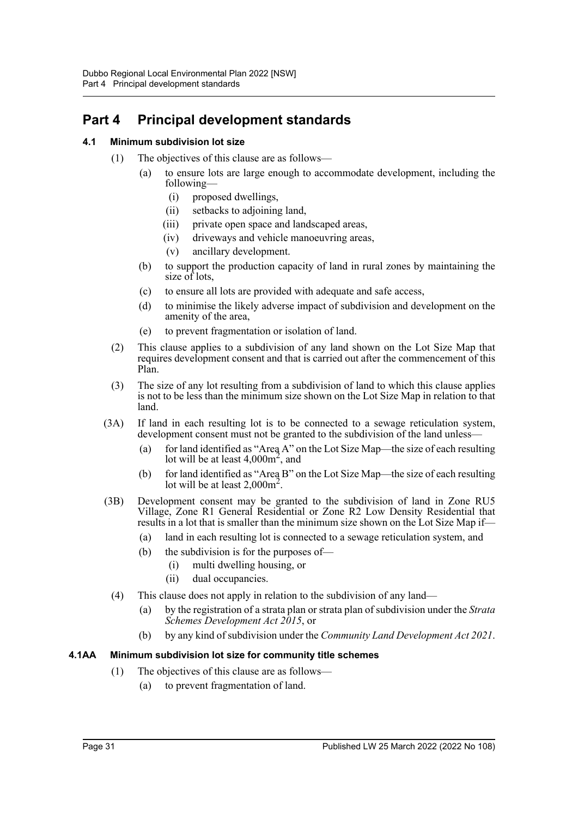## **Part 4 Principal development standards**

## **4.1 Minimum subdivision lot size**

- (1) The objectives of this clause are as follows—
	- (a) to ensure lots are large enough to accommodate development, including the following—
		- (i) proposed dwellings,
		- (ii) setbacks to adjoining land,
		- (iii) private open space and landscaped areas,
		- (iv) driveways and vehicle manoeuvring areas,
		- (v) ancillary development.
	- (b) to support the production capacity of land in rural zones by maintaining the size of lots,
	- (c) to ensure all lots are provided with adequate and safe access,
	- (d) to minimise the likely adverse impact of subdivision and development on the amenity of the area,
	- (e) to prevent fragmentation or isolation of land.
- (2) This clause applies to a subdivision of any land shown on the Lot Size Map that requires development consent and that is carried out after the commencement of this Plan.
- (3) The size of any lot resulting from a subdivision of land to which this clause applies is not to be less than the minimum size shown on the Lot Size Map in relation to that land.
- (3A) If land in each resulting lot is to be connected to a sewage reticulation system, development consent must not be granted to the subdivision of the land unless-
	- (a) for land identified as "Area A" on the Lot Size Map—the size of each resulting lot will be at least  $4,000m^2$ , and
	- (b) for land identified as "Area B" on the Lot Size Map—the size of each resulting lot will be at least  $2,000m^2$ .
- (3B) Development consent may be granted to the subdivision of land in Zone RU5 Village, Zone R1 General Residential or Zone R2 Low Density Residential that results in a lot that is smaller than the minimum size shown on the Lot Size Map if—
	- (a) land in each resulting lot is connected to a sewage reticulation system, and
	- (b) the subdivision is for the purposes of—
		- (i) multi dwelling housing, or
		- (ii) dual occupancies.
	- (4) This clause does not apply in relation to the subdivision of any land—
		- (a) by the registration of a strata plan or strata plan of subdivision under the *Strata Schemes Development Act 2015*, or
		- (b) by any kind of subdivision under the *Community Land Development Act 2021*.

## **4.1AA Minimum subdivision lot size for community title schemes**

- (1) The objectives of this clause are as follows—
	- (a) to prevent fragmentation of land.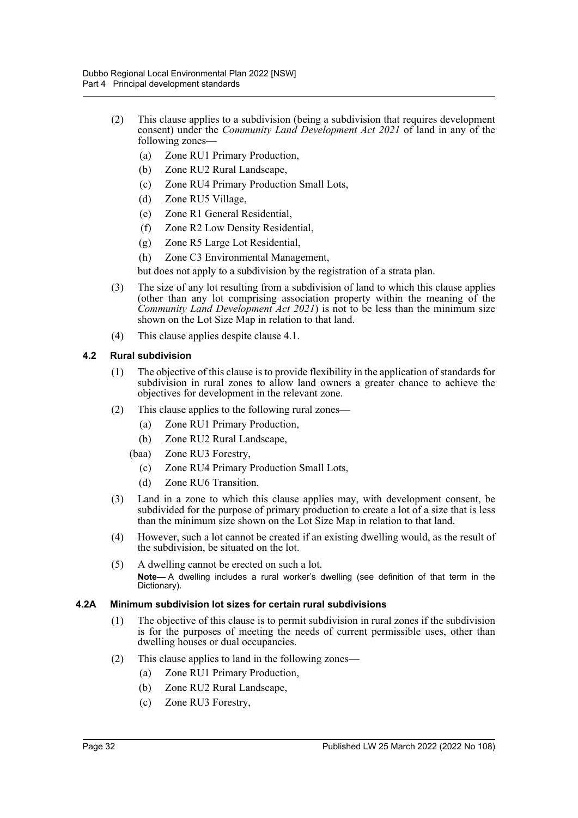- (2) This clause applies to a subdivision (being a subdivision that requires development consent) under the *Community Land Development Act 2021* of land in any of the following zones—
	- (a) Zone RU1 Primary Production,
	- (b) Zone RU2 Rural Landscape,
	- (c) Zone RU4 Primary Production Small Lots,
	- (d) Zone RU5 Village,
	- (e) Zone R1 General Residential,
	- (f) Zone R2 Low Density Residential,
	- (g) Zone R5 Large Lot Residential,
	- (h) Zone C3 Environmental Management,

but does not apply to a subdivision by the registration of a strata plan.

- (3) The size of any lot resulting from a subdivision of land to which this clause applies (other than any lot comprising association property within the meaning of the *Community Land Development Act 2021*) is not to be less than the minimum size shown on the Lot Size Map in relation to that land.
- (4) This clause applies despite clause 4.1.

#### **4.2 Rural subdivision**

- (1) The objective of this clause is to provide flexibility in the application of standards for subdivision in rural zones to allow land owners a greater chance to achieve the objectives for development in the relevant zone.
- (2) This clause applies to the following rural zones—
	- (a) Zone RU1 Primary Production,
	- (b) Zone RU2 Rural Landscape,
	- (baa) Zone RU3 Forestry,
		- (c) Zone RU4 Primary Production Small Lots,
		- (d) Zone RU6 Transition.
- (3) Land in a zone to which this clause applies may, with development consent, be subdivided for the purpose of primary production to create a lot of a size that is less than the minimum size shown on the Lot Size Map in relation to that land.
- (4) However, such a lot cannot be created if an existing dwelling would, as the result of the subdivision, be situated on the lot.
- (5) A dwelling cannot be erected on such a lot. **Note—** A dwelling includes a rural worker's dwelling (see definition of that term in the Dictionary).

#### **4.2A Minimum subdivision lot sizes for certain rural subdivisions**

- (1) The objective of this clause is to permit subdivision in rural zones if the subdivision is for the purposes of meeting the needs of current permissible uses, other than dwelling houses or dual occupancies.
- (2) This clause applies to land in the following zones—
	- (a) Zone RU1 Primary Production,
	- (b) Zone RU2 Rural Landscape,
	- (c) Zone RU3 Forestry,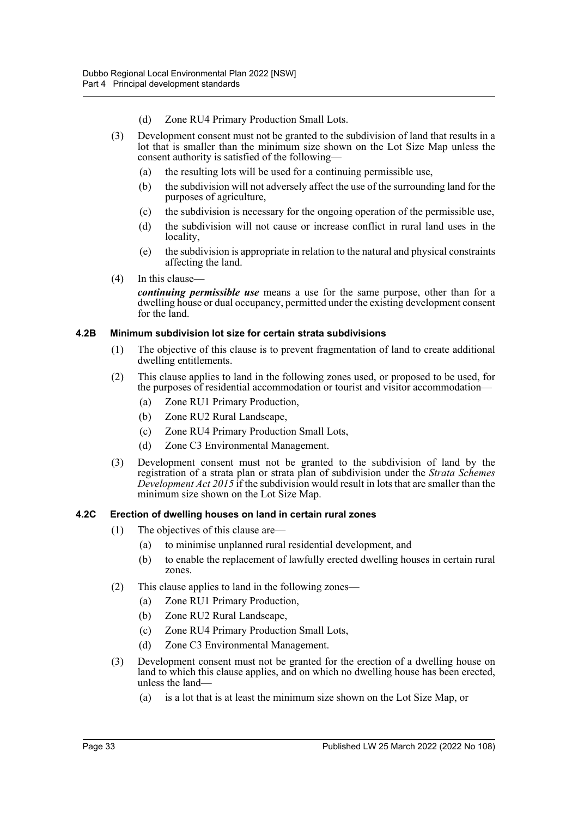- (d) Zone RU4 Primary Production Small Lots.
- (3) Development consent must not be granted to the subdivision of land that results in a lot that is smaller than the minimum size shown on the Lot Size Map unless the consent authority is satisfied of the following—
	- (a) the resulting lots will be used for a continuing permissible use,
	- (b) the subdivision will not adversely affect the use of the surrounding land for the purposes of agriculture,
	- (c) the subdivision is necessary for the ongoing operation of the permissible use,
	- (d) the subdivision will not cause or increase conflict in rural land uses in the locality,
	- (e) the subdivision is appropriate in relation to the natural and physical constraints affecting the land.
- (4) In this clause—

*continuing permissible use* means a use for the same purpose, other than for a dwelling house or dual occupancy, permitted under the existing development consent for the land.

#### **4.2B Minimum subdivision lot size for certain strata subdivisions**

- (1) The objective of this clause is to prevent fragmentation of land to create additional dwelling entitlements.
- (2) This clause applies to land in the following zones used, or proposed to be used, for the purposes of residential accommodation or tourist and visitor accommodation—
	- (a) Zone RU1 Primary Production,
	- (b) Zone RU2 Rural Landscape,
	- (c) Zone RU4 Primary Production Small Lots,
	- (d) Zone C3 Environmental Management.
- (3) Development consent must not be granted to the subdivision of land by the registration of a strata plan or strata plan of subdivision under the *Strata Schemes Development Act 2015* if the subdivision would result in lots that are smaller than the minimum size shown on the Lot Size Map.

#### **4.2C Erection of dwelling houses on land in certain rural zones**

- (1) The objectives of this clause are—
	- (a) to minimise unplanned rural residential development, and
	- (b) to enable the replacement of lawfully erected dwelling houses in certain rural zones.
- (2) This clause applies to land in the following zones—
	- (a) Zone RU1 Primary Production,
	- (b) Zone RU2 Rural Landscape,
	- (c) Zone RU4 Primary Production Small Lots,
	- (d) Zone C3 Environmental Management.
- (3) Development consent must not be granted for the erection of a dwelling house on land to which this clause applies, and on which no dwelling house has been erected, unless the land—
	- (a) is a lot that is at least the minimum size shown on the Lot Size Map, or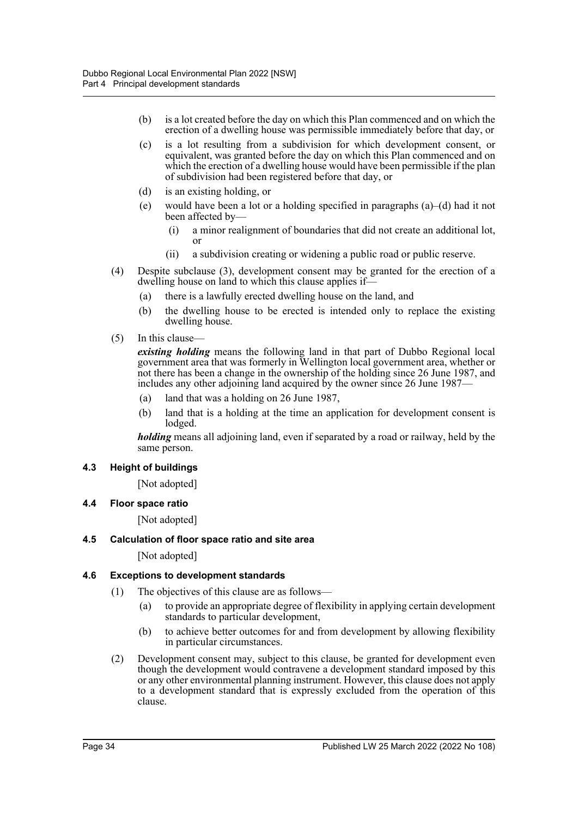- (b) is a lot created before the day on which this Plan commenced and on which the erection of a dwelling house was permissible immediately before that day, or
- (c) is a lot resulting from a subdivision for which development consent, or equivalent, was granted before the day on which this Plan commenced and on which the erection of a dwelling house would have been permissible if the plan of subdivision had been registered before that day, or
- (d) is an existing holding, or
- (e) would have been a lot or a holding specified in paragraphs (a)–(d) had it not been affected by—
	- (i) a minor realignment of boundaries that did not create an additional lot, or
	- (ii) a subdivision creating or widening a public road or public reserve.
- (4) Despite subclause (3), development consent may be granted for the erection of a dwelling house on land to which this clause applies if—
	- (a) there is a lawfully erected dwelling house on the land, and
	- (b) the dwelling house to be erected is intended only to replace the existing dwelling house.
- (5) In this clause—

*existing holding* means the following land in that part of Dubbo Regional local government area that was formerly in Wellington local government area, whether or not there has been a change in the ownership of the holding since 26 June 1987, and includes any other adjoining land acquired by the owner since 26 June 1987—

- (a) land that was a holding on 26 June 1987,
- (b) land that is a holding at the time an application for development consent is lodged.

*holding* means all adjoining land, even if separated by a road or railway, held by the same person.

#### **4.3 Height of buildings**

[Not adopted]

**4.4 Floor space ratio**

[Not adopted]

#### **4.5 Calculation of floor space ratio and site area**

[Not adopted]

#### **4.6 Exceptions to development standards**

- (1) The objectives of this clause are as follows—
	- (a) to provide an appropriate degree of flexibility in applying certain development standards to particular development,
	- (b) to achieve better outcomes for and from development by allowing flexibility in particular circumstances.
- (2) Development consent may, subject to this clause, be granted for development even though the development would contravene a development standard imposed by this or any other environmental planning instrument. However, this clause does not apply to a development standard that is expressly excluded from the operation of this clause.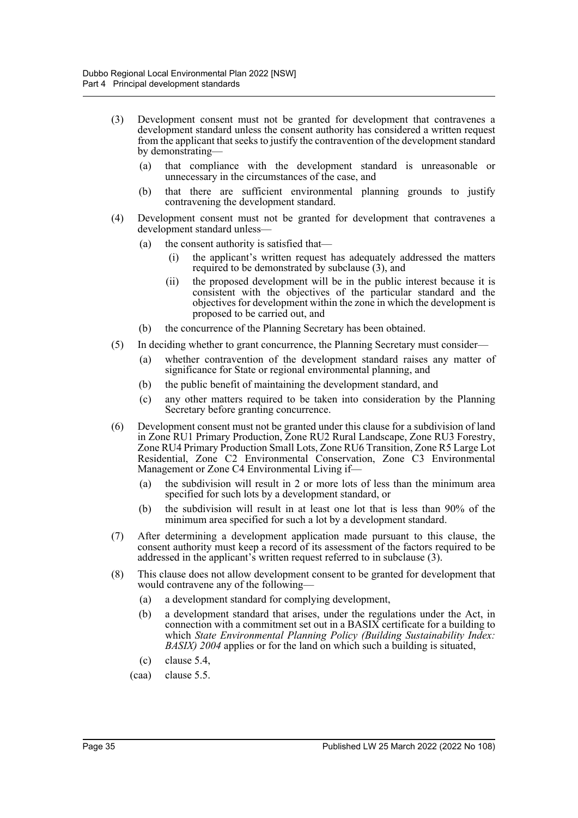- (3) Development consent must not be granted for development that contravenes a development standard unless the consent authority has considered a written request from the applicant that seeks to justify the contravention of the development standard by demonstrating—
	- (a) that compliance with the development standard is unreasonable or unnecessary in the circumstances of the case, and
	- (b) that there are sufficient environmental planning grounds to justify contravening the development standard.
- (4) Development consent must not be granted for development that contravenes a development standard unless—
	- (a) the consent authority is satisfied that—
		- (i) the applicant's written request has adequately addressed the matters required to be demonstrated by subclause (3), and
		- (ii) the proposed development will be in the public interest because it is consistent with the objectives of the particular standard and the objectives for development within the zone in which the development is proposed to be carried out, and
	- (b) the concurrence of the Planning Secretary has been obtained.
- (5) In deciding whether to grant concurrence, the Planning Secretary must consider—
	- (a) whether contravention of the development standard raises any matter of significance for State or regional environmental planning, and
	- (b) the public benefit of maintaining the development standard, and
	- (c) any other matters required to be taken into consideration by the Planning Secretary before granting concurrence.
- (6) Development consent must not be granted under this clause for a subdivision of land in Zone RU1 Primary Production, Zone RU2 Rural Landscape, Zone RU3 Forestry, Zone RU4 Primary Production Small Lots, Zone RU6 Transition, Zone R5 Large Lot Residential, Zone C2 Environmental Conservation, Zone C3 Environmental Management or Zone C4 Environmental Living if—
	- (a) the subdivision will result in 2 or more lots of less than the minimum area specified for such lots by a development standard, or
	- (b) the subdivision will result in at least one lot that is less than 90% of the minimum area specified for such a lot by a development standard.
- (7) After determining a development application made pursuant to this clause, the consent authority must keep a record of its assessment of the factors required to be addressed in the applicant's written request referred to in subclause (3).
- (8) This clause does not allow development consent to be granted for development that would contravene any of the following—
	- (a) a development standard for complying development,
	- (b) a development standard that arises, under the regulations under the Act, in connection with a commitment set out in a BASIX certificate for a building to which *State Environmental Planning Policy (Building Sustainability Index: BASIX) 2004* applies or for the land on which such a building is situated,
	- (c) clause 5.4,
	- (caa) clause 5.5.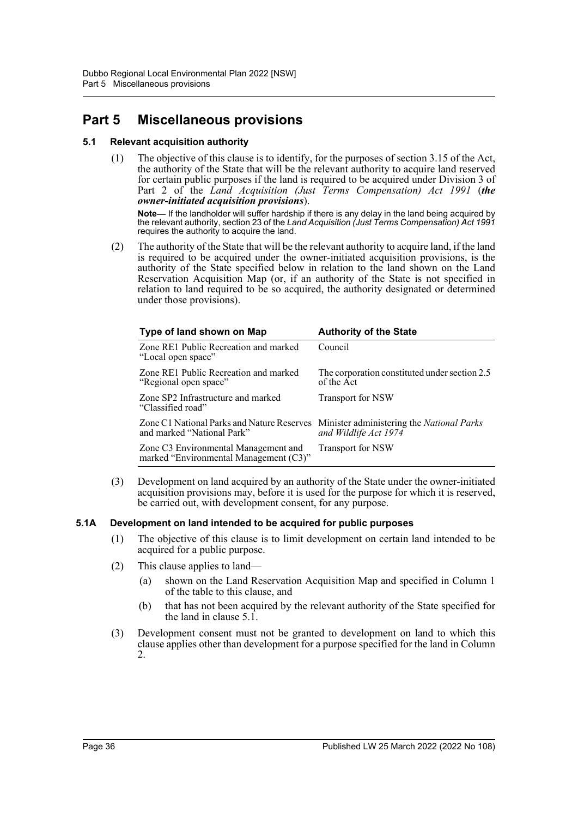## **Part 5 Miscellaneous provisions**

## **5.1 Relevant acquisition authority**

(1) The objective of this clause is to identify, for the purposes of section 3.15 of the Act, the authority of the State that will be the relevant authority to acquire land reserved for certain public purposes if the land is required to be acquired under Division 3 of Part 2 of the *Land Acquisition (Just Terms Compensation) Act 1991* (*the owner-initiated acquisition provisions*).

**Note—** If the landholder will suffer hardship if there is any delay in the land being acquired by the relevant authority, section 23 of the *Land Acquisition (Just Terms Compensation) Act 1991* requires the authority to acquire the land.

(2) The authority of the State that will be the relevant authority to acquire land, if the land is required to be acquired under the owner-initiated acquisition provisions, is the authority of the State specified below in relation to the land shown on the Land Reservation Acquisition Map (or, if an authority of the State is not specified in relation to land required to be so acquired, the authority designated or determined under those provisions).

| Type of land shown on Map                                                      | <b>Authority of the State</b>                                             |
|--------------------------------------------------------------------------------|---------------------------------------------------------------------------|
| Zone RE1 Public Recreation and marked<br>"Local open space"                    | Council                                                                   |
| Zone RE1 Public Recreation and marked<br>"Regional open space"                 | The corporation constituted under section 2.5<br>of the Act               |
| Zone SP2 Infrastructure and marked<br>"Classified road"                        | <b>Transport for NSW</b>                                                  |
| Zone C1 National Parks and Nature Reserves<br>and marked "National Park"       | Minister administering the <i>National Parks</i><br>and Wildlife Act 1974 |
| Zone C3 Environmental Management and<br>marked "Environmental Management (C3)" | Transport for NSW                                                         |

(3) Development on land acquired by an authority of the State under the owner-initiated acquisition provisions may, before it is used for the purpose for which it is reserved, be carried out, with development consent, for any purpose.

#### **5.1A Development on land intended to be acquired for public purposes**

- (1) The objective of this clause is to limit development on certain land intended to be acquired for a public purpose.
- (2) This clause applies to land—
	- (a) shown on the Land Reservation Acquisition Map and specified in Column 1 of the table to this clause, and
	- (b) that has not been acquired by the relevant authority of the State specified for the land in clause 5.1.
- (3) Development consent must not be granted to development on land to which this clause applies other than development for a purpose specified for the land in Column 2.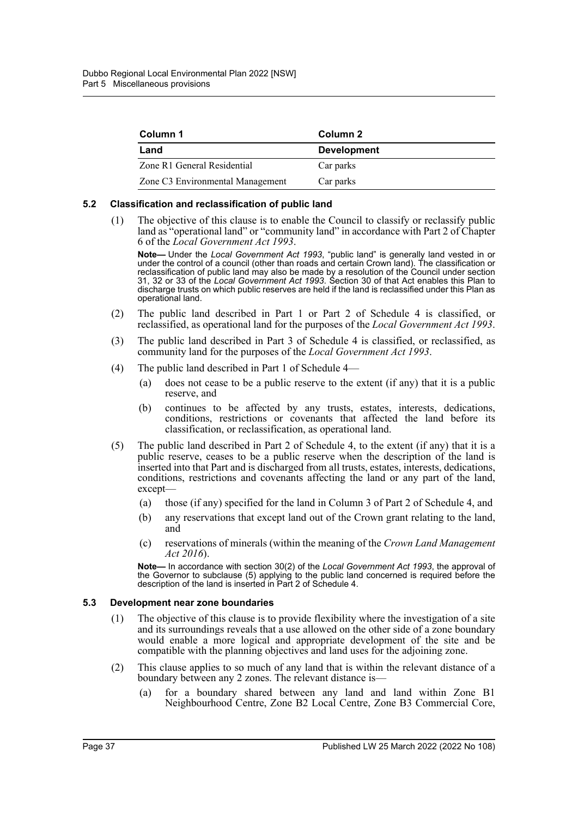| Column 1                         | Column 2           |
|----------------------------------|--------------------|
| Land                             | <b>Development</b> |
| Zone R1 General Residential      | Car parks          |
| Zone C3 Environmental Management | Car parks          |

#### **5.2 Classification and reclassification of public land**

(1) The objective of this clause is to enable the Council to classify or reclassify public land as "operational land" or "community land" in accordance with Part 2 of Chapter 6 of the *Local Government Act 1993*.

**Note—** Under the *Local Government Act 1993*, "public land" is generally land vested in or under the control of a council (other than roads and certain Crown land). The classification or reclassification of public land may also be made by a resolution of the Council under section 31, 32 or 33 of the *Local Government Act 1993*. Section 30 of that Act enables this Plan to discharge trusts on which public reserves are held if the land is reclassified under this Plan as operational land.

- (2) The public land described in Part 1 or Part 2 of Schedule 4 is classified, or reclassified, as operational land for the purposes of the *Local Government Act 1993*.
- (3) The public land described in Part 3 of Schedule 4 is classified, or reclassified, as community land for the purposes of the *Local Government Act 1993*.
- (4) The public land described in Part 1 of Schedule 4—
	- (a) does not cease to be a public reserve to the extent (if any) that it is a public reserve, and
	- (b) continues to be affected by any trusts, estates, interests, dedications, conditions, restrictions or covenants that affected the land before its classification, or reclassification, as operational land.
- (5) The public land described in Part 2 of Schedule 4, to the extent (if any) that it is a public reserve, ceases to be a public reserve when the description of the land is inserted into that Part and is discharged from all trusts, estates, interests, dedications, conditions, restrictions and covenants affecting the land or any part of the land, except—
	- (a) those (if any) specified for the land in Column 3 of Part 2 of Schedule 4, and
	- (b) any reservations that except land out of the Crown grant relating to the land, and
	- (c) reservations of minerals (within the meaning of the *Crown Land Management Act 2016*).

**Note—** In accordance with section 30(2) of the *Local Government Act 1993*, the approval of the Governor to subclause (5) applying to the public land concerned is required before the description of the land is inserted in Part 2 of Schedule 4.

#### **5.3 Development near zone boundaries**

- (1) The objective of this clause is to provide flexibility where the investigation of a site and its surroundings reveals that a use allowed on the other side of a zone boundary would enable a more logical and appropriate development of the site and be compatible with the planning objectives and land uses for the adjoining zone.
- (2) This clause applies to so much of any land that is within the relevant distance of a boundary between any 2 zones. The relevant distance is—
	- (a) for a boundary shared between any land and land within Zone B1 Neighbourhood Centre, Zone B2 Local Centre, Zone B3 Commercial Core,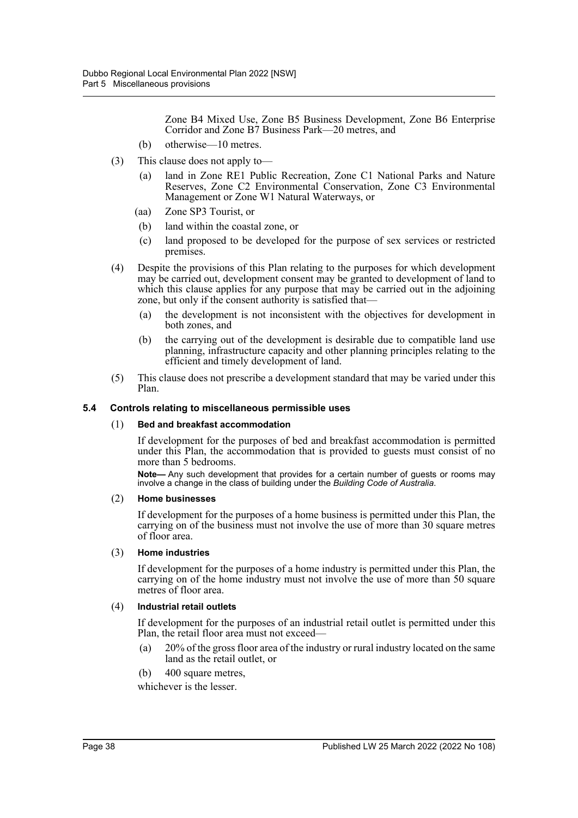Zone B4 Mixed Use, Zone B5 Business Development, Zone B6 Enterprise Corridor and Zone B7 Business Park—20 metres, and

- (b) otherwise—10 metres.
- (3) This clause does not apply to—
	- (a) land in Zone RE1 Public Recreation, Zone C1 National Parks and Nature Reserves, Zone C2 Environmental Conservation, Zone C3 Environmental Management or Zone W1 Natural Waterways, or
	- (aa) Zone SP3 Tourist, or
	- (b) land within the coastal zone, or
	- (c) land proposed to be developed for the purpose of sex services or restricted premises.
- (4) Despite the provisions of this Plan relating to the purposes for which development may be carried out, development consent may be granted to development of land to which this clause applies for any purpose that may be carried out in the adjoining zone, but only if the consent authority is satisfied that—
	- (a) the development is not inconsistent with the objectives for development in both zones, and
	- (b) the carrying out of the development is desirable due to compatible land use planning, infrastructure capacity and other planning principles relating to the efficient and timely development of land.
- (5) This clause does not prescribe a development standard that may be varied under this Plan.

## **5.4 Controls relating to miscellaneous permissible uses**

#### (1) **Bed and breakfast accommodation**

If development for the purposes of bed and breakfast accommodation is permitted under this Plan, the accommodation that is provided to guests must consist of no more than 5 bedrooms.

**Note—** Any such development that provides for a certain number of guests or rooms may involve a change in the class of building under the *Building Code of Australia*.

#### (2) **Home businesses**

If development for the purposes of a home business is permitted under this Plan, the carrying on of the business must not involve the use of more than 30 square metres of floor area.

#### (3) **Home industries**

If development for the purposes of a home industry is permitted under this Plan, the carrying on of the home industry must not involve the use of more than 50 square metres of floor area.

#### (4) **Industrial retail outlets**

If development for the purposes of an industrial retail outlet is permitted under this Plan, the retail floor area must not exceed—

- (a) 20% of the gross floor area of the industry or rural industry located on the same land as the retail outlet, or
- (b) 400 square metres,

whichever is the lesser.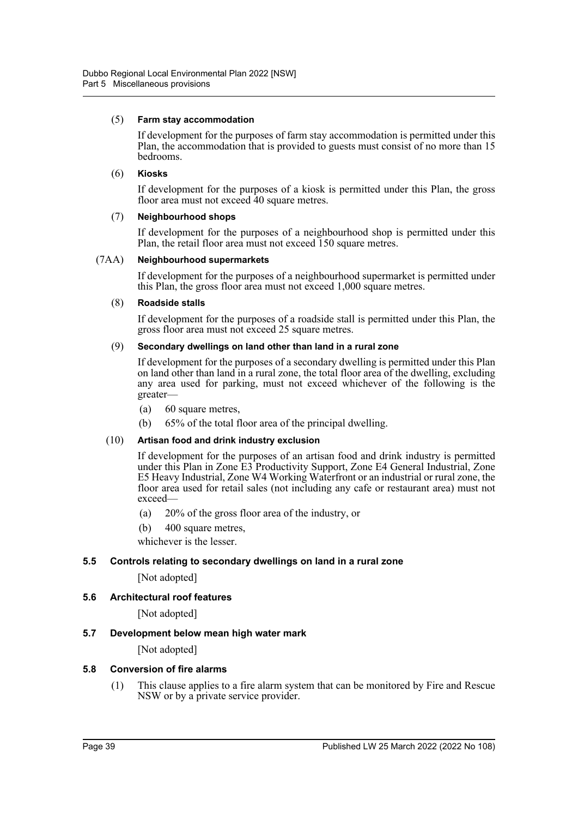#### (5) **Farm stay accommodation**

If development for the purposes of farm stay accommodation is permitted under this Plan, the accommodation that is provided to guests must consist of no more than 15 bedrooms.

### (6) **Kiosks**

If development for the purposes of a kiosk is permitted under this Plan, the gross floor area must not exceed 40 square metres.

## (7) **Neighbourhood shops**

If development for the purposes of a neighbourhood shop is permitted under this Plan, the retail floor area must not exceed 150 square metres.

## (7AA) **Neighbourhood supermarkets**

If development for the purposes of a neighbourhood supermarket is permitted under this Plan, the gross floor area must not exceed 1,000 square metres.

## (8) **Roadside stalls**

If development for the purposes of a roadside stall is permitted under this Plan, the gross floor area must not exceed 25 square metres.

## (9) **Secondary dwellings on land other than land in a rural zone**

If development for the purposes of a secondary dwelling is permitted under this Plan on land other than land in a rural zone, the total floor area of the dwelling, excluding any area used for parking, must not exceed whichever of the following is the greater—

- (a) 60 square metres,
- (b) 65% of the total floor area of the principal dwelling.

## (10) **Artisan food and drink industry exclusion**

If development for the purposes of an artisan food and drink industry is permitted under this Plan in Zone E3 Productivity Support, Zone E4 General Industrial, Zone E5 Heavy Industrial, Zone W4 Working Waterfront or an industrial or rural zone, the floor area used for retail sales (not including any cafe or restaurant area) must not exceed—

- (a) 20% of the gross floor area of the industry, or
- (b) 400 square metres,

whichever is the lesser.

## **5.5 Controls relating to secondary dwellings on land in a rural zone**

[Not adopted]

## **5.6 Architectural roof features**

[Not adopted]

## **5.7 Development below mean high water mark**

[Not adopted]

#### **5.8 Conversion of fire alarms**

(1) This clause applies to a fire alarm system that can be monitored by Fire and Rescue NSW or by a private service provider.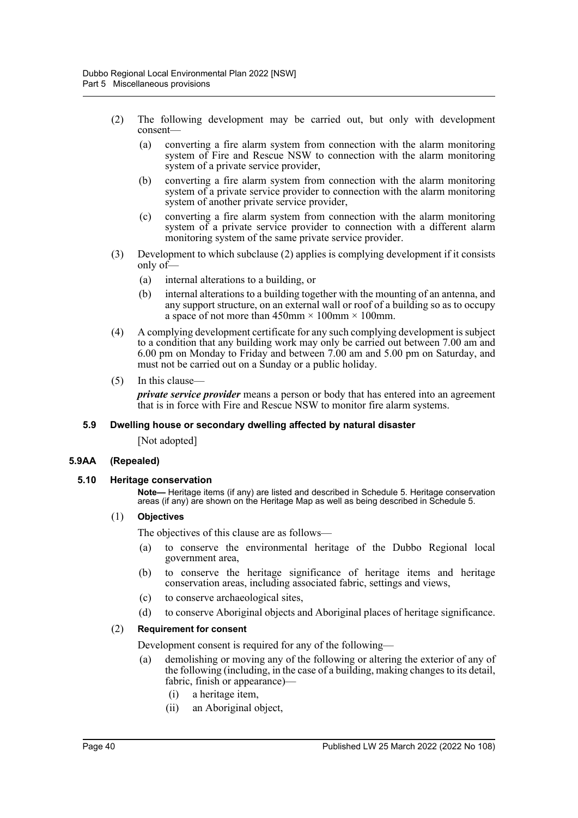- (2) The following development may be carried out, but only with development consent—
	- (a) converting a fire alarm system from connection with the alarm monitoring system of Fire and Rescue NSW to connection with the alarm monitoring system of a private service provider,
	- (b) converting a fire alarm system from connection with the alarm monitoring system of a private service provider to connection with the alarm monitoring system of another private service provider,
	- (c) converting a fire alarm system from connection with the alarm monitoring system of a private service provider to connection with a different alarm monitoring system of the same private service provider.
- (3) Development to which subclause (2) applies is complying development if it consists only of—
	- (a) internal alterations to a building, or
	- (b) internal alterations to a building together with the mounting of an antenna, and any support structure, on an external wall or roof of a building so as to occupy a space of not more than  $450$ mm  $\times 100$ mm  $\times 100$ mm.
- (4) A complying development certificate for any such complying development is subject to a condition that any building work may only be carried out between 7.00 am and 6.00 pm on Monday to Friday and between 7.00 am and 5.00 pm on Saturday, and must not be carried out on a Sunday or a public holiday.
- (5) In this clause—

*private service provider* means a person or body that has entered into an agreement that is in force with Fire and Rescue NSW to monitor fire alarm systems.

#### **5.9 Dwelling house or secondary dwelling affected by natural disaster**

[Not adopted]

#### **5.9AA (Repealed)**

#### **5.10 Heritage conservation**

**Note—** Heritage items (if any) are listed and described in Schedule 5. Heritage conservation areas (if any) are shown on the Heritage Map as well as being described in Schedule 5.

#### (1) **Objectives**

The objectives of this clause are as follows—

- (a) to conserve the environmental heritage of the Dubbo Regional local government area,
- (b) to conserve the heritage significance of heritage items and heritage conservation areas, including associated fabric, settings and views,
- (c) to conserve archaeological sites,
- (d) to conserve Aboriginal objects and Aboriginal places of heritage significance.

#### (2) **Requirement for consent**

Development consent is required for any of the following—

- (a) demolishing or moving any of the following or altering the exterior of any of the following (including, in the case of a building, making changes to its detail, fabric, finish or appearance)—
	- (i) a heritage item,
	- (ii) an Aboriginal object,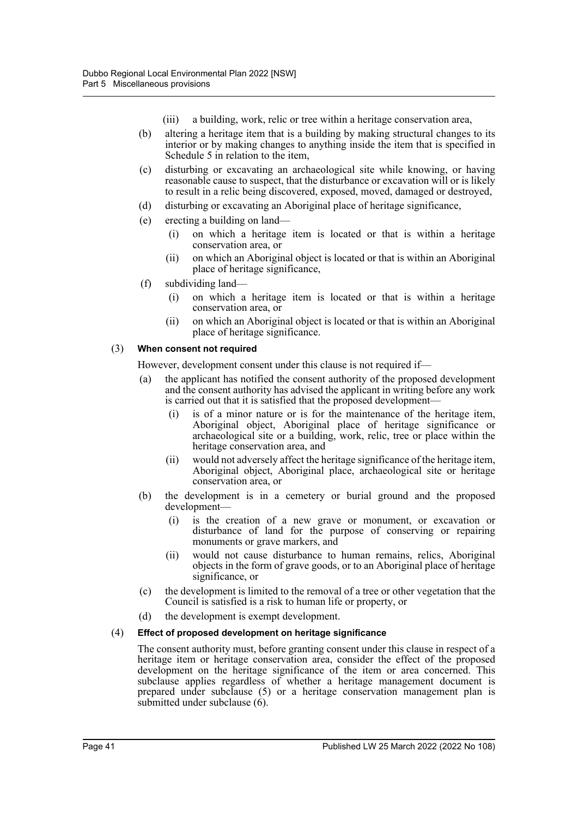- (iii) a building, work, relic or tree within a heritage conservation area,
- (b) altering a heritage item that is a building by making structural changes to its interior or by making changes to anything inside the item that is specified in Schedule 5 in relation to the item,
- (c) disturbing or excavating an archaeological site while knowing, or having reasonable cause to suspect, that the disturbance or excavation will or is likely to result in a relic being discovered, exposed, moved, damaged or destroyed,
- (d) disturbing or excavating an Aboriginal place of heritage significance,
- (e) erecting a building on land—
	- (i) on which a heritage item is located or that is within a heritage conservation area, or
	- (ii) on which an Aboriginal object is located or that is within an Aboriginal place of heritage significance,
- (f) subdividing land—
	- (i) on which a heritage item is located or that is within a heritage conservation area, or
	- (ii) on which an Aboriginal object is located or that is within an Aboriginal place of heritage significance.

## (3) **When consent not required**

However, development consent under this clause is not required if—

- (a) the applicant has notified the consent authority of the proposed development and the consent authority has advised the applicant in writing before any work is carried out that it is satisfied that the proposed development—
	- (i) is of a minor nature or is for the maintenance of the heritage item, Aboriginal object, Aboriginal place of heritage significance or archaeological site or a building, work, relic, tree or place within the heritage conservation area, and
	- (ii) would not adversely affect the heritage significance of the heritage item, Aboriginal object, Aboriginal place, archaeological site or heritage conservation area, or
- (b) the development is in a cemetery or burial ground and the proposed development—
	- (i) is the creation of a new grave or monument, or excavation or disturbance of land for the purpose of conserving or repairing monuments or grave markers, and
	- (ii) would not cause disturbance to human remains, relics, Aboriginal objects in the form of grave goods, or to an Aboriginal place of heritage significance, or
- (c) the development is limited to the removal of a tree or other vegetation that the Council is satisfied is a risk to human life or property, or
- (d) the development is exempt development.

#### (4) **Effect of proposed development on heritage significance**

The consent authority must, before granting consent under this clause in respect of a heritage item or heritage conservation area, consider the effect of the proposed development on the heritage significance of the item or area concerned. This subclause applies regardless of whether a heritage management document is prepared under subclause (5) or a heritage conservation management plan is submitted under subclause (6).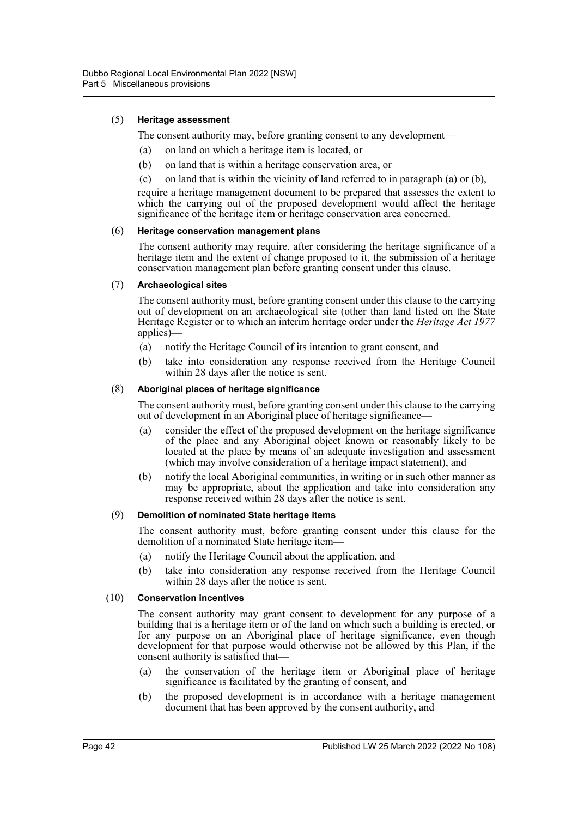## (5) **Heritage assessment**

The consent authority may, before granting consent to any development—

- (a) on land on which a heritage item is located, or
- (b) on land that is within a heritage conservation area, or
- (c) on land that is within the vicinity of land referred to in paragraph (a) or (b),

require a heritage management document to be prepared that assesses the extent to which the carrying out of the proposed development would affect the heritage significance of the heritage item or heritage conservation area concerned.

#### (6) **Heritage conservation management plans**

The consent authority may require, after considering the heritage significance of a heritage item and the extent of change proposed to it, the submission of a heritage conservation management plan before granting consent under this clause.

#### (7) **Archaeological sites**

The consent authority must, before granting consent under this clause to the carrying out of development on an archaeological site (other than land listed on the State Heritage Register or to which an interim heritage order under the *Heritage Act 1977* applies)—

- (a) notify the Heritage Council of its intention to grant consent, and
- (b) take into consideration any response received from the Heritage Council within 28 days after the notice is sent.

#### (8) **Aboriginal places of heritage significance**

The consent authority must, before granting consent under this clause to the carrying out of development in an Aboriginal place of heritage significance—

- (a) consider the effect of the proposed development on the heritage significance of the place and any Aboriginal object known or reasonably likely to be located at the place by means of an adequate investigation and assessment (which may involve consideration of a heritage impact statement), and
- (b) notify the local Aboriginal communities, in writing or in such other manner as may be appropriate, about the application and take into consideration any response received within 28 days after the notice is sent.

#### (9) **Demolition of nominated State heritage items**

The consent authority must, before granting consent under this clause for the demolition of a nominated State heritage item—

- (a) notify the Heritage Council about the application, and
- (b) take into consideration any response received from the Heritage Council within 28 days after the notice is sent.

#### (10) **Conservation incentives**

The consent authority may grant consent to development for any purpose of a building that is a heritage item or of the land on which such a building is erected, or for any purpose on an Aboriginal place of heritage significance, even though development for that purpose would otherwise not be allowed by this Plan, if the consent authority is satisfied that—

- (a) the conservation of the heritage item or Aboriginal place of heritage significance is facilitated by the granting of consent, and
- (b) the proposed development is in accordance with a heritage management document that has been approved by the consent authority, and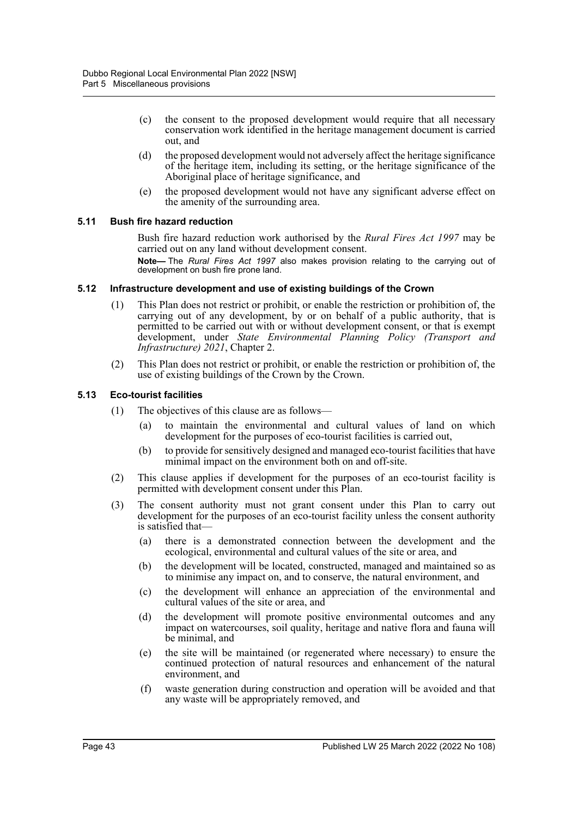- (c) the consent to the proposed development would require that all necessary conservation work identified in the heritage management document is carried out, and
- (d) the proposed development would not adversely affect the heritage significance of the heritage item, including its setting, or the heritage significance of the Aboriginal place of heritage significance, and
- (e) the proposed development would not have any significant adverse effect on the amenity of the surrounding area.

#### **5.11 Bush fire hazard reduction**

Bush fire hazard reduction work authorised by the *Rural Fires Act 1997* may be carried out on any land without development consent.

**Note—** The *Rural Fires Act 1997* also makes provision relating to the carrying out of development on bush fire prone land.

#### **5.12 Infrastructure development and use of existing buildings of the Crown**

- (1) This Plan does not restrict or prohibit, or enable the restriction or prohibition of, the carrying out of any development, by or on behalf of a public authority, that is permitted to be carried out with or without development consent, or that is exempt development, under *State Environmental Planning Policy (Transport and Infrastructure) 2021*, Chapter 2.
- (2) This Plan does not restrict or prohibit, or enable the restriction or prohibition of, the use of existing buildings of the Crown by the Crown.

## **5.13 Eco-tourist facilities**

- (1) The objectives of this clause are as follows—
	- (a) to maintain the environmental and cultural values of land on which development for the purposes of eco-tourist facilities is carried out,
	- (b) to provide for sensitively designed and managed eco-tourist facilities that have minimal impact on the environment both on and off-site.
- (2) This clause applies if development for the purposes of an eco-tourist facility is permitted with development consent under this Plan.
- (3) The consent authority must not grant consent under this Plan to carry out development for the purposes of an eco-tourist facility unless the consent authority is satisfied that—
	- (a) there is a demonstrated connection between the development and the ecological, environmental and cultural values of the site or area, and
	- (b) the development will be located, constructed, managed and maintained so as to minimise any impact on, and to conserve, the natural environment, and
	- (c) the development will enhance an appreciation of the environmental and cultural values of the site or area, and
	- (d) the development will promote positive environmental outcomes and any impact on watercourses, soil quality, heritage and native flora and fauna will be minimal, and
	- (e) the site will be maintained (or regenerated where necessary) to ensure the continued protection of natural resources and enhancement of the natural environment, and
	- (f) waste generation during construction and operation will be avoided and that any waste will be appropriately removed, and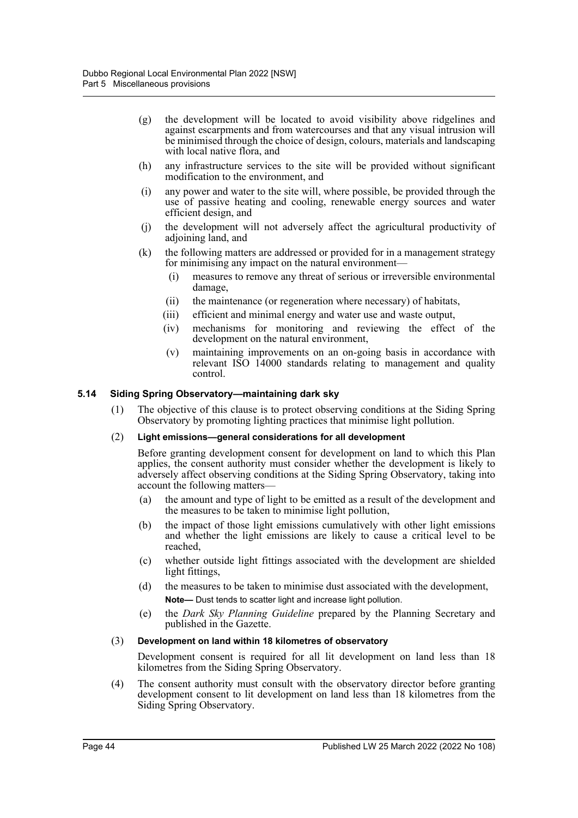- (g) the development will be located to avoid visibility above ridgelines and against escarpments and from watercourses and that any visual intrusion will be minimised through the choice of design, colours, materials and landscaping with local native flora, and
- (h) any infrastructure services to the site will be provided without significant modification to the environment, and
- (i) any power and water to the site will, where possible, be provided through the use of passive heating and cooling, renewable energy sources and water efficient design, and
- (j) the development will not adversely affect the agricultural productivity of adjoining land, and
- (k) the following matters are addressed or provided for in a management strategy for minimising any impact on the natural environment—
	- (i) measures to remove any threat of serious or irreversible environmental damage,
	- (ii) the maintenance (or regeneration where necessary) of habitats,
	- (iii) efficient and minimal energy and water use and waste output,
	- (iv) mechanisms for monitoring and reviewing the effect of the development on the natural environment,
	- (v) maintaining improvements on an on-going basis in accordance with relevant ISO 14000 standards relating to management and quality control.

## **5.14 Siding Spring Observatory—maintaining dark sky**

(1) The objective of this clause is to protect observing conditions at the Siding Spring Observatory by promoting lighting practices that minimise light pollution.

#### (2) **Light emissions—general considerations for all development**

Before granting development consent for development on land to which this Plan applies, the consent authority must consider whether the development is likely to adversely affect observing conditions at the Siding Spring Observatory, taking into account the following matters—

- (a) the amount and type of light to be emitted as a result of the development and the measures to be taken to minimise light pollution,
- (b) the impact of those light emissions cumulatively with other light emissions and whether the light emissions are likely to cause a critical level to be reached,
- (c) whether outside light fittings associated with the development are shielded light fittings,
- (d) the measures to be taken to minimise dust associated with the development, **Note—** Dust tends to scatter light and increase light pollution.
- (e) the *Dark Sky Planning Guideline* prepared by the Planning Secretary and published in the Gazette.

#### (3) **Development on land within 18 kilometres of observatory**

Development consent is required for all lit development on land less than 18 kilometres from the Siding Spring Observatory.

(4) The consent authority must consult with the observatory director before granting development consent to lit development on land less than 18 kilometres from the Siding Spring Observatory.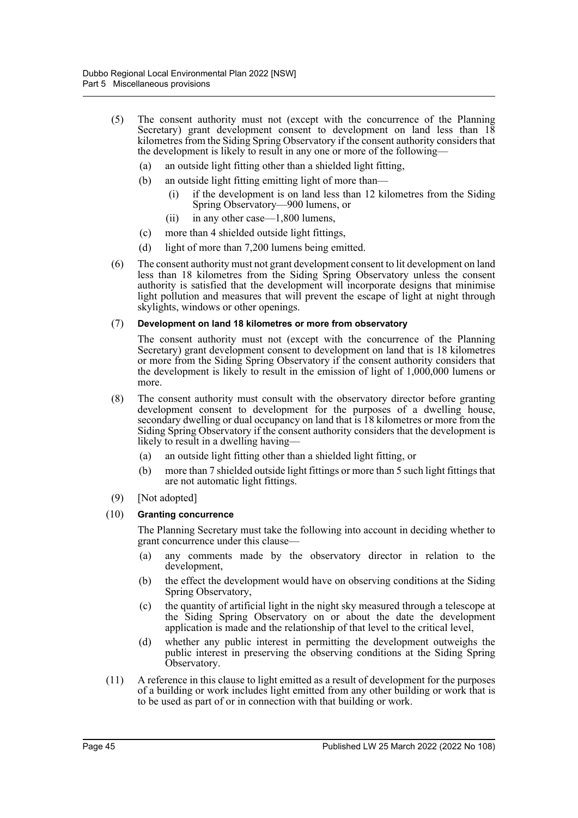- (5) The consent authority must not (except with the concurrence of the Planning Secretary) grant development consent to development on land less than 18 kilometres from the Siding Spring Observatory if the consent authority considers that the development is likely to result in any one or more of the following—
	- (a) an outside light fitting other than a shielded light fitting,
	- (b) an outside light fitting emitting light of more than—
		- (i) if the development is on land less than 12 kilometres from the Siding Spring Observatory—900 lumens, or
		- (ii) in any other case—1,800 lumens,
	- (c) more than 4 shielded outside light fittings,
	- (d) light of more than 7,200 lumens being emitted.
- (6) The consent authority must not grant development consent to lit development on land less than 18 kilometres from the Siding Spring Observatory unless the consent authority is satisfied that the development will incorporate designs that minimise light pollution and measures that will prevent the escape of light at night through skylights, windows or other openings.

#### (7) **Development on land 18 kilometres or more from observatory**

The consent authority must not (except with the concurrence of the Planning Secretary) grant development consent to development on land that is 18 kilometres or more from the Siding Spring Observatory if the consent authority considers that the development is likely to result in the emission of light of 1,000,000 lumens or more.

- (8) The consent authority must consult with the observatory director before granting development consent to development for the purposes of a dwelling house, secondary dwelling or dual occupancy on land that is 18 kilometres or more from the Siding Spring Observatory if the consent authority considers that the development is likely to result in a dwelling having—
	- (a) an outside light fitting other than a shielded light fitting, or
	- (b) more than 7 shielded outside light fittings or more than 5 such light fittings that are not automatic light fittings.
- (9) [Not adopted]

#### (10) **Granting concurrence**

The Planning Secretary must take the following into account in deciding whether to grant concurrence under this clause—

- (a) any comments made by the observatory director in relation to the development,
- (b) the effect the development would have on observing conditions at the Siding Spring Observatory,
- (c) the quantity of artificial light in the night sky measured through a telescope at the Siding Spring Observatory on or about the date the development application is made and the relationship of that level to the critical level,
- (d) whether any public interest in permitting the development outweighs the public interest in preserving the observing conditions at the Siding Spring Observatory.
- (11) A reference in this clause to light emitted as a result of development for the purposes of a building or work includes light emitted from any other building or work that is to be used as part of or in connection with that building or work.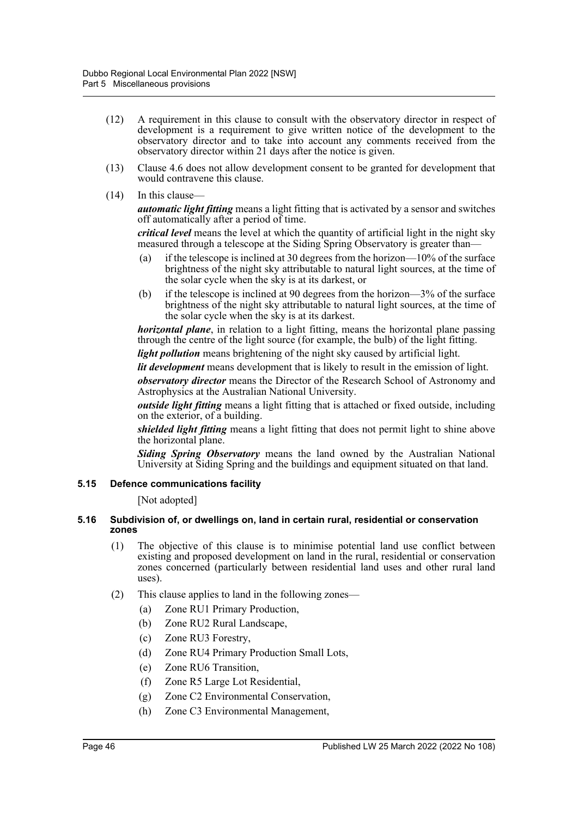- (12) A requirement in this clause to consult with the observatory director in respect of development is a requirement to give written notice of the development to the observatory director and to take into account any comments received from the observatory director within 21 days after the notice is given.
- (13) Clause 4.6 does not allow development consent to be granted for development that would contravene this clause.
- $(14)$  In this clause-

*automatic light fitting* means a light fitting that is activated by a sensor and switches off automatically after a period of time.

*critical level* means the level at which the quantity of artificial light in the night sky measured through a telescope at the Siding Spring Observatory is greater than—

- (a) if the telescope is inclined at 30 degrees from the horizon—10% of the surface brightness of the night sky attributable to natural light sources, at the time of the solar cycle when the sky is at its darkest, or
- (b) if the telescope is inclined at 90 degrees from the horizon—3% of the surface brightness of the night sky attributable to natural light sources, at the time of the solar cycle when the sky is at its darkest.

*horizontal plane*, in relation to a light fitting, means the horizontal plane passing through the centre of the light source (for example, the bulb) of the light fitting.

*light pollution* means brightening of the night sky caused by artificial light.

*lit development* means development that is likely to result in the emission of light.

*observatory director* means the Director of the Research School of Astronomy and Astrophysics at the Australian National University.

*outside light fitting* means a light fitting that is attached or fixed outside, including on the exterior, of a building.

*shielded light fitting* means a light fitting that does not permit light to shine above the horizontal plane.

*Siding Spring Observatory* means the land owned by the Australian National University at Siding Spring and the buildings and equipment situated on that land.

### **5.15 Defence communications facility**

[Not adopted]

#### **5.16 Subdivision of, or dwellings on, land in certain rural, residential or conservation zones**

- (1) The objective of this clause is to minimise potential land use conflict between existing and proposed development on land in the rural, residential or conservation zones concerned (particularly between residential land uses and other rural land uses).
- (2) This clause applies to land in the following zones—
	- (a) Zone RU1 Primary Production,
	- (b) Zone RU2 Rural Landscape,
	- (c) Zone RU3 Forestry,
	- (d) Zone RU4 Primary Production Small Lots,
	- (e) Zone RU6 Transition,
	- (f) Zone R5 Large Lot Residential,
	- (g) Zone C2 Environmental Conservation,
	- (h) Zone C3 Environmental Management,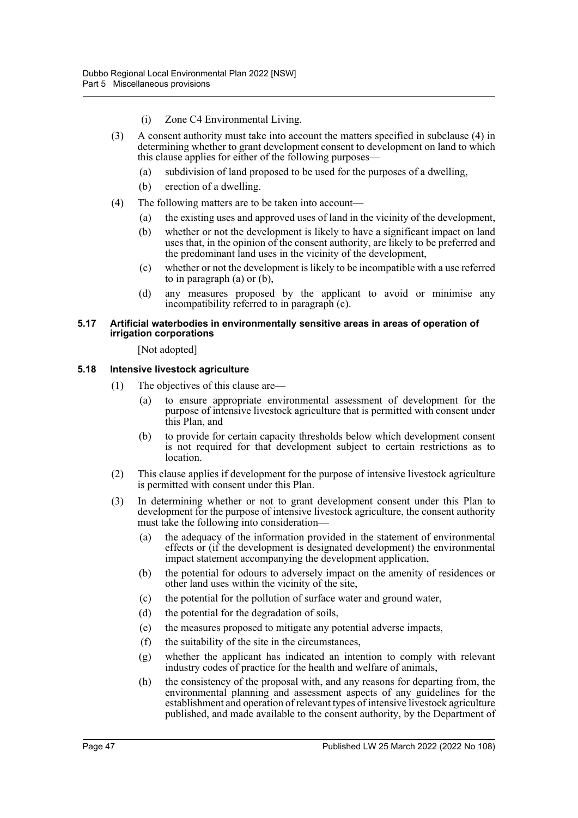- (i) Zone C4 Environmental Living.
- (3) A consent authority must take into account the matters specified in subclause (4) in determining whether to grant development consent to development on land to which this clause applies for either of the following purposes—
	- (a) subdivision of land proposed to be used for the purposes of a dwelling,
	- (b) erection of a dwelling.
- (4) The following matters are to be taken into account—
	- (a) the existing uses and approved uses of land in the vicinity of the development,
	- (b) whether or not the development is likely to have a significant impact on land uses that, in the opinion of the consent authority, are likely to be preferred and the predominant land uses in the vicinity of the development,
	- (c) whether or not the development is likely to be incompatible with a use referred to in paragraph (a) or (b),
	- (d) any measures proposed by the applicant to avoid or minimise any incompatibility referred to in paragraph (c).

#### **5.17 Artificial waterbodies in environmentally sensitive areas in areas of operation of irrigation corporations**

[Not adopted]

#### **5.18 Intensive livestock agriculture**

- (1) The objectives of this clause are—
	- (a) to ensure appropriate environmental assessment of development for the purpose of intensive livestock agriculture that is permitted with consent under this Plan, and
	- (b) to provide for certain capacity thresholds below which development consent is not required for that development subject to certain restrictions as to location.
- (2) This clause applies if development for the purpose of intensive livestock agriculture is permitted with consent under this Plan.
- (3) In determining whether or not to grant development consent under this Plan to development for the purpose of intensive livestock agriculture, the consent authority must take the following into consideration—
	- (a) the adequacy of the information provided in the statement of environmental effects or (if the development is designated development) the environmental impact statement accompanying the development application,
	- (b) the potential for odours to adversely impact on the amenity of residences or other land uses within the vicinity of the site,
	- (c) the potential for the pollution of surface water and ground water,
	- (d) the potential for the degradation of soils,
	- (e) the measures proposed to mitigate any potential adverse impacts,
	- (f) the suitability of the site in the circumstances,
	- (g) whether the applicant has indicated an intention to comply with relevant industry codes of practice for the health and welfare of animals,
	- (h) the consistency of the proposal with, and any reasons for departing from, the environmental planning and assessment aspects of any guidelines for the establishment and operation of relevant types of intensive livestock agriculture published, and made available to the consent authority, by the Department of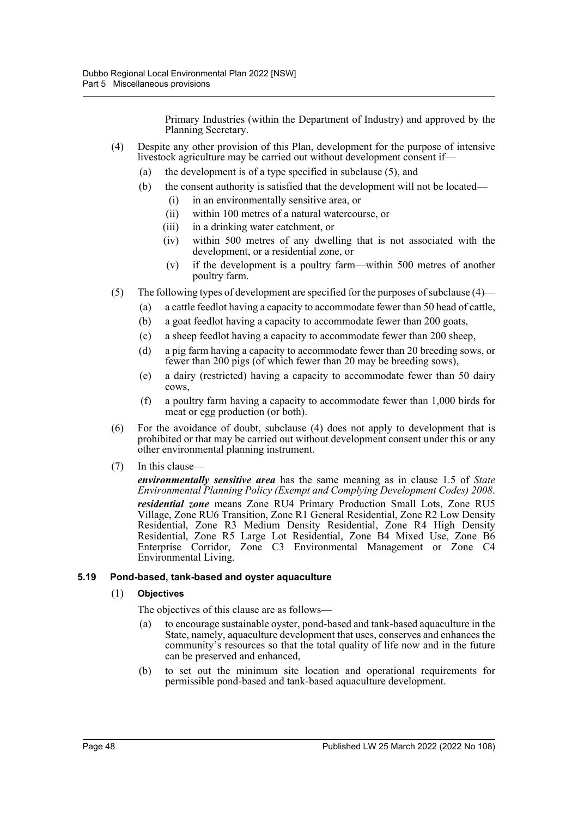Primary Industries (within the Department of Industry) and approved by the Planning Secretary.

- (4) Despite any other provision of this Plan, development for the purpose of intensive livestock agriculture may be carried out without development consent if—
	- (a) the development is of a type specified in subclause (5), and
	- (b) the consent authority is satisfied that the development will not be located— (i) in an environmentally sensitive area, or
		- (ii) within 100 metres of a natural watercourse, or
		- (iii) in a drinking water catchment, or
		- (iv) within 500 metres of any dwelling that is not associated with the development, or a residential zone, or
		- (v) if the development is a poultry farm—within 500 metres of another poultry farm.
- (5) The following types of development are specified for the purposes of subclause (4)—
	- (a) a cattle feedlot having a capacity to accommodate fewer than 50 head of cattle,
	- (b) a goat feedlot having a capacity to accommodate fewer than 200 goats,
	- (c) a sheep feedlot having a capacity to accommodate fewer than 200 sheep,
	- (d) a pig farm having a capacity to accommodate fewer than 20 breeding sows, or fewer than 200 pigs (of which fewer than 20 may be breeding sows),
	- (e) a dairy (restricted) having a capacity to accommodate fewer than 50 dairy cows,
	- (f) a poultry farm having a capacity to accommodate fewer than 1,000 birds for meat or egg production (or both).
- (6) For the avoidance of doubt, subclause (4) does not apply to development that is prohibited or that may be carried out without development consent under this or any other environmental planning instrument.
- (7) In this clause—

*environmentally sensitive area* has the same meaning as in clause 1.5 of *State Environmental Planning Policy (Exempt and Complying Development Codes) 2008*. *residential zone* means Zone RU4 Primary Production Small Lots, Zone RU5 Village, Zone RU6 Transition, Zone R1 General Residential, Zone R2 Low Density Residential, Zone R3 Medium Density Residential, Zone R4 High Density Residential, Zone R5 Large Lot Residential, Zone B4 Mixed Use, Zone B6 Enterprise Corridor, Zone C3 Environmental Management or Zone C4 Environmental Living.

#### **5.19 Pond-based, tank-based and oyster aquaculture**

#### (1) **Objectives**

The objectives of this clause are as follows—

- (a) to encourage sustainable oyster, pond-based and tank-based aquaculture in the State, namely, aquaculture development that uses, conserves and enhances the community's resources so that the total quality of life now and in the future can be preserved and enhanced,
- (b) to set out the minimum site location and operational requirements for permissible pond-based and tank-based aquaculture development.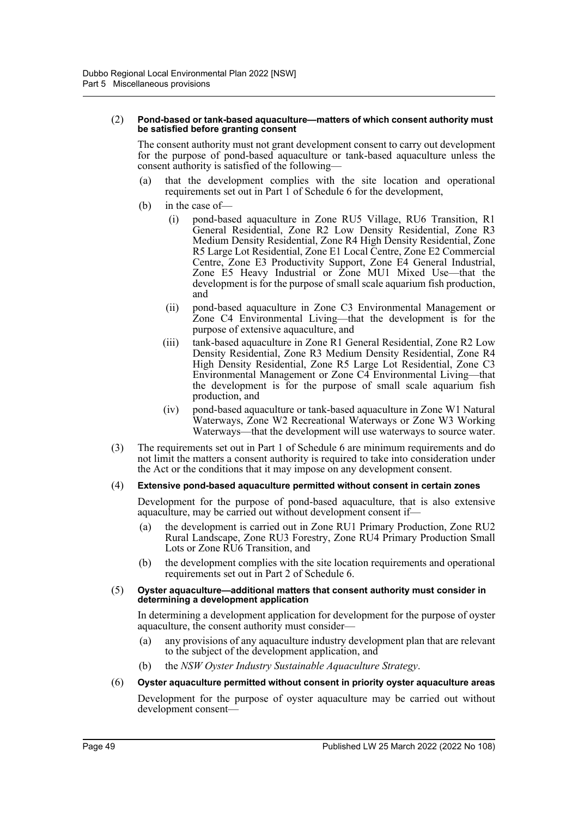#### (2) **Pond-based or tank-based aquaculture—matters of which consent authority must be satisfied before granting consent**

The consent authority must not grant development consent to carry out development for the purpose of pond-based aquaculture or tank-based aquaculture unless the consent authority is satisfied of the following—

- (a) that the development complies with the site location and operational requirements set out in Part 1 of Schedule 6 for the development,
- (b) in the case of—
	- (i) pond-based aquaculture in Zone RU5 Village, RU6 Transition, R1 General Residential, Zone R2 Low Density Residential, Zone R3 Medium Density Residential, Zone R4 High Density Residential, Zone R5 Large Lot Residential, Zone E1 Local Centre, Zone E2 Commercial Centre, Zone E3 Productivity Support, Zone E4 General Industrial, Zone E5 Heavy Industrial or Zone MU1 Mixed Use—that the development is for the purpose of small scale aquarium fish production, and
	- (ii) pond-based aquaculture in Zone C3 Environmental Management or Zone C4 Environmental Living—that the development is for the purpose of extensive aquaculture, and
	- (iii) tank-based aquaculture in Zone R1 General Residential, Zone R2 Low Density Residential, Zone R3 Medium Density Residential, Zone R4 High Density Residential, Zone R5 Large Lot Residential, Zone C3 Environmental Management or Zone C4 Environmental Living—that the development is for the purpose of small scale aquarium fish production, and
	- (iv) pond-based aquaculture or tank-based aquaculture in Zone W1 Natural Waterways, Zone W2 Recreational Waterways or Zone W3 Working Waterways—that the development will use waterways to source water.
- (3) The requirements set out in Part 1 of Schedule 6 are minimum requirements and do not limit the matters a consent authority is required to take into consideration under the Act or the conditions that it may impose on any development consent.
- (4) **Extensive pond-based aquaculture permitted without consent in certain zones**

Development for the purpose of pond-based aquaculture, that is also extensive aquaculture, may be carried out without development consent if—

- (a) the development is carried out in Zone RU1 Primary Production, Zone RU2 Rural Landscape, Zone RU3 Forestry, Zone RU4 Primary Production Small Lots or Zone RU6 Transition, and
- (b) the development complies with the site location requirements and operational requirements set out in Part 2 of Schedule 6.
- (5) **Oyster aquaculture—additional matters that consent authority must consider in determining a development application**

In determining a development application for development for the purpose of oyster aquaculture, the consent authority must consider—

- (a) any provisions of any aquaculture industry development plan that are relevant to the subject of the development application, and
- (b) the *NSW Oyster Industry Sustainable Aquaculture Strategy*.
- (6) **Oyster aquaculture permitted without consent in priority oyster aquaculture areas**

Development for the purpose of oyster aquaculture may be carried out without development consent—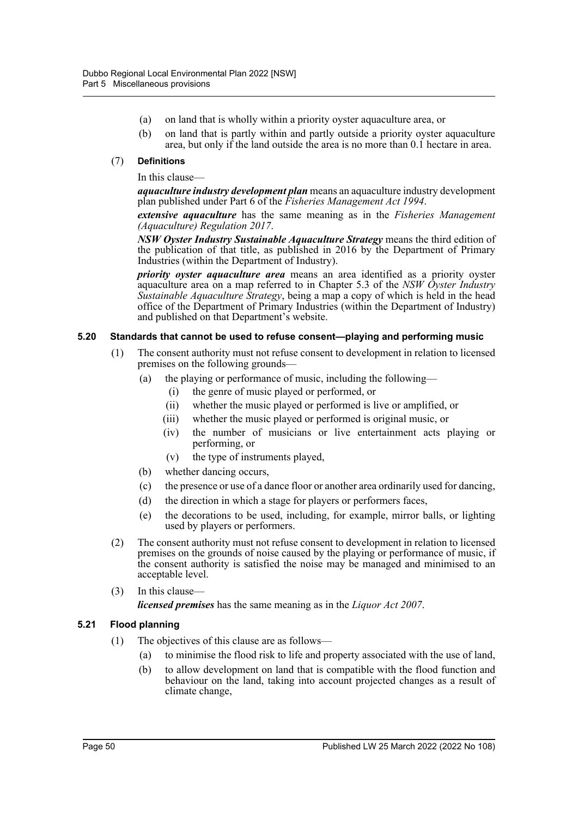- (a) on land that is wholly within a priority oyster aquaculture area, or
- (b) on land that is partly within and partly outside a priority oyster aquaculture area, but only if the land outside the area is no more than 0.1 hectare in area.

## (7) **Definitions**

In this clause—

*aquaculture industry development plan* means an aquaculture industry development plan published under Part 6 of the *Fisheries Management Act 1994*.

*extensive aquaculture* has the same meaning as in the *Fisheries Management (Aquaculture) Regulation 2017*.

*NSW Oyster Industry Sustainable Aquaculture Strategy* means the third edition of the publication of that title, as published in 2016 by the Department of Primary Industries (within the Department of Industry).

*priority oyster aquaculture area* means an area identified as a priority oyster aquaculture area on a map referred to in Chapter 5.3 of the *NSW Oyster Industry Sustainable Aquaculture Strategy*, being a map a copy of which is held in the head office of the Department of Primary Industries (within the Department of Industry) and published on that Department's website.

## **5.20 Standards that cannot be used to refuse consent—playing and performing music**

- (1) The consent authority must not refuse consent to development in relation to licensed premises on the following grounds—
	- (a) the playing or performance of music, including the following—
		- (i) the genre of music played or performed, or
		- (ii) whether the music played or performed is live or amplified, or
		- (iii) whether the music played or performed is original music, or
		- (iv) the number of musicians or live entertainment acts playing or performing, or
		- (v) the type of instruments played,
	- (b) whether dancing occurs,
	- (c) the presence or use of a dance floor or another area ordinarily used for dancing,
	- (d) the direction in which a stage for players or performers faces,
	- (e) the decorations to be used, including, for example, mirror balls, or lighting used by players or performers.
- (2) The consent authority must not refuse consent to development in relation to licensed premises on the grounds of noise caused by the playing or performance of music, if the consent authority is satisfied the noise may be managed and minimised to an acceptable level.
- (3) In this clause—

*licensed premises* has the same meaning as in the *Liquor Act 2007*.

## **5.21 Flood planning**

- (1) The objectives of this clause are as follows—
	- (a) to minimise the flood risk to life and property associated with the use of land,
	- (b) to allow development on land that is compatible with the flood function and behaviour on the land, taking into account projected changes as a result of climate change,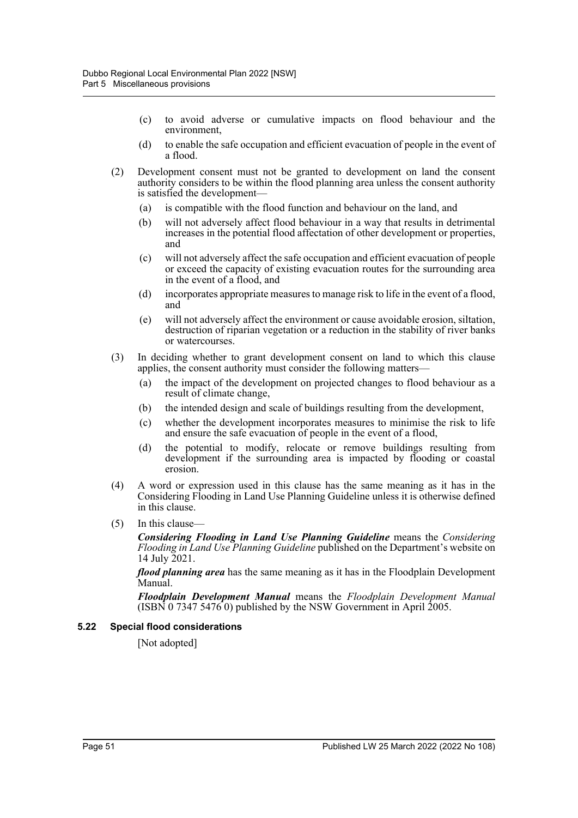- (c) to avoid adverse or cumulative impacts on flood behaviour and the environment,
- (d) to enable the safe occupation and efficient evacuation of people in the event of a flood.
- (2) Development consent must not be granted to development on land the consent authority considers to be within the flood planning area unless the consent authority is satisfied the development—
	- (a) is compatible with the flood function and behaviour on the land, and
	- (b) will not adversely affect flood behaviour in a way that results in detrimental increases in the potential flood affectation of other development or properties, and
	- (c) will not adversely affect the safe occupation and efficient evacuation of people or exceed the capacity of existing evacuation routes for the surrounding area in the event of a flood, and
	- (d) incorporates appropriate measures to manage risk to life in the event of a flood, and
	- (e) will not adversely affect the environment or cause avoidable erosion, siltation, destruction of riparian vegetation or a reduction in the stability of river banks or watercourses.
- (3) In deciding whether to grant development consent on land to which this clause applies, the consent authority must consider the following matters—
	- (a) the impact of the development on projected changes to flood behaviour as a result of climate change,
	- (b) the intended design and scale of buildings resulting from the development,
	- (c) whether the development incorporates measures to minimise the risk to life and ensure the safe evacuation of people in the event of a flood,
	- (d) the potential to modify, relocate or remove buildings resulting from development if the surrounding area is impacted by flooding or coastal erosion.
- (4) A word or expression used in this clause has the same meaning as it has in the Considering Flooding in Land Use Planning Guideline unless it is otherwise defined in this clause.
- $(5)$  In this clause-

*Considering Flooding in Land Use Planning Guideline* means the *Considering Flooding in Land Use Planning Guideline* published on the Department's website on 14 July 2021.

*flood planning area* has the same meaning as it has in the Floodplain Development Manual.

*Floodplain Development Manual* means the *Floodplain Development Manual*  $(ISBN\ 0\ 7347\ 547\overline{6}\ 0)$  published by the NSW Government in April 2005.

#### **5.22 Special flood considerations**

[Not adopted]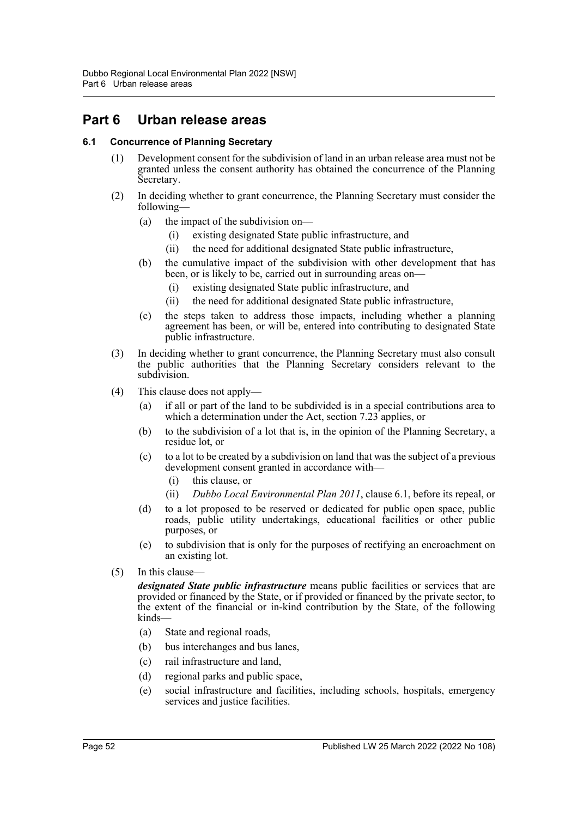## **Part 6 Urban release areas**

## **6.1 Concurrence of Planning Secretary**

- (1) Development consent for the subdivision of land in an urban release area must not be granted unless the consent authority has obtained the concurrence of the Planning Secretary.
- (2) In deciding whether to grant concurrence, the Planning Secretary must consider the following—
	- (a) the impact of the subdivision on—
		- (i) existing designated State public infrastructure, and
		- (ii) the need for additional designated State public infrastructure,
	- (b) the cumulative impact of the subdivision with other development that has been, or is likely to be, carried out in surrounding areas on—
		- (i) existing designated State public infrastructure, and
		- (ii) the need for additional designated State public infrastructure,
	- (c) the steps taken to address those impacts, including whether a planning agreement has been, or will be, entered into contributing to designated State public infrastructure.
- (3) In deciding whether to grant concurrence, the Planning Secretary must also consult the public authorities that the Planning Secretary considers relevant to the subdivision.
- (4) This clause does not apply—
	- (a) if all or part of the land to be subdivided is in a special contributions area to which a determination under the Act, section 7.23 applies, or
	- (b) to the subdivision of a lot that is, in the opinion of the Planning Secretary, a residue lot, or
	- (c) to a lot to be created by a subdivision on land that was the subject of a previous development consent granted in accordance with—
		- (i) this clause, or
		- (ii) *Dubbo Local Environmental Plan 2011*, clause 6.1, before its repeal, or
	- (d) to a lot proposed to be reserved or dedicated for public open space, public roads, public utility undertakings, educational facilities or other public purposes, or
	- (e) to subdivision that is only for the purposes of rectifying an encroachment on an existing lot.
- (5) In this clause—

*designated State public infrastructure* means public facilities or services that are provided or financed by the State, or if provided or financed by the private sector, to the extent of the financial or in-kind contribution by the State, of the following kinds—

- (a) State and regional roads,
- (b) bus interchanges and bus lanes,
- (c) rail infrastructure and land,
- (d) regional parks and public space,
- (e) social infrastructure and facilities, including schools, hospitals, emergency services and justice facilities.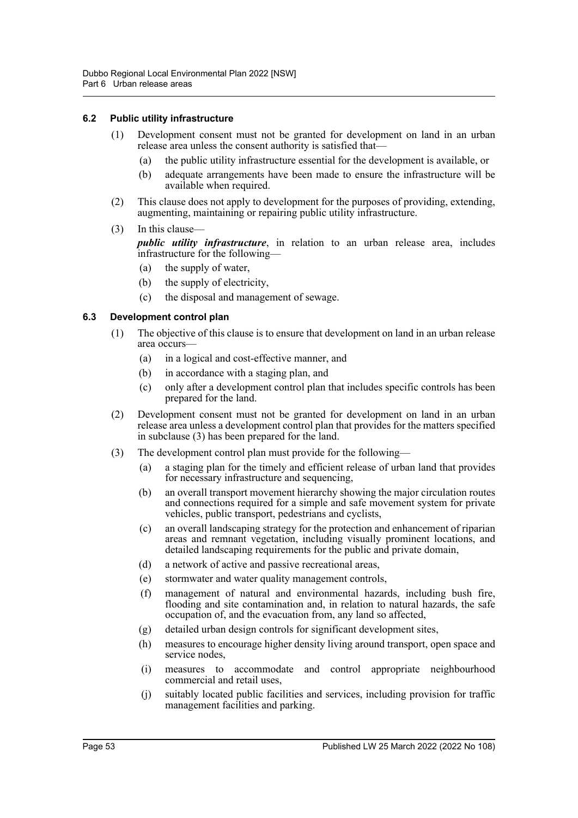## **6.2 Public utility infrastructure**

- (1) Development consent must not be granted for development on land in an urban release area unless the consent authority is satisfied that—
	- (a) the public utility infrastructure essential for the development is available, or
	- (b) adequate arrangements have been made to ensure the infrastructure will be available when required.
- (2) This clause does not apply to development for the purposes of providing, extending, augmenting, maintaining or repairing public utility infrastructure.
- (3) In this clause—

*public utility infrastructure*, in relation to an urban release area, includes infrastructure for the following—

- (a) the supply of water,
- (b) the supply of electricity,
- (c) the disposal and management of sewage.

## **6.3 Development control plan**

- (1) The objective of this clause is to ensure that development on land in an urban release area occurs—
	- (a) in a logical and cost-effective manner, and
	- (b) in accordance with a staging plan, and
	- (c) only after a development control plan that includes specific controls has been prepared for the land.
- (2) Development consent must not be granted for development on land in an urban release area unless a development control plan that provides for the matters specified in subclause (3) has been prepared for the land.
- (3) The development control plan must provide for the following—
	- (a) a staging plan for the timely and efficient release of urban land that provides for necessary infrastructure and sequencing,
	- (b) an overall transport movement hierarchy showing the major circulation routes and connections required for a simple and safe movement system for private vehicles, public transport, pedestrians and cyclists,
	- (c) an overall landscaping strategy for the protection and enhancement of riparian areas and remnant vegetation, including visually prominent locations, and detailed landscaping requirements for the public and private domain,
	- (d) a network of active and passive recreational areas,
	- (e) stormwater and water quality management controls,
	- (f) management of natural and environmental hazards, including bush fire, flooding and site contamination and, in relation to natural hazards, the safe occupation of, and the evacuation from, any land so affected,
	- (g) detailed urban design controls for significant development sites,
	- (h) measures to encourage higher density living around transport, open space and service nodes,
	- (i) measures to accommodate and control appropriate neighbourhood commercial and retail uses,
	- (j) suitably located public facilities and services, including provision for traffic management facilities and parking.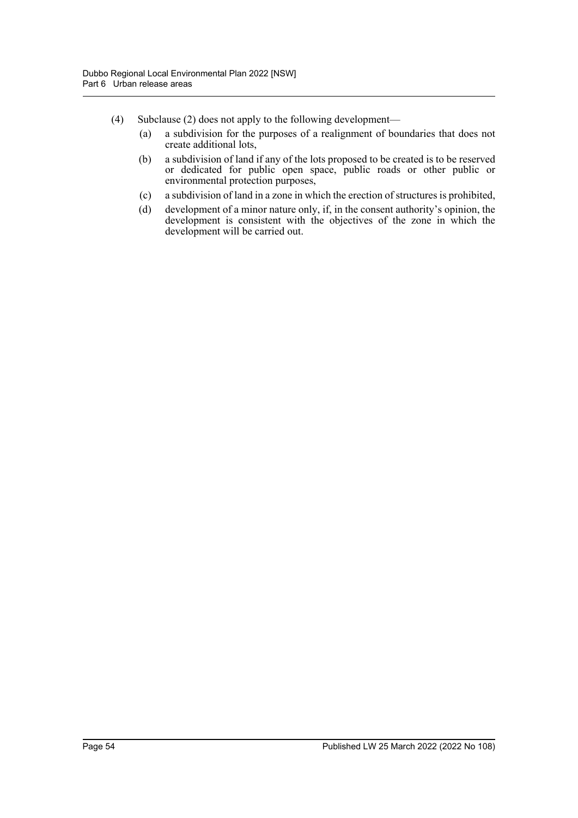- (4) Subclause (2) does not apply to the following development—
	- (a) a subdivision for the purposes of a realignment of boundaries that does not create additional lots,
	- (b) a subdivision of land if any of the lots proposed to be created is to be reserved or dedicated for public open space, public roads or other public or environmental protection purposes,
	- (c) a subdivision of land in a zone in which the erection of structures is prohibited,
	- (d) development of a minor nature only, if, in the consent authority's opinion, the development is consistent with the objectives of the zone in which the development will be carried out.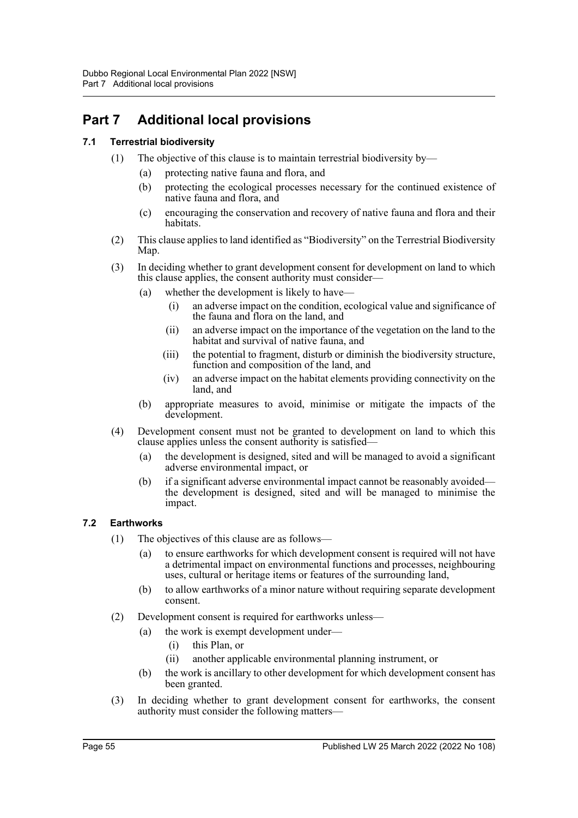## **Part 7 Additional local provisions**

## **7.1 Terrestrial biodiversity**

- (1) The objective of this clause is to maintain terrestrial biodiversity by—
	- (a) protecting native fauna and flora, and
	- (b) protecting the ecological processes necessary for the continued existence of native fauna and flora, and
	- (c) encouraging the conservation and recovery of native fauna and flora and their habitats.
- (2) This clause applies to land identified as "Biodiversity" on the Terrestrial Biodiversity Map.
- (3) In deciding whether to grant development consent for development on land to which this clause applies, the consent authority must consider—
	- (a) whether the development is likely to have—
		- (i) an adverse impact on the condition, ecological value and significance of the fauna and flora on the land, and
		- (ii) an adverse impact on the importance of the vegetation on the land to the habitat and survival of native fauna, and
		- (iii) the potential to fragment, disturb or diminish the biodiversity structure, function and composition of the land, and
		- (iv) an adverse impact on the habitat elements providing connectivity on the land, and
	- (b) appropriate measures to avoid, minimise or mitigate the impacts of the development.
- (4) Development consent must not be granted to development on land to which this clause applies unless the consent authority is satisfied—
	- (a) the development is designed, sited and will be managed to avoid a significant adverse environmental impact, or
	- (b) if a significant adverse environmental impact cannot be reasonably avoided the development is designed, sited and will be managed to minimise the impact.

## **7.2 Earthworks**

- (1) The objectives of this clause are as follows—
	- (a) to ensure earthworks for which development consent is required will not have a detrimental impact on environmental functions and processes, neighbouring uses, cultural or heritage items or features of the surrounding land,
	- (b) to allow earthworks of a minor nature without requiring separate development consent.
- (2) Development consent is required for earthworks unless—
	- (a) the work is exempt development under—
		- (i) this Plan, or
		- (ii) another applicable environmental planning instrument, or
	- (b) the work is ancillary to other development for which development consent has been granted.
- (3) In deciding whether to grant development consent for earthworks, the consent authority must consider the following matters—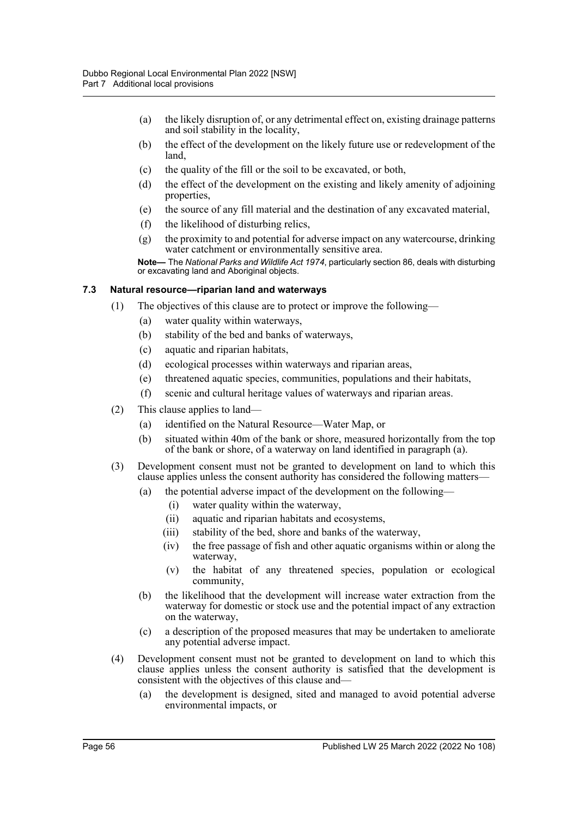- (a) the likely disruption of, or any detrimental effect on, existing drainage patterns and soil stability in the locality,
- (b) the effect of the development on the likely future use or redevelopment of the land,
- (c) the quality of the fill or the soil to be excavated, or both,
- (d) the effect of the development on the existing and likely amenity of adjoining properties,
- (e) the source of any fill material and the destination of any excavated material,
- (f) the likelihood of disturbing relics,
- (g) the proximity to and potential for adverse impact on any watercourse, drinking water catchment or environmentally sensitive area.

**Note—** The *National Parks and Wildlife Act 1974*, particularly section 86, deals with disturbing or excavating land and Aboriginal objects.

#### **7.3 Natural resource—riparian land and waterways**

- (1) The objectives of this clause are to protect or improve the following—
	- (a) water quality within waterways,
	- (b) stability of the bed and banks of waterways,
	- (c) aquatic and riparian habitats,
	- (d) ecological processes within waterways and riparian areas,
	- (e) threatened aquatic species, communities, populations and their habitats,
	- (f) scenic and cultural heritage values of waterways and riparian areas.
- (2) This clause applies to land—
	- (a) identified on the Natural Resource—Water Map, or
	- (b) situated within 40m of the bank or shore, measured horizontally from the top of the bank or shore, of a waterway on land identified in paragraph (a).
- (3) Development consent must not be granted to development on land to which this clause applies unless the consent authority has considered the following matters—
	- (a) the potential adverse impact of the development on the following—
		- (i) water quality within the waterway,
		- (ii) aquatic and riparian habitats and ecosystems,
		- (iii) stability of the bed, shore and banks of the waterway,
		- (iv) the free passage of fish and other aquatic organisms within or along the waterway,
		- (v) the habitat of any threatened species, population or ecological community,
	- (b) the likelihood that the development will increase water extraction from the waterway for domestic or stock use and the potential impact of any extraction on the waterway,
	- (c) a description of the proposed measures that may be undertaken to ameliorate any potential adverse impact.
- (4) Development consent must not be granted to development on land to which this clause applies unless the consent authority is satisfied that the development is consistent with the objectives of this clause and—
	- (a) the development is designed, sited and managed to avoid potential adverse environmental impacts, or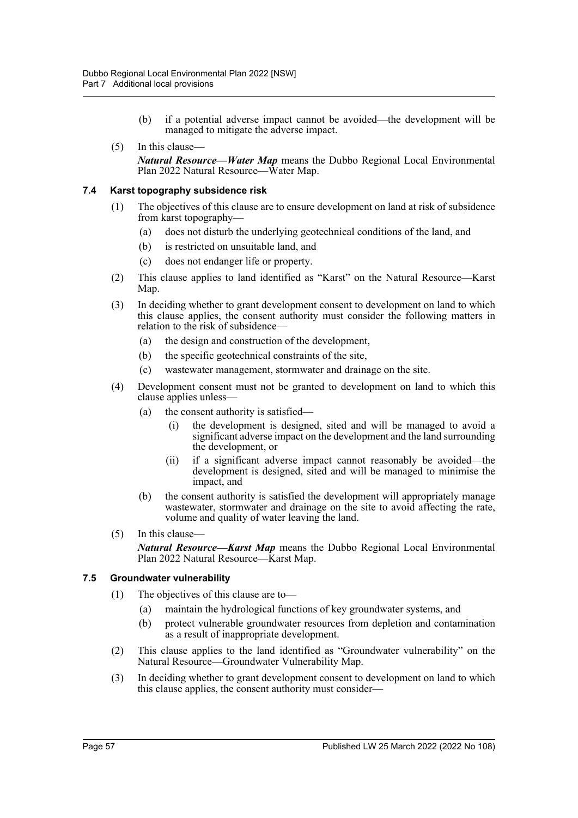- (b) if a potential adverse impact cannot be avoided—the development will be managed to mitigate the adverse impact.
- (5) In this clause— *Natural Resource—Water Map* means the Dubbo Regional Local Environmental Plan 2022 Natural Resource—Water Map.

## **7.4 Karst topography subsidence risk**

- (1) The objectives of this clause are to ensure development on land at risk of subsidence from karst topography—
	- (a) does not disturb the underlying geotechnical conditions of the land, and
	- (b) is restricted on unsuitable land, and
	- (c) does not endanger life or property.
- (2) This clause applies to land identified as "Karst" on the Natural Resource—Karst Map.
- (3) In deciding whether to grant development consent to development on land to which this clause applies, the consent authority must consider the following matters in relation to the risk of subsidence—
	- (a) the design and construction of the development,
	- (b) the specific geotechnical constraints of the site,
	- (c) wastewater management, stormwater and drainage on the site.
- (4) Development consent must not be granted to development on land to which this clause applies unless—
	- (a) the consent authority is satisfied—
		- (i) the development is designed, sited and will be managed to avoid a significant adverse impact on the development and the land surrounding the development, or
		- (ii) if a significant adverse impact cannot reasonably be avoided—the development is designed, sited and will be managed to minimise the impact, and
	- (b) the consent authority is satisfied the development will appropriately manage wastewater, stormwater and drainage on the site to avoid affecting the rate, volume and quality of water leaving the land.
- (5) In this clause— *Natural Resource—Karst Map* means the Dubbo Regional Local Environmental Plan 2022 Natural Resource—Karst Map.

## **7.5 Groundwater vulnerability**

- (1) The objectives of this clause are to—
	- (a) maintain the hydrological functions of key groundwater systems, and
	- (b) protect vulnerable groundwater resources from depletion and contamination as a result of inappropriate development.
- (2) This clause applies to the land identified as "Groundwater vulnerability" on the Natural Resource—Groundwater Vulnerability Map.
- (3) In deciding whether to grant development consent to development on land to which this clause applies, the consent authority must consider—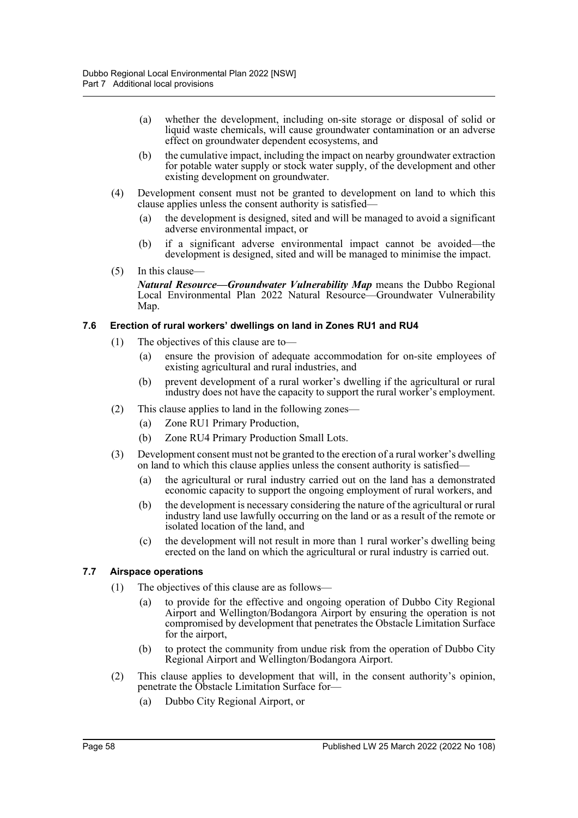- (a) whether the development, including on-site storage or disposal of solid or liquid waste chemicals, will cause groundwater contamination or an adverse effect on groundwater dependent ecosystems, and
- (b) the cumulative impact, including the impact on nearby groundwater extraction for potable water supply or stock water supply, of the development and other existing development on groundwater.
- (4) Development consent must not be granted to development on land to which this clause applies unless the consent authority is satisfied—
	- (a) the development is designed, sited and will be managed to avoid a significant adverse environmental impact, or
	- (b) if a significant adverse environmental impact cannot be avoided—the development is designed, sited and will be managed to minimise the impact.
- (5) In this clause— *Natural Resource—Groundwater Vulnerability Map* means the Dubbo Regional Local Environmental Plan 2022 Natural Resource—Groundwater Vulnerability Map.

## **7.6 Erection of rural workers' dwellings on land in Zones RU1 and RU4**

- (1) The objectives of this clause are to—
	- (a) ensure the provision of adequate accommodation for on-site employees of existing agricultural and rural industries, and
	- (b) prevent development of a rural worker's dwelling if the agricultural or rural industry does not have the capacity to support the rural worker's employment.
- (2) This clause applies to land in the following zones—
	- (a) Zone RU1 Primary Production,
	- (b) Zone RU4 Primary Production Small Lots.
- (3) Development consent must not be granted to the erection of a rural worker's dwelling on land to which this clause applies unless the consent authority is satisfied—
	- (a) the agricultural or rural industry carried out on the land has a demonstrated economic capacity to support the ongoing employment of rural workers, and
	- (b) the development is necessary considering the nature of the agricultural or rural industry land use lawfully occurring on the land or as a result of the remote or isolated location of the land, and
	- (c) the development will not result in more than 1 rural worker's dwelling being erected on the land on which the agricultural or rural industry is carried out.

## **7.7 Airspace operations**

- (1) The objectives of this clause are as follows—
	- (a) to provide for the effective and ongoing operation of Dubbo City Regional Airport and Wellington/Bodangora Airport by ensuring the operation is not compromised by development that penetrates the Obstacle Limitation Surface for the airport,
	- (b) to protect the community from undue risk from the operation of Dubbo City Regional Airport and Wellington/Bodangora Airport.
- (2) This clause applies to development that will, in the consent authority's opinion, penetrate the Obstacle Limitation Surface for—
	- (a) Dubbo City Regional Airport, or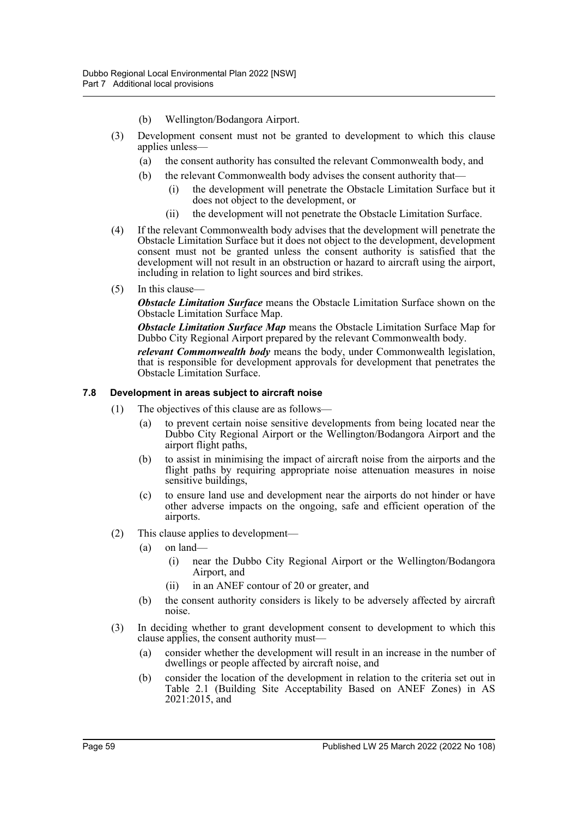- (b) Wellington/Bodangora Airport.
- (3) Development consent must not be granted to development to which this clause applies unless—
	- (a) the consent authority has consulted the relevant Commonwealth body, and
	- (b) the relevant Commonwealth body advises the consent authority that
		- the development will penetrate the Obstacle Limitation Surface but it does not object to the development, or
		- (ii) the development will not penetrate the Obstacle Limitation Surface.
- (4) If the relevant Commonwealth body advises that the development will penetrate the Obstacle Limitation Surface but it does not object to the development, development consent must not be granted unless the consent authority is satisfied that the development will not result in an obstruction or hazard to aircraft using the airport, including in relation to light sources and bird strikes.
- (5) In this clause—

*Obstacle Limitation Surface* means the Obstacle Limitation Surface shown on the Obstacle Limitation Surface Map.

*Obstacle Limitation Surface Map* means the Obstacle Limitation Surface Map for Dubbo City Regional Airport prepared by the relevant Commonwealth body.

*relevant Commonwealth body* means the body, under Commonwealth legislation, that is responsible for development approvals for development that penetrates the Obstacle Limitation Surface.

#### **7.8 Development in areas subject to aircraft noise**

- (1) The objectives of this clause are as follows—
	- (a) to prevent certain noise sensitive developments from being located near the Dubbo City Regional Airport or the Wellington/Bodangora Airport and the airport flight paths,
	- (b) to assist in minimising the impact of aircraft noise from the airports and the flight paths by requiring appropriate noise attenuation measures in noise sensitive buildings,
	- (c) to ensure land use and development near the airports do not hinder or have other adverse impacts on the ongoing, safe and efficient operation of the airports.
- (2) This clause applies to development—
	- (a) on land—
		- (i) near the Dubbo City Regional Airport or the Wellington/Bodangora Airport, and
		- (ii) in an ANEF contour of 20 or greater, and
	- (b) the consent authority considers is likely to be adversely affected by aircraft noise.
- (3) In deciding whether to grant development consent to development to which this clause applies, the consent authority must—
	- (a) consider whether the development will result in an increase in the number of dwellings or people affected by aircraft noise, and
	- (b) consider the location of the development in relation to the criteria set out in Table 2.1 (Building Site Acceptability Based on ANEF Zones) in AS 2021:2015, and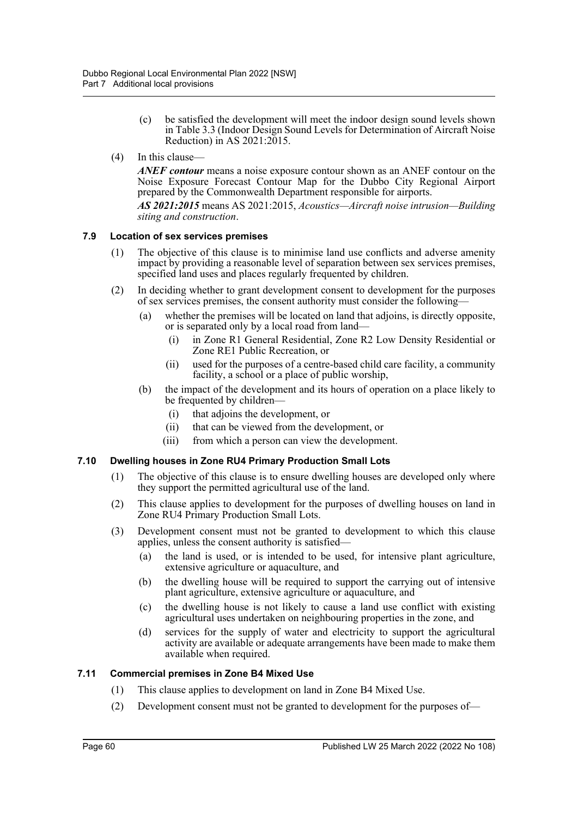- (c) be satisfied the development will meet the indoor design sound levels shown in Table 3.3 (Indoor Design Sound Levels for Determination of Aircraft Noise Reduction) in AS 2021:2015.
- (4) In this clause—

*ANEF contour* means a noise exposure contour shown as an ANEF contour on the Noise Exposure Forecast Contour Map for the Dubbo City Regional Airport prepared by the Commonwealth Department responsible for airports.

*AS 2021:2015* means AS 2021:2015, *Acoustics—Aircraft noise intrusion—Building siting and construction*.

## **7.9 Location of sex services premises**

- (1) The objective of this clause is to minimise land use conflicts and adverse amenity impact by providing a reasonable level of separation between sex services premises, specified land uses and places regularly frequented by children.
- (2) In deciding whether to grant development consent to development for the purposes of sex services premises, the consent authority must consider the following—
	- (a) whether the premises will be located on land that adjoins, is directly opposite, or is separated only by a local road from land—
		- (i) in Zone R1 General Residential, Zone R2 Low Density Residential or Zone RE1 Public Recreation, or
		- (ii) used for the purposes of a centre-based child care facility, a community facility, a school or a place of public worship,
	- (b) the impact of the development and its hours of operation on a place likely to be frequented by children—
		- (i) that adjoins the development, or
		- (ii) that can be viewed from the development, or
		- (iii) from which a person can view the development.

## **7.10 Dwelling houses in Zone RU4 Primary Production Small Lots**

- (1) The objective of this clause is to ensure dwelling houses are developed only where they support the permitted agricultural use of the land.
- (2) This clause applies to development for the purposes of dwelling houses on land in Zone RU4 Primary Production Small Lots.
- (3) Development consent must not be granted to development to which this clause applies, unless the consent authority is satisfied—
	- (a) the land is used, or is intended to be used, for intensive plant agriculture, extensive agriculture or aquaculture, and
	- (b) the dwelling house will be required to support the carrying out of intensive plant agriculture, extensive agriculture or aquaculture, and
	- (c) the dwelling house is not likely to cause a land use conflict with existing agricultural uses undertaken on neighbouring properties in the zone, and
	- (d) services for the supply of water and electricity to support the agricultural activity are available or adequate arrangements have been made to make them available when required.

#### **7.11 Commercial premises in Zone B4 Mixed Use**

- (1) This clause applies to development on land in Zone B4 Mixed Use.
- (2) Development consent must not be granted to development for the purposes of—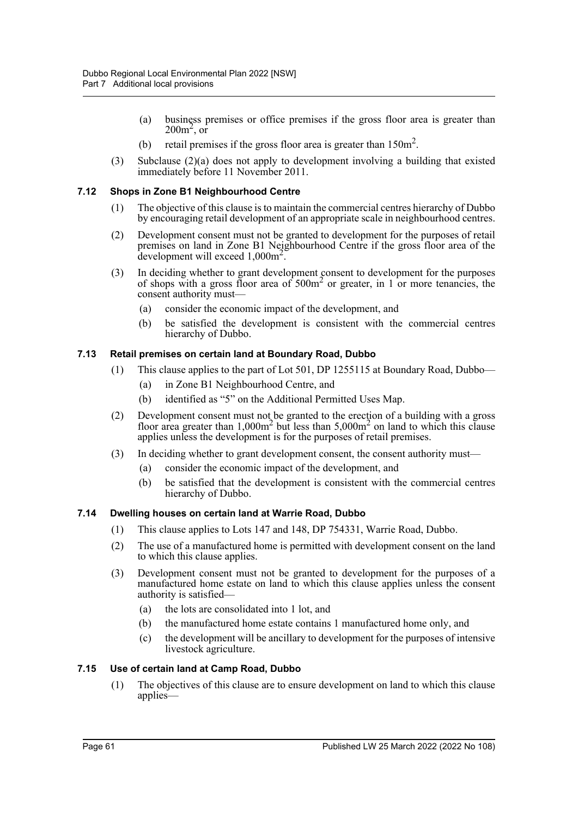- (a) business premises or office premises if the gross floor area is greater than  $200m^2$ , or
- (b) retail premises if the gross floor area is greater than  $150m^2$ .
- (3) Subclause (2)(a) does not apply to development involving a building that existed immediately before 11 November 2011.

## **7.12 Shops in Zone B1 Neighbourhood Centre**

- (1) The objective of this clause is to maintain the commercial centres hierarchy of Dubbo by encouraging retail development of an appropriate scale in neighbourhood centres.
- (2) Development consent must not be granted to development for the purposes of retail premises on land in Zone B1 Neighbourhood Centre if the gross floor area of the development will exceed 1,000m<sup>2</sup> .
- (3) In deciding whether to grant development consent to development for the purposes of shops with a gross floor area of  $500m<sup>2</sup>$  or greater, in 1 or more tenancies, the consent authority must—
	- (a) consider the economic impact of the development, and
	- (b) be satisfied the development is consistent with the commercial centres hierarchy of Dubbo.

## **7.13 Retail premises on certain land at Boundary Road, Dubbo**

- (1) This clause applies to the part of Lot 501, DP 1255115 at Boundary Road, Dubbo—
	- (a) in Zone B1 Neighbourhood Centre, and
	- (b) identified as "5" on the Additional Permitted Uses Map.
- (2) Development consent must not be granted to the erection of a building with a gross floor area greater than  $1,000m^2$  but less than  $5,000m^2$  on land to which this clause applies unless the development is for the purposes of retail premises.
- (3) In deciding whether to grant development consent, the consent authority must—
	- (a) consider the economic impact of the development, and
	- (b) be satisfied that the development is consistent with the commercial centres hierarchy of Dubbo.

#### **7.14 Dwelling houses on certain land at Warrie Road, Dubbo**

- (1) This clause applies to Lots 147 and 148, DP 754331, Warrie Road, Dubbo.
- (2) The use of a manufactured home is permitted with development consent on the land to which this clause applies.
- (3) Development consent must not be granted to development for the purposes of a manufactured home estate on land to which this clause applies unless the consent authority is satisfied—
	- (a) the lots are consolidated into 1 lot, and
	- (b) the manufactured home estate contains 1 manufactured home only, and
	- (c) the development will be ancillary to development for the purposes of intensive livestock agriculture.

#### **7.15 Use of certain land at Camp Road, Dubbo**

(1) The objectives of this clause are to ensure development on land to which this clause applies—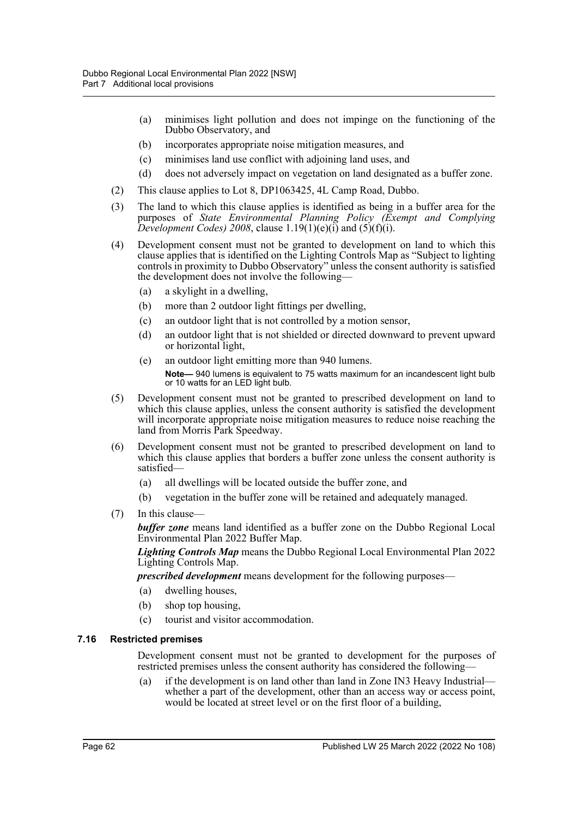- (a) minimises light pollution and does not impinge on the functioning of the Dubbo Observatory, and
- (b) incorporates appropriate noise mitigation measures, and
- (c) minimises land use conflict with adjoining land uses, and
- (d) does not adversely impact on vegetation on land designated as a buffer zone.
- (2) This clause applies to Lot 8, DP1063425, 4L Camp Road, Dubbo.
- (3) The land to which this clause applies is identified as being in a buffer area for the purposes of *State Environmental Planning Policy (Exempt and Complying Development Codes)* 2008, clause  $1.19(1)(e)(i)$  and  $(5)(f)(i)$ .
- (4) Development consent must not be granted to development on land to which this clause applies that is identified on the Lighting Controls Map as "Subject to lighting controls in proximity to Dubbo Observatory" unless the consent authority is satisfied the development does not involve the following—
	- (a) a skylight in a dwelling,
	- (b) more than 2 outdoor light fittings per dwelling,
	- (c) an outdoor light that is not controlled by a motion sensor,
	- (d) an outdoor light that is not shielded or directed downward to prevent upward or horizontal light,
	- (e) an outdoor light emitting more than 940 lumens.

**Note—** 940 lumens is equivalent to 75 watts maximum for an incandescent light bulb or 10 watts for an LED light bulb.

- (5) Development consent must not be granted to prescribed development on land to which this clause applies, unless the consent authority is satisfied the development will incorporate appropriate noise mitigation measures to reduce noise reaching the land from Morris Park Speedway.
- (6) Development consent must not be granted to prescribed development on land to which this clause applies that borders a buffer zone unless the consent authority is satisfied—
	- (a) all dwellings will be located outside the buffer zone, and
	- (b) vegetation in the buffer zone will be retained and adequately managed.
- (7) In this clause—

*buffer zone* means land identified as a buffer zone on the Dubbo Regional Local Environmental Plan 2022 Buffer Map.

*Lighting Controls Map* means the Dubbo Regional Local Environmental Plan 2022 Lighting Controls Map.

*prescribed development* means development for the following purposes—

- (a) dwelling houses,
- (b) shop top housing,
- (c) tourist and visitor accommodation.

#### **7.16 Restricted premises**

Development consent must not be granted to development for the purposes of restricted premises unless the consent authority has considered the following—

(a) if the development is on land other than land in Zone IN3 Heavy Industrial whether a part of the development, other than an access way or access point, would be located at street level or on the first floor of a building,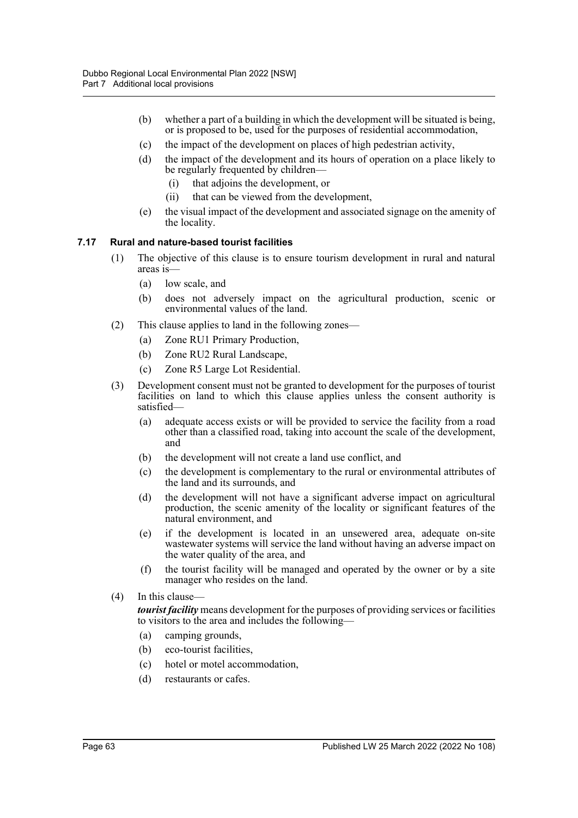- (b) whether a part of a building in which the development will be situated is being, or is proposed to be, used for the purposes of residential accommodation,
- (c) the impact of the development on places of high pedestrian activity,
- (d) the impact of the development and its hours of operation on a place likely to be regularly frequented by children—
	- (i) that adjoins the development, or
	- (ii) that can be viewed from the development,
- (e) the visual impact of the development and associated signage on the amenity of the locality.

## **7.17 Rural and nature-based tourist facilities**

- (1) The objective of this clause is to ensure tourism development in rural and natural areas is—
	- (a) low scale, and
	- (b) does not adversely impact on the agricultural production, scenic or environmental values of the land.
- (2) This clause applies to land in the following zones—
	- (a) Zone RU1 Primary Production,
	- (b) Zone RU2 Rural Landscape,
	- (c) Zone R5 Large Lot Residential.
- (3) Development consent must not be granted to development for the purposes of tourist facilities on land to which this clause applies unless the consent authority is satisfied—
	- (a) adequate access exists or will be provided to service the facility from a road other than a classified road, taking into account the scale of the development, and
	- (b) the development will not create a land use conflict, and
	- (c) the development is complementary to the rural or environmental attributes of the land and its surrounds, and
	- (d) the development will not have a significant adverse impact on agricultural production, the scenic amenity of the locality or significant features of the natural environment, and
	- (e) if the development is located in an unsewered area, adequate on-site wastewater systems will service the land without having an adverse impact on the water quality of the area, and
	- (f) the tourist facility will be managed and operated by the owner or by a site manager who resides on the land.
- (4) In this clause—

*tourist facility* means development for the purposes of providing services or facilities to visitors to the area and includes the following—

- (a) camping grounds,
- (b) eco-tourist facilities,
- (c) hotel or motel accommodation,
- (d) restaurants or cafes.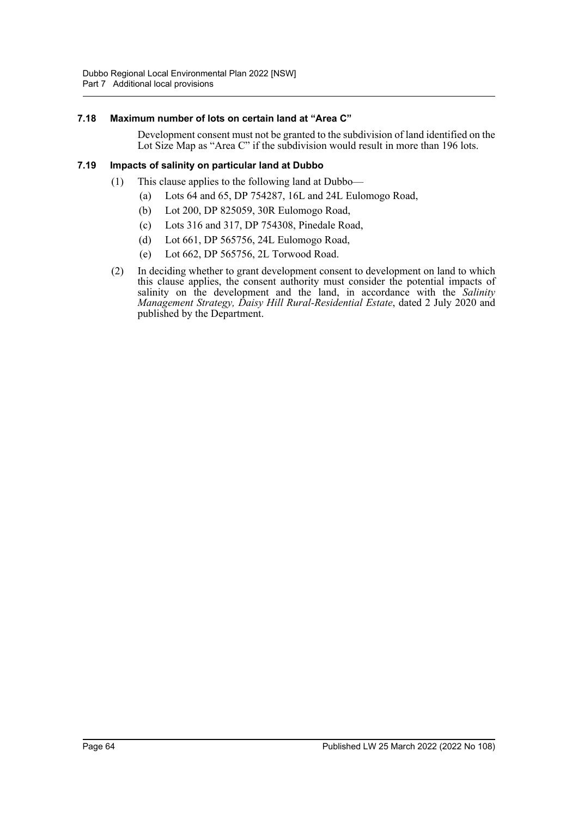## **7.18 Maximum number of lots on certain land at "Area C"**

Development consent must not be granted to the subdivision of land identified on the Lot Size Map as "Area C" if the subdivision would result in more than 196 lots.

## **7.19 Impacts of salinity on particular land at Dubbo**

- (1) This clause applies to the following land at Dubbo—
	- (a) Lots 64 and 65, DP 754287, 16L and 24L Eulomogo Road,
	- (b) Lot 200, DP 825059, 30R Eulomogo Road,
	- (c) Lots 316 and 317, DP 754308, Pinedale Road,
	- (d) Lot 661, DP 565756, 24L Eulomogo Road,
	- (e) Lot 662, DP 565756, 2L Torwood Road.
- (2) In deciding whether to grant development consent to development on land to which this clause applies, the consent authority must consider the potential impacts of salinity on the development and the land, in accordance with the *Salinity Management Strategy, Daisy Hill Rural-Residential Estate*, dated 2 July 2020 and published by the Department.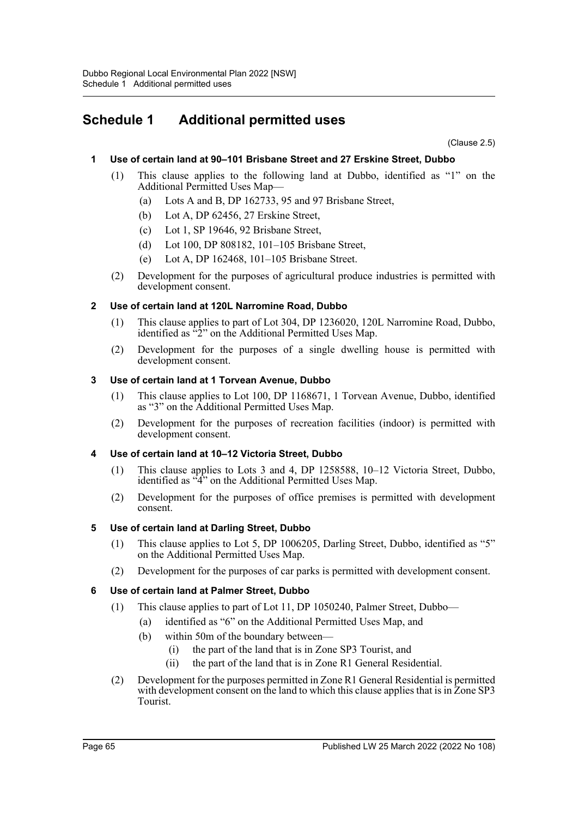## **Schedule 1 Additional permitted uses**

(Clause 2.5)

## **1 Use of certain land at 90–101 Brisbane Street and 27 Erskine Street, Dubbo**

- (1) This clause applies to the following land at Dubbo, identified as "1" on the Additional Permitted Uses Map—
	- (a) Lots A and B, DP 162733, 95 and 97 Brisbane Street,
	- (b) Lot A, DP 62456, 27 Erskine Street,
	- (c) Lot 1, SP 19646, 92 Brisbane Street,
	- (d) Lot 100, DP 808182, 101–105 Brisbane Street,
	- (e) Lot A, DP 162468, 101–105 Brisbane Street.
- (2) Development for the purposes of agricultural produce industries is permitted with development consent.

## **2 Use of certain land at 120L Narromine Road, Dubbo**

- (1) This clause applies to part of Lot 304, DP 1236020, 120L Narromine Road, Dubbo, identified as "2" on the Additional Permitted Uses Map.
- (2) Development for the purposes of a single dwelling house is permitted with development consent.

## **3 Use of certain land at 1 Torvean Avenue, Dubbo**

- (1) This clause applies to Lot 100, DP 1168671, 1 Torvean Avenue, Dubbo, identified as "3" on the Additional Permitted Uses Map.
- (2) Development for the purposes of recreation facilities (indoor) is permitted with development consent.

## **4 Use of certain land at 10–12 Victoria Street, Dubbo**

- (1) This clause applies to Lots 3 and 4, DP 1258588, 10–12 Victoria Street, Dubbo, identified as "4" on the Additional Permitted Uses Map.
- (2) Development for the purposes of office premises is permitted with development consent.

## **5 Use of certain land at Darling Street, Dubbo**

- (1) This clause applies to Lot 5, DP 1006205, Darling Street, Dubbo, identified as "5" on the Additional Permitted Uses Map.
- (2) Development for the purposes of car parks is permitted with development consent.

## **6 Use of certain land at Palmer Street, Dubbo**

- (1) This clause applies to part of Lot 11, DP 1050240, Palmer Street, Dubbo—
	- (a) identified as "6" on the Additional Permitted Uses Map, and
	- (b) within 50m of the boundary between—
		- (i) the part of the land that is in Zone SP3 Tourist, and
		- (ii) the part of the land that is in Zone R1 General Residential.
- (2) Development for the purposes permitted in Zone R1 General Residential is permitted with development consent on the land to which this clause applies that is in Zone SP3 Tourist.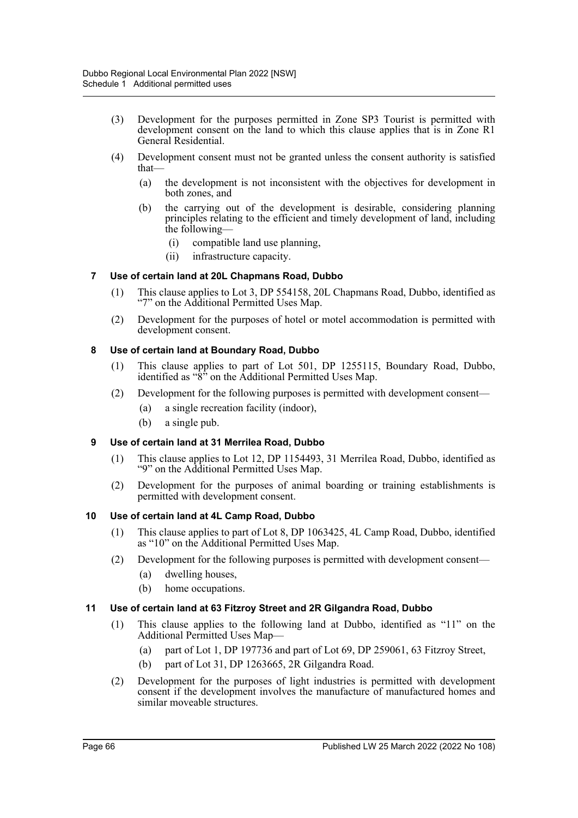- (3) Development for the purposes permitted in Zone SP3 Tourist is permitted with development consent on the land to which this clause applies that is in Zone R1 General Residential.
- (4) Development consent must not be granted unless the consent authority is satisfied that—
	- (a) the development is not inconsistent with the objectives for development in both zones, and
	- (b) the carrying out of the development is desirable, considering planning principles relating to the efficient and timely development of land, including the following—
		- (i) compatible land use planning,
		- (ii) infrastructure capacity.

## **7 Use of certain land at 20L Chapmans Road, Dubbo**

- (1) This clause applies to Lot 3, DP 554158, 20L Chapmans Road, Dubbo, identified as "7" on the Additional Permitted Uses Map.
- (2) Development for the purposes of hotel or motel accommodation is permitted with development consent.

## **8 Use of certain land at Boundary Road, Dubbo**

- (1) This clause applies to part of Lot 501, DP 1255115, Boundary Road, Dubbo, identified as " $\hat{8}$ " on the Additional Permitted Uses Map.
- (2) Development for the following purposes is permitted with development consent—
	- (a) a single recreation facility (indoor),
	- (b) a single pub.

## **9 Use of certain land at 31 Merrilea Road, Dubbo**

- (1) This clause applies to Lot 12, DP 1154493, 31 Merrilea Road, Dubbo, identified as "9" on the Additional Permitted Uses Map.
- (2) Development for the purposes of animal boarding or training establishments is permitted with development consent.

#### **10 Use of certain land at 4L Camp Road, Dubbo**

- (1) This clause applies to part of Lot 8, DP 1063425, 4L Camp Road, Dubbo, identified as "10" on the Additional Permitted Uses Map.
- (2) Development for the following purposes is permitted with development consent—
	- (a) dwelling houses,
	- (b) home occupations.

#### **11 Use of certain land at 63 Fitzroy Street and 2R Gilgandra Road, Dubbo**

- (1) This clause applies to the following land at Dubbo, identified as "11" on the Additional Permitted Uses Map—
	- (a) part of Lot 1, DP 197736 and part of Lot 69, DP 259061, 63 Fitzroy Street,
	- (b) part of Lot 31, DP 1263665, 2R Gilgandra Road.
- (2) Development for the purposes of light industries is permitted with development consent if the development involves the manufacture of manufactured homes and similar moveable structures.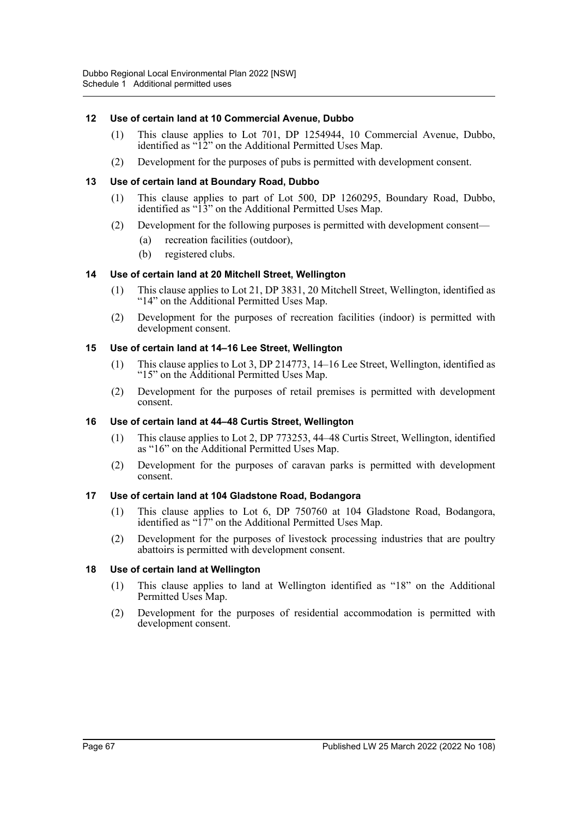## **12 Use of certain land at 10 Commercial Avenue, Dubbo**

- (1) This clause applies to Lot 701, DP 1254944, 10 Commercial Avenue, Dubbo, identified as "12" on the Additional Permitted Uses Map.
- (2) Development for the purposes of pubs is permitted with development consent.

## **13 Use of certain land at Boundary Road, Dubbo**

- (1) This clause applies to part of Lot 500, DP 1260295, Boundary Road, Dubbo, identified as "13" on the Additional Permitted Uses Map.
- (2) Development for the following purposes is permitted with development consent—
	- (a) recreation facilities (outdoor),
	- (b) registered clubs.

#### **14 Use of certain land at 20 Mitchell Street, Wellington**

- (1) This clause applies to Lot 21, DP 3831, 20 Mitchell Street, Wellington, identified as "14" on the Additional Permitted Uses Map.
- (2) Development for the purposes of recreation facilities (indoor) is permitted with development consent.

## **15 Use of certain land at 14–16 Lee Street, Wellington**

- (1) This clause applies to Lot 3, DP 214773, 14–16 Lee Street, Wellington, identified as "15" on the Additional Permitted Uses Map.
- (2) Development for the purposes of retail premises is permitted with development consent.

#### **16 Use of certain land at 44–48 Curtis Street, Wellington**

- (1) This clause applies to Lot 2, DP 773253, 44–48 Curtis Street, Wellington, identified as "16" on the Additional Permitted Uses Map.
- (2) Development for the purposes of caravan parks is permitted with development consent.

#### **17 Use of certain land at 104 Gladstone Road, Bodangora**

- (1) This clause applies to Lot 6, DP 750760 at 104 Gladstone Road, Bodangora, identified as "17" on the Additional Permitted Uses Map.
- (2) Development for the purposes of livestock processing industries that are poultry abattoirs is permitted with development consent.

#### **18 Use of certain land at Wellington**

- (1) This clause applies to land at Wellington identified as "18" on the Additional Permitted Uses Map.
- (2) Development for the purposes of residential accommodation is permitted with development consent.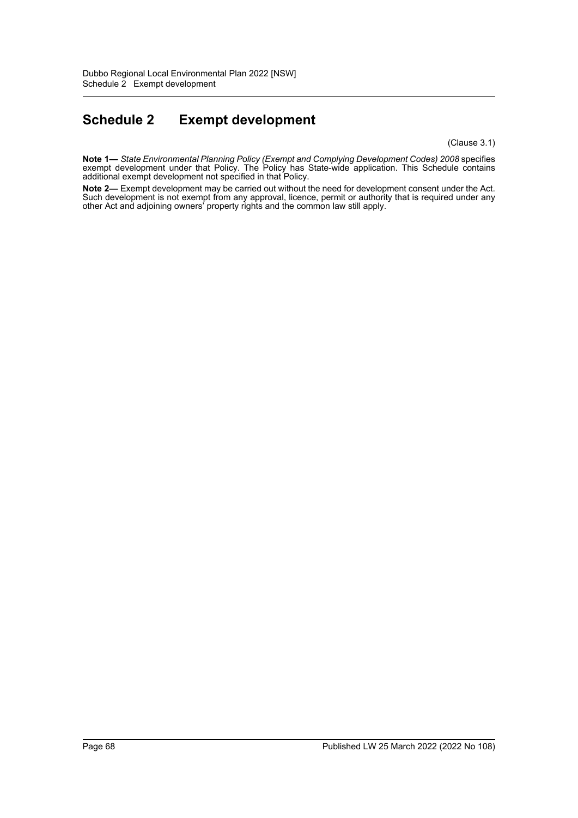# **Schedule 2 Exempt development**

(Clause 3.1)

**Note 1—** *State Environmental Planning Policy (Exempt and Complying Development Codes) 2008* specifies exempt development under that Policy. The Policy has State-wide application. This Schedule contains additional exempt development not specified in that Policy.

**Note 2—** Exempt development may be carried out without the need for development consent under the Act. Such development is not exempt from any approval, licence, permit or authority that is required under any other Act and adjoining owners' property rights and the common law still apply.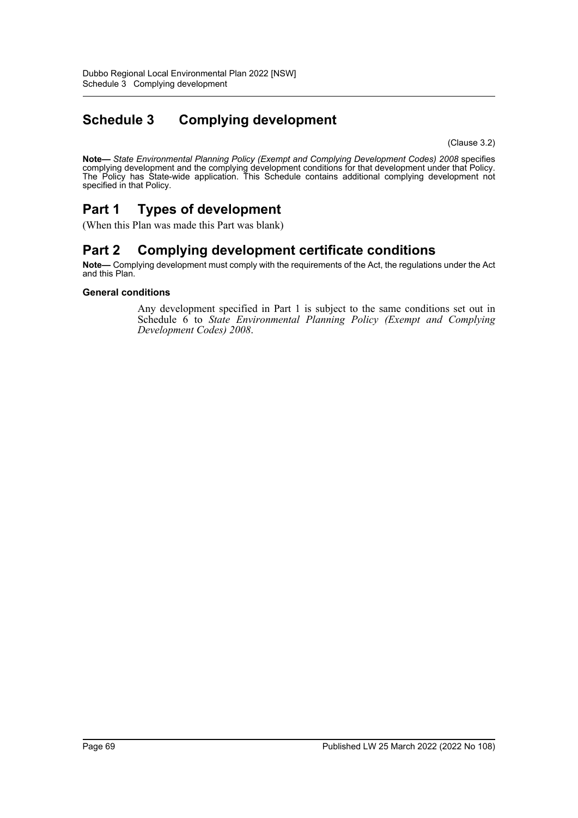# **Schedule 3 Complying development**

(Clause 3.2)

**Note—** *State Environmental Planning Policy (Exempt and Complying Development Codes) 2008* specifies complying development and the complying development conditions for that development under that Policy. The Policy has State-wide application. This Schedule contains additional complying development not specified in that Policy.

## **Part 1 Types of development**

(When this Plan was made this Part was blank)

## **Part 2 Complying development certificate conditions**

**Note—** Complying development must comply with the requirements of the Act, the regulations under the Act and this Plan.

## **General conditions**

Any development specified in Part 1 is subject to the same conditions set out in Schedule 6 to *State Environmental Planning Policy (Exempt and Complying Development Codes) 2008*.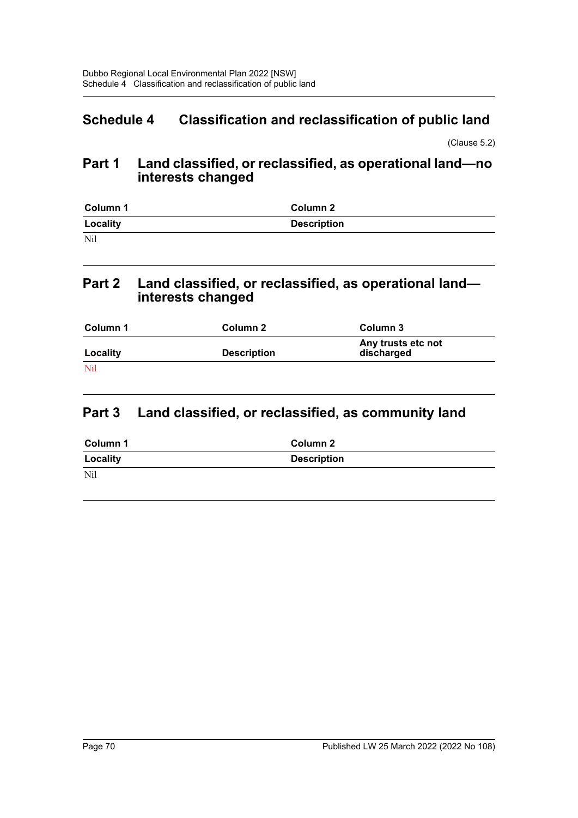## **Schedule 4 Classification and reclassification of public land**

(Clause 5.2)

## **Part 1 Land classified, or reclassified, as operational land—no interests changed**

| Column 1 | Column 2           |
|----------|--------------------|
| Locality | <b>Description</b> |
| Nil      |                    |

## **Part 2 Land classified, or reclassified, as operational land interests changed**

| Column 1   | Column 2           | Column 3                         |
|------------|--------------------|----------------------------------|
| Locality   | <b>Description</b> | Any trusts etc not<br>discharged |
| <b>Nil</b> |                    |                                  |

## **Part 3 Land classified, or reclassified, as community land**

| Column 1 | Column 2           |
|----------|--------------------|
| Locality | <b>Description</b> |
| Nil      |                    |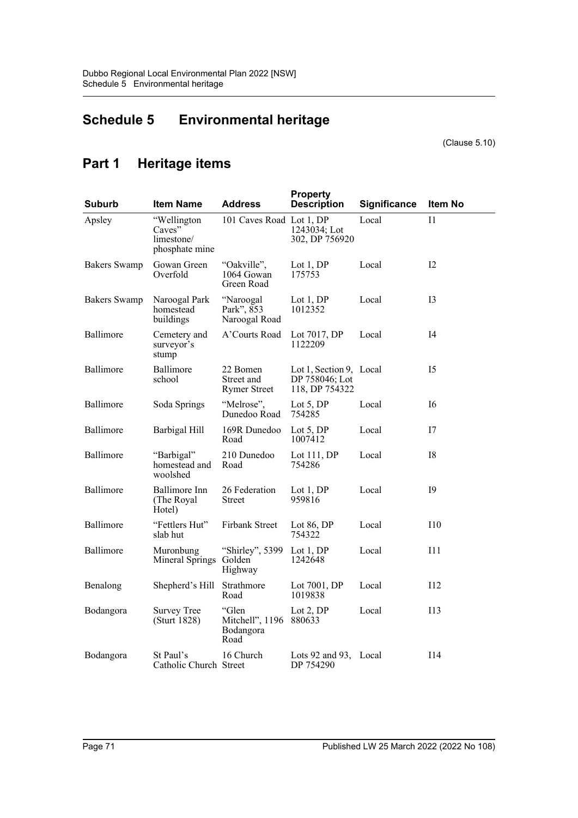## **Schedule 5 Environmental heritage**

(Clause 5.10)

## **Part 1 Heritage items**

| Suburb              | <b>Item Name</b>                                      | <b>Address</b>                                | <b>Property</b><br><b>Description</b>                       | Significance | Item No        |
|---------------------|-------------------------------------------------------|-----------------------------------------------|-------------------------------------------------------------|--------------|----------------|
| Apsley              | "Wellington<br>Caves"<br>limestone/<br>phosphate mine | 101 Caves Road Lot 1, DP                      | 1243034; Lot<br>302, DP 756920                              | Local        | I <sub>1</sub> |
| <b>Bakers</b> Swamp | Gowan Green<br>Overfold                               | "Oakville".<br>1064 Gowan<br>Green Road       | Lot 1, DP<br>175753                                         | Local        | 12             |
| <b>Bakers Swamp</b> | Naroogal Park<br>homestead<br>buildings               | "Naroogal<br>Park", 853<br>Naroogal Road      | Lot $1,DP$<br>1012352                                       | Local        | 13             |
| Ballimore           | Cemetery and<br>surveyor's<br>stump                   | A'Courts Road                                 | Lot 7017, DP<br>1122209                                     | Local        | 14             |
| Ballimore           | Ballimore<br>school                                   | 22 Bomen<br>Street and<br><b>Rymer Street</b> | Lot 1, Section 9, Local<br>DP 758046; Lot<br>118, DP 754322 |              | I5             |
| Ballimore           | Soda Springs                                          | "Melrose".<br>Dunedoo Road                    | Lot $5$ , DP<br>754285                                      | Local        | 16             |
| Ballimore           | Barbigal Hill                                         | 169R Dunedoo<br>Road                          | Lot $5, DP$<br>1007412                                      | Local        | 17             |
| Ballimore           | "Barbigal"<br>homestead and<br>woolshed               | 210 Dunedoo<br>Road                           | Lot 111, DP<br>754286                                       | Local        | I8             |
| Ballimore           | Ballimore Inn<br>(The Royal)<br>Hotel)                | 26 Federation<br><b>Street</b>                | Lot 1, DP<br>959816                                         | Local        | 19             |
| Ballimore           | "Fettlers Hut"<br>slab hut                            | Firbank Street                                | Lot 86, DP<br>754322                                        | Local        | I10            |
| Ballimore           | Muronbung<br>Mineral Springs                          | "Shirley", 5399<br>Golden<br>Highway          | Lot 1, DP<br>1242648                                        | Local        | 111            |
| Benalong            | Shepherd's Hill                                       | Strathmore<br>Road                            | Lot 7001, DP<br>1019838                                     | Local        | 112            |
| Bodangora           | <b>Survey Tree</b><br>(Sturt 1828)                    | "Glen<br>Mitchell", 1196<br>Bodangora<br>Road | Lot 2, DP<br>880633                                         | Local        | <b>I13</b>     |
| Bodangora           | St Paul's<br>Catholic Church Street                   | 16 Church                                     | Lots 92 and 93, Local<br>DP 754290                          |              | I14            |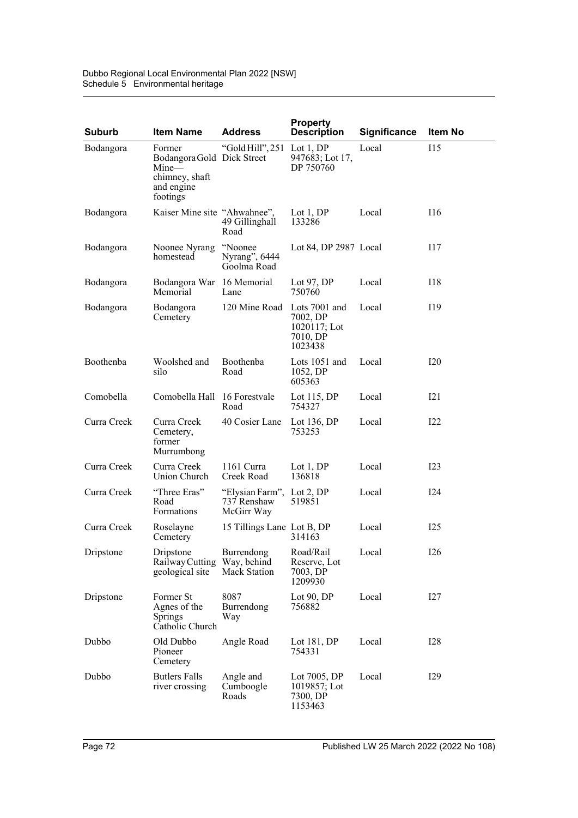| <b>Suburb</b> | <b>Item Name</b>                                                                          | <b>Address</b>                                         | <b>Property</b><br><b>Description</b>               | <b>Significance</b> | <b>Item No</b> |
|---------------|-------------------------------------------------------------------------------------------|--------------------------------------------------------|-----------------------------------------------------|---------------------|----------------|
| Bodangora     | Former<br>Bodangora Gold Dick Street<br>Mine-<br>chimney, shaft<br>and engine<br>footings | "Gold Hill", 251 Lot 1, DP                             | 947683; Lot 17,<br>DP 750760                        | Local               | I15            |
| Bodangora     | Kaiser Mine site "Ahwahnee",                                                              | 49 Gillinghall<br>Road                                 | Lot $1,DP$<br>133286                                | Local               | 116            |
| Bodangora     | Noonee Nyrang<br>homestead                                                                | "Noonee<br>Nyrang", 6444<br>Goolma Road                | Lot 84, DP 2987 Local                               |                     | 117            |
| Bodangora     | Bodangora War 16 Memorial<br>Memorial                                                     | Lane                                                   | Lot 97, $DP$<br>750760                              | Local               | I18            |
| Bodangora     | Bodangora<br>Cemetery                                                                     | 120 Mine Road Lots 7001 and                            | 7002, DP<br>$1020117$ ; Lot<br>7010, DP<br>1023438  | Local               | I19            |
| Boothenba     | Woolshed and<br>silo                                                                      | Boothenba<br>Road                                      | Lots 1051 and<br>1052, DP<br>605363                 | Local               | I20            |
| Comobella     | Comobella Hall 16 Forestvale                                                              | Road                                                   | Lot $115$ , DP<br>754327                            | Local               | 121            |
| Curra Creek   | Curra Creek<br>Cemetery,<br>former<br>Murrumbong                                          | 40 Cosier Lane                                         | Lot 136, $DP$<br>753253                             | Local               | I22            |
| Curra Creek   | Curra Creek<br>Union Church                                                               | 1161 Curra<br>Creek Road                               | Lot $1,DP$<br>136818                                | Local               | I23            |
| Curra Creek   | "Three Eras"<br>Road<br>Formations                                                        | "Elysian Farm", Lot 2, DP<br>737 Renshaw<br>McGirr Way | 519851                                              | Local               | I24            |
| Curra Creek   | Roselayne<br>Cemetery                                                                     | 15 Tillings Lane Lot B, DP                             | 314163                                              | Local               | 125            |
| Dripstone     | Dripstone<br>Railway Cutting Way, behind<br>geological site                               | Burrendong<br>Mack Station                             | Road/Rail<br>Reserve, Lot<br>7003, DP<br>1209930    | Local               | <b>I26</b>     |
| Dripstone     | Former St<br>Agnes of the<br><b>Springs</b><br>Catholic Church                            | 8087<br>Burrendong<br>Way                              | Lot $90, DP$<br>756882                              | Local               | 127            |
| Dubbo         | Old Dubbo<br>Pioneer<br>Cemetery                                                          | Angle Road                                             | Lot $181, DP$<br>754331                             | Local               | <b>I28</b>     |
| Dubbo         | <b>Butlers Falls</b><br>river crossing                                                    | Angle and<br>Cumboogle<br>Roads                        | Lot 7005, DP<br>1019857; Lot<br>7300, DP<br>1153463 | Local               | I29            |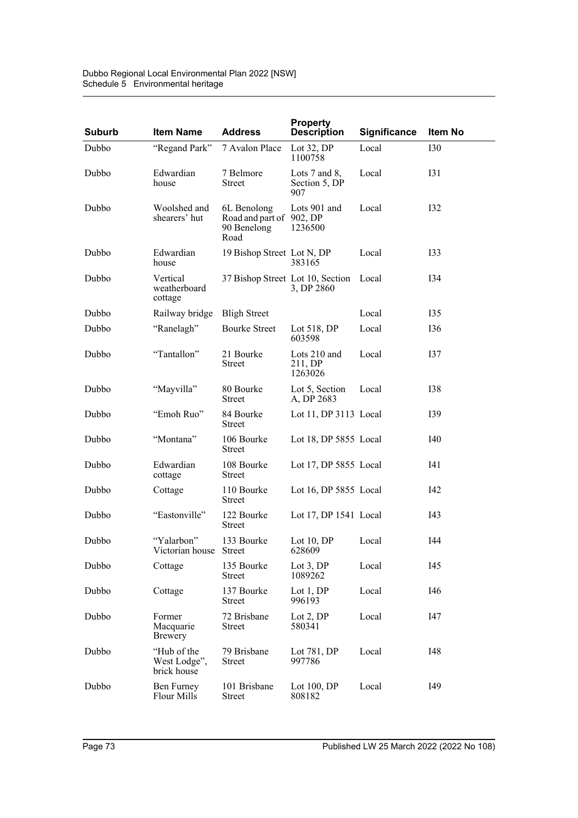| Dubbo Regional Local Environmental Plan 2022 [NSW] |
|----------------------------------------------------|
| Schedule 5 Environmental heritage                  |

| <b>Suburb</b> | <b>Item Name</b>                           | <b>Address</b>                                                 | <b>Property</b><br><b>Description</b>                | <b>Significance</b> | Item No    |
|---------------|--------------------------------------------|----------------------------------------------------------------|------------------------------------------------------|---------------------|------------|
| Dubbo         | "Regand Park"                              | 7 Avalon Place                                                 | Lot $32$ , DP<br>1100758                             | Local               | <b>I30</b> |
| Dubbo         | Edwardian<br>house                         | 7 Belmore<br><b>Street</b>                                     | Lots $7$ and $8$ ,<br>Section 5, DP<br>907           | Local               | <b>I31</b> |
| Dubbo         | Woolshed and<br>shearers' hut              | 6L Benolong<br>Road and part of 902, DP<br>90 Benelong<br>Road | Lots 901 and<br>1236500                              | Local               | <b>I32</b> |
| Dubbo         | Edwardian<br>house                         | 19 Bishop Street Lot N, DP                                     | 383165                                               | Local               | <b>I33</b> |
| Dubbo         | Vertical<br>weatherboard<br>cottage        |                                                                | 37 Bishop Street Lot 10, Section Local<br>3, DP 2860 |                     | I34        |
| Dubbo         | Railway bridge                             | <b>Bligh Street</b>                                            |                                                      | Local               | I35        |
| Dubbo         | "Ranelagh"                                 | <b>Bourke Street</b>                                           | Lot $518$ , DP<br>603598                             | Local               | I36        |
| Dubbo         | "Tantallon"                                | 21 Bourke<br>Street                                            | Lots 210 and<br>211, DP<br>1263026                   | Local               | <b>I37</b> |
| Dubbo         | "Mayvilla"                                 | 80 Bourke<br><b>Street</b>                                     | Lot 5, Section<br>A, DP 2683                         | Local               | <b>I38</b> |
| Dubbo         | "Emoh Ruo"                                 | 84 Bourke<br>Street                                            | Lot 11, DP 3113 Local                                |                     | I39        |
| Dubbo         | "Montana"                                  | 106 Bourke<br>Street                                           | Lot 18, DP $5855$ Local                              |                     | I40        |
| Dubbo         | Edwardian<br>cottage                       | 108 Bourke<br><b>Street</b>                                    | Lot 17, DP 5855 Local                                |                     | I41        |
| Dubbo         | Cottage                                    | 110 Bourke<br>Street                                           | Lot 16, DP 5855 Local                                |                     | I42        |
| Dubbo         | "Eastonville"                              | 122 Bourke<br>Street                                           | Lot 17, DP 1541 Local                                |                     | I43        |
| Dubbo         | "Yalarbon"<br>Victorian house Street       | 133 Bourke                                                     | Lot $10, DP$<br>628609                               | Local               | I44        |
| Dubbo         | Cottage                                    | 135 Bourke<br><b>Street</b>                                    | Lot $3$ , DP<br>1089262                              | Local               | I45        |
| Dubbo         | Cottage                                    | 137 Bourke<br><b>Street</b>                                    | Lot $1, DP$<br>996193                                | Local               | I46        |
| Dubbo         | Former<br>Macquarie<br>Brewery             | 72 Brisbane<br><b>Street</b>                                   | Lot $2,DP$<br>580341                                 | Local               | I47        |
| Dubbo         | "Hub of the<br>West Lodge",<br>brick house | 79 Brisbane<br><b>Street</b>                                   | Lot 781, DP<br>997786                                | Local               | I48        |
| Dubbo         | Ben Furney<br>Flour Mills                  | 101 Brisbane<br><b>Street</b>                                  | Lot $100$ , DP<br>808182                             | Local               | I49        |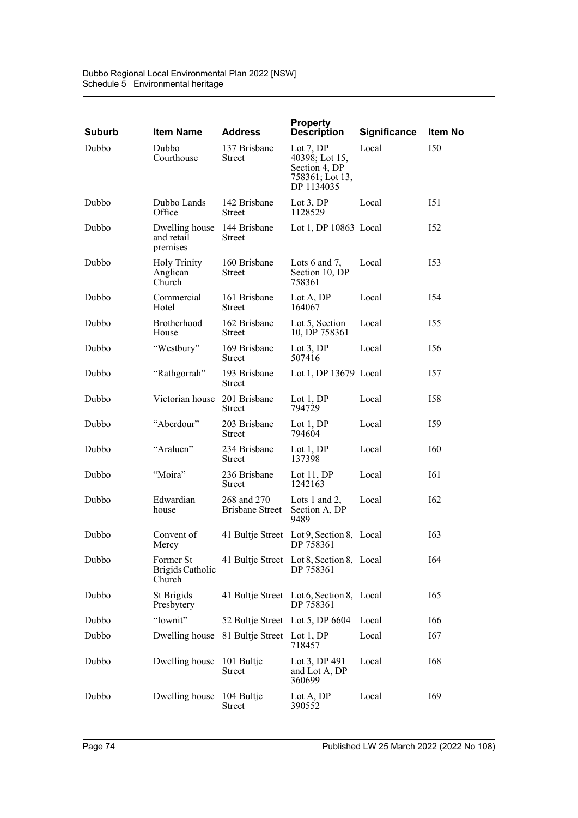| <b>Suburb</b> | <b>Item Name</b>                                      | <b>Address</b>                            | <b>Property</b><br><b>Description</b>                                           | <b>Significance</b> | Item No         |
|---------------|-------------------------------------------------------|-------------------------------------------|---------------------------------------------------------------------------------|---------------------|-----------------|
| Dubbo         | Dubbo<br>Courthouse                                   | 137 Brisbane<br>Street                    | Lot $7, DP$<br>40398; Lot 15,<br>Section 4, DP<br>758361; Lot 13,<br>DP 1134035 | Local               | <b>I50</b>      |
| Dubbo         | Dubbo Lands<br>Office                                 | 142 Brisbane<br><b>Street</b>             | Lot $3,DP$<br>1128529                                                           | Local               | I51             |
| Dubbo         | Dwelling house 144 Brisbane<br>and retail<br>premises | <b>Street</b>                             | Lot 1, DP $10863$ Local                                                         |                     | I <sub>52</sub> |
| Dubbo         | <b>Holy Trinity</b><br>Anglican<br>Church             | 160 Brisbane<br><b>Street</b>             | Lots $6$ and $7$ ,<br>Section 10, DP<br>758361                                  | Local               | I53             |
| Dubbo         | Commercial<br>Hotel                                   | 161 Brisbane<br>Street                    | Lot A, DP<br>164067                                                             | Local               | I54             |
| Dubbo         | Brotherhood<br>House                                  | 162 Brisbane<br>Street                    | Lot 5, Section<br>10, DP 758361                                                 | Local               | I55             |
| Dubbo         | "Westbury"                                            | 169 Brisbane<br><b>Street</b>             | Lot $3,DP$<br>507416                                                            | Local               | I <sub>56</sub> |
| Dubbo         | "Rathgorrah"                                          | 193 Brisbane<br><b>Street</b>             | Lot 1, DP 13679 Local                                                           |                     | 157             |
| Dubbo         | Victorian house 201 Brisbane                          | Street                                    | Lot $1,DP$<br>794729                                                            | Local               | <b>I58</b>      |
| Dubbo         | "Aberdour"                                            | 203 Brisbane<br>Street                    | Lot $1, DP$<br>794604                                                           | Local               | I59             |
| Dubbo         | "Araluen"                                             | 234 Brisbane<br>Street                    | Lot $1, DP$<br>137398                                                           | Local               | I60             |
| Dubbo         | "Moira"                                               | 236 Brisbane<br>Street                    | Lot $11, DP$<br>1242163                                                         | Local               | I61             |
| Dubbo         | Edwardian<br>house                                    | 268 and 270<br><b>Brisbane Street</b>     | Lots 1 and 2,<br>Section A, DP<br>9489                                          | Local               | I <sub>62</sub> |
| Dubbo         | Convent of<br>Mercy                                   |                                           | 41 Bultje Street Lot 9, Section 8, Local<br>DP 758361                           |                     | I63             |
| Dubbo         | Former St<br>Brigids Catholic<br>Church               |                                           | 41 Bultje Street Lot 8, Section 8, Local<br>DP 758361                           |                     | <b>I64</b>      |
| Dubbo         | St Brigids<br>Presbytery                              |                                           | 41 Bultje Street Lot 6, Section 8, Local<br>DP 758361                           |                     | I65             |
| Dubbo         | "Iownit"                                              | 52 Bultje Street Lot 5, DP 6604           |                                                                                 | Local               | I66             |
| Dubbo         |                                                       | Dwelling house 81 Bultje Street Lot 1, DP | 718457                                                                          | Local               | I67             |
| Dubbo         | Dwelling house 101 Bultje                             | <b>Street</b>                             | Lot 3, DP 491<br>and Lot A, DP<br>360699                                        | Local               | <b>I68</b>      |
| Dubbo         | Dwelling house 104 Bultje                             | <b>Street</b>                             | Lot A, DP<br>390552                                                             | Local               | I69             |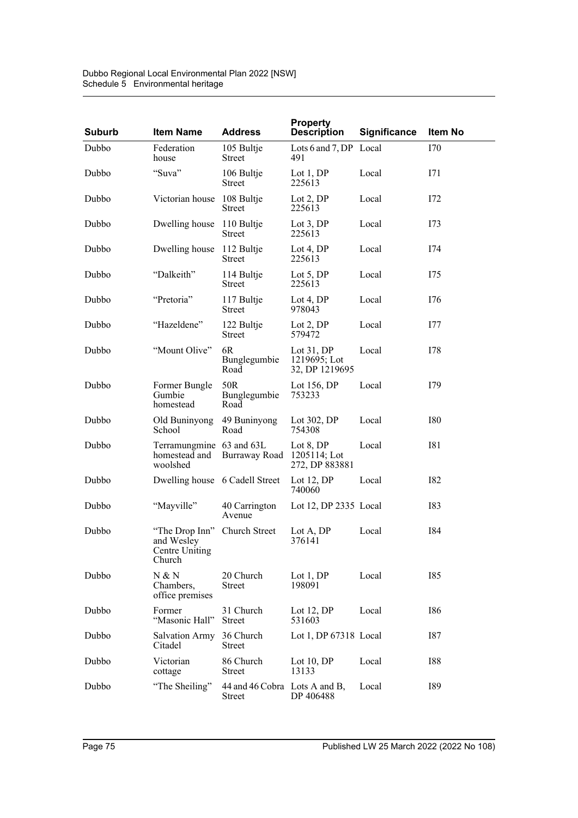| <b>Suburb</b> | <b>Item Name</b>                                                | <b>Address</b>                                 | <b>Property</b><br><b>Description</b>         | <b>Significance</b> | Item No    |
|---------------|-----------------------------------------------------------------|------------------------------------------------|-----------------------------------------------|---------------------|------------|
| Dubbo         | Federation<br>house                                             | 105 Bultje<br><b>Street</b>                    | Lots 6 and 7, DP Local<br>491                 |                     | I70        |
| Dubbo         | "Suva"                                                          | 106 Bultje<br><b>Street</b>                    | Lot $1, DP$<br>225613                         | Local               | I71        |
| Dubbo         | Victorian house                                                 | 108 Bultje<br>Street                           | Lot $2,DP$<br>225613                          | Local               | I72        |
| Dubbo         | Dwelling house                                                  | 110 Bultje<br><b>Street</b>                    | Lot $3,DP$<br>225613                          | Local               | 173        |
| Dubbo         | Dwelling house                                                  | 112 Bultje<br><b>Street</b>                    | Lot 4, $DP$<br>225613                         | Local               | I74        |
| Dubbo         | "Dalkeith"                                                      | 114 Bultje<br><b>Street</b>                    | Lot $5, DP$<br>225613                         | Local               | I75        |
| Dubbo         | "Pretoria"                                                      | 117 Bultje<br><b>Street</b>                    | Lot 4, $DP$<br>978043                         | Local               | I76        |
| Dubbo         | "Hazeldene"                                                     | 122 Bultje<br>Street                           | Lot $2,DP$<br>579472                          | Local               | 177        |
| Dubbo         | "Mount Olive"                                                   | 6R<br>Bunglegumbie<br>Road                     | Lot $31,DP$<br>1219695; Lot<br>32, DP 1219695 | Local               | I78        |
| Dubbo         | Former Bungle<br>Gumbie<br>homestead                            | 50R<br>Bunglegumbie<br>Road                    | Lot $156, DP$<br>753233                       | Local               | I79        |
| Dubbo         | Old Buninyong<br>School                                         | 49 Buninyong<br>Road                           | Lot $302$ , DP<br>754308                      | Local               | <b>I80</b> |
| Dubbo         | Terramungmine 63 and 63L<br>homestead and<br>woolshed           | Burraway Road                                  | Lot 8, DP<br>1205114; Lot<br>272, DP 883881   | Local               | <b>I81</b> |
| Dubbo         | Dwelling house 6 Cadell Street                                  |                                                | Lot 12, DP<br>740060                          | Local               | <b>I82</b> |
| Dubbo         | "Mayville"                                                      | 40 Carrington<br>Avenue                        | Lot 12, DP $2335$ Local                       |                     | <b>I83</b> |
| Dubbo         | "The Drop Inn"<br>and Wesley<br><b>Centre Uniting</b><br>Church | Church Street                                  | Lot A, DP<br>376141                           | Local               | I84        |
| Dubbo         | N & N<br>Chambers,<br>office premises                           | 20 Church<br><b>Street</b>                     | Lot 1, DP<br>198091                           | Local               | I85        |
| Dubbo         | Former<br>"Masonic Hall"                                        | 31 Church<br><b>Street</b>                     | Lot 12, DP<br>531603                          | Local               | <b>I86</b> |
| Dubbo         | Salvation Army<br>Citadel                                       | 36 Church<br><b>Street</b>                     | Lot 1, DP 67318 Local                         |                     | I87        |
| Dubbo         | Victorian<br>cottage                                            | 86 Church<br><b>Street</b>                     | Lot 10, DP<br>13133                           | Local               | <b>I88</b> |
| Dubbo         | "The Sheiling"                                                  | 44 and 46 Cobra Lots A and B,<br><b>Street</b> | DP 406488                                     | Local               | I89        |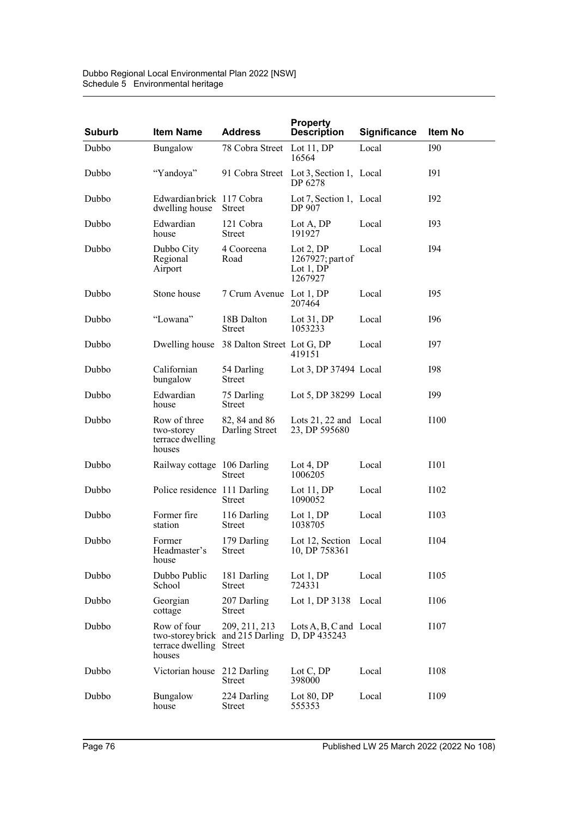| <b>Suburb</b> | <b>Item Name</b>                                         | <b>Address</b>                                    | <b>Property</b><br><b>Description</b>                   | <b>Significance</b> | Item No     |
|---------------|----------------------------------------------------------|---------------------------------------------------|---------------------------------------------------------|---------------------|-------------|
| Dubbo         | Bungalow                                                 | 78 Cobra Street Lot 11, DP                        | 16564                                                   | Local               | <b>I90</b>  |
| Dubbo         | "Yandoya"                                                |                                                   | 91 Cobra Street Lot 3, Section 1, Local<br>DP 6278      |                     | <b>I91</b>  |
| Dubbo         | Edwardian brick 117 Cobra<br>dwelling house              | <b>Street</b>                                     | Lot 7, Section 1, Local<br>DP 907                       |                     | <b>I92</b>  |
| Dubbo         | Edwardian<br>house                                       | 121 Cobra<br>Street                               | Lot A, DP<br>191927                                     | Local               | <b>I93</b>  |
| Dubbo         | Dubbo City<br>Regional<br>Airport                        | 4 Cooreena<br>Road                                | Lot $2,DP$<br>1267927; part of<br>Lot $1,DP$<br>1267927 | Local               | <b>I94</b>  |
| Dubbo         | Stone house                                              | 7 Crum Avenue Lot 1, DP                           | 207464                                                  | Local               | <b>I95</b>  |
| Dubbo         | "Lowana"                                                 | 18B Dalton<br><b>Street</b>                       | Lot $31,DP$<br>1053233                                  | Local               | I96         |
| Dubbo         |                                                          | Dwelling house 38 Dalton Street Lot G, DP         | 419151                                                  | Local               | <b>197</b>  |
| Dubbo         | Californian<br>bungalow                                  | 54 Darling<br><b>Street</b>                       | Lot 3, DP 37494 Local                                   |                     | <b>I98</b>  |
| Dubbo         | Edwardian<br>house                                       | 75 Darling<br>Street                              | Lot 5, DP 38299 Local                                   |                     | <b>I99</b>  |
| Dubbo         | Row of three<br>two-storey<br>terrace dwelling<br>houses | 82, 84 and 86<br>Darling Street                   | Lots 21, 22 and Local<br>23, DP 595680                  |                     | <b>I100</b> |
| Dubbo         | Railway cottage 106 Darling                              | Street                                            | Lot 4, $DP$<br>1006205                                  | Local               | <b>I101</b> |
| Dubbo         | Police residence 111 Darling                             | Street                                            | Lot $11, DP$<br>1090052                                 | Local               | I102        |
| Dubbo         | Former fire<br>station                                   | 116 Darling<br><b>Street</b>                      | Lot $1,DP$<br>1038705                                   | Local               | I103        |
| Dubbo         | Former<br>Headmaster's<br>house                          | 179 Darling<br>Street                             | Lot 12, Section Local<br>10, DP 758361                  |                     | I104        |
| Dubbo         | Dubbo Public<br>School                                   | 181 Darling<br><b>Street</b>                      | Lot $1,DP$<br>724331                                    | Local               | <b>I105</b> |
| Dubbo         | Georgian<br>cottage                                      | 207 Darling<br>Street                             | Lot 1, DP $3138$ Local                                  |                     | I106        |
| Dubbo         | Row of four<br>terrace dwelling Street<br>houses         | 209, 211, 213<br>two-storey brick and 215 Darling | Lots A, B, C and Local<br>D, DP 435243                  |                     | I107        |
| Dubbo         | Victorian house 212 Darling                              | <b>Street</b>                                     | Lot C, DP<br>398000                                     | Local               | I108        |
| Dubbo         | Bungalow<br>house                                        | 224 Darling<br><b>Street</b>                      | Lot $80, DP$<br>555353                                  | Local               | I109        |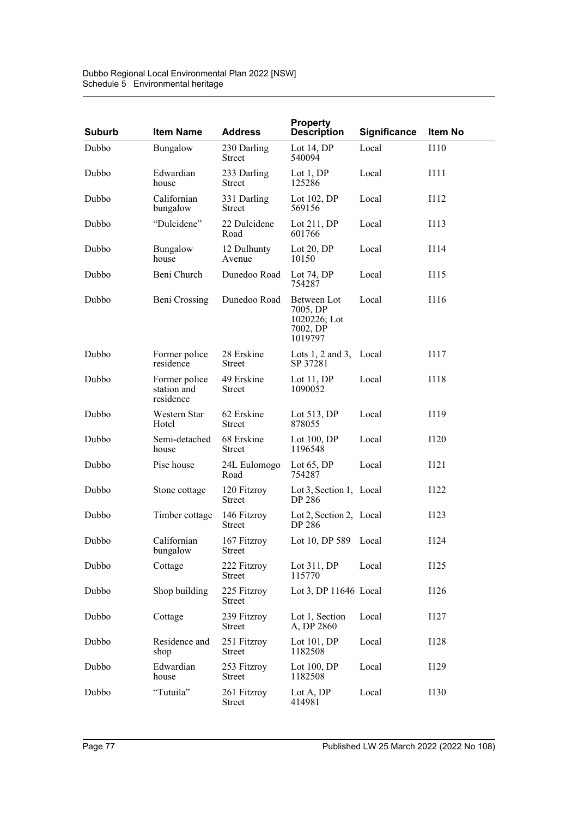| <b>Suburb</b> | <b>Item Name</b>                          | <b>Address</b>               | <b>Property</b><br><b>Description</b>                          | <b>Significance</b> | Item No     |
|---------------|-------------------------------------------|------------------------------|----------------------------------------------------------------|---------------------|-------------|
| Dubbo         | Bungalow                                  | 230 Darling<br><b>Street</b> | Lot 14, $DP$<br>540094                                         | Local               | <b>I110</b> |
| Dubbo         | Edwardian<br>house                        | 233 Darling<br>Street        | Lot $1, DP$<br>125286                                          | Local               | I111        |
| Dubbo         | Californian<br>bungalow                   | 331 Darling<br><b>Street</b> | Lot $102$ , DP<br>569156                                       | Local               | I112        |
| Dubbo         | "Dulcidene"                               | 22 Dulcidene<br>Road         | Lot $211$ , DP<br>601766                                       | Local               | I113        |
| Dubbo         | Bungalow<br>house                         | 12 Dulhunty<br>Avenue        | Lot $20, DP$<br>10150                                          | Local               | I114        |
| Dubbo         | Beni Church                               | Dunedoo Road                 | Lot $74, DP$<br>754287                                         | Local               | I115        |
| Dubbo         | Beni Crossing                             | Dunedoo Road                 | Between Lot<br>7005, DP<br>1020226; Lot<br>7002, DP<br>1019797 | Local               | I116        |
| Dubbo         | Former police<br>residence                | 28 Erskine<br><b>Street</b>  | Lots $1, 2$ and $3$ , Local<br>SP 37281                        |                     | I117        |
| Dubbo         | Former police<br>station and<br>residence | 49 Erskine<br>Street         | Lot $11, DP$<br>1090052                                        | Local               | I118        |
| Dubbo         | Western Star<br>Hotel                     | 62 Erskine<br><b>Street</b>  | Lot $513$ , DP<br>878055                                       | Local               | I119        |
| Dubbo         | Semi-detached<br>house                    | 68 Erskine<br>Street         | Lot $100$ , DP<br>1196548                                      | Local               | I120        |
| Dubbo         | Pise house                                | 24L Eulomogo<br>Road         | Lot $65$ , DP<br>754287                                        | Local               | I121        |
| Dubbo         | Stone cottage                             | 120 Fitzroy<br><b>Street</b> | Lot 3, Section 1, Local<br><b>DP 286</b>                       |                     | I122        |
| Dubbo         | Timber cottage                            | 146 Fitzroy<br>Street        | Lot 2, Section 2, Local<br>DP 286                              |                     | I123        |
| Dubbo         | Californian<br>bungalow                   | 167 Fitzroy<br>Street        | Lot 10, DP 589 Local                                           |                     | I124        |
| Dubbo         | Cottage                                   | 222 Fitzroy<br><b>Street</b> | Lot $311, DP$<br>115770                                        | Local               | I125        |
| Dubbo         | Shop building                             | 225 Fitzroy<br>Street        | Lot 3, DP $11646$ Local                                        |                     | <b>I126</b> |
| Dubbo         | Cottage                                   | 239 Fitzroy<br><b>Street</b> | Lot 1, Section<br>A, DP 2860                                   | Local               | I127        |
| Dubbo         | Residence and<br>shop                     | 251 Fitzroy<br>Street        | Lot $101$ , DP<br>1182508                                      | Local               | I128        |
| Dubbo         | Edwardian<br>house                        | 253 Fitzroy<br>Street        | Lot $100$ , DP<br>1182508                                      | Local               | I129        |
| Dubbo         | "Tutuila"                                 | 261 Fitzroy<br><b>Street</b> | Lot A, DP<br>414981                                            | Local               | I130        |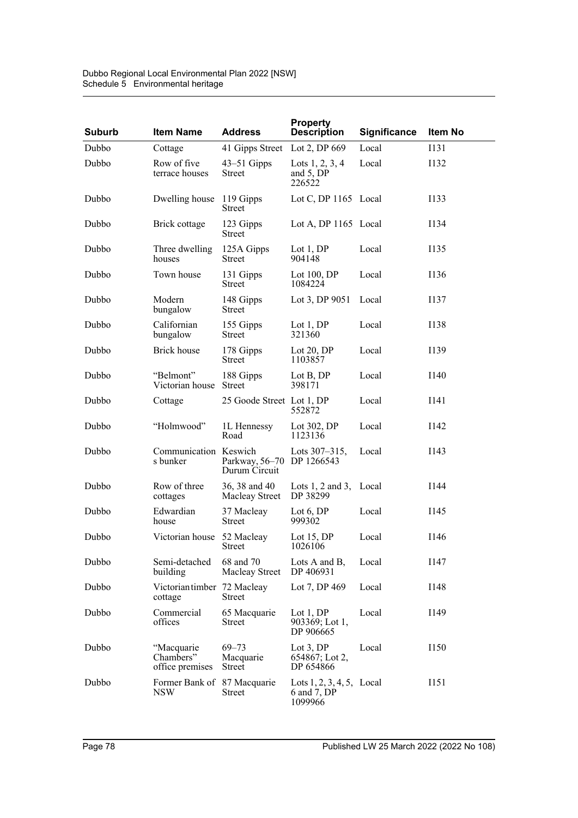| Dubbo Regional Local Environmental Plan 2022 [NSW] |
|----------------------------------------------------|
| Schedule 5 Environmental heritage                  |

| <b>Suburb</b> | <b>Item Name</b>                           | <b>Address</b>                             | <b>Property</b><br><b>Description</b>               | Significance | <b>Item No</b> |
|---------------|--------------------------------------------|--------------------------------------------|-----------------------------------------------------|--------------|----------------|
| Dubbo         | Cottage                                    | 41 Gipps Street                            | Lot 2, DP 669                                       | Local        | <b>I131</b>    |
| Dubbo         | Row of five<br>terrace houses              | $43 - 51$ Gipps<br>Street                  | Lots $1, 2, 3, 4$<br>and 5, DP<br>226522            | Local        | I132           |
| Dubbo         | Dwelling house                             | 119 Gipps<br>Street                        | Lot C, DP 1165 Local                                |              | I133           |
| Dubbo         | Brick cottage                              | 123 Gipps<br>Street                        | Lot A, DP 1165 Local                                |              | I134           |
| Dubbo         | Three dwelling<br>houses                   | 125A Gipps<br><b>Street</b>                | Lot $1, DP$<br>904148                               | Local        | I135           |
| Dubbo         | Town house                                 | 131 Gipps<br>Street                        | Lot $100$ , DP<br>1084224                           | Local        | I136           |
| Dubbo         | Modern<br>bungalow                         | 148 Gipps<br>Street                        | Lot 3, DP 9051                                      | Local        | I137           |
| Dubbo         | Californian<br>bungalow                    | 155 Gipps<br>Street                        | Lot $1,DP$<br>321360                                | Local        | I138           |
| Dubbo         | <b>Brick</b> house                         | 178 Gipps<br><b>Street</b>                 | Lot $20, DP$<br>1103857                             | Local        | I139           |
| Dubbo         | "Belmont"<br>Victorian house               | 188 Gipps<br><b>Street</b>                 | Lot B, DP<br>398171                                 | Local        | I140           |
| Dubbo         | Cottage                                    | 25 Goode Street Lot 1, DP                  | 552872                                              | Local        | I141           |
| Dubbo         | "Holmwood"                                 | 1L Hennessy<br>Road                        | Lot 302, DP<br>1123136                              | Local        | I142           |
| Dubbo         | Communication Keswich<br>s bunker          | Parkway, 56-70 DP 1266543<br>Durum Circuit | Lots $307 - 315$ ,                                  | Local        | I143           |
| Dubbo         | Row of three<br>cottages                   | 36, 38 and 40<br>Macleay Street            | Lots $1, 2$ and $3$ , Local<br>DP 38299             |              | I144           |
| Dubbo         | Edwardian<br>house                         | 37 Macleay<br><b>Street</b>                | Lot 6, DP<br>999302                                 | Local        | I145           |
| Dubbo         | Victorian house                            | 52 Macleay<br>Street                       | Lot $15, DP$<br>1026106                             | Local        | I146           |
| Dubbo         | Semi-detached<br>building                  | 68 and 70<br>Macleay Street                | Lots A and B,<br>DP 406931                          | Local        | I147           |
| Dubbo         | Victoriantimber 72 Macleay<br>cottage      | <b>Street</b>                              | Lot 7, DP 469                                       | Local        | I148           |
| Dubbo         | Commercial<br>offices                      | 65 Macquarie<br><b>Street</b>              | Lot 1, DP<br>903369; Lot 1,<br>DP 906665            | Local        | I149           |
| Dubbo         | "Macquarie<br>Chambers"<br>office premises | $69 - 73$<br>Macquarie<br><b>Street</b>    | Lot $3$ , DP<br>$654867$ ; Lot 2,<br>DP 654866      | Local        | I150           |
| Dubbo         | Former Bank of 87 Macquarie<br><b>NSW</b>  | Street                                     | Lots 1, 2, 3, 4, 5, Local<br>6 and 7, DP<br>1099966 |              | I151           |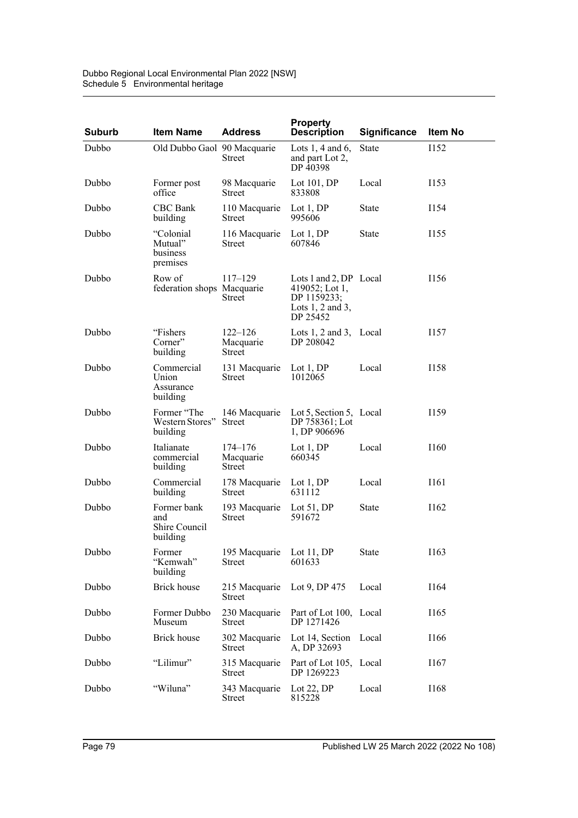| Dubbo Regional Local Environmental Plan 2022 [NSW] |
|----------------------------------------------------|
| Schedule 5 Environmental heritage                  |

| <b>Suburb</b> | <b>Item Name</b>                                | <b>Address</b>                     | <b>Property</b><br><b>Description</b>                                                       | <b>Significance</b> | Item No     |
|---------------|-------------------------------------------------|------------------------------------|---------------------------------------------------------------------------------------------|---------------------|-------------|
| Dubbo         | Old Dubbo Gaol 90 Macquarie                     | Street                             | Lots 1, 4 and 6,<br>and part Lot 2,<br>DP 40398                                             | <b>State</b>        | <b>I152</b> |
| Dubbo         | Former post<br>office                           | 98 Macquarie<br>Street             | Lot $101$ , DP<br>833808                                                                    | Local               | I153        |
| Dubbo         | CBC Bank<br>building                            | 110 Macquarie<br>Street            | Lot $1, DP$<br>995606                                                                       | State               | I154        |
| Dubbo         | "Colonial<br>Mutual"<br>business<br>premises    | 116 Macquarie<br><b>Street</b>     | Lot $1, DP$<br>607846                                                                       | State               | I155        |
| Dubbo         | Row of<br>federation shops Macquarie            | $117 - 129$<br>Street              | Lots 1 and 2, DP Local<br>419052; Lot 1,<br>DP 1159233;<br>Lots $1, 2$ and $3,$<br>DP 25452 |                     | I156        |
| Dubbo         | "Fishers"<br>Corner"<br>building                | $122 - 126$<br>Macquarie<br>Street | Lots 1, 2 and 3, Local<br>DP 208042                                                         |                     | I157        |
| Dubbo         | Commercial<br>Union<br>Assurance<br>building    | 131 Macquarie<br>Street            | Lot $1,DP$<br>1012065                                                                       | Local               | I158        |
| Dubbo         | Former "The<br>Western Stores"<br>building      | 146 Macquarie<br><b>Street</b>     | Lot 5, Section 5, Local<br>DP 758361; Lot<br>1, DP 906696                                   |                     | I159        |
| Dubbo         | Italianate<br>commercial<br>building            | $174 - 176$<br>Macquarie<br>Street | Lot $1, DP$<br>660345                                                                       | Local               | I160        |
| Dubbo         | Commercial<br>building                          | 178 Macquarie<br>Street            | Lot $1, DP$<br>631112                                                                       | Local               | I161        |
| Dubbo         | Former bank<br>and<br>Shire Council<br>building | 193 Macquarie<br>Street            | Lot $51$ , DP<br>591672                                                                     | State               | I162        |
| Dubbo         | Former<br>"Kemwah"<br>building                  | 195 Macquarie<br><b>Street</b>     | Lot $11, DP$<br>601633                                                                      | State               | I163        |
| Dubbo         | Brick house                                     | 215 Macquarie<br><b>Street</b>     | Lot 9, DP 475                                                                               | Local               | I164        |
| Dubbo         | Former Dubbo<br>Museum                          | 230 Macquarie<br><b>Street</b>     | Part of Lot 100, Local<br>DP 1271426                                                        |                     | I165        |
| Dubbo         | <b>Brick house</b>                              | 302 Macquarie<br><b>Street</b>     | Lot 14, Section Local<br>A, DP 32693                                                        |                     | I166        |
| Dubbo         | "Lilimur"                                       | 315 Macquarie<br>Street            | Part of Lot 105, Local<br>DP 1269223                                                        |                     | I167        |
| Dubbo         | "Wiluna"                                        | 343 Macquarie<br><b>Street</b>     | Lot $22$ , DP<br>815228                                                                     | Local               | I168        |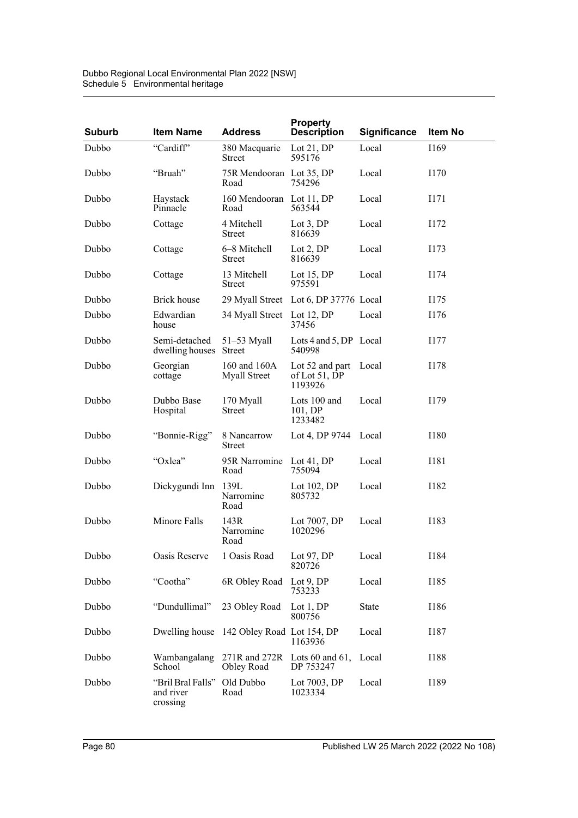| <b>Suburb</b> | <b>Item Name</b>                                     | <b>Address</b>                            | <b>Property</b><br><b>Description</b>             | Significance | Item No     |
|---------------|------------------------------------------------------|-------------------------------------------|---------------------------------------------------|--------------|-------------|
| Dubbo         | "Cardiff"                                            | 380 Macquarie<br>Street                   | Lot $21,DP$<br>595176                             | Local        | I169        |
| Dubbo         | "Bruah"                                              | 75R Mendooran Lot 35, DP<br>Road          | 754296                                            | Local        | I170        |
| Dubbo         | Haystack<br>Pinnacle                                 | 160 Mendooran Lot 11, DP<br>Road          | 563544                                            | Local        | I171        |
| Dubbo         | Cottage                                              | 4 Mitchell<br><b>Street</b>               | Lot $3.DP$<br>816639                              | Local        | I172        |
| Dubbo         | Cottage                                              | 6–8 Mitchell<br>Street                    | Lot $2,DP$<br>816639                              | Local        | I173        |
| Dubbo         | Cottage                                              | 13 Mitchell<br>Street                     | Lot $15$ , DP<br>975591                           | Local        | I174        |
| Dubbo         | Brick house                                          |                                           | 29 Myall Street Lot 6, DP 37776 Local             |              | I175        |
| Dubbo         | Edwardian<br>house                                   | 34 Myall Street                           | Lot $12$ , DP<br>37456                            | Local        | I176        |
| Dubbo         | Semi-detached<br>dwelling houses Street              | $51-53$ Myall                             | Lots 4 and 5, DP Local<br>540998                  |              | I177        |
| Dubbo         | Georgian<br>cottage                                  | 160 and 160A<br>Myall Street              | Lot 52 and part Local<br>of Lot 51, DP<br>1193926 |              | I178        |
| Dubbo         | Dubbo Base<br>Hospital                               | 170 Myall<br><b>Street</b>                | Lots 100 and<br>101, DP<br>1233482                | Local        | I179        |
| Dubbo         | "Bonnie-Rigg"                                        | 8 Nancarrow<br>Street                     | Lot 4, DP 9744 Local                              |              | I180        |
| Dubbo         | "Oxlea"                                              | 95R Narromine Lot 41, DP<br>Road          | 755094                                            | Local        | I181        |
| Dubbo         | Dickygundi Inn                                       | 139L<br>Narromine<br>Road                 | Lot $102$ , DP<br>805732                          | Local        | I182        |
| Dubbo         | Minore Falls                                         | 143R<br>Narromine<br>Road                 | Lot 7007, DP<br>1020296                           | Local        | I183        |
| Dubbo         | Oasis Reserve                                        | 1 Oasis Road                              | Lot 97, DP<br>820726                              | Local        | <b>I184</b> |
| Dubbo         | "Cootha"                                             | 6R Obley Road                             | Lot $9$ , DP<br>753233                            | Local        | I185        |
| Dubbo         | "Dundullimal"                                        | 23 Obley Road                             | Lot 1, DP<br>800756                               | State        | I186        |
| Dubbo         |                                                      | Dwelling house 142 Obley Road Lot 154, DP | 1163936                                           | Local        | I187        |
| Dubbo         | Wambangalang<br>School                               | Obley Road                                | 271R and 272R Lots 60 and 61,<br>DP 753247        | Local        | <b>I188</b> |
| Dubbo         | "Bril Bral Falls" Old Dubbo<br>and river<br>crossing | Road                                      | Lot 7003, DP<br>1023334                           | Local        | I189        |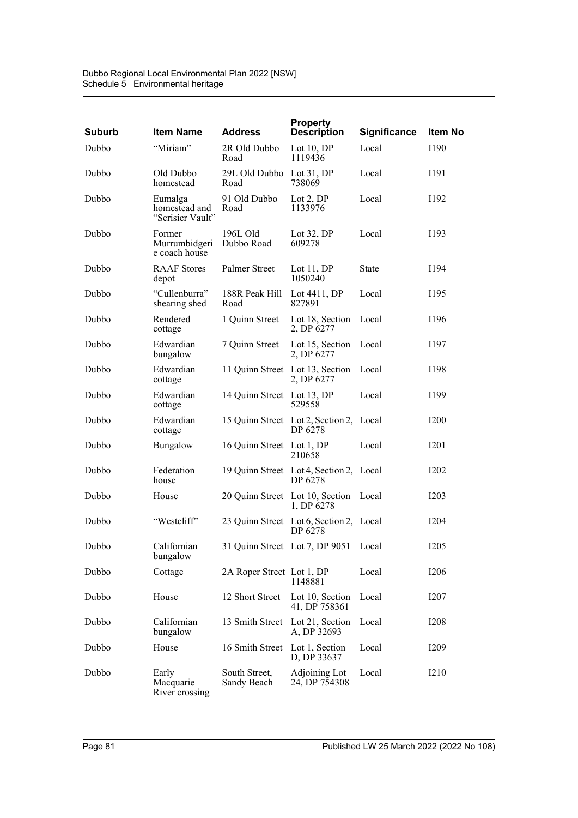| <b>Suburb</b> | <b>Item Name</b>                             | <b>Address</b>               | <b>Property</b><br><b>Description</b>               | Significance | Item No          |
|---------------|----------------------------------------------|------------------------------|-----------------------------------------------------|--------------|------------------|
| Dubbo         | "Miriam"                                     | 2R Old Dubbo<br>Road         | Lot 10, DP<br>1119436                               | Local        | <b>I190</b>      |
| Dubbo         | Old Dubbo<br>homestead                       | 29L Old Dubbo<br>Road        | Lot 31, DP<br>738069                                | Local        | I191             |
| Dubbo         | Eumalga<br>homestead and<br>"Serisier Vault" | 91 Old Dubbo<br>Road         | Lot 2, DP<br>1133976                                | Local        | I192             |
| Dubbo         | Former<br>Murrumbidgeri<br>e coach house     | 196L Old<br>Dubbo Road       | Lot $32$ , DP<br>609278                             | Local        | I193             |
| Dubbo         | <b>RAAF</b> Stores<br>depot                  | Palmer Street                | Lot 11, DP<br>1050240                               | <b>State</b> | I194             |
| Dubbo         | "Cullenburra"<br>shearing shed               | 188R Peak Hill<br>Road       | Lot $4411$ , DP<br>827891                           | Local        | I195             |
| Dubbo         | Rendered<br>cottage                          | 1 Quinn Street               | Lot 18, Section<br>2, DP 6277                       | Local        | I196             |
| Dubbo         | Edwardian<br>bungalow                        | 7 Quinn Street               | Lot 15, Section<br>2, DP 6277                       | Local        | I197             |
| Dubbo         | Edwardian<br>cottage                         |                              | 11 Quinn Street Lot 13, Section<br>2, DP 6277       | Local        | I198             |
| Dubbo         | Edwardian<br>cottage                         | 14 Quinn Street Lot 13, DP   | 529558                                              | Local        | I199             |
| Dubbo         | Edwardian<br>cottage                         |                              | 15 Quinn Street Lot 2, Section 2, Local<br>DP 6278  |              | <b>I200</b>      |
| Dubbo         | Bungalow                                     | 16 Quinn Street Lot 1, DP    | 210658                                              | Local        | <b>I201</b>      |
| Dubbo         | Federation<br>house                          |                              | 19 Quinn Street Lot 4, Section 2, Local<br>DP 6278  |              | <b>I202</b>      |
| Dubbo         | House                                        |                              | 20 Quinn Street Lot 10, Section Local<br>1, DP 6278 |              | <b>I203</b>      |
| Dubbo         | "Westcliff"                                  |                              | 23 Quinn Street Lot 6, Section 2, Local<br>DP 6278  |              | <b>I204</b>      |
| Dubbo         | Californian<br>bungalow                      |                              | 31 Quinn Street Lot 7, DP 9051 Local                |              | <b>I205</b>      |
| Dubbo         | Cottage                                      | 2A Roper Street Lot 1, DP    | 1148881                                             | Local        | <b>I206</b>      |
| Dubbo         | House                                        | 12 Short Street              | Lot 10, Section<br>41, DP 758361                    | Local        | I207             |
| Dubbo         | Californian<br>bungalow                      | 13 Smith Street              | Lot 21, Section<br>A, DP 32693                      | Local        | <b>I208</b>      |
| Dubbo         | House                                        | 16 Smith Street              | Lot 1, Section<br>D, DP 33637                       | Local        | I <sub>209</sub> |
| Dubbo         | Early<br>Macquarie<br>River crossing         | South Street,<br>Sandy Beach | Adjoining Lot<br>24, DP 754308                      | Local        | <b>I210</b>      |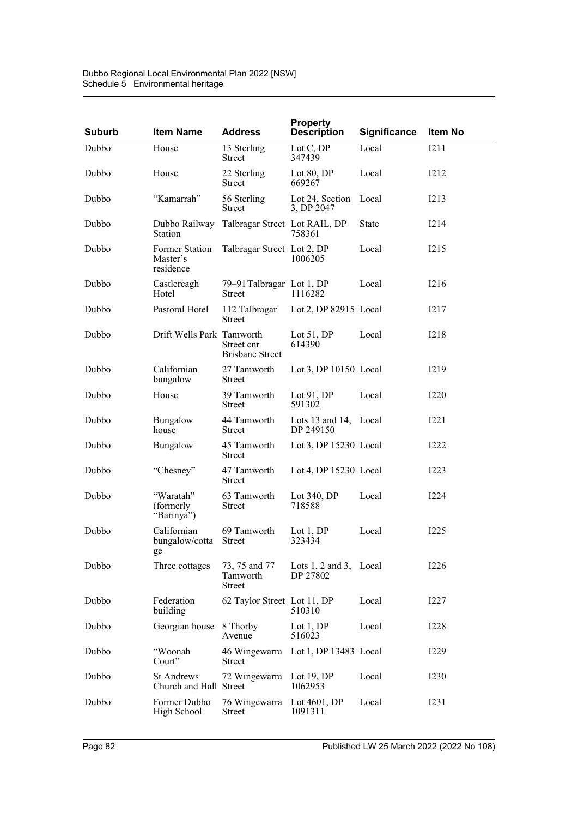| <b>Suburb</b> | <b>Item Name</b>                            | <b>Address</b>                             | <b>Property</b><br><b>Description</b>   | <b>Significance</b> | Item No          |
|---------------|---------------------------------------------|--------------------------------------------|-----------------------------------------|---------------------|------------------|
| Dubbo         | House                                       | 13 Sterling<br><b>Street</b>               | Lot $C, DP$<br>347439                   | Local               | I211             |
| Dubbo         | House                                       | 22 Sterling<br><b>Street</b>               | Lot 80, DP<br>669267                    | Local               | I212             |
| Dubbo         | "Kamarrah"                                  | 56 Sterling<br>Street                      | Lot 24, Section<br>3, DP 2047           | Local               | I213             |
| Dubbo         | Dubbo Railway<br>Station                    | Talbragar Street Lot RAIL, DP              | 758361                                  | State               | I214             |
| Dubbo         | Former Station<br>Master's<br>residence     | Talbragar Street Lot 2, DP                 | 1006205                                 | Local               | I215             |
| Dubbo         | Castlereagh<br>Hotel                        | 79–91 Talbragar Lot 1, DP<br>Street        | 1116282                                 | Local               | I216             |
| Dubbo         | Pastoral Hotel                              | 112 Talbragar<br>Street                    | Lot 2, DP 82915 Local                   |                     | I217             |
| Dubbo         | Drift Wells Park Tamworth                   | Street cnr<br><b>Brisbane Street</b>       | Lot $51, DP$<br>614390                  | Local               | I218             |
| Dubbo         | Californian<br>bungalow                     | 27 Tamworth<br>Street                      | Lot 3, DP 10150 Local                   |                     | I219             |
| Dubbo         | House                                       | 39 Tamworth<br>Street                      | Lot 91, DP<br>591302                    | Local               | <b>I220</b>      |
| Dubbo         | Bungalow<br>house                           | 44 Tamworth<br>Street                      | Lots 13 and 14, Local<br>DP 249150      |                     | I221             |
| Dubbo         | Bungalow                                    | 45 Tamworth<br><b>Street</b>               | Lot 3, DP 15230 Local                   |                     | I222             |
| Dubbo         | "Chesney"                                   | 47 Tamworth<br>Street                      | Lot 4, DP 15230 Local                   |                     | I223             |
| Dubbo         | "Waratah"<br>(formerly)<br>"Barinya")       | 63 Tamworth<br><b>Street</b>               | Lot $340, DP$<br>718588                 | Local               | I224             |
| Dubbo         | Californian<br>bungalow/cotta<br>ge         | 69 Tamworth<br><b>Street</b>               | Lot 1, DP<br>323434                     | Local               | I225             |
| Dubbo         | Three cottages                              | 73, 75 and 77<br>Tamworth<br><b>Street</b> | Lots $1, 2$ and $3$ , Local<br>DP 27802 |                     | I226             |
| Dubbo         | Federation<br>building                      | 62 Taylor Street Lot 11, DP                | 510310                                  | Local               | I227             |
| Dubbo         | Georgian house                              | 8 Thorby<br>Avenue                         | Lot $1, DP$<br>516023                   | Local               | <b>I228</b>      |
| Dubbo         | "Woonah<br>Court"                           | 46 Wingewarra<br>Street                    | Lot 1, DP 13483 Local                   |                     | I229             |
| Dubbo         | <b>St Andrews</b><br>Church and Hall Street | 72 Wingewarra                              | Lot $19, DP$<br>1062953                 | Local               | I <sub>230</sub> |
| Dubbo         | Former Dubbo<br>High School                 | 76 Wingewarra<br>Street                    | Lot $4601$ , DP<br>1091311              | Local               | I231             |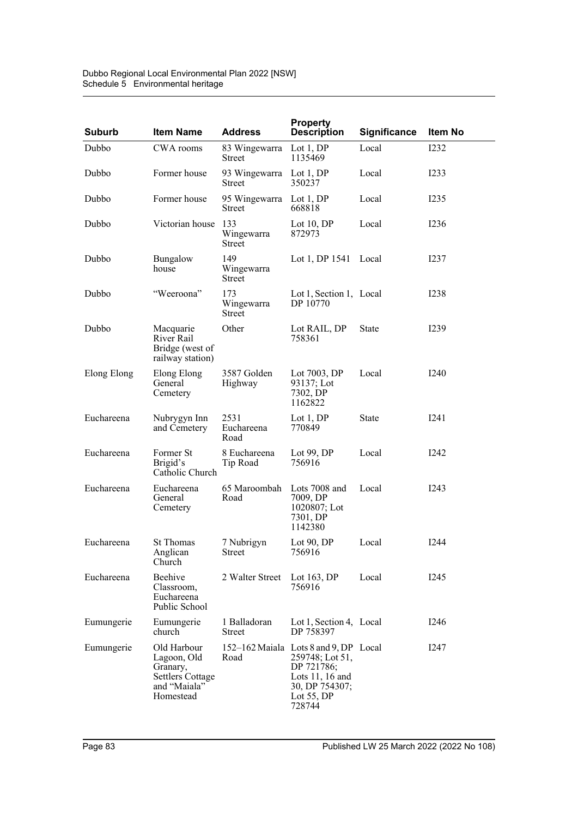| Dubbo Regional Local Environmental Plan 2022 [NSW] |
|----------------------------------------------------|
| Schedule 5 Environmental heritage                  |

| <b>Suburb</b> | <b>Item Name</b>                                                                               | <b>Address</b>                     | <b>Property</b><br><b>Description</b>                                                                                                  | <b>Significance</b> | Item No     |
|---------------|------------------------------------------------------------------------------------------------|------------------------------------|----------------------------------------------------------------------------------------------------------------------------------------|---------------------|-------------|
| Dubbo         | CWA rooms                                                                                      | 83 Wingewarra<br>Street            | Lot $1,DP$<br>1135469                                                                                                                  | Local               | <b>I232</b> |
| Dubbo         | Former house                                                                                   | 93 Wingewarra<br><b>Street</b>     | Lot $1, DP$<br>350237                                                                                                                  | Local               | I233        |
| Dubbo         | Former house                                                                                   | 95 Wingewarra<br>Street            | Lot $1, DP$<br>668818                                                                                                                  | Local               | I235        |
| Dubbo         | Victorian house                                                                                | 133<br>Wingewarra<br>Street        | Lot $10, DP$<br>872973                                                                                                                 | Local               | <b>I236</b> |
| Dubbo         | Bungalow<br>house                                                                              | 149<br>Wingewarra<br>Street        | Lot 1, DP 1541 Local                                                                                                                   |                     | I237        |
| Dubbo         | "Weeroona"                                                                                     | 173<br>Wingewarra<br><b>Street</b> | Lot 1, Section 1, Local<br>DP 10770                                                                                                    |                     | 1238        |
| Dubbo         | Macquarie<br>River Rail<br>Bridge (west of<br>railway station)                                 | Other                              | Lot RAIL, DP<br>758361                                                                                                                 | State               | I239        |
| Elong Elong   | Elong Elong<br>General<br>Cemetery                                                             | 3587 Golden<br>Highway             | Lot 7003, DP<br>93137; Lot<br>7302, DP<br>1162822                                                                                      | Local               | I240        |
| Euchareena    | Nubrygyn Inn<br>and Cemetery                                                                   | 2531<br>Euchareena<br>Road         | Lot $1,DP$<br>770849                                                                                                                   | <b>State</b>        | I241        |
| Euchareena    | Former St<br>Brigid's<br>Catholic Church                                                       | 8 Euchareena<br>Tip Road           | Lot $99, DP$<br>756916                                                                                                                 | Local               | I242        |
| Euchareena    | Euchareena<br>General<br>Cemetery                                                              | 65 Maroombah<br>Road               | Lots 7008 and<br>7009, DP<br>1020807; Lot<br>7301, DP<br>1142380                                                                       | Local               | I243        |
| Euchareena    | <b>St Thomas</b><br>Anglican<br>Church                                                         | 7 Nubrigyn<br>Street               | Lot $90, DP$<br>756916                                                                                                                 | Local               | <b>I244</b> |
| Euchareena    | Beehive<br>Classroom,<br>Euchareena<br>Public School                                           | 2 Walter Street                    | Lot $163$ , DP<br>756916                                                                                                               | Local               | I245        |
| Eumungerie    | Eumungerie<br>church                                                                           | 1 Balladoran<br><b>Street</b>      | Lot 1, Section 4, Local<br>DP 758397                                                                                                   |                     | I246        |
| Eumungerie    | Old Harbour<br>Lagoon, Old<br>Granary,<br><b>Settlers Cottage</b><br>and "Maiala"<br>Homestead | Road                               | 152-162 Maiala Lots 8 and 9, DP Local<br>259748; Lot 51,<br>DP 721786;<br>Lots 11, 16 and<br>30, DP 754307;<br>Lot $55$ , DP<br>728744 |                     | I247        |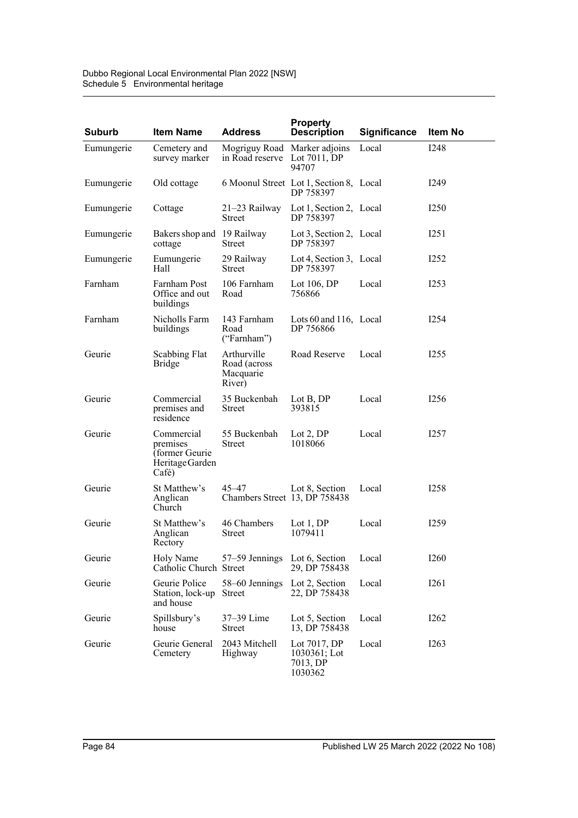| <b>Suburb</b> | <b>Item Name</b>                                                      | <b>Address</b>                                     | <b>Property</b><br><b>Description</b>                 | <b>Significance</b> | Item No          |
|---------------|-----------------------------------------------------------------------|----------------------------------------------------|-------------------------------------------------------|---------------------|------------------|
| Eumungerie    | Cemetery and<br>survey marker                                         | Mogriguy Road<br>in Road reserve                   | Marker adjoins<br>Lot $7011$ , DP<br>94707            | Local               | <b>I248</b>      |
| Eumungerie    | Old cottage                                                           |                                                    | 6 Moonul Street Lot 1, Section 8, Local<br>DP 758397  |                     | I <sub>249</sub> |
| Eumungerie    | Cottage                                                               | 21–23 Railway<br><b>Street</b>                     | Lot 1, Section 2, Local<br>DP 758397                  |                     | I <sub>250</sub> |
| Eumungerie    | Bakers shop and 19 Railway<br>cottage                                 | Street                                             | Lot 3, Section 2, Local<br>DP 758397                  |                     | I251             |
| Eumungerie    | Eumungerie<br>Hall                                                    | 29 Railway<br>Street                               | Lot 4, Section 3, Local<br>DP 758397                  |                     | I252             |
| Farnham       | Farnham Post<br>Office and out<br>buildings                           | 106 Farnham<br>Road                                | Lot $106, DP$<br>756866                               | Local               | I <sub>253</sub> |
| Farnham       | Nicholls Farm<br>buildings                                            | 143 Farnham<br>Road<br>("Farnham")                 | Lots 60 and 116, Local<br>DP 756866                   |                     | I254             |
| Geurie        | Scabbing Flat<br><b>Bridge</b>                                        | Arthurville<br>Road (across<br>Macquarie<br>River) | Road Reserve                                          | Local               | I <sub>255</sub> |
| Geurie        | Commercial<br>premises and<br>residence                               | 35 Buckenbah<br>Street                             | Lot B, DP<br>393815                                   | Local               | I256             |
| Geurie        | Commercial<br>premises<br>(former Geurie)<br>Heritage Garden<br>Café) | 55 Buckenbah<br>Street                             | Lot $2,DP$<br>1018066                                 | Local               | I257             |
| Geurie        | St Matthew's<br>Anglican<br>Church                                    | $45 - 47$<br>Chambers Street 13, DP 758438         | Lot 8, Section                                        | Local               | I258             |
| Geurie        | St Matthew's<br>Anglican<br>Rectory                                   | 46 Chambers<br>Street                              | Lot $1, DP$<br>1079411                                | Local               | I <sub>259</sub> |
| Geurie        | Holy Name<br>Catholic Church Street                                   | 57–59 Jennings Lot 6, Section                      | 29, DP 758438                                         | Local               | <b>I260</b>      |
| Geurie        | Geurie Police<br>Station, lock-up<br>and house                        | 58-60 Jennings<br>Street                           | Lot 2, Section<br>22, DP 758438                       | Local               | I261             |
| Geurie        | Spillsbury's<br>house                                                 | 37–39 Lime<br><b>Street</b>                        | Lot 5, Section<br>13, DP 758438                       | Local               | I262             |
| Geurie        | Geurie General<br>Cemetery                                            | 2043 Mitchell<br>Highway                           | Lot 7017, DP<br>$1030361;$ Lot<br>7013, DP<br>1030362 | Local               | I263             |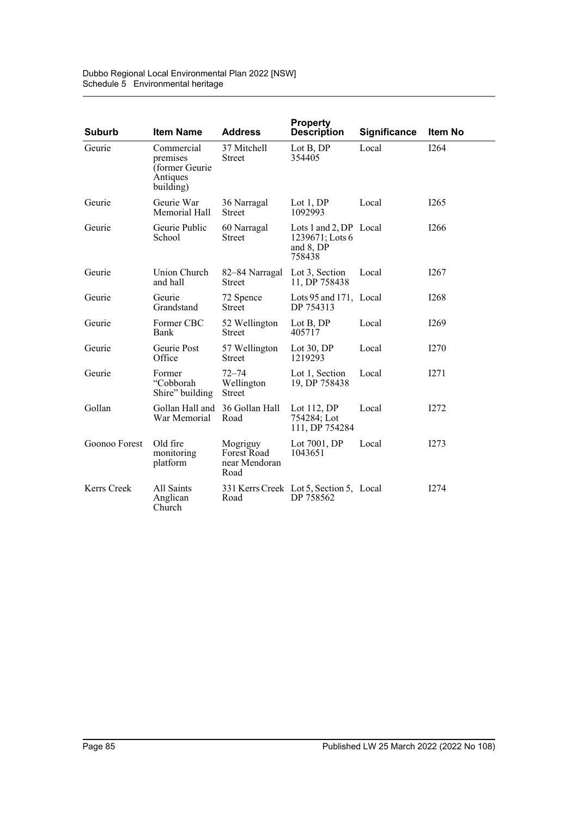Dubbo Regional Local Environmental Plan 2022 [NSW] Schedule 5 Environmental heritage

| <b>Suburb</b> | <b>Item Name</b>                                                   | <b>Address</b>                                   | <b>Property</b><br><b>Description</b>                            | <b>Significance</b> | Item No          |
|---------------|--------------------------------------------------------------------|--------------------------------------------------|------------------------------------------------------------------|---------------------|------------------|
| Geurie        | Commercial<br>premises<br>(former Geurie)<br>Antiques<br>building) | 37 Mitchell<br><b>Street</b>                     | Lot B, DP<br>354405                                              | Local               | I264             |
| Geurie        | Geurie War<br>Memorial Hall                                        | 36 Narragal<br><b>Street</b>                     | Lot $1,DP$<br>1092993                                            | Local               | I <sub>265</sub> |
| Geurie        | Geurie Public<br>School                                            | 60 Narragal<br><b>Street</b>                     | Lots 1 and 2, DP Local<br>1239671; Lots 6<br>and 8, DP<br>758438 |                     | I <sub>266</sub> |
| Geurie        | Union Church<br>and hall                                           | 82–84 Narragal<br><b>Street</b>                  | Lot 3, Section<br>11, DP 758438                                  | Local               | I267             |
| Geurie        | Geurie<br>Grandstand                                               | 72 Spence<br><b>Street</b>                       | Lots 95 and 171, Local<br>DP 754313                              |                     | <b>I268</b>      |
| Geurie        | Former CBC<br>Bank                                                 | 52 Wellington<br><b>Street</b>                   | Lot B, DP<br>405717                                              | Local               | I <sub>269</sub> |
| Geurie        | Geurie Post<br>Office                                              | 57 Wellington<br><b>Street</b>                   | Lot 30, DP<br>1219293                                            | Local               | I270             |
| Geurie        | Former<br>"Cobborah<br>Shire" building                             | $72 - 74$<br>Wellington<br><b>Street</b>         | Lot 1, Section<br>19, DP 758438                                  | Local               | I271             |
| Gollan        | Gollan Hall and 36 Gollan Hall<br>War Memorial                     | Road                                             | Lot 112, DP<br>754284; Lot<br>111, DP 754284                     | Local               | I272             |
| Goonoo Forest | Old fire<br>monitoring<br>platform                                 | Mogriguy<br>Forest Road<br>near Mendoran<br>Road | Lot 7001, DP<br>1043651                                          | Local               | I273             |
| Kerrs Creek   | All Saints<br>Anglican<br>Church                                   | Road                                             | 331 Kerrs Creek Lot 5, Section 5, Local<br>DP 758562             |                     | I274             |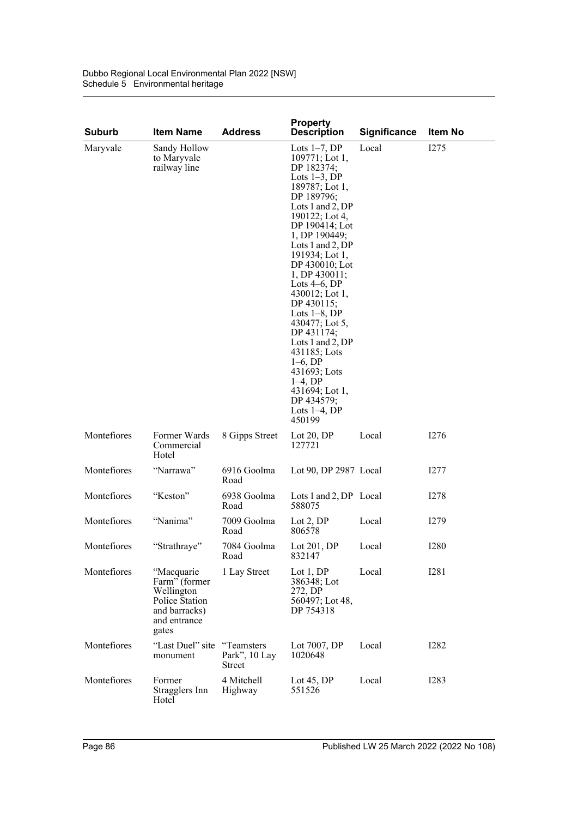| <b>Suburb</b> | <b>Item Name</b>                                                                                      | <b>Address</b>          | <b>Property</b><br><b>Description</b>                                                                                                                                                                                                                                                                                                                                                                                                                                                                            | <b>Significance</b> | <b>Item No</b> |
|---------------|-------------------------------------------------------------------------------------------------------|-------------------------|------------------------------------------------------------------------------------------------------------------------------------------------------------------------------------------------------------------------------------------------------------------------------------------------------------------------------------------------------------------------------------------------------------------------------------------------------------------------------------------------------------------|---------------------|----------------|
| Maryvale      | Sandy Hollow<br>to Maryvale<br>railway line                                                           |                         | Lots $1-7$ , DP<br>$109771$ ; Lot 1,<br>DP 182374:<br>Lots $1-3$ , DP<br>189787; Lot 1,<br>DP 189796;<br>Lots 1 and 2, DP<br>190122; Lot 4,<br>DP 190414; Lot<br>1, DP 190449;<br>Lots 1 and 2, DP<br>191934; Lot 1,<br>DP 430010; Lot<br>$1, DP$ 430011;<br>Lots $4-6$ , DP<br>430012; Lot 1,<br>DP 430115;<br>Lots $1-8$ , DP<br>430477; Lot 5,<br>DP 431174;<br>Lots 1 and 2, $DP$<br>431185; Lots<br>$1-6, DP$<br>431693; Lots<br>$1-4$ , DP<br>$431694$ ; Lot 1,<br>DP 434579;<br>Lots $1-4$ , DP<br>450199 | Local               | I275           |
| Montefiores   | Former Wards<br>Commercial<br>Hotel                                                                   | 8 Gipps Street          | Lot $20, DP$<br>127721                                                                                                                                                                                                                                                                                                                                                                                                                                                                                           | Local               | I276           |
| Montefiores   | "Narrawa"                                                                                             | 6916 Goolma<br>Road     | Lot 90, DP 2987 Local                                                                                                                                                                                                                                                                                                                                                                                                                                                                                            |                     | I277           |
| Montefiores   | "Keston"                                                                                              | 6938 Goolma<br>Road     | Lots 1 and 2, DP Local<br>588075                                                                                                                                                                                                                                                                                                                                                                                                                                                                                 |                     | I278           |
| Montefiores   | "Nanima"                                                                                              | 7009 Goolma<br>Road     | Lot $2,DP$<br>806578                                                                                                                                                                                                                                                                                                                                                                                                                                                                                             | Local               | I279           |
| Montefiores   | "Strathraye"                                                                                          | 7084 Goolma<br>Road     | Lot $201, DP$<br>832147                                                                                                                                                                                                                                                                                                                                                                                                                                                                                          | Local               | <b>I280</b>    |
| Montefiores   | "Macquarie<br>Farm" (former<br>Wellington<br>Police Station<br>and barracks)<br>and entrance<br>gates | 1 Lay Street            | Lot $1, DP$<br>386348; Lot<br>272, DP<br>560497; Lot 48,<br>DP 754318                                                                                                                                                                                                                                                                                                                                                                                                                                            | Local               | <b>I281</b>    |
| Montefiores   | "Last Duel" site "Teamsters"<br>monument                                                              | Park", 10 Lay<br>Street | Lot $7007$ , DP<br>1020648                                                                                                                                                                                                                                                                                                                                                                                                                                                                                       | Local               | <b>I282</b>    |
| Montefiores   | Former<br>Stragglers Inn<br>Hotel                                                                     | 4 Mitchell<br>Highway   | Lot $45$ , DP<br>551526                                                                                                                                                                                                                                                                                                                                                                                                                                                                                          | Local               | <b>I283</b>    |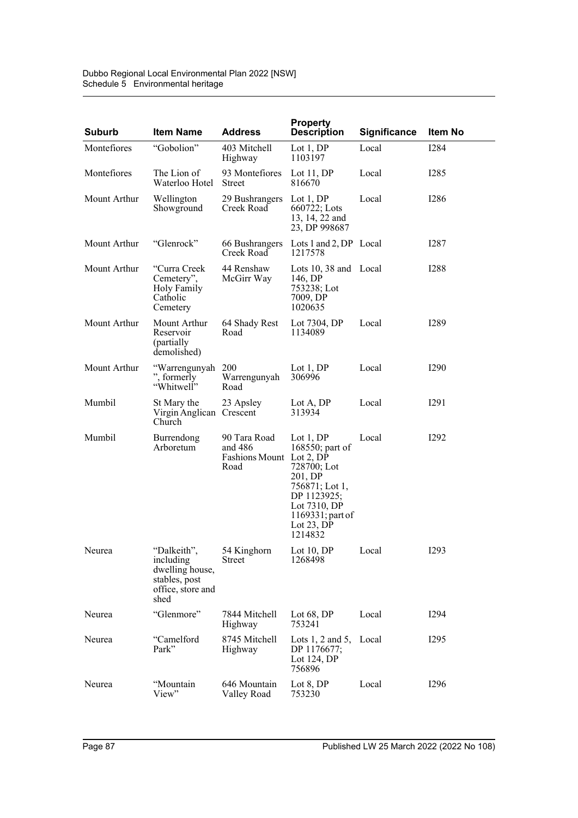| <b>Suburb</b> | <b>Item Name</b>                                                                          | <b>Address</b>                                              | <b>Property</b><br><b>Description</b>                                                                                                                     | <b>Significance</b> | Item No           |
|---------------|-------------------------------------------------------------------------------------------|-------------------------------------------------------------|-----------------------------------------------------------------------------------------------------------------------------------------------------------|---------------------|-------------------|
| Montefiores   | "Gobolion"                                                                                | 403 Mitchell<br>Highway                                     | Lot $1,DP$<br>1103197                                                                                                                                     | Local               | <b>I284</b>       |
| Montefiores   | The Lion of<br>Waterloo Hotel                                                             | 93 Montefiores<br><b>Street</b>                             | Lot 11, DP<br>816670                                                                                                                                      | Local               | I <sub>2</sub> 85 |
| Mount Arthur  | Wellington<br>Showground                                                                  | 29 Bushrangers<br>Creek Road                                | Lot $1,DP$<br>660722; Lots<br>13, 14, 22 and<br>23, DP 998687                                                                                             | Local               | I <sub>286</sub>  |
| Mount Arthur  | "Glenrock"                                                                                | 66 Bushrangers<br>Creek Road                                | Lots 1 and 2, DP Local<br>1217578                                                                                                                         |                     | I287              |
| Mount Arthur  | "Curra Creek<br>Cemetery",<br>Holy Family<br>Catholic<br>Cemetery                         | 44 Renshaw<br>McGirr Way                                    | Lots 10, 38 and Local<br>146, DP<br>753238; Lot<br>7009, DP<br>1020635                                                                                    |                     | <b>I288</b>       |
| Mount Arthur  | Mount Arthur<br>Reservoir<br>(partially)<br>demolished)                                   | 64 Shady Rest<br>Road                                       | Lot 7304, DP<br>1134089                                                                                                                                   | Local               | I <sub>289</sub>  |
| Mount Arthur  | "Warrengunyah 200<br>", formerly<br>"Whitwell"                                            | Warrengunyah<br>Road                                        | Lot $1,DP$<br>306996                                                                                                                                      | Local               | <b>I290</b>       |
| Mumbil        | St Mary the<br>Virgin Anglican Crescent<br>Church                                         | 23 Apsley                                                   | Lot A, DP<br>313934                                                                                                                                       | Local               | I291              |
| Mumbil        | Burrendong<br>Arboretum                                                                   | 90 Tara Road<br>and 486<br>Fashions Mount Lot 2, DP<br>Road | Lot $1, DP$<br>168550; part of<br>728700; Lot<br>201, DP<br>756871; Lot 1,<br>DP 1123925;<br>Lot 7310, DP<br>1169331; part of<br>Lot $23$ , DP<br>1214832 | Local               | <b>I292</b>       |
| Neurea        | "Dalkeith",<br>including<br>dwelling house,<br>stables, post<br>office, store and<br>shed | 54 Kinghorn<br>Street                                       | Lot 10, DP Local<br>1268498                                                                                                                               |                     | <b>I293</b>       |
| Neurea        | "Glenmore"                                                                                | 7844 Mitchell<br>Highway                                    | Lot 68, DP<br>753241                                                                                                                                      | Local               | <b>I294</b>       |
| Neurea        | "Camelford<br>Park"                                                                       | 8745 Mitchell<br>Highway                                    | Lots $1, 2$ and $5,$<br>DP 1176677;<br>Lot 124, DP<br>756896                                                                                              | Local               | I295              |
| Neurea        | "Mountain<br>View"                                                                        | 646 Mountain<br>Valley Road                                 | Lot $8,DP$<br>753230                                                                                                                                      | Local               | <b>I296</b>       |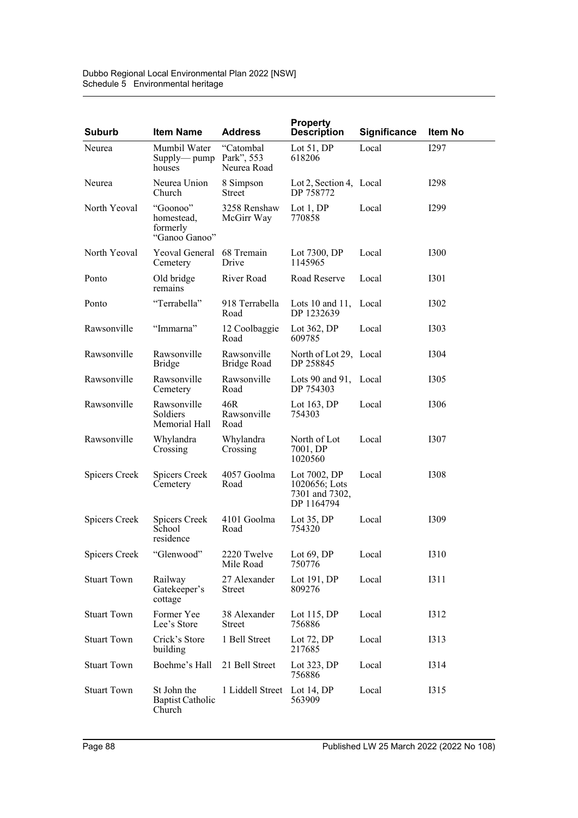| <b>Suburb</b>      | <b>Item Name</b>                                    | <b>Address</b>                    | <b>Property</b><br><b>Description</b>                         | <b>Significance</b> | <b>Item No</b>   |
|--------------------|-----------------------------------------------------|-----------------------------------|---------------------------------------------------------------|---------------------|------------------|
| Neurea             | Mumbil Water<br>Supply-pump Park", 553<br>houses    | "Catombal<br>Neurea Road          | Lot $51, DP$<br>618206                                        | Local               | I297             |
| Neurea             | Neurea Union<br>Church                              | 8 Simpson<br>Street               | Lot 2, Section 4, Local<br>DP 758772                          |                     | <b>I298</b>      |
| North Yeoval       | "Goonoo"<br>homestead,<br>formerly<br>"Ganoo Ganoo" | 3258 Renshaw<br>McGirr Way        | Lot $1,DP$<br>770858                                          | Local               | I <sub>299</sub> |
| North Yeoval       | Yeoval General 68 Tremain<br>Cemetery               | Drive                             | Lot 7300, DP<br>1145965                                       | Local               | <b>I300</b>      |
| Ponto              | Old bridge<br>remains                               | River Road                        | Road Reserve                                                  | Local               | <b>I301</b>      |
| Ponto              | "Terrabella"                                        | 918 Terrabella<br>Road            | Lots 10 and 11, Local<br>DP 1232639                           |                     | <b>I302</b>      |
| Rawsonville        | "Immarna"                                           | 12 Coolbaggie<br>Road             | Lot 362, DP<br>609785                                         | Local               | <b>I303</b>      |
| Rawsonville        | Rawsonville<br><b>Bridge</b>                        | Rawsonville<br><b>Bridge Road</b> | North of Lot 29, Local<br>DP 258845                           |                     | I304             |
| Rawsonville        | Rawsonville<br>Cemetery                             | Rawsonville<br>Road               | Lots 90 and 91, Local<br>DP 754303                            |                     | <b>I305</b>      |
| Rawsonville        | Rawsonville<br>Soldiers<br>Memorial Hall            | 46R<br>Rawsonville<br>Road        | Lot $163$ , DP<br>754303                                      | Local               | <b>I306</b>      |
| Rawsonville        | Whylandra<br>Crossing                               | Whylandra<br>Crossing             | North of Lot<br>7001, DP<br>1020560                           | Local               | I307             |
| Spicers Creek      | Spicers Creek<br>Cemetery                           | 4057 Goolma<br>Road               | Lot 7002, DP<br>1020656; Lots<br>7301 and 7302,<br>DP 1164794 | Local               | <b>I308</b>      |
| Spicers Creek      | Spicers Creek<br>School<br>residence                | 4101 Goolma<br>Road               | Lot $35,DP$<br>754320                                         | Local               | I309             |
| Spicers Creek      | "Glenwood"                                          | 2220 Twelve<br>Mile Road          | Lot $69$ , DP<br>750776                                       | Local               | <b>I310</b>      |
| <b>Stuart Town</b> | Railway<br>Gatekeeper's<br>cottage                  | 27 Alexander<br><b>Street</b>     | Lot $191, DP$<br>809276                                       | Local               | <b>I311</b>      |
| <b>Stuart Town</b> | Former Yee<br>Lee's Store                           | 38 Alexander<br><b>Street</b>     | Lot $115$ , DP<br>756886                                      | Local               | <b>I312</b>      |
| <b>Stuart Town</b> | Crick's Store<br>building                           | 1 Bell Street                     | Lot $72$ , DP<br>217685                                       | Local               | <b>I313</b>      |
| <b>Stuart Town</b> | Boehme's Hall                                       | 21 Bell Street                    | Lot $323$ , DP<br>756886                                      | Local               | I314             |
| <b>Stuart Town</b> | St John the<br><b>Baptist Catholic</b><br>Church    | 1 Liddell Street                  | Lot 14, DP<br>563909                                          | Local               | I315             |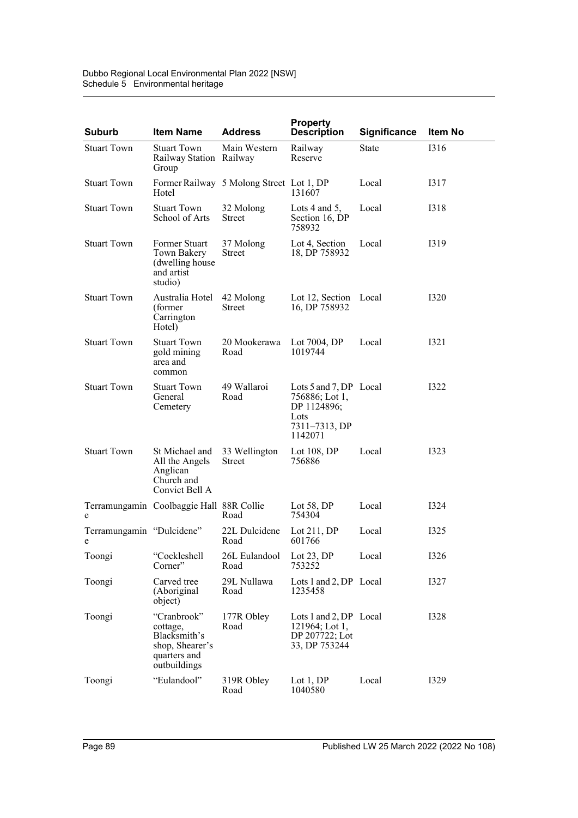| <b>Suburb</b>                  | <b>Item Name</b>                                                                           | <b>Address</b>                           | <b>Property</b><br><b>Description</b>                                                       | Significance | Item No     |
|--------------------------------|--------------------------------------------------------------------------------------------|------------------------------------------|---------------------------------------------------------------------------------------------|--------------|-------------|
| <b>Stuart Town</b>             | <b>Stuart Town</b><br>Railway Station Railway<br>Group                                     | Main Western                             | Railway<br>Reserve                                                                          | State        | I316        |
| <b>Stuart Town</b>             | Hotel                                                                                      | Former Railway 5 Molong Street Lot 1, DP | 131607                                                                                      | Local        | I317        |
| <b>Stuart Town</b>             | <b>Stuart Town</b><br>School of Arts                                                       | 32 Molong<br>Street                      | Lots 4 and 5,<br>Section 16, DP<br>758932                                                   | Local        | <b>I318</b> |
| <b>Stuart Town</b>             | Former Stuart<br>Town Bakery<br>(dwelling house)<br>and artist<br>studio)                  | 37 Molong<br>Street                      | Lot 4, Section<br>18, DP 758932                                                             | Local        | I319        |
| <b>Stuart Town</b>             | Australia Hotel<br>(former)<br>Carrington<br>Hotel)                                        | 42 Molong<br>Street                      | Lot 12, Section Local<br>16, DP 758932                                                      |              | I320        |
| <b>Stuart Town</b>             | <b>Stuart Town</b><br>gold mining<br>area and<br>common                                    | 20 Mookerawa<br>Road                     | Lot 7004, DP<br>1019744                                                                     | Local        | I321        |
| <b>Stuart Town</b>             | <b>Stuart Town</b><br>General<br>Cemetery                                                  | 49 Wallaroi<br>Road                      | Lots 5 and 7, DP Local<br>756886; Lot 1,<br>DP 1124896;<br>Lots<br>7311-7313, DP<br>1142071 |              | I322        |
| <b>Stuart Town</b>             | St Michael and<br>All the Angels<br>Anglican<br>Church and<br>Convict Bell A               | 33 Wellington<br>Street                  | Lot $108$ , DP<br>756886                                                                    | Local        | I323        |
| e                              | Terramungamin Coolbaggie Hall 88R Collie                                                   | Road                                     | Lot $58$ , DP<br>754304                                                                     | Local        | I324        |
| Terramungamin "Dulcidene"<br>e |                                                                                            | 22L Dulcidene<br>Road                    | Lot $211, DP$<br>601766                                                                     | Local        | I325        |
| Toongi                         | "Cockleshell<br>Corner"                                                                    | 26L Eulandool<br>Road                    | Lot $23$ , DP<br>753252                                                                     | Local        | <b>I326</b> |
| Toongi                         | Carved tree<br>(Aboriginal<br>object)                                                      | 29L Nullawa<br>Road                      | Lots 1 and 2, DP Local<br>1235458                                                           |              | <b>I327</b> |
| Toongi                         | "Cranbrook"<br>cottage,<br>Blacksmith's<br>shop, Shearer's<br>quarters and<br>outbuildings | 177R Obley<br>Road                       | Lots 1 and 2, DP Local<br>$121964$ ; Lot 1,<br>DP 207722; Lot<br>33, DP 753244              |              | <b>I328</b> |
| Toongi                         | "Eulandool"                                                                                | 319R Obley<br>Road                       | Lot $1, DP$<br>1040580                                                                      | Local        | <b>I329</b> |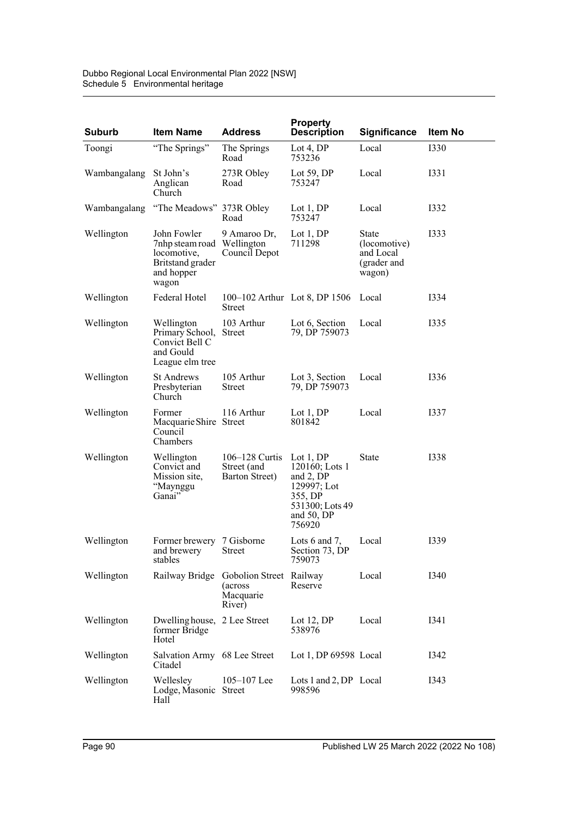| <b>Suburb</b> | <b>Item Name</b>                                                                                    | <b>Address</b>                                             | <b>Property</b><br><b>Description</b>                                                                                 | <b>Significance</b>                                         | <b>Item No</b> |
|---------------|-----------------------------------------------------------------------------------------------------|------------------------------------------------------------|-----------------------------------------------------------------------------------------------------------------------|-------------------------------------------------------------|----------------|
| Toongi        | "The Springs"                                                                                       | The Springs<br>Road                                        | Lot 4, $DP$<br>753236                                                                                                 | Local                                                       | 1330           |
| Wambangalang  | St John's<br>Anglican<br>Church                                                                     | 273R Obley<br>Road                                         | Lot 59, DP<br>753247                                                                                                  | Local                                                       | <b>I331</b>    |
|               | Wambangalang "The Meadows" 373R Obley                                                               | Road                                                       | Lot $1,DP$<br>753247                                                                                                  | Local                                                       | I332           |
| Wellington    | John Fowler<br>7nhp steam road Wellington<br>locomotive,<br>Britstand grader<br>and hopper<br>wagon | 9 Amaroo Dr,<br>Council Depot                              | Lot $1,DP$<br>711298                                                                                                  | State<br>(locomotive)<br>and Local<br>(grader and<br>wagon) | <b>I333</b>    |
| Wellington    | Federal Hotel                                                                                       | Street                                                     | 100–102 Arthur Lot 8, DP 1506                                                                                         | Local                                                       | I334           |
| Wellington    | Wellington<br>Primary School, Street<br>Convict Bell C<br>and Gould<br>League elm tree              | 103 Arthur                                                 | Lot 6, Section<br>79, DP 759073                                                                                       | Local                                                       | I335           |
| Wellington    | <b>St Andrews</b><br>Presbyterian<br>Church                                                         | 105 Arthur<br><b>Street</b>                                | Lot 3, Section<br>79, DP 759073                                                                                       | Local                                                       | 1336           |
| Wellington    | Former<br>Macquarie Shire Street<br>Council<br>Chambers                                             | 116 Arthur                                                 | Lot $1, DP$<br>801842                                                                                                 | Local                                                       | <b>I337</b>    |
| Wellington    | Wellington<br>Convict and<br>Mission site,<br>"Maynggu<br>Ganai"                                    | $106 - 128$ Curtis<br>Street (and<br>Barton Street)        | Lot $1, DP$<br>$120160$ ; Lots 1<br>and $2$ , DP<br>129997; Lot<br>355, DP<br>531300; Lots 49<br>and 50, DP<br>756920 | State                                                       | <b>I338</b>    |
| Wellington    | Former brewery 7 Gisborne<br>and brewery<br>stables                                                 | Street                                                     | Lots $6$ and $7$ ,<br>Section 73, DP<br>759073                                                                        | Local                                                       | 1339           |
| Wellington    | Railway Bridge                                                                                      | Gobolion Street Railway<br>(across)<br>Macquarie<br>River) | Reserve                                                                                                               | Local                                                       | I340           |
| Wellington    | Dwelling house, 2 Lee Street<br>former Bridge<br>Hotel                                              |                                                            | Lot $12, DP$<br>538976                                                                                                | Local                                                       | I341           |
| Wellington    | Salvation Army 68 Lee Street<br>Citadel                                                             |                                                            | Lot 1, DP $69598$ Local                                                                                               |                                                             | I342           |
| Wellington    | Wellesley<br>Lodge, Masonic Street<br>Hall                                                          | $105 - 107$ Lee                                            | Lots 1 and 2, DP Local<br>998596                                                                                      |                                                             | I343           |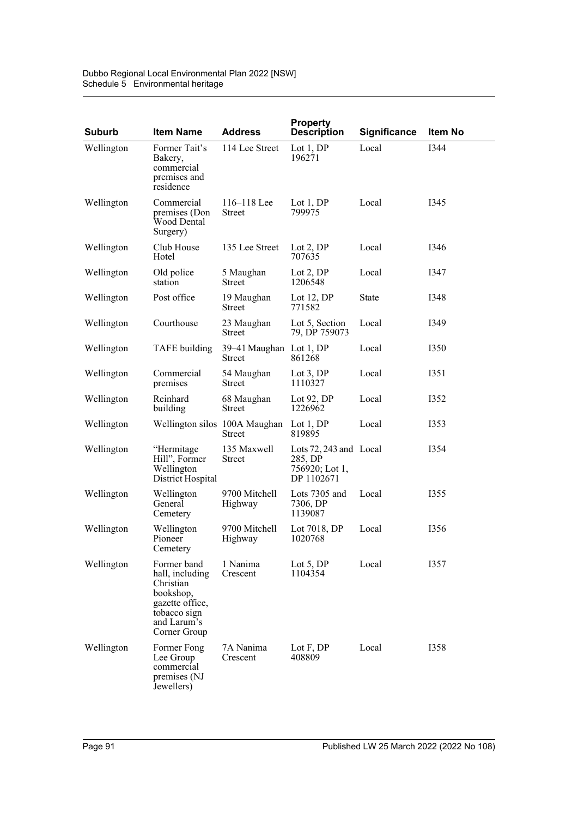| <b>Suburb</b> | <b>Item Name</b>                                                                                                           | <b>Address</b>                          | <b>Property</b><br><b>Description</b>                             | <b>Significance</b> | Item No     |
|---------------|----------------------------------------------------------------------------------------------------------------------------|-----------------------------------------|-------------------------------------------------------------------|---------------------|-------------|
| Wellington    | Former Tait's<br>Bakery,<br>commercial<br>premises and<br>residence                                                        | 114 Lee Street                          | Lot $1,DP$<br>196271                                              | Local               | 1344        |
| Wellington    | Commercial<br>premises (Don<br>Wood Dental<br>Surgery)                                                                     | $116 - 118$ Lee<br><b>Street</b>        | Lot $1,DP$<br>799975                                              | Local               | I345        |
| Wellington    | Club House<br>Hotel                                                                                                        | 135 Lee Street                          | Lot $2,DP$<br>707635                                              | Local               | I346        |
| Wellington    | Old police<br>station                                                                                                      | 5 Maughan<br>Street                     | Lot $2,DP$<br>1206548                                             | Local               | I347        |
| Wellington    | Post office                                                                                                                | 19 Maughan<br>Street                    | Lot 12, DP<br>771582                                              | State               | I348        |
| Wellington    | Courthouse                                                                                                                 | 23 Maughan<br>Street                    | Lot 5, Section<br>79, DP 759073                                   | Local               | I349        |
| Wellington    | TAFE building                                                                                                              | 39–41 Maughan Lot 1, DP<br>Street       | 861268                                                            | Local               | <b>I350</b> |
| Wellington    | Commercial<br>premises                                                                                                     | 54 Maughan<br>Street                    | Lot $3,DP$<br>1110327                                             | Local               | I351        |
| Wellington    | Reinhard<br>building                                                                                                       | 68 Maughan<br>Street                    | Lot $92, DP$<br>1226962                                           | Local               | I352        |
| Wellington    |                                                                                                                            | Wellington silos 100A Maughan<br>Street | Lot $1, DP$<br>819895                                             | Local               | I353        |
| Wellington    | "Hermitage<br>Hill", Former<br>Wellington<br>District Hospital                                                             | 135 Maxwell<br>Street                   | Lots 72, 243 and Local<br>285, DP<br>756920; Lot 1,<br>DP 1102671 |                     | I354        |
| Wellington    | Wellington<br>General<br>Cemetery                                                                                          | 9700 Mitchell<br>Highway                | Lots 7305 and<br>7306, DP<br>1139087                              | Local               | <b>I355</b> |
| Wellington    | Wellington<br>Pioneer<br>Cemetery                                                                                          | 9700 Mitchell<br>Highway                | Lot 7018, DP<br>1020768                                           | Local               | <b>I356</b> |
| Wellington    | Former band<br>hall, including<br>Christian<br>bookshop,<br>gazette office,<br>tobacco sign<br>and Larum's<br>Corner Group | 1 Nanima<br>Crescent                    | Lot $5,DP$<br>1104354                                             | Local               | I357        |
| Wellington    | Former Fong<br>Lee Group<br>commercial<br>premises (NJ<br>Jewellers)                                                       | 7A Nanima<br>Crescent                   | Lot $F, DP$<br>408809                                             | Local               | <b>I358</b> |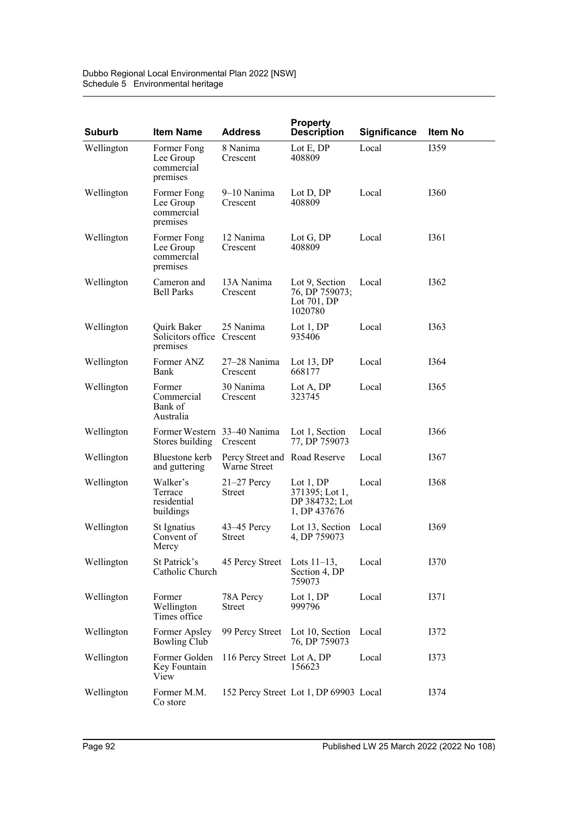| <b>Suburb</b> | <b>Item Name</b>                                      | <b>Address</b>                                       | <b>Property</b><br><b>Description</b>                          | <b>Significance</b> | Item No     |
|---------------|-------------------------------------------------------|------------------------------------------------------|----------------------------------------------------------------|---------------------|-------------|
| Wellington    | Former Fong<br>Lee Group<br>commercial<br>premises    | 8 Nanima<br>Crescent                                 | Lot $E$ , DP<br>408809                                         | Local               | 1359        |
| Wellington    | Former Fong<br>Lee Group<br>commercial<br>premises    | 9-10 Nanima<br>Crescent                              | Lot D, DP<br>408809                                            | Local               | <b>I360</b> |
| Wellington    | Former Fong<br>Lee Group<br>commercial<br>premises    | 12 Nanima<br>Crescent                                | Lot G, DP<br>408809                                            | Local               | I361        |
| Wellington    | Cameron and<br><b>Bell Parks</b>                      | 13A Nanima<br>Crescent                               | Lot 9, Section<br>76, DP 759073;<br>Lot 701, DP<br>1020780     | Local               | 1362        |
| Wellington    | Quirk Baker<br>Solicitors office Crescent<br>premises | 25 Nanima                                            | Lot $1,DP$<br>935406                                           | Local               | 1363        |
| Wellington    | Former ANZ<br>Bank                                    | 27-28 Nanima<br>Crescent                             | Lot $13, DP$<br>668177                                         | Local               | 1364        |
| Wellington    | Former<br>Commercial<br>Bank of<br>Australia          | 30 Nanima<br>Crescent                                | Lot A, DP<br>323745                                            | Local               | I365        |
| Wellington    | Former Western 33–40 Nanima<br>Stores building        | Crescent                                             | Lot 1, Section<br>77, DP 759073                                | Local               | 1366        |
| Wellington    | Bluestone kerb<br>and guttering                       | Percy Street and Road Reserve<br><b>Warne Street</b> |                                                                | Local               | I367        |
| Wellington    | Walker's<br>Terrace<br>residential<br>buildings       | $21-27$ Percy<br>Street                              | Lot $1,DP$<br>371395; Lot 1,<br>DP 384732; Lot<br>1, DP 437676 | Local               | 1368        |
| Wellington    | St Ignatius<br>Convent of<br>Mercy                    | $43-45$ Percy<br><b>Street</b>                       | Lot 13, Section Local<br>4, DP 759073                          |                     | 1369        |
| Wellington    | St Patrick's<br>Catholic Church                       | 45 Percy Street                                      | Lots $11-13$ ,<br>Section 4, DP<br>759073                      | Local               | I370        |
| Wellington    | Former<br>Wellington<br>Times office                  | 78A Percy<br>Street                                  | Lot $1, DP$<br>999796                                          | Local               | I371        |
| Wellington    | Former Apsley<br><b>Bowling Club</b>                  | 99 Percy Street                                      | Lot 10, Section<br>76, DP 759073                               | Local               | I372        |
| Wellington    | Former Golden<br>Key Fountain<br>View                 | 116 Percy Street Lot A, DP                           | 156623                                                         | Local               | I373        |
| Wellington    | Former M.M.<br>Co store                               |                                                      | 152 Percy Street Lot 1, DP 69903 Local                         |                     | I374        |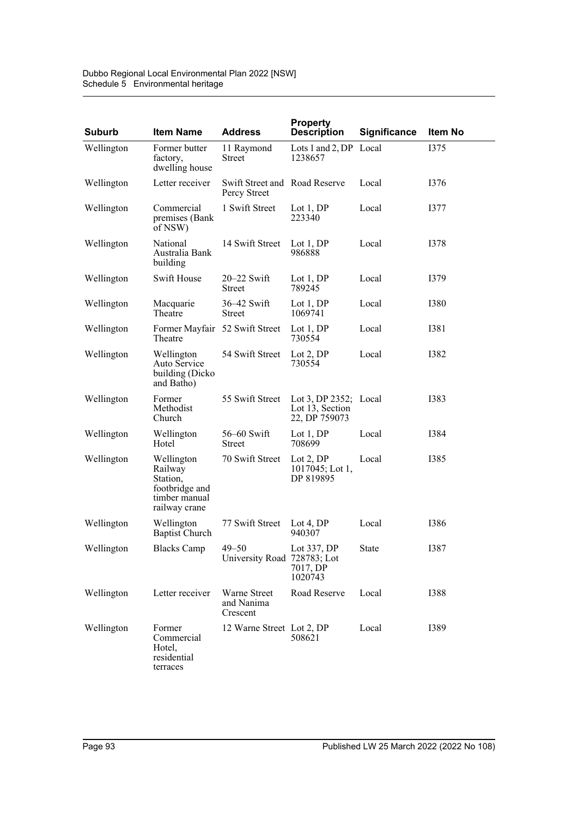| <b>Suburb</b> | <b>Item Name</b>                                                                      | <b>Address</b>                                | <b>Property</b><br><b>Description</b>                        | Significance | Item No     |
|---------------|---------------------------------------------------------------------------------------|-----------------------------------------------|--------------------------------------------------------------|--------------|-------------|
| Wellington    | Former butter<br>factory,<br>dwelling house                                           | 11 Raymond<br>Street                          | Lots $1$ and $2$ , DP<br>1238657                             | Local        | I375        |
| Wellington    | Letter receiver                                                                       | Swift Street and Road Reserve<br>Percy Street |                                                              | Local        | I376        |
| Wellington    | Commercial<br>premises (Bank<br>of NSW)                                               | 1 Swift Street                                | Lot $1,DP$<br>223340                                         | Local        | <b>I377</b> |
| Wellington    | National<br>Australia Bank<br>building                                                | 14 Swift Street                               | Lot $1,DP$<br>986888                                         | Local        | I378        |
| Wellington    | Swift House                                                                           | $20 - 22$ Swift<br>Street                     | Lot $1,DP$<br>789245                                         | Local        | I379        |
| Wellington    | Macquarie<br>Theatre                                                                  | $36-42$ Swift<br>Street                       | Lot $1,DP$<br>1069741                                        | Local        | <b>I380</b> |
| Wellington    | Former Mayfair 52 Swift Street<br>Theatre                                             |                                               | Lot $1,DP$<br>730554                                         | Local        | <b>I381</b> |
| Wellington    | Wellington<br>Auto Service<br>building (Dicko<br>and Batho)                           | 54 Swift Street                               | Lot $2,DP$<br>730554                                         | Local        | <b>I382</b> |
| Wellington    | Former<br>Methodist<br>Church                                                         | 55 Swift Street                               | Lot 3, DP $2352$ ; Local<br>Lot 13, Section<br>22, DP 759073 |              | <b>I383</b> |
| Wellington    | Wellington<br>Hotel                                                                   | $56-60$ Swift<br>Street                       | Lot $1, DP$<br>708699                                        | Local        | I384        |
| Wellington    | Wellington<br>Railway<br>Station,<br>footbridge and<br>timber manual<br>railway crane | 70 Swift Street                               | Lot $2,DP$<br>$1017045$ ; Lot 1,<br>DP 819895                | Local        | <b>I385</b> |
| Wellington    | Wellington<br><b>Baptist Church</b>                                                   | 77 Swift Street                               | Lot 4, $DP$<br>940307                                        | Local        | <b>I386</b> |
| Wellington    | <b>Blacks Camp</b>                                                                    | $49 - 50$<br>University Road 728783; Lot      | Lot 337, DP<br>7017, DP<br>1020743                           | State        | I387        |
| Wellington    | Letter receiver                                                                       | Warne Street<br>and Nanima<br>Crescent        | Road Reserve                                                 | Local        | <b>I388</b> |
| Wellington    | Former<br>Commercial<br>Hotel.<br>residential<br>terraces                             | 12 Warne Street Lot 2, DP                     | 508621                                                       | Local        | <b>I389</b> |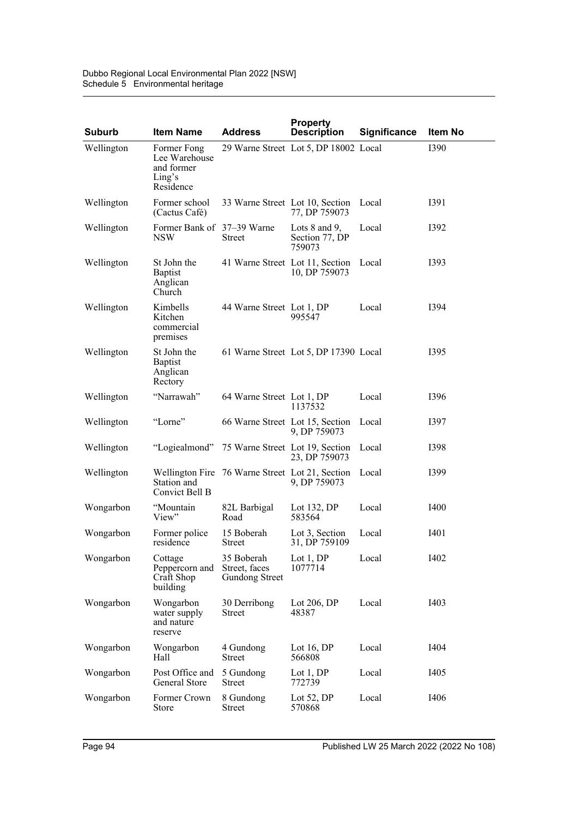Dubbo Regional Local Environmental Plan 2022 [NSW] Schedule 5 Environmental heritage

| <b>Suburb</b> | <b>Item Name</b>                                                  | <b>Address</b>                                       | <b>Property</b><br><b>Description</b>                 | <b>Significance</b> | Item No     |
|---------------|-------------------------------------------------------------------|------------------------------------------------------|-------------------------------------------------------|---------------------|-------------|
| Wellington    | Former Fong<br>Lee Warehouse<br>and former<br>Ling's<br>Residence |                                                      | 29 Warne Street Lot 5, DP 18002 Local                 |                     | 1390        |
| Wellington    | Former school<br>(Cactus Café)                                    | 33 Warne Street Lot 10, Section                      | 77, DP 759073                                         | Local               | <b>I391</b> |
| Wellington    | Former Bank of 37–39 Warne<br><b>NSW</b>                          | Street                                               | Lots $8$ and $9$ ,<br>Section 77, DP<br>759073        | Local               | I392        |
| Wellington    | St John the<br><b>Baptist</b><br>Anglican<br>Church               | 41 Warne Street Lot 11, Section                      | 10, DP 759073                                         | Local               | I393        |
| Wellington    | Kimbells<br>Kitchen<br>commercial<br>premises                     | 44 Warne Street Lot 1, DP                            | 995547                                                | Local               | I394        |
| Wellington    | St John the<br><b>Baptist</b><br>Anglican<br>Rectory              |                                                      | 61 Warne Street Lot 5, DP 17390 Local                 |                     | I395        |
| Wellington    | "Narrawah"                                                        | 64 Warne Street Lot 1, DP                            | 1137532                                               | Local               | 1396        |
| Wellington    | "Lorne"                                                           |                                                      | 66 Warne Street Lot 15, Section Local<br>9, DP 759073 |                     | I397        |
| Wellington    | "Logiealmond"                                                     | 75 Warne Street Lot 19, Section                      | 23, DP 759073                                         | Local               | <b>I398</b> |
| Wellington    | Station and<br>Convict Bell B                                     | Wellington Fire 76 Warne Street Lot 21, Section      | 9, DP 759073                                          | Local               | I399        |
| Wongarbon     | "Mountain<br>View"                                                | 82L Barbigal<br>Road                                 | Lot 132, DP<br>583564                                 | Local               | <b>I400</b> |
| Wongarbon     | Former police<br>residence                                        | 15 Boberah<br><b>Street</b>                          | Lot 3, Section<br>31, DP 759109                       | Local               | I401        |
| Wongarbon     | Cottage<br>Peppercorn and<br>Craft Shop<br>building               | 35 Boberah<br>Street, faces<br><b>Gundong Street</b> | Lot $1,DP$<br>1077714                                 | Local               | <b>I402</b> |
| Wongarbon     | Wongarbon<br>water supply<br>and nature<br>reserve                | 30 Derribong<br><b>Street</b>                        | Lot $206$ , DP<br>48387                               | Local               | I403        |
| Wongarbon     | Wongarbon<br>Hall                                                 | 4 Gundong<br><b>Street</b>                           | Lot 16, $DP$<br>566808                                | Local               | I404        |
| Wongarbon     | Post Office and<br>General Store                                  | 5 Gundong<br><b>Street</b>                           | Lot $1, DP$<br>772739                                 | Local               | I405        |
| Wongarbon     | Former Crown<br>Store                                             | 8 Gundong<br>Street                                  | Lot $52$ , DP<br>570868                               | Local               | I406        |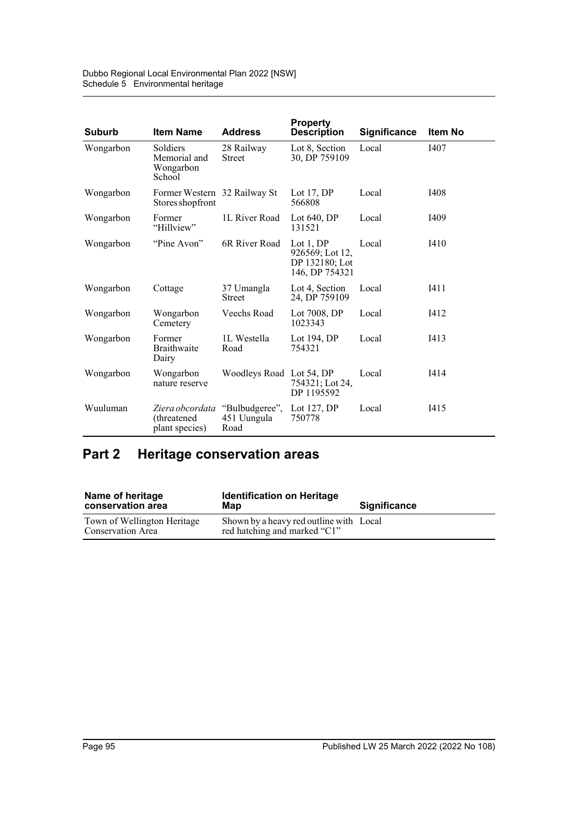| <b>Suburb</b> | <b>Item Name</b>                                  | <b>Address</b>                        | <b>Property</b><br><b>Description</b>                             | <b>Significance</b> | <b>Item No</b> |
|---------------|---------------------------------------------------|---------------------------------------|-------------------------------------------------------------------|---------------------|----------------|
| Wongarbon     | Soldiers<br>Memorial and<br>Wongarbon<br>School   | 28 Railway<br><b>Street</b>           | Lot 8, Section<br>30, DP 759109                                   | Local               | I407           |
| Wongarbon     | Former Western 32 Railway St<br>Stores shop front |                                       | Lot $17$ , DP<br>566808                                           | Local               | I408           |
| Wongarbon     | Former<br>"Hillview"                              | 1L River Road                         | Lot $640$ , DP<br>131521                                          | Local               | I409           |
| Wongarbon     | "Pine Avon"                                       | 6R River Road                         | Lot $1,DP$<br>926569; Lot 12,<br>DP 132180; Lot<br>146, DP 754321 | Local               | I410           |
| Wongarbon     | Cottage                                           | 37 Umangla<br><b>Street</b>           | Lot 4, Section<br>24, DP 759109                                   | Local               | I411           |
| Wongarbon     | Wongarbon<br>Cemetery                             | Veechs Road                           | Lot 7008, DP<br>1023343                                           | Local               | I412           |
| Wongarbon     | Former<br><b>Braithwaite</b><br>Dairy             | 1L Westella<br>Road                   | Lot 194, DP<br>754321                                             | Local               | I413           |
| Wongarbon     | Wongarbon<br>nature reserve                       | Woodleys Road Lot 54, DP              | 754321; Lot 24,<br>DP 1195592                                     | Local               | I414           |
| Wuuluman      | Ziera obcordata<br>(threatened)<br>plant species) | "Bulbudgeree",<br>451 Uungula<br>Road | Lot 127, DP<br>750778                                             | Local               | I415           |

# **Part 2 Heritage conservation areas**

| Name of heritage<br>conservation area            | <b>Identification on Heritage</b><br>Map                                | <b>Significance</b> |
|--------------------------------------------------|-------------------------------------------------------------------------|---------------------|
| Town of Wellington Heritage<br>Conservation Area | Shown by a heavy red outline with Local<br>red hatching and marked "C1" |                     |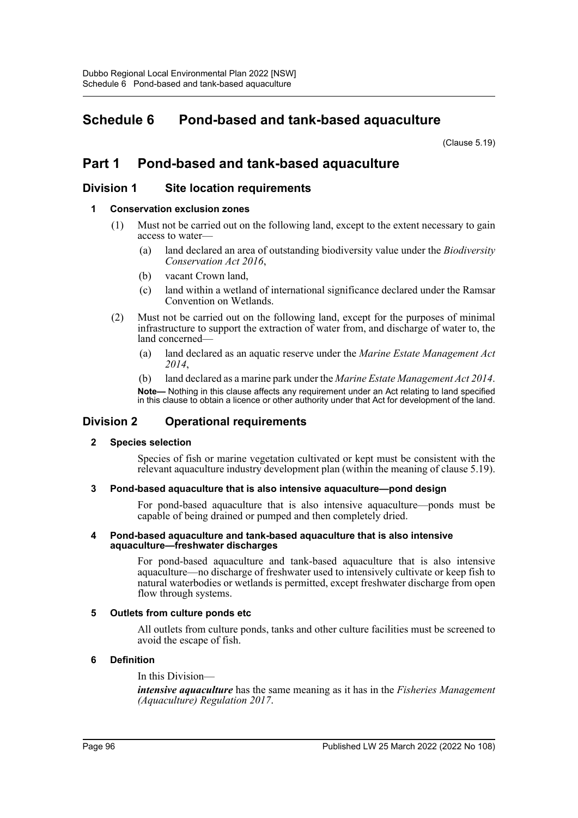## **Schedule 6 Pond-based and tank-based aquaculture**

(Clause 5.19)

## **Part 1 Pond-based and tank-based aquaculture**

### **Division 1 Site location requirements**

### **1 Conservation exclusion zones**

- (1) Must not be carried out on the following land, except to the extent necessary to gain access to water—
	- (a) land declared an area of outstanding biodiversity value under the *Biodiversity Conservation Act 2016*,
	- (b) vacant Crown land,
	- (c) land within a wetland of international significance declared under the Ramsar Convention on Wetlands.
- (2) Must not be carried out on the following land, except for the purposes of minimal infrastructure to support the extraction of water from, and discharge of water to, the land concerned—
	- (a) land declared as an aquatic reserve under the *Marine Estate Management Act 2014*,
	- (b) land declared as a marine park under the *Marine Estate Management Act 2014*.

**Note—** Nothing in this clause affects any requirement under an Act relating to land specified in this clause to obtain a licence or other authority under that Act for development of the land.

### **Division 2 Operational requirements**

### **2 Species selection**

Species of fish or marine vegetation cultivated or kept must be consistent with the relevant aquaculture industry development plan (within the meaning of clause 5.19).

### **3 Pond-based aquaculture that is also intensive aquaculture—pond design**

For pond-based aquaculture that is also intensive aquaculture—ponds must be capable of being drained or pumped and then completely dried.

#### **4 Pond-based aquaculture and tank-based aquaculture that is also intensive aquaculture—freshwater discharges**

For pond-based aquaculture and tank-based aquaculture that is also intensive aquaculture—no discharge of freshwater used to intensively cultivate or keep fish to natural waterbodies or wetlands is permitted, except freshwater discharge from open flow through systems.

### **5 Outlets from culture ponds etc**

All outlets from culture ponds, tanks and other culture facilities must be screened to avoid the escape of fish.

### **6 Definition**

In this Division—

*intensive aquaculture* has the same meaning as it has in the *Fisheries Management (Aquaculture) Regulation 2017*.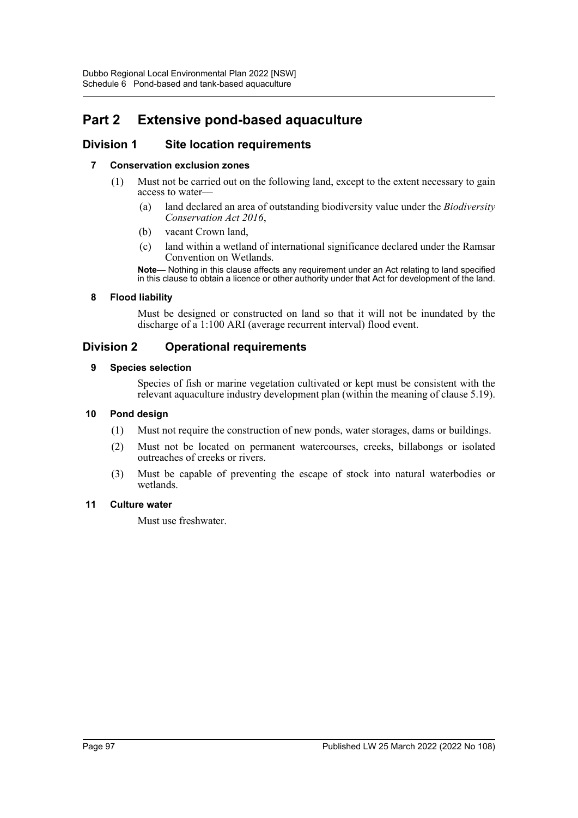# **Part 2 Extensive pond-based aquaculture**

## **Division 1 Site location requirements**

### **7 Conservation exclusion zones**

- (1) Must not be carried out on the following land, except to the extent necessary to gain access to water—
	- (a) land declared an area of outstanding biodiversity value under the *Biodiversity Conservation Act 2016*,
	- (b) vacant Crown land,
	- (c) land within a wetland of international significance declared under the Ramsar Convention on Wetlands.

**Note—** Nothing in this clause affects any requirement under an Act relating to land specified in this clause to obtain a licence or other authority under that Act for development of the land.

### **8 Flood liability**

Must be designed or constructed on land so that it will not be inundated by the discharge of a 1:100 ARI (average recurrent interval) flood event.

## **Division 2 Operational requirements**

### **9 Species selection**

Species of fish or marine vegetation cultivated or kept must be consistent with the relevant aquaculture industry development plan (within the meaning of clause 5.19).

### **10 Pond design**

- (1) Must not require the construction of new ponds, water storages, dams or buildings.
- (2) Must not be located on permanent watercourses, creeks, billabongs or isolated outreaches of creeks or rivers.
- (3) Must be capable of preventing the escape of stock into natural waterbodies or wetlands.

### **11 Culture water**

Must use freshwater.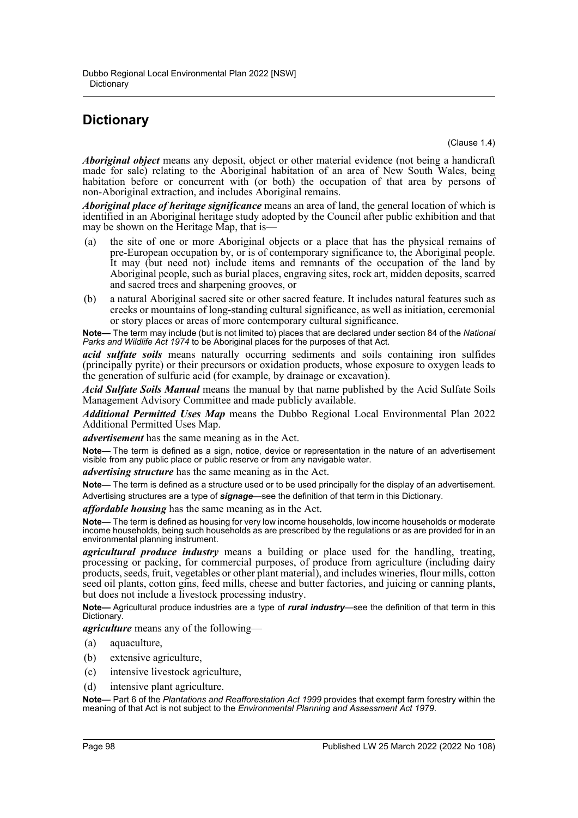## **Dictionary**

(Clause 1.4)

*Aboriginal object* means any deposit, object or other material evidence (not being a handicraft made for sale) relating to the Aboriginal habitation of an area of New South Wales, being habitation before or concurrent with (or both) the occupation of that area by persons of non-Aboriginal extraction, and includes Aboriginal remains.

*Aboriginal place of heritage significance* means an area of land, the general location of which is identified in an Aboriginal heritage study adopted by the Council after public exhibition and that may be shown on the Heritage Map, that is-

- (a) the site of one or more Aboriginal objects or a place that has the physical remains of pre-European occupation by, or is of contemporary significance to, the Aboriginal people. It may (but need not) include items and remnants of the occupation of the land by Aboriginal people, such as burial places, engraving sites, rock art, midden deposits, scarred and sacred trees and sharpening grooves, or
- (b) a natural Aboriginal sacred site or other sacred feature. It includes natural features such as creeks or mountains of long-standing cultural significance, as well as initiation, ceremonial or story places or areas of more contemporary cultural significance.

**Note—** The term may include (but is not limited to) places that are declared under section 84 of the *National* Parks and Wildlife Act 1974 to be Aboriginal places for the purposes of that Act.

*acid sulfate soils* means naturally occurring sediments and soils containing iron sulfides (principally pyrite) or their precursors or oxidation products, whose exposure to oxygen leads to the generation of sulfuric acid (for example, by drainage or excavation).

*Acid Sulfate Soils Manual* means the manual by that name published by the Acid Sulfate Soils Management Advisory Committee and made publicly available.

*Additional Permitted Uses Map* means the Dubbo Regional Local Environmental Plan 2022 Additional Permitted Uses Map.

*advertisement* has the same meaning as in the Act.

**Note—** The term is defined as a sign, notice, device or representation in the nature of an advertisement visible from any public place or public reserve or from any navigable water.

*advertising structure* has the same meaning as in the Act.

**Note—** The term is defined as a structure used or to be used principally for the display of an advertisement. Advertising structures are a type of *signage*—see the definition of that term in this Dictionary.

*affordable housing* has the same meaning as in the Act.

**Note—** The term is defined as housing for very low income households, low income households or moderate income households, being such households as are prescribed by the regulations or as are provided for in an environmental planning instrument.

*agricultural produce industry* means a building or place used for the handling, treating, processing or packing, for commercial purposes, of produce from agriculture (including dairy products, seeds, fruit, vegetables or other plant material), and includes wineries, flour mills, cotton seed oil plants, cotton gins, feed mills, cheese and butter factories, and juicing or canning plants, but does not include a livestock processing industry.

**Note—** Agricultural produce industries are a type of *rural industry*—see the definition of that term in this Dictionary.

*agriculture* means any of the following—

- (a) aquaculture,
- (b) extensive agriculture,
- (c) intensive livestock agriculture,
- (d) intensive plant agriculture.

**Note—** Part 6 of the *Plantations and Reafforestation Act 1999* provides that exempt farm forestry within the meaning of that Act is not subject to the *Environmental Planning and Assessment Act 1979*.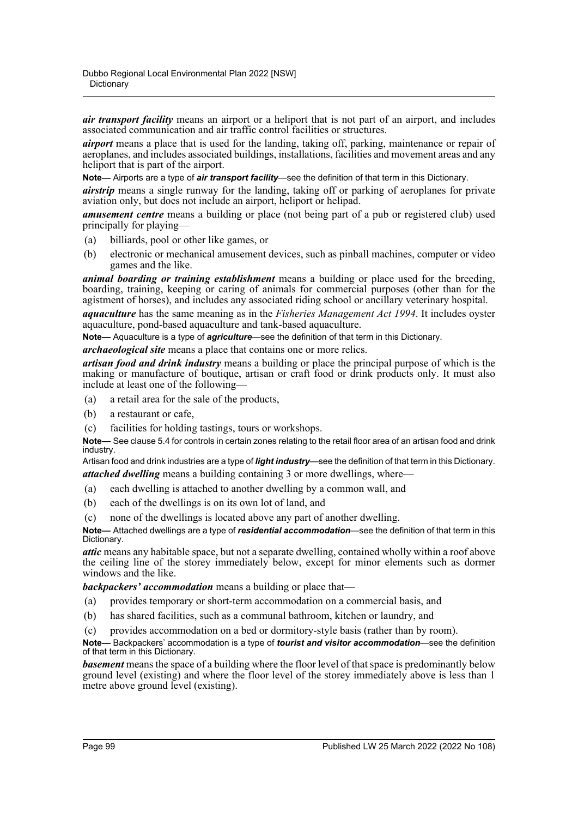*air transport facility* means an airport or a heliport that is not part of an airport, and includes associated communication and air traffic control facilities or structures.

*airport* means a place that is used for the landing, taking off, parking, maintenance or repair of aeroplanes, and includes associated buildings, installations, facilities and movement areas and any heliport that is part of the airport.

**Note—** Airports are a type of *air transport facility*—see the definition of that term in this Dictionary.

*airstrip* means a single runway for the landing, taking off or parking of aeroplanes for private aviation only, but does not include an airport, heliport or helipad.

*amusement centre* means a building or place (not being part of a pub or registered club) used principally for playing—

- (a) billiards, pool or other like games, or
- (b) electronic or mechanical amusement devices, such as pinball machines, computer or video games and the like.

*animal boarding or training establishment* means a building or place used for the breeding, boarding, training, keeping or caring of animals for commercial purposes (other than for the agistment of horses), and includes any associated riding school or ancillary veterinary hospital.

*aquaculture* has the same meaning as in the *Fisheries Management Act 1994*. It includes oyster aquaculture, pond-based aquaculture and tank-based aquaculture.

**Note—** Aquaculture is a type of *agriculture*—see the definition of that term in this Dictionary.

*archaeological site* means a place that contains one or more relics.

*artisan food and drink industry* means a building or place the principal purpose of which is the making or manufacture of boutique, artisan or craft food or drink products only. It must also include at least one of the following—

- (a) a retail area for the sale of the products,
- (b) a restaurant or cafe,
- (c) facilities for holding tastings, tours or workshops.

**Note—** See clause 5.4 for controls in certain zones relating to the retail floor area of an artisan food and drink industry.

Artisan food and drink industries are a type of *light industry*—see the definition of that term in this Dictionary. *attached dwelling* means a building containing 3 or more dwellings, where—

- (a) each dwelling is attached to another dwelling by a common wall, and
- (b) each of the dwellings is on its own lot of land, and
- (c) none of the dwellings is located above any part of another dwelling.

**Note—** Attached dwellings are a type of *residential accommodation*—see the definition of that term in this Dictionary.

*attic* means any habitable space, but not a separate dwelling, contained wholly within a roof above the ceiling line of the storey immediately below, except for minor elements such as dormer windows and the like.

*backpackers' accommodation* means a building or place that—

- (a) provides temporary or short-term accommodation on a commercial basis, and
- (b) has shared facilities, such as a communal bathroom, kitchen or laundry, and
- (c) provides accommodation on a bed or dormitory-style basis (rather than by room).

**Note—** Backpackers' accommodation is a type of *tourist and visitor accommodation*—see the definition of that term in this Dictionary.

*basement* means the space of a building where the floor level of that space is predominantly below ground level (existing) and where the floor level of the storey immediately above is less than 1 metre above ground level (existing).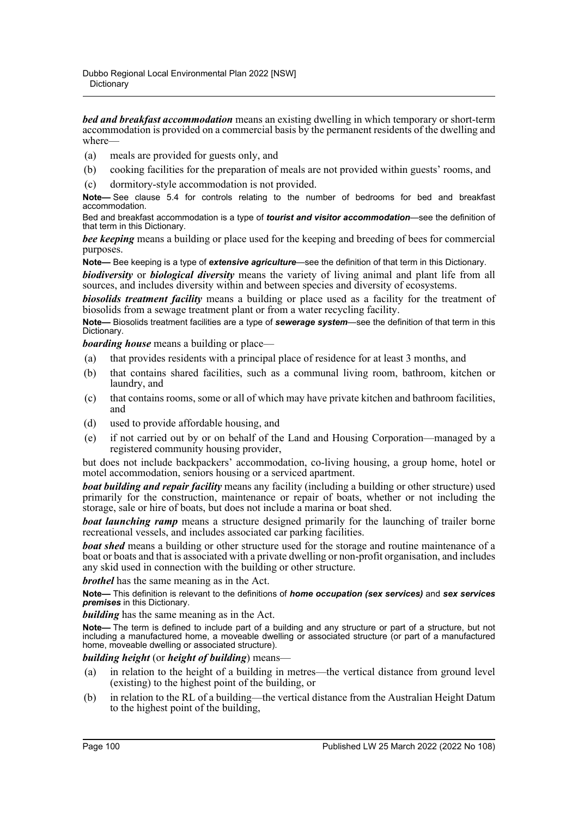*bed and breakfast accommodation* means an existing dwelling in which temporary or short-term accommodation is provided on a commercial basis by the permanent residents of the dwelling and where—

- (a) meals are provided for guests only, and
- (b) cooking facilities for the preparation of meals are not provided within guests' rooms, and
- (c) dormitory-style accommodation is not provided.

**Note—** See clause 5.4 for controls relating to the number of bedrooms for bed and breakfast accommodation.

Bed and breakfast accommodation is a type of *tourist and visitor accommodation*—see the definition of that term in this Dictionary.

*bee keeping* means a building or place used for the keeping and breeding of bees for commercial purposes.

**Note—** Bee keeping is a type of *extensive agriculture*—see the definition of that term in this Dictionary.

*biodiversity* or *biological diversity* means the variety of living animal and plant life from all sources, and includes diversity within and between species and diversity of ecosystems.

*biosolids treatment facility* means a building or place used as a facility for the treatment of biosolids from a sewage treatment plant or from a water recycling facility.

**Note—** Biosolids treatment facilities are a type of *sewerage system*—see the definition of that term in this Dictionary.

*boarding house* means a building or place—

- (a) that provides residents with a principal place of residence for at least 3 months, and
- (b) that contains shared facilities, such as a communal living room, bathroom, kitchen or laundry, and
- (c) that contains rooms, some or all of which may have private kitchen and bathroom facilities, and
- (d) used to provide affordable housing, and
- (e) if not carried out by or on behalf of the Land and Housing Corporation—managed by a registered community housing provider,

but does not include backpackers' accommodation, co-living housing, a group home, hotel or motel accommodation, seniors housing or a serviced apartment.

*boat building and repair facility* means any facility (including a building or other structure) used primarily for the construction, maintenance or repair of boats, whether or not including the storage, sale or hire of boats, but does not include a marina or boat shed.

*boat launching ramp* means a structure designed primarily for the launching of trailer borne recreational vessels, and includes associated car parking facilities.

*boat shed* means a building or other structure used for the storage and routine maintenance of a boat or boats and that is associated with a private dwelling or non-profit organisation, and includes any skid used in connection with the building or other structure.

*brothel* has the same meaning as in the Act.

**Note—** This definition is relevant to the definitions of *home occupation (sex services)* and *sex services premises* in this Dictionary.

*building* has the same meaning as in the Act.

**Note—** The term is defined to include part of a building and any structure or part of a structure, but not including a manufactured home, a moveable dwelling or associated structure (or part of a manufactured home, moveable dwelling or associated structure).

### *building height* (or *height of building*) means—

- (a) in relation to the height of a building in metres—the vertical distance from ground level (existing) to the highest point of the building, or
- (b) in relation to the RL of a building—the vertical distance from the Australian Height Datum to the highest point of the building,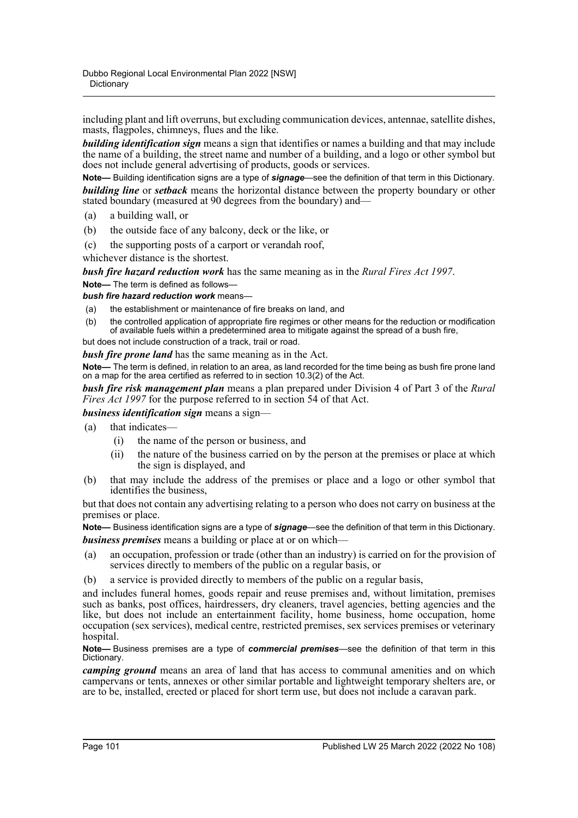including plant and lift overruns, but excluding communication devices, antennae, satellite dishes, masts, flagpoles, chimneys, flues and the like.

*building identification sign* means a sign that identifies or names a building and that may include the name of a building, the street name and number of a building, and a logo or other symbol but does not include general advertising of products, goods or services.

**Note—** Building identification signs are a type of *signage*—see the definition of that term in this Dictionary. *building line* or *setback* means the horizontal distance between the property boundary or other stated boundary (measured at 90 degrees from the boundary) and—

- (a) a building wall, or
- (b) the outside face of any balcony, deck or the like, or
- (c) the supporting posts of a carport or verandah roof,

whichever distance is the shortest.

*bush fire hazard reduction work* has the same meaning as in the *Rural Fires Act 1997*.

**Note—** The term is defined as follows—

- *bush fire hazard reduction work* means—
- (a) the establishment or maintenance of fire breaks on land, and
- (b) the controlled application of appropriate fire regimes or other means for the reduction or modification of available fuels within a predetermined area to mitigate against the spread of a bush fire,

but does not include construction of a track, trail or road.

*bush fire prone land* has the same meaning as in the Act.

**Note—** The term is defined, in relation to an area, as land recorded for the time being as bush fire prone land on a map for the area certified as referred to in section 10.3(2) of the Act.

*bush fire risk management plan* means a plan prepared under Division 4 of Part 3 of the *Rural Fires Act 1997* for the purpose referred to in section 54 of that Act.

*business identification sign* means a sign—

- (a) that indicates—
	- (i) the name of the person or business, and
	- (ii) the nature of the business carried on by the person at the premises or place at which the sign is displayed, and
- (b) that may include the address of the premises or place and a logo or other symbol that identifies the business,

but that does not contain any advertising relating to a person who does not carry on business at the premises or place.

**Note—** Business identification signs are a type of *signage*—see the definition of that term in this Dictionary. *business premises* means a building or place at or on which—

- (a) an occupation, profession or trade (other than an industry) is carried on for the provision of services directly to members of the public on a regular basis, or
- (b) a service is provided directly to members of the public on a regular basis,

and includes funeral homes, goods repair and reuse premises and, without limitation, premises such as banks, post offices, hairdressers, dry cleaners, travel agencies, betting agencies and the like, but does not include an entertainment facility, home business, home occupation, home occupation (sex services), medical centre, restricted premises, sex services premises or veterinary hospital.

#### **Note—** Business premises are a type of *commercial premises*—see the definition of that term in this Dictionary.

*camping ground* means an area of land that has access to communal amenities and on which campervans or tents, annexes or other similar portable and lightweight temporary shelters are, or are to be, installed, erected or placed for short term use, but does not include a caravan park.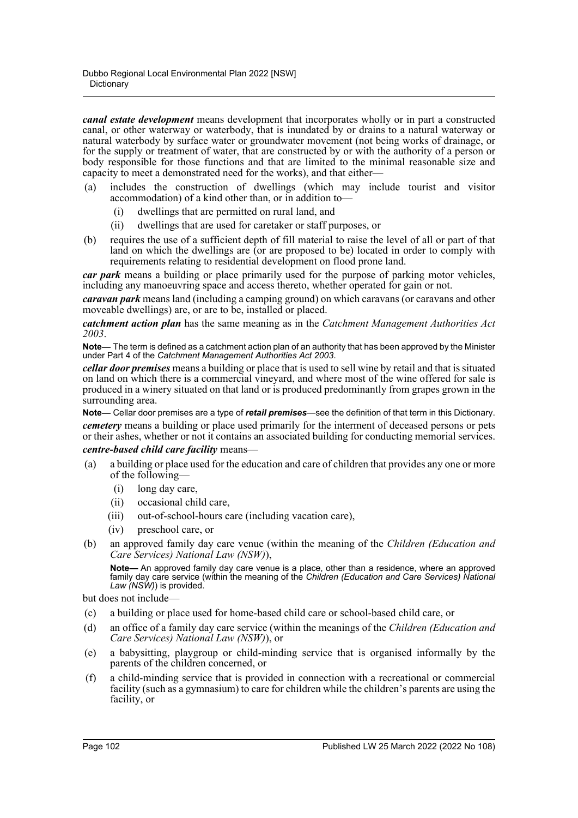*canal estate development* means development that incorporates wholly or in part a constructed canal, or other waterway or waterbody, that is inundated by or drains to a natural waterway or natural waterbody by surface water or groundwater movement (not being works of drainage, or for the supply or treatment of water, that are constructed by or with the authority of a person or body responsible for those functions and that are limited to the minimal reasonable size and capacity to meet a demonstrated need for the works), and that either—

- (a) includes the construction of dwellings (which may include tourist and visitor accommodation) of a kind other than, or in addition to—
	- (i) dwellings that are permitted on rural land, and
	- (ii) dwellings that are used for caretaker or staff purposes, or
- (b) requires the use of a sufficient depth of fill material to raise the level of all or part of that land on which the dwellings are (or are proposed to be) located in order to comply with requirements relating to residential development on flood prone land.

*car park* means a building or place primarily used for the purpose of parking motor vehicles, including any manoeuvring space and access thereto, whether operated for gain or not.

*caravan park* means land (including a camping ground) on which caravans (or caravans and other moveable dwellings) are, or are to be, installed or placed.

*catchment action plan* has the same meaning as in the *Catchment Management Authorities Act 2003*.

**Note—** The term is defined as a catchment action plan of an authority that has been approved by the Minister under Part 4 of the *Catchment Management Authorities Act 2003*.

*cellar door premises* means a building or place that is used to sell wine by retail and that is situated on land on which there is a commercial vineyard, and where most of the wine offered for sale is produced in a winery situated on that land or is produced predominantly from grapes grown in the surrounding area.

**Note—** Cellar door premises are a type of *retail premises*—see the definition of that term in this Dictionary. *cemetery* means a building or place used primarily for the interment of deceased persons or pets or their ashes, whether or not it contains an associated building for conducting memorial services.

*centre-based child care facility* means—

- (a) a building or place used for the education and care of children that provides any one or more of the following—
	- (i) long day care,
	- (ii) occasional child care,
	- (iii) out-of-school-hours care (including vacation care),
	- (iv) preschool care, or
- (b) an approved family day care venue (within the meaning of the *Children (Education and Care Services) National Law (NSW)*),

**Note—** An approved family day care venue is a place, other than a residence, where an approved family day care service (within the meaning of the *Children (Education and Care Services) National Law (NSW)*) is provided.

but does not include—

- (c) a building or place used for home-based child care or school-based child care, or
- (d) an office of a family day care service (within the meanings of the *Children (Education and Care Services) National Law (NSW)*), or
- (e) a babysitting, playgroup or child-minding service that is organised informally by the parents of the children concerned, or
- (f) a child-minding service that is provided in connection with a recreational or commercial facility (such as a gymnasium) to care for children while the children's parents are using the facility, or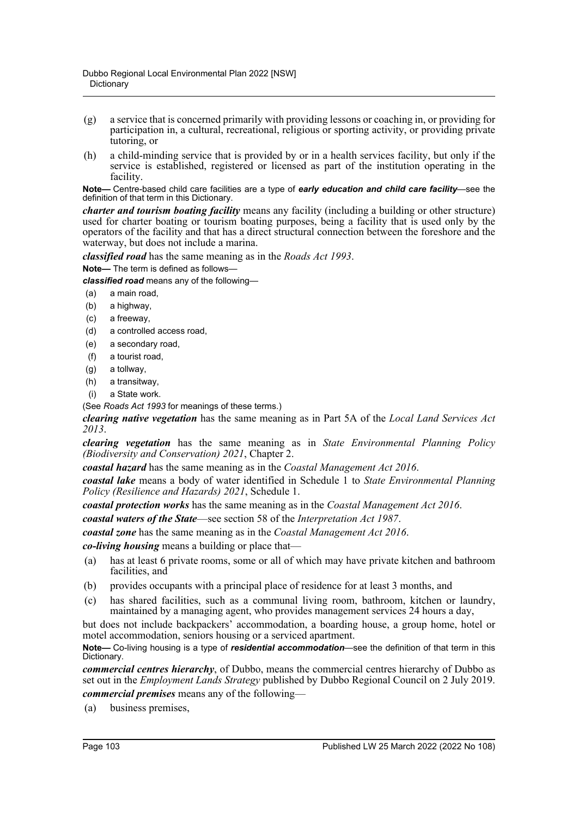- (g) a service that is concerned primarily with providing lessons or coaching in, or providing for participation in, a cultural, recreational, religious or sporting activity, or providing private tutoring, or
- (h) a child-minding service that is provided by or in a health services facility, but only if the service is established, registered or licensed as part of the institution operating in the facility.

**Note—** Centre-based child care facilities are a type of *early education and child care facility*—see the definition of that term in this Dictionary.

*charter and tourism boating facility* means any facility (including a building or other structure) used for charter boating or tourism boating purposes, being a facility that is used only by the operators of the facility and that has a direct structural connection between the foreshore and the waterway, but does not include a marina.

*classified road* has the same meaning as in the *Roads Act 1993*.

**Note—** The term is defined as follows—

*classified road* means any of the following—

- (a) a main road,
- (b) a highway,
- (c) a freeway,
- (d) a controlled access road,
- (e) a secondary road,
- (f) a tourist road,
- (g) a tollway,
- (h) a transitway,
- (i) a State work.

(See *Roads Act 1993* for meanings of these terms.)

*clearing native vegetation* has the same meaning as in Part 5A of the *Local Land Services Act 2013*.

*clearing vegetation* has the same meaning as in *State Environmental Planning Policy (Biodiversity and Conservation) 2021*, Chapter 2.

*coastal hazard* has the same meaning as in the *Coastal Management Act 2016*.

*coastal lake* means a body of water identified in Schedule 1 to *State Environmental Planning Policy (Resilience and Hazards) 2021*, Schedule 1.

*coastal protection works* has the same meaning as in the *Coastal Management Act 2016*.

*coastal waters of the State*—see section 58 of the *Interpretation Act 1987*.

*coastal zone* has the same meaning as in the *Coastal Management Act 2016*.

*co-living housing* means a building or place that—

- (a) has at least 6 private rooms, some or all of which may have private kitchen and bathroom facilities, and
- (b) provides occupants with a principal place of residence for at least 3 months, and
- (c) has shared facilities, such as a communal living room, bathroom, kitchen or laundry, maintained by a managing agent, who provides management services 24 hours a day,

but does not include backpackers' accommodation, a boarding house, a group home, hotel or motel accommodation, seniors housing or a serviced apartment.

**Note—** Co-living housing is a type of *residential accommodation*—see the definition of that term in this Dictionary.

*commercial centres hierarchy*, of Dubbo, means the commercial centres hierarchy of Dubbo as set out in the *Employment Lands Strategy* published by Dubbo Regional Council on 2 July 2019. *commercial premises* means any of the following—

(a) business premises,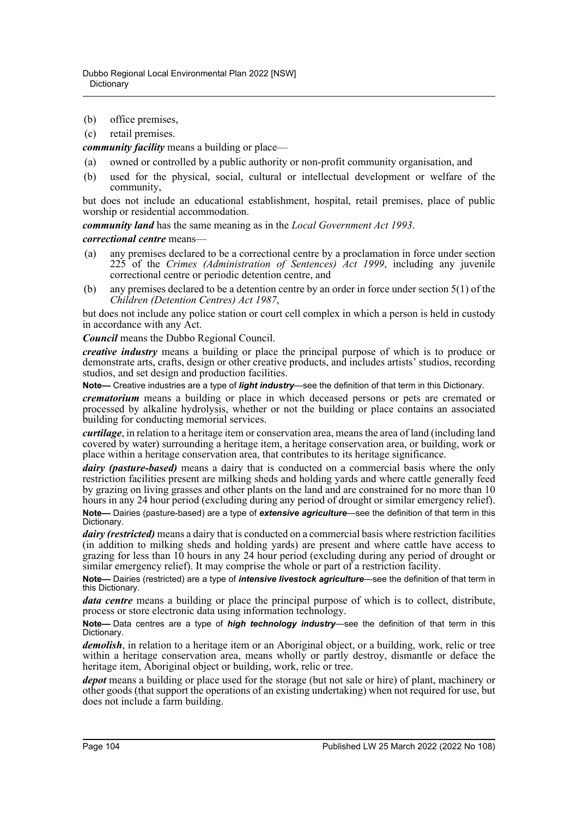- (b) office premises,
- (c) retail premises.

*community facility* means a building or place—

- (a) owned or controlled by a public authority or non-profit community organisation, and
- (b) used for the physical, social, cultural or intellectual development or welfare of the community,

but does not include an educational establishment, hospital, retail premises, place of public worship or residential accommodation.

*community land* has the same meaning as in the *Local Government Act 1993*.

*correctional centre* means—

- (a) any premises declared to be a correctional centre by a proclamation in force under section 225 of the *Crimes (Administration of Sentences) Act 1999*, including any juvenile correctional centre or periodic detention centre, and
- (b) any premises declared to be a detention centre by an order in force under section 5(1) of the *Children (Detention Centres) Act 1987*,

but does not include any police station or court cell complex in which a person is held in custody in accordance with any Act.

*Council* means the Dubbo Regional Council.

*creative industry* means a building or place the principal purpose of which is to produce or demonstrate arts, crafts, design or other creative products, and includes artists' studios, recording studios, and set design and production facilities.

**Note—** Creative industries are a type of *light industry*—see the definition of that term in this Dictionary.

*crematorium* means a building or place in which deceased persons or pets are cremated or processed by alkaline hydrolysis, whether or not the building or place contains an associated building for conducting memorial services.

*curtilage*, in relation to a heritage item or conservation area, means the area of land (including land covered by water) surrounding a heritage item, a heritage conservation area, or building, work or place within a heritage conservation area, that contributes to its heritage significance.

*dairy (pasture-based)* means a dairy that is conducted on a commercial basis where the only restriction facilities present are milking sheds and holding yards and where cattle generally feed by grazing on living grasses and other plants on the land and are constrained for no more than 10 hours in any 24 hour period (excluding during any period of drought or similar emergency relief). **Note—** Dairies (pasture-based) are a type of *extensive agriculture*—see the definition of that term in this Dictionary.

*dairy (restricted)* means a dairy that is conducted on a commercial basis where restriction facilities (in addition to milking sheds and holding yards) are present and where cattle have access to grazing for less than  $10$  hours in any 24 hour period (excluding during any period of drought or similar emergency relief). It may comprise the whole or part of a restriction facility.

**Note—** Dairies (restricted) are a type of *intensive livestock agriculture*—see the definition of that term in this Dictionary.

*data centre* means a building or place the principal purpose of which is to collect, distribute, process or store electronic data using information technology.

**Note—** Data centres are a type of *high technology industry*—see the definition of that term in this Dictionary.

*demolish*, in relation to a heritage item or an Aboriginal object, or a building, work, relic or tree within a heritage conservation area, means wholly or partly destroy, dismantle or deface the heritage item, Aboriginal object or building, work, relic or tree.

*depot* means a building or place used for the storage (but not sale or hire) of plant, machinery or other goods (that support the operations of an existing undertaking) when not required for use, but does not include a farm building.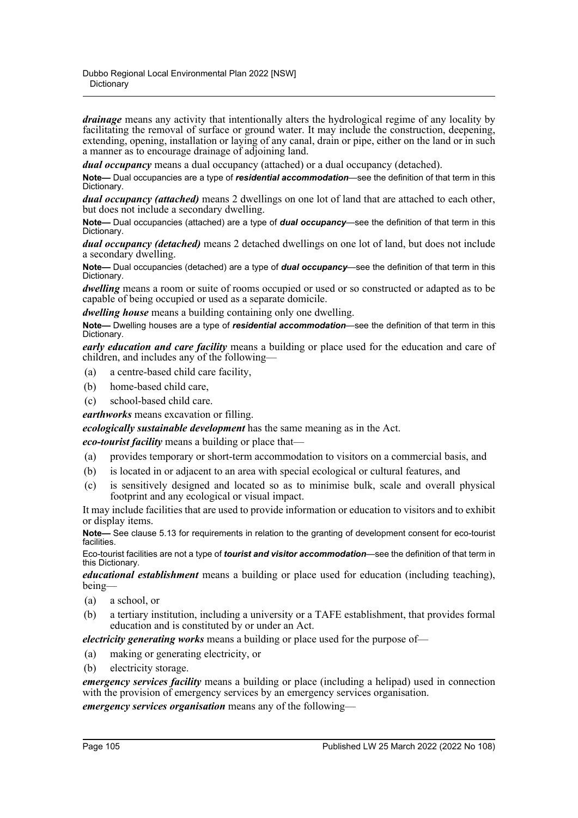*drainage* means any activity that intentionally alters the hydrological regime of any locality by facilitating the removal of surface or ground water. It may include the construction, deepening, extending, opening, installation or laying of any canal, drain or pipe, either on the land or in such a manner as to encourage drainage of adjoining land.

*dual occupancy* means a dual occupancy (attached) or a dual occupancy (detached).

**Note—** Dual occupancies are a type of *residential accommodation*—see the definition of that term in this Dictionary.

*dual occupancy (attached)* means 2 dwellings on one lot of land that are attached to each other, but does not include a secondary dwelling.

**Note—** Dual occupancies (attached) are a type of *dual occupancy*—see the definition of that term in this Dictionary.

*dual occupancy (detached)* means 2 detached dwellings on one lot of land, but does not include a secondary dwelling.

**Note—** Dual occupancies (detached) are a type of *dual occupancy*—see the definition of that term in this Dictionary.

*dwelling* means a room or suite of rooms occupied or used or so constructed or adapted as to be capable of being occupied or used as a separate domicile.

*dwelling house* means a building containing only one dwelling.

**Note—** Dwelling houses are a type of *residential accommodation*—see the definition of that term in this Dictionary.

*early education and care facility* means a building or place used for the education and care of children, and includes any of the following—

- (a) a centre-based child care facility,
- (b) home-based child care,
- (c) school-based child care.

*earthworks* means excavation or filling.

*ecologically sustainable development* has the same meaning as in the Act.

*eco-tourist facility* means a building or place that—

- (a) provides temporary or short-term accommodation to visitors on a commercial basis, and
- (b) is located in or adjacent to an area with special ecological or cultural features, and
- (c) is sensitively designed and located so as to minimise bulk, scale and overall physical footprint and any ecological or visual impact.

It may include facilities that are used to provide information or education to visitors and to exhibit or display items.

**Note—** See clause 5.13 for requirements in relation to the granting of development consent for eco-tourist facilities.

Eco-tourist facilities are not a type of *tourist and visitor accommodation*—see the definition of that term in this Dictionary.

*educational establishment* means a building or place used for education (including teaching), being—

- (a) a school, or
- (b) a tertiary institution, including a university or a TAFE establishment, that provides formal education and is constituted by or under an Act.

*electricity generating works* means a building or place used for the purpose of—

- (a) making or generating electricity, or
- (b) electricity storage.

*emergency services facility* means a building or place (including a helipad) used in connection with the provision of emergency services by an emergency services organisation.

*emergency services organisation* means any of the following—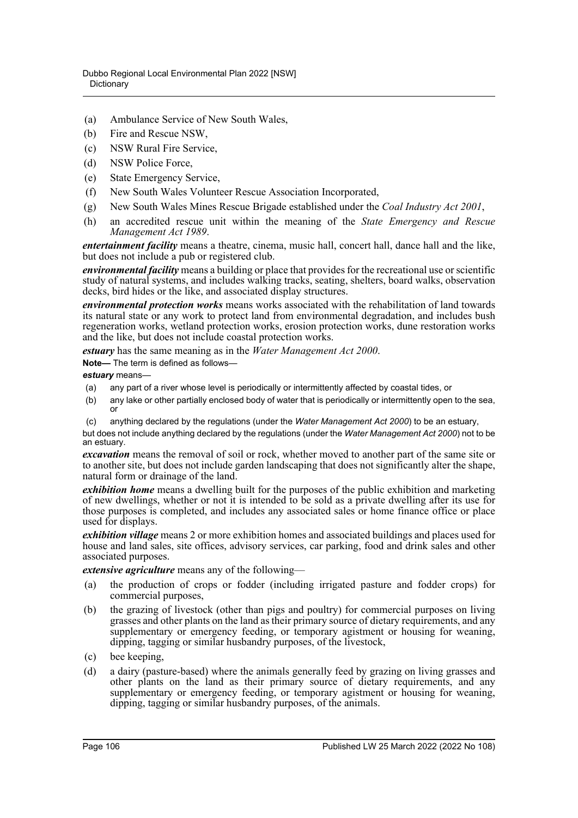- (a) Ambulance Service of New South Wales,
- (b) Fire and Rescue NSW,
- (c) NSW Rural Fire Service,
- (d) NSW Police Force,
- (e) State Emergency Service,
- (f) New South Wales Volunteer Rescue Association Incorporated,
- (g) New South Wales Mines Rescue Brigade established under the *Coal Industry Act 2001*,
- (h) an accredited rescue unit within the meaning of the *State Emergency and Rescue Management Act 1989*.

*entertainment facility* means a theatre, cinema, music hall, concert hall, dance hall and the like, but does not include a pub or registered club.

*environmental facility* means a building or place that provides for the recreational use or scientific study of natural systems, and includes walking tracks, seating, shelters, board walks, observation decks, bird hides or the like, and associated display structures.

*environmental protection works* means works associated with the rehabilitation of land towards its natural state or any work to protect land from environmental degradation, and includes bush regeneration works, wetland protection works, erosion protection works, dune restoration works and the like, but does not include coastal protection works.

*estuary* has the same meaning as in the *Water Management Act 2000*.

**Note—** The term is defined as follows—

*estuary* means—

- (a) any part of a river whose level is periodically or intermittently affected by coastal tides, or
- (b) any lake or other partially enclosed body of water that is periodically or intermittently open to the sea, or
- (c) anything declared by the regulations (under the *Water Management Act 2000*) to be an estuary,

but does not include anything declared by the regulations (under the *Water Management Act 2000*) not to be an estuary.

*excavation* means the removal of soil or rock, whether moved to another part of the same site or to another site, but does not include garden landscaping that does not significantly alter the shape, natural form or drainage of the land.

*exhibition home* means a dwelling built for the purposes of the public exhibition and marketing of new dwellings, whether or not it is intended to be sold as a private dwelling after its use for those purposes is completed, and includes any associated sales or home finance office or place used for displays.

*exhibition village* means 2 or more exhibition homes and associated buildings and places used for house and land sales, site offices, advisory services, car parking, food and drink sales and other associated purposes.

*extensive agriculture* means any of the following—

- (a) the production of crops or fodder (including irrigated pasture and fodder crops) for commercial purposes,
- (b) the grazing of livestock (other than pigs and poultry) for commercial purposes on living grasses and other plants on the land as their primary source of dietary requirements, and any supplementary or emergency feeding, or temporary agistment or housing for weaning, dipping, tagging or similar husbandry purposes, of the livestock,
- (c) bee keeping,
- (d) a dairy (pasture-based) where the animals generally feed by grazing on living grasses and other plants on the land as their primary source of dietary requirements, and any supplementary or emergency feeding, or temporary agistment or housing for weaning, dipping, tagging or similar husbandry purposes, of the animals.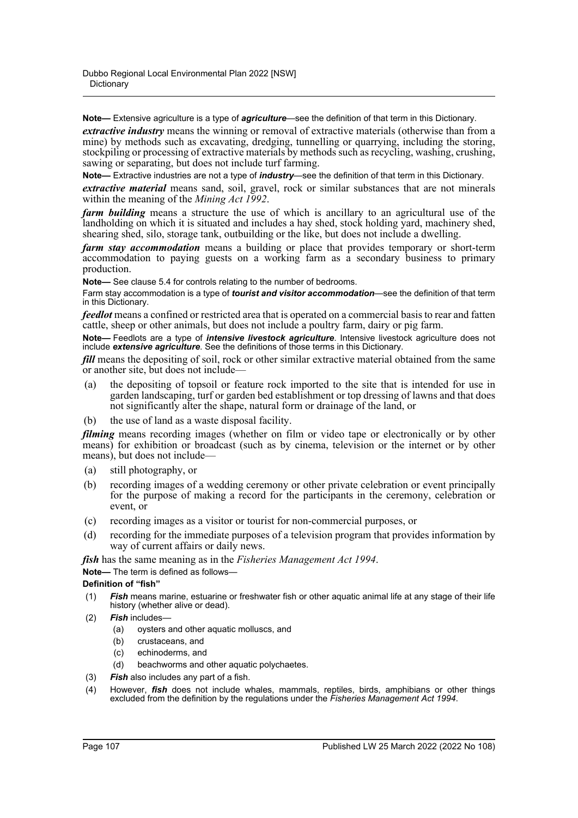**Note—** Extensive agriculture is a type of *agriculture*—see the definition of that term in this Dictionary.

*extractive industry* means the winning or removal of extractive materials (otherwise than from a mine) by methods such as excavating, dredging, tunnelling or quarrying, including the storing, stockpiling or processing of extractive materials by methods such as recycling, washing, crushing, sawing or separating, but does not include turf farming.

**Note—** Extractive industries are not a type of *industry*—see the definition of that term in this Dictionary.

*extractive material* means sand, soil, gravel, rock or similar substances that are not minerals within the meaning of the *Mining Act 1992*.

*farm building* means a structure the use of which is ancillary to an agricultural use of the landholding on which it is situated and includes a hay shed, stock holding yard, machinery shed, shearing shed, silo, storage tank, outbuilding or the like, but does not include a dwelling.

*farm stay accommodation* means a building or place that provides temporary or short-term accommodation to paying guests on a working farm as a secondary business to primary production.

**Note—** See clause 5.4 for controls relating to the number of bedrooms.

Farm stay accommodation is a type of *tourist and visitor accommodation*—see the definition of that term in this Dictionary.

*feedlot* means a confined or restricted area that is operated on a commercial basis to rear and fatten cattle, sheep or other animals, but does not include a poultry farm, dairy or pig farm.

**Note—** Feedlots are a type of *intensive livestock agriculture*. Intensive livestock agriculture does not include *extensive agriculture*. See the definitions of those terms in this Dictionary.

*fill* means the depositing of soil, rock or other similar extractive material obtained from the same or another site, but does not include—

- (a) the depositing of topsoil or feature rock imported to the site that is intended for use in garden landscaping, turf or garden bed establishment or top dressing of lawns and that does not significantly alter the shape, natural form or drainage of the land, or
- (b) the use of land as a waste disposal facility.

*filming* means recording images (whether on film or video tape or electronically or by other means) for exhibition or broadcast (such as by cinema, television or the internet or by other means), but does not include—

- (a) still photography, or
- (b) recording images of a wedding ceremony or other private celebration or event principally for the purpose of making a record for the participants in the ceremony, celebration or event, or
- (c) recording images as a visitor or tourist for non-commercial purposes, or
- (d) recording for the immediate purposes of a television program that provides information by way of current affairs or daily news.

*fish* has the same meaning as in the *Fisheries Management Act 1994*.

**Note—** The term is defined as follows—

### **Definition of "fish"**

- (1) *Fish* means marine, estuarine or freshwater fish or other aquatic animal life at any stage of their life history (whether alive or dead).
- (2) *Fish* includes—
	- (a) oysters and other aquatic molluscs, and
	- (b) crustaceans, and
	- (c) echinoderms, and
	- (d) beachworms and other aquatic polychaetes.
- (3) *Fish* also includes any part of a fish.
- (4) However, *fish* does not include whales, mammals, reptiles, birds, amphibians or other things excluded from the definition by the regulations under the *Fisheries Management Act 1994*.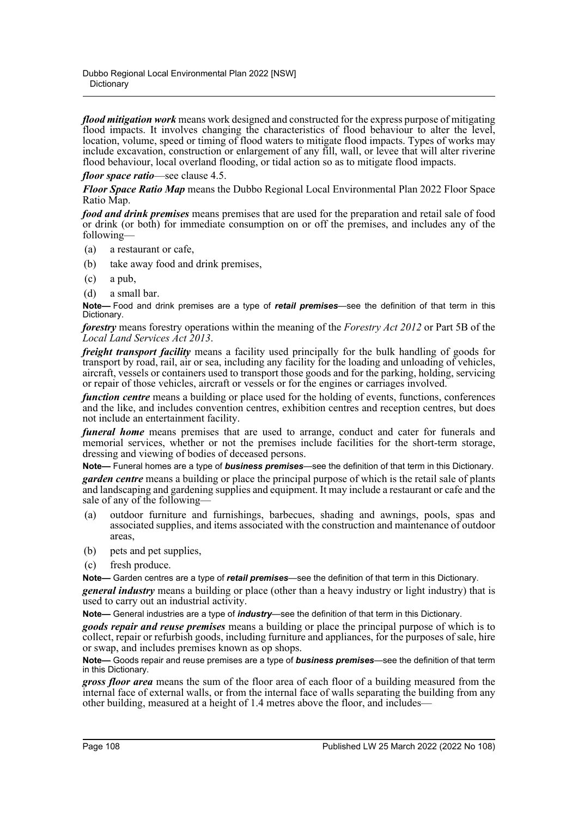*flood mitigation work* means work designed and constructed for the express purpose of mitigating flood impacts. It involves changing the characteristics of flood behaviour to alter the level, location, volume, speed or timing of flood waters to mitigate flood impacts. Types of works may include excavation, construction or enlargement of any fill, wall, or levee that will alter riverine flood behaviour, local overland flooding, or tidal action so as to mitigate flood impacts.

*floor space ratio*—see clause 4.5.

*Floor Space Ratio Map* means the Dubbo Regional Local Environmental Plan 2022 Floor Space Ratio Map.

*food and drink premises* means premises that are used for the preparation and retail sale of food or drink (or both) for immediate consumption on or off the premises, and includes any of the following—

- (a) a restaurant or cafe,
- (b) take away food and drink premises,
- (c) a pub,
- (d) a small bar.

**Note—** Food and drink premises are a type of *retail premises*—see the definition of that term in this Dictionary.

*forestry* means forestry operations within the meaning of the *Forestry Act 2012* or Part 5B of the *Local Land Services Act 2013*.

*freight transport facility* means a facility used principally for the bulk handling of goods for transport by road, rail, air or sea, including any facility for the loading and unloading of vehicles, aircraft, vessels or containers used to transport those goods and for the parking, holding, servicing or repair of those vehicles, aircraft or vessels or for the engines or carriages involved.

*function centre* means a building or place used for the holding of events, functions, conferences and the like, and includes convention centres, exhibition centres and reception centres, but does not include an entertainment facility.

*funeral home* means premises that are used to arrange, conduct and cater for funerals and memorial services, whether or not the premises include facilities for the short-term storage, dressing and viewing of bodies of deceased persons.

**Note—** Funeral homes are a type of *business premises*—see the definition of that term in this Dictionary.

*garden centre* means a building or place the principal purpose of which is the retail sale of plants and landscaping and gardening supplies and equipment. It may include a restaurant or cafe and the sale of any of the following-

- (a) outdoor furniture and furnishings, barbecues, shading and awnings, pools, spas and associated supplies, and items associated with the construction and maintenance of outdoor areas,
- (b) pets and pet supplies,
- (c) fresh produce.

**Note—** Garden centres are a type of *retail premises*—see the definition of that term in this Dictionary.

*general industry* means a building or place (other than a heavy industry or light industry) that is used to carry out an industrial activity.

**Note—** General industries are a type of *industry*—see the definition of that term in this Dictionary.

*goods repair and reuse premises* means a building or place the principal purpose of which is to collect, repair or refurbish goods, including furniture and appliances, for the purposes of sale, hire or swap, and includes premises known as op shops.

**Note—** Goods repair and reuse premises are a type of *business premises*—see the definition of that term in this Dictionary.

*gross floor area* means the sum of the floor area of each floor of a building measured from the internal face of external walls, or from the internal face of walls separating the building from any other building, measured at a height of 1.4 metres above the floor, and includes—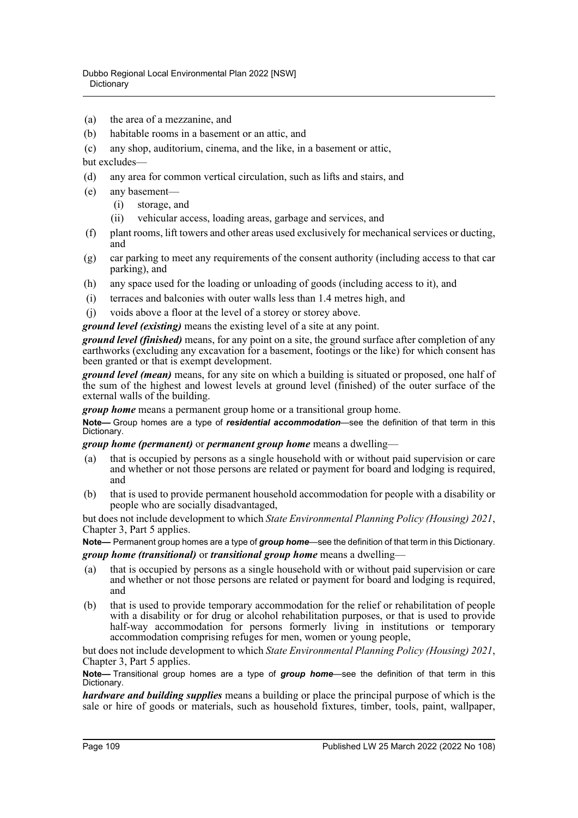- (a) the area of a mezzanine, and
- (b) habitable rooms in a basement or an attic, and
- (c) any shop, auditorium, cinema, and the like, in a basement or attic,

but excludes-

- (d) any area for common vertical circulation, such as lifts and stairs, and
- (e) any basement—
	- (i) storage, and
	- (ii) vehicular access, loading areas, garbage and services, and
- (f) plant rooms, lift towers and other areas used exclusively for mechanical services or ducting, and
- (g) car parking to meet any requirements of the consent authority (including access to that car parking), and
- (h) any space used for the loading or unloading of goods (including access to it), and
- (i) terraces and balconies with outer walls less than 1.4 metres high, and
- (j) voids above a floor at the level of a storey or storey above.

*ground level (existing)* means the existing level of a site at any point.

*ground level (finished)* means, for any point on a site, the ground surface after completion of any earthworks (excluding any excavation for a basement, footings or the like) for which consent has been granted or that is exempt development.

*ground level (mean)* means, for any site on which a building is situated or proposed, one half of the sum of the highest and lowest levels at ground level (finished) of the outer surface of the external walls of the building.

*group home* means a permanent group home or a transitional group home.

**Note—** Group homes are a type of *residential accommodation*—see the definition of that term in this Dictionary.

*group home (permanent)* or *permanent group home* means a dwelling—

- (a) that is occupied by persons as a single household with or without paid supervision or care and whether or not those persons are related or payment for board and lodging is required, and
- (b) that is used to provide permanent household accommodation for people with a disability or people who are socially disadvantaged,

but does not include development to which *State Environmental Planning Policy (Housing) 2021*, Chapter 3, Part 5 applies.

**Note—** Permanent group homes are a type of *group home*—see the definition of that term in this Dictionary. *group home (transitional)* or *transitional group home* means a dwelling—

- (a) that is occupied by persons as a single household with or without paid supervision or care and whether or not those persons are related or payment for board and lodging is required, and
- (b) that is used to provide temporary accommodation for the relief or rehabilitation of people with a disability or for drug or alcohol rehabilitation purposes, or that is used to provide half-way accommodation for persons formerly living in institutions or temporary accommodation comprising refuges for men, women or young people,

but does not include development to which *State Environmental Planning Policy (Housing) 2021*, Chapter 3, Part 5 applies.

**Note—** Transitional group homes are a type of *group home*—see the definition of that term in this Dictionary.

*hardware and building supplies* means a building or place the principal purpose of which is the sale or hire of goods or materials, such as household fixtures, timber, tools, paint, wallpaper,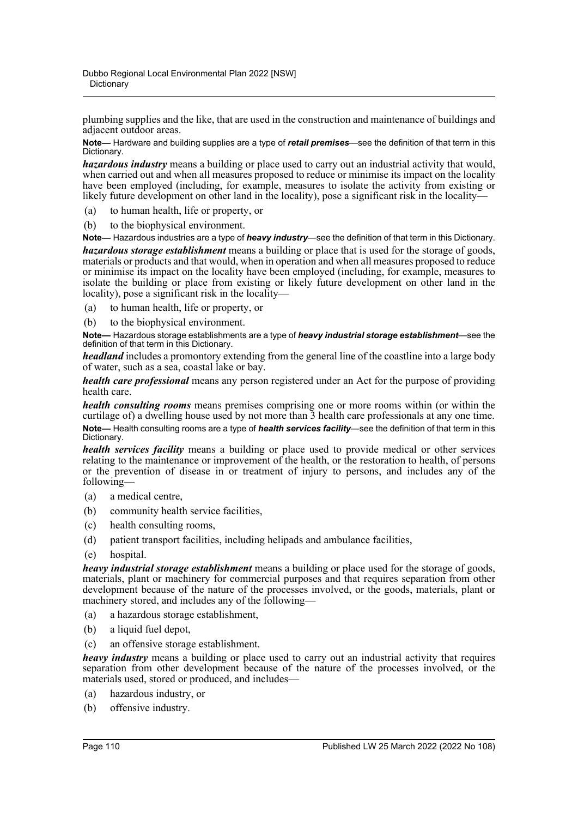plumbing supplies and the like, that are used in the construction and maintenance of buildings and adjacent outdoor areas.

**Note—** Hardware and building supplies are a type of *retail premises*—see the definition of that term in this Dictionary.

*hazardous industry* means a building or place used to carry out an industrial activity that would, when carried out and when all measures proposed to reduce or minimise its impact on the locality have been employed (including, for example, measures to isolate the activity from existing or likely future development on other land in the locality), pose a significant risk in the locality—

(a) to human health, life or property, or

(b) to the biophysical environment.

**Note—** Hazardous industries are a type of *heavy industry*—see the definition of that term in this Dictionary. *hazardous storage establishment* means a building or place that is used for the storage of goods, materials or products and that would, when in operation and when all measures proposed to reduce or minimise its impact on the locality have been employed (including, for example, measures to isolate the building or place from existing or likely future development on other land in the locality), pose a significant risk in the locality—

(a) to human health, life or property, or

(b) to the biophysical environment.

**Note—** Hazardous storage establishments are a type of *heavy industrial storage establishment*—see the definition of that term in this Dictionary.

*headland* includes a promontory extending from the general line of the coastline into a large body of water, such as a sea, coastal lake or bay.

*health care professional* means any person registered under an Act for the purpose of providing health care.

*health consulting rooms* means premises comprising one or more rooms within (or within the curtilage of) a dwelling house used by not more than  $\overline{3}$  health care professionals at any one time. **Note—** Health consulting rooms are a type of *health services facility*—see the definition of that term in this Dictionary.

*health services facility* means a building or place used to provide medical or other services relating to the maintenance or improvement of the health, or the restoration to health, of persons or the prevention of disease in or treatment of injury to persons, and includes any of the following—

- (a) a medical centre,
- (b) community health service facilities,
- (c) health consulting rooms,
- (d) patient transport facilities, including helipads and ambulance facilities,
- (e) hospital.

*heavy industrial storage establishment* means a building or place used for the storage of goods, materials, plant or machinery for commercial purposes and that requires separation from other development because of the nature of the processes involved, or the goods, materials, plant or machinery stored, and includes any of the following—

- (a) a hazardous storage establishment,
- (b) a liquid fuel depot,
- (c) an offensive storage establishment.

*heavy industry* means a building or place used to carry out an industrial activity that requires separation from other development because of the nature of the processes involved, or the materials used, stored or produced, and includes—

- (a) hazardous industry, or
- (b) offensive industry.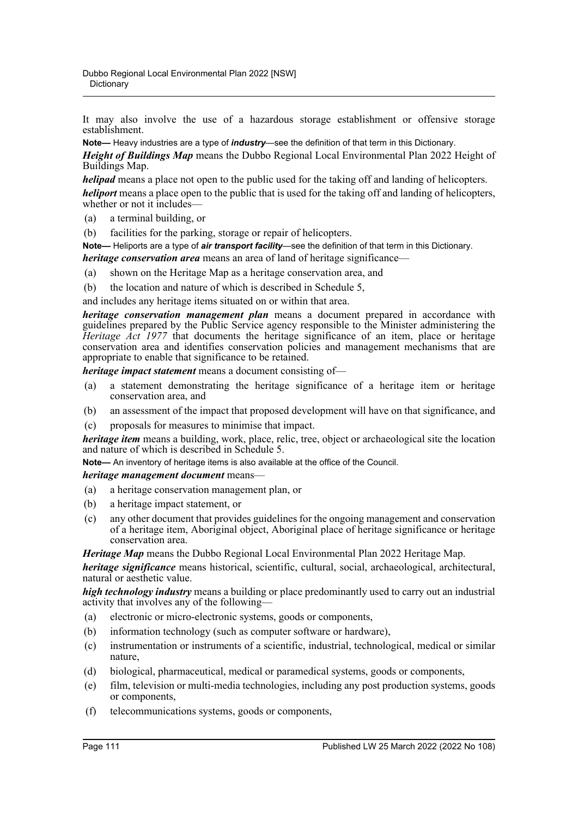It may also involve the use of a hazardous storage establishment or offensive storage establishment.

**Note—** Heavy industries are a type of *industry*—see the definition of that term in this Dictionary.

*Height of Buildings Map* means the Dubbo Regional Local Environmental Plan 2022 Height of Buildings Map.

*helipad* means a place not open to the public used for the taking off and landing of helicopters.

*heliport* means a place open to the public that is used for the taking off and landing of helicopters, whether or not it includes—

- (a) a terminal building, or
- (b) facilities for the parking, storage or repair of helicopters.

**Note—** Heliports are a type of *air transport facility*—see the definition of that term in this Dictionary. *heritage conservation area* means an area of land of heritage significance—

(a) shown on the Heritage Map as a heritage conservation area, and

(b) the location and nature of which is described in Schedule 5,

and includes any heritage items situated on or within that area.

*heritage conservation management plan* means a document prepared in accordance with guidelines prepared by the Public Service agency responsible to the Minister administering the *Heritage Act 1977* that documents the heritage significance of an item, place or heritage conservation area and identifies conservation policies and management mechanisms that are appropriate to enable that significance to be retained.

*heritage impact statement* means a document consisting of—

- (a) a statement demonstrating the heritage significance of a heritage item or heritage conservation area, and
- (b) an assessment of the impact that proposed development will have on that significance, and

(c) proposals for measures to minimise that impact.

*heritage item* means a building, work, place, relic, tree, object or archaeological site the location and nature of which is described in Schedule 5.

**Note—** An inventory of heritage items is also available at the office of the Council.

## *heritage management document* means—

- (a) a heritage conservation management plan, or
- (b) a heritage impact statement, or
- (c) any other document that provides guidelines for the ongoing management and conservation of a heritage item, Aboriginal object, Aboriginal place of heritage significance or heritage conservation area.

*Heritage Map* means the Dubbo Regional Local Environmental Plan 2022 Heritage Map.

*heritage significance* means historical, scientific, cultural, social, archaeological, architectural, natural or aesthetic value.

*high technology industry* means a building or place predominantly used to carry out an industrial activity that involves any of the following—

- (a) electronic or micro-electronic systems, goods or components,
- (b) information technology (such as computer software or hardware),
- (c) instrumentation or instruments of a scientific, industrial, technological, medical or similar nature,
- (d) biological, pharmaceutical, medical or paramedical systems, goods or components,
- (e) film, television or multi-media technologies, including any post production systems, goods or components,
- (f) telecommunications systems, goods or components,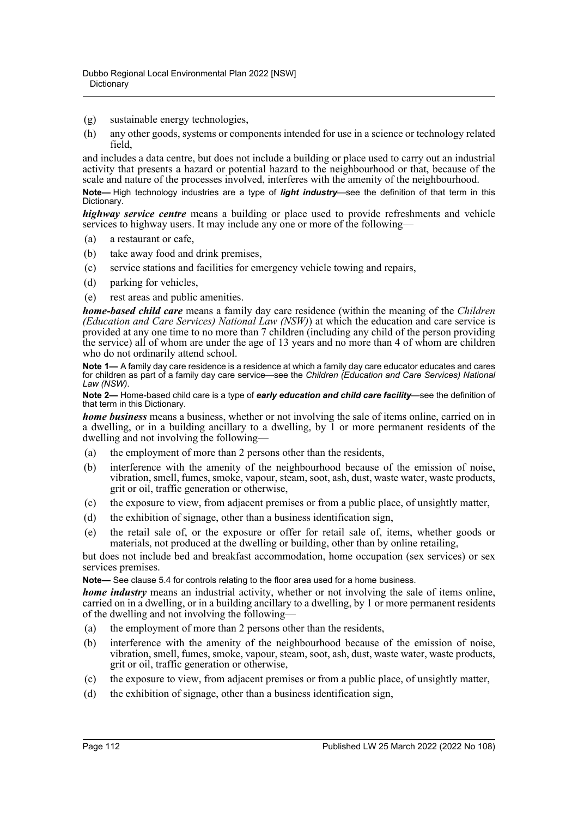- (g) sustainable energy technologies,
- (h) any other goods, systems or components intended for use in a science or technology related field,

and includes a data centre, but does not include a building or place used to carry out an industrial activity that presents a hazard or potential hazard to the neighbourhood or that, because of the scale and nature of the processes involved, interferes with the amenity of the neighbourhood.

**Note—** High technology industries are a type of *light industry*—see the definition of that term in this Dictionary.

*highway service centre* means a building or place used to provide refreshments and vehicle services to highway users. It may include any one or more of the following—

- (a) a restaurant or cafe,
- (b) take away food and drink premises,
- (c) service stations and facilities for emergency vehicle towing and repairs,
- (d) parking for vehicles,
- (e) rest areas and public amenities.

*home-based child care* means a family day care residence (within the meaning of the *Children (Education and Care Services) National Law (NSW)*) at which the education and care service is provided at any one time to no more than 7 children (including any child of the person providing the service) all of whom are under the age of 13 years and no more than 4 of whom are children who do not ordinarily attend school.

**Note 1—** A family day care residence is a residence at which a family day care educator educates and cares for children as part of a family day care service—see the *Children (Education and Care Services) National Law (NSW)*.

**Note 2—** Home-based child care is a type of *early education and child care facility*—see the definition of that term in this Dictionary.

*home business* means a business, whether or not involving the sale of items online, carried on in a dwelling, or in a building ancillary to a dwelling, by 1 or more permanent residents of the dwelling and not involving the following—

- (a) the employment of more than 2 persons other than the residents,
- (b) interference with the amenity of the neighbourhood because of the emission of noise, vibration, smell, fumes, smoke, vapour, steam, soot, ash, dust, waste water, waste products, grit or oil, traffic generation or otherwise,
- (c) the exposure to view, from adjacent premises or from a public place, of unsightly matter,
- (d) the exhibition of signage, other than a business identification sign,
- (e) the retail sale of, or the exposure or offer for retail sale of, items, whether goods or materials, not produced at the dwelling or building, other than by online retailing,

but does not include bed and breakfast accommodation, home occupation (sex services) or sex services premises.

**Note—** See clause 5.4 for controls relating to the floor area used for a home business.

*home industry* means an industrial activity, whether or not involving the sale of items online, carried on in a dwelling, or in a building ancillary to a dwelling, by 1 or more permanent residents of the dwelling and not involving the following—

- (a) the employment of more than 2 persons other than the residents,
- (b) interference with the amenity of the neighbourhood because of the emission of noise, vibration, smell, fumes, smoke, vapour, steam, soot, ash, dust, waste water, waste products, grit or oil, traffic generation or otherwise,
- (c) the exposure to view, from adjacent premises or from a public place, of unsightly matter,
- (d) the exhibition of signage, other than a business identification sign,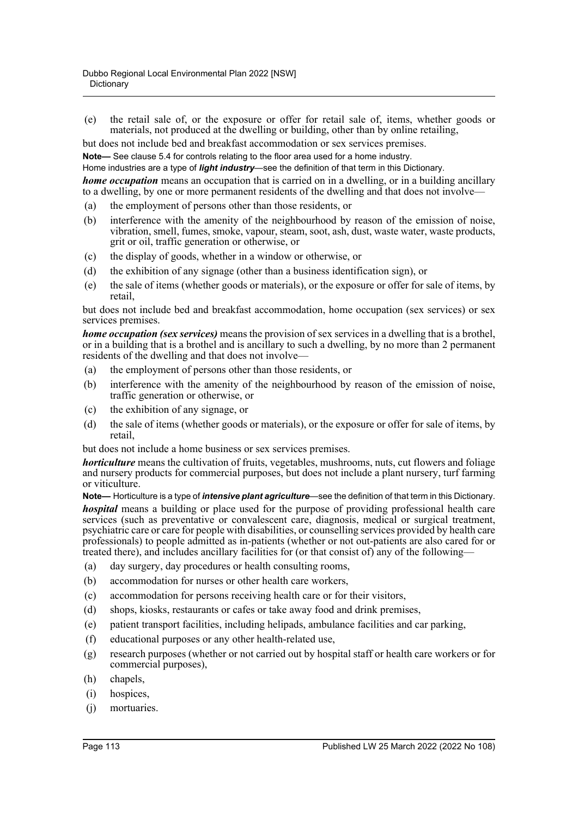(e) the retail sale of, or the exposure or offer for retail sale of, items, whether goods or materials, not produced at the dwelling or building, other than by online retailing,

but does not include bed and breakfast accommodation or sex services premises.

**Note—** See clause 5.4 for controls relating to the floor area used for a home industry.

Home industries are a type of *light industry*—see the definition of that term in this Dictionary.

*home occupation* means an occupation that is carried on in a dwelling, or in a building ancillary to a dwelling, by one or more permanent residents of the dwelling and that does not involve—

- (a) the employment of persons other than those residents, or
- (b) interference with the amenity of the neighbourhood by reason of the emission of noise, vibration, smell, fumes, smoke, vapour, steam, soot, ash, dust, waste water, waste products, grit or oil, traffic generation or otherwise, or
- (c) the display of goods, whether in a window or otherwise, or
- (d) the exhibition of any signage (other than a business identification sign), or
- (e) the sale of items (whether goods or materials), or the exposure or offer for sale of items, by retail,

but does not include bed and breakfast accommodation, home occupation (sex services) or sex services premises.

*home occupation (sex services)* means the provision of sex services in a dwelling that is a brothel, or in a building that is a brothel and is ancillary to such a dwelling, by no more than 2 permanent residents of the dwelling and that does not involve—

- (a) the employment of persons other than those residents, or
- (b) interference with the amenity of the neighbourhood by reason of the emission of noise, traffic generation or otherwise, or
- (c) the exhibition of any signage, or
- (d) the sale of items (whether goods or materials), or the exposure or offer for sale of items, by retail,

but does not include a home business or sex services premises.

*horticulture* means the cultivation of fruits, vegetables, mushrooms, nuts, cut flowers and foliage and nursery products for commercial purposes, but does not include a plant nursery, turf farming or viticulture.

**Note—** Horticulture is a type of *intensive plant agriculture*—see the definition of that term in this Dictionary. *hospital* means a building or place used for the purpose of providing professional health care services (such as preventative or convalescent care, diagnosis, medical or surgical treatment, psychiatric care or care for people with disabilities, or counselling services provided by health care professionals) to people admitted as in-patients (whether or not out-patients are also cared for or treated there), and includes ancillary facilities for (or that consist of) any of the following—

- (a) day surgery, day procedures or health consulting rooms,
- (b) accommodation for nurses or other health care workers,
- (c) accommodation for persons receiving health care or for their visitors,
- (d) shops, kiosks, restaurants or cafes or take away food and drink premises,
- (e) patient transport facilities, including helipads, ambulance facilities and car parking,
- (f) educational purposes or any other health-related use,
- (g) research purposes (whether or not carried out by hospital staff or health care workers or for commercial purposes),
- (h) chapels,
- (i) hospices,
- (j) mortuaries.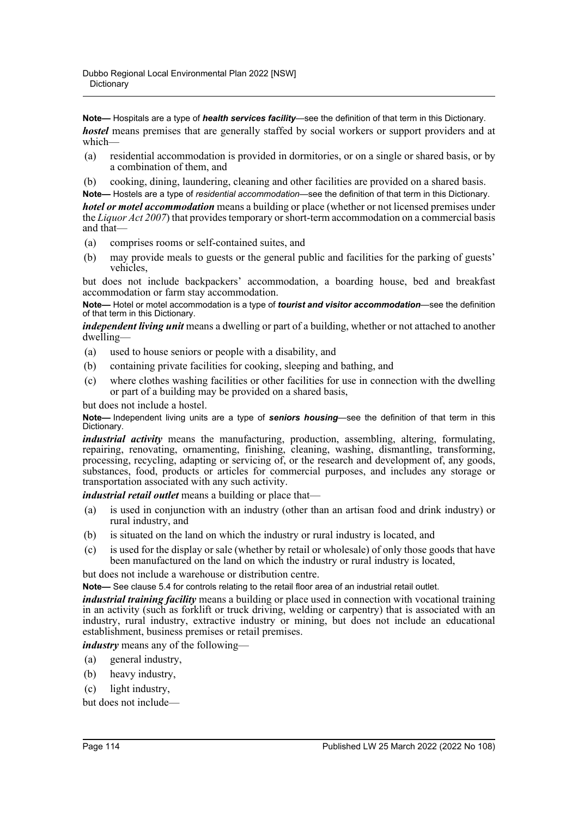**Note—** Hospitals are a type of *health services facility*—see the definition of that term in this Dictionary. *hostel* means premises that are generally staffed by social workers or support providers and at which—

- (a) residential accommodation is provided in dormitories, or on a single or shared basis, or by a combination of them, and
- (b) cooking, dining, laundering, cleaning and other facilities are provided on a shared basis.

**Note—** Hostels are a type of *residential accommodation*—see the definition of that term in this Dictionary.

*hotel or motel accommodation* means a building or place (whether or not licensed premises under the *Liquor Act 2007*) that provides temporary or short-term accommodation on a commercial basis and that—

- (a) comprises rooms or self-contained suites, and
- (b) may provide meals to guests or the general public and facilities for the parking of guests' vehicles,

but does not include backpackers' accommodation, a boarding house, bed and breakfast accommodation or farm stay accommodation.

**Note—** Hotel or motel accommodation is a type of *tourist and visitor accommodation*—see the definition of that term in this Dictionary.

*independent living unit* means a dwelling or part of a building, whether or not attached to another dwelling—

- (a) used to house seniors or people with a disability, and
- (b) containing private facilities for cooking, sleeping and bathing, and
- (c) where clothes washing facilities or other facilities for use in connection with the dwelling or part of a building may be provided on a shared basis,

but does not include a hostel.

**Note—** Independent living units are a type of *seniors housing*—see the definition of that term in this Dictionary.

*industrial activity* means the manufacturing, production, assembling, altering, formulating, repairing, renovating, ornamenting, finishing, cleaning, washing, dismantling, transforming, processing, recycling, adapting or servicing of, or the research and development of, any goods, substances, food, products or articles for commercial purposes, and includes any storage or transportation associated with any such activity.

*industrial retail outlet* means a building or place that—

- (a) is used in conjunction with an industry (other than an artisan food and drink industry) or rural industry, and
- (b) is situated on the land on which the industry or rural industry is located, and
- (c) is used for the display or sale (whether by retail or wholesale) of only those goods that have been manufactured on the land on which the industry or rural industry is located,

but does not include a warehouse or distribution centre.

**Note—** See clause 5.4 for controls relating to the retail floor area of an industrial retail outlet.

*industrial training facility* means a building or place used in connection with vocational training in an activity (such as forklift or truck driving, welding or carpentry) that is associated with an industry, rural industry, extractive industry or mining, but does not include an educational establishment, business premises or retail premises.

*industry* means any of the following—

- (a) general industry,
- (b) heavy industry,
- (c) light industry,

but does not include—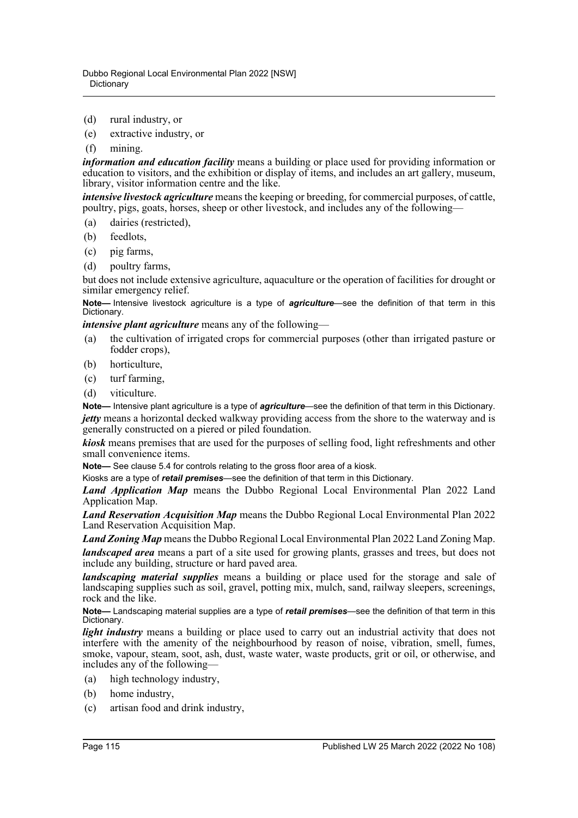- (d) rural industry, or
- (e) extractive industry, or
- (f) mining.

*information and education facility* means a building or place used for providing information or education to visitors, and the exhibition or display of items, and includes an art gallery, museum, library, visitor information centre and the like.

*intensive livestock agriculture* means the keeping or breeding, for commercial purposes, of cattle, poultry, pigs, goats, horses, sheep or other livestock, and includes any of the following—

- (a) dairies (restricted),
- (b) feedlots,
- (c) pig farms,
- (d) poultry farms,

but does not include extensive agriculture, aquaculture or the operation of facilities for drought or similar emergency relief.

**Note—** Intensive livestock agriculture is a type of *agriculture*—see the definition of that term in this Dictionary.

*intensive plant agriculture* means any of the following—

- (a) the cultivation of irrigated crops for commercial purposes (other than irrigated pasture or fodder crops),
- (b) horticulture,
- (c) turf farming,
- (d) viticulture.

**Note—** Intensive plant agriculture is a type of *agriculture*—see the definition of that term in this Dictionary. *jetty* means a horizontal decked walkway providing access from the shore to the waterway and is generally constructed on a piered or piled foundation.

*kiosk* means premises that are used for the purposes of selling food, light refreshments and other small convenience items.

**Note—** See clause 5.4 for controls relating to the gross floor area of a kiosk.

Kiosks are a type of *retail premises*—see the definition of that term in this Dictionary.

*Land Application Map* means the Dubbo Regional Local Environmental Plan 2022 Land Application Map.

*Land Reservation Acquisition Map* means the Dubbo Regional Local Environmental Plan 2022 Land Reservation Acquisition Map.

*Land Zoning Map* means the Dubbo Regional Local Environmental Plan 2022 Land Zoning Map. *landscaped area* means a part of a site used for growing plants, grasses and trees, but does not include any building, structure or hard paved area.

*landscaping material supplies* means a building or place used for the storage and sale of landscaping supplies such as soil, gravel, potting mix, mulch, sand, railway sleepers, screenings, rock and the like.

**Note—** Landscaping material supplies are a type of *retail premises*—see the definition of that term in this Dictionary.

*light industry* means a building or place used to carry out an industrial activity that does not interfere with the amenity of the neighbourhood by reason of noise, vibration, smell, fumes, smoke, vapour, steam, soot, ash, dust, waste water, waste products, grit or oil, or otherwise, and includes any of the following—

- (a) high technology industry,
- (b) home industry,
- (c) artisan food and drink industry,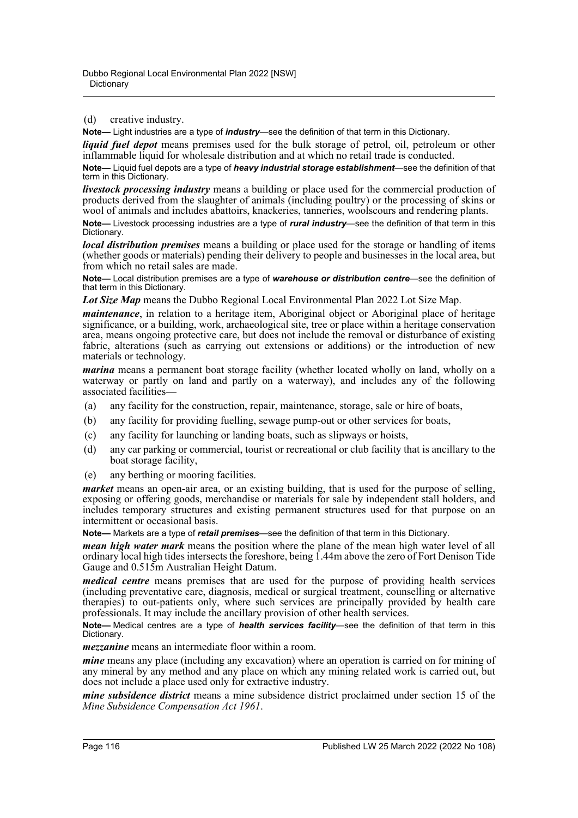(d) creative industry.

**Note—** Light industries are a type of *industry*—see the definition of that term in this Dictionary.

*liquid fuel depot* means premises used for the bulk storage of petrol, oil, petroleum or other inflammable liquid for wholesale distribution and at which no retail trade is conducted.

**Note—** Liquid fuel depots are a type of *heavy industrial storage establishment*—see the definition of that term in this Dictionary.

*livestock processing industry* means a building or place used for the commercial production of products derived from the slaughter of animals (including poultry) or the processing of skins or wool of animals and includes abattoirs, knackeries, tanneries, woolscours and rendering plants.

**Note—** Livestock processing industries are a type of *rural industry*—see the definition of that term in this Dictionary.

*local distribution premises* means a building or place used for the storage or handling of items (whether goods or materials) pending their delivery to people and businesses in the local area, but from which no retail sales are made.

**Note—** Local distribution premises are a type of *warehouse or distribution centre*—see the definition of that term in this Dictionary.

*Lot Size Map* means the Dubbo Regional Local Environmental Plan 2022 Lot Size Map.

*maintenance*, in relation to a heritage item, Aboriginal object or Aboriginal place of heritage significance, or a building, work, archaeological site, tree or place within a heritage conservation area, means ongoing protective care, but does not include the removal or disturbance of existing fabric, alterations (such as carrying out extensions or additions) or the introduction of new materials or technology.

*marina* means a permanent boat storage facility (whether located wholly on land, wholly on a waterway or partly on land and partly on a waterway), and includes any of the following associated facilities—

- (a) any facility for the construction, repair, maintenance, storage, sale or hire of boats,
- (b) any facility for providing fuelling, sewage pump-out or other services for boats,
- (c) any facility for launching or landing boats, such as slipways or hoists,
- (d) any car parking or commercial, tourist or recreational or club facility that is ancillary to the boat storage facility,
- (e) any berthing or mooring facilities.

*market* means an open-air area, or an existing building, that is used for the purpose of selling, exposing or offering goods, merchandise or materials for sale by independent stall holders, and includes temporary structures and existing permanent structures used for that purpose on an intermittent or occasional basis.

**Note—** Markets are a type of *retail premises*—see the definition of that term in this Dictionary.

*mean high water mark* means the position where the plane of the mean high water level of all ordinary local high tides intersects the foreshore, being 1.44m above the zero of Fort Denison Tide Gauge and 0.515m Australian Height Datum.

*medical centre* means premises that are used for the purpose of providing health services (including preventative care, diagnosis, medical or surgical treatment, counselling or alternative therapies) to out-patients only, where such services are principally provided by health care professionals. It may include the ancillary provision of other health services.

**Note—** Medical centres are a type of *health services facility*—see the definition of that term in this Dictionary.

*mezzanine* means an intermediate floor within a room.

*mine* means any place (including any excavation) where an operation is carried on for mining of any mineral by any method and any place on which any mining related work is carried out, but does not include a place used only for extractive industry.

*mine subsidence district* means a mine subsidence district proclaimed under section 15 of the *Mine Subsidence Compensation Act 1961*.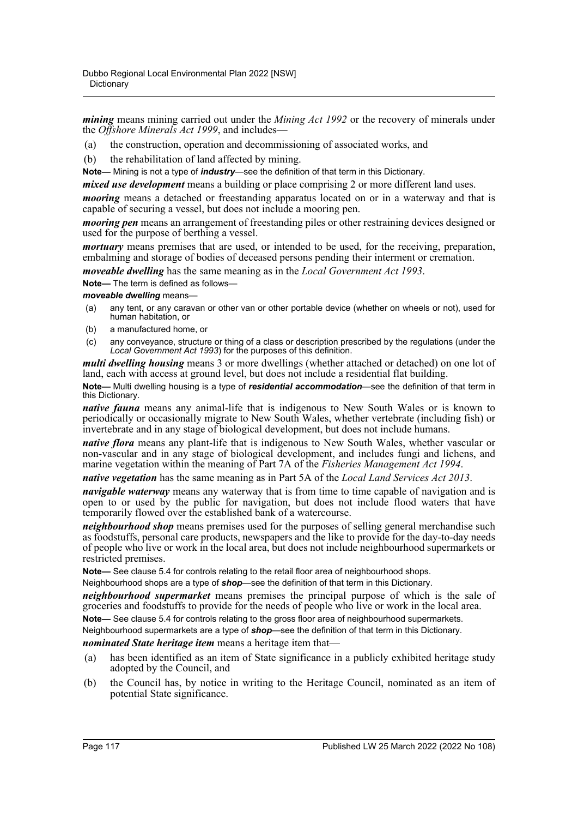*mining* means mining carried out under the *Mining Act 1992* or the recovery of minerals under the *Offshore Minerals Act 1999*, and includes—

- (a) the construction, operation and decommissioning of associated works, and
- (b) the rehabilitation of land affected by mining.

**Note—** Mining is not a type of *industry*—see the definition of that term in this Dictionary.

*mixed use development* means a building or place comprising 2 or more different land uses.

*mooring* means a detached or freestanding apparatus located on or in a waterway and that is capable of securing a vessel, but does not include a mooring pen.

*mooring pen* means an arrangement of freestanding piles or other restraining devices designed or used for the purpose of berthing a vessel.

*mortuary* means premises that are used, or intended to be used, for the receiving, preparation, embalming and storage of bodies of deceased persons pending their interment or cremation.

*moveable dwelling* has the same meaning as in the *Local Government Act 1993*.

**Note—** The term is defined as follows—

*moveable dwelling* means—

- (a) any tent, or any caravan or other van or other portable device (whether on wheels or not), used for human habitation, or
- (b) a manufactured home, or
- (c) any conveyance, structure or thing of a class or description prescribed by the regulations (under the *Local Government Act 1993*) for the purposes of this definition.

*multi dwelling housing* means 3 or more dwellings (whether attached or detached) on one lot of land, each with access at ground level, but does not include a residential flat building.

**Note—** Multi dwelling housing is a type of *residential accommodation*—see the definition of that term in this Dictionary.

*native fauna* means any animal-life that is indigenous to New South Wales or is known to periodically or occasionally migrate to New South Wales, whether vertebrate (including fish) or invertebrate and in any stage of biological development, but does not include humans.

*native flora* means any plant-life that is indigenous to New South Wales, whether vascular or non-vascular and in any stage of biological development, and includes fungi and lichens, and marine vegetation within the meaning of Part 7A of the *Fisheries Management Act 1994*.

*native vegetation* has the same meaning as in Part 5A of the *Local Land Services Act 2013*.

*navigable waterway* means any waterway that is from time to time capable of navigation and is open to or used by the public for navigation, but does not include flood waters that have temporarily flowed over the established bank of a watercourse.

*neighbourhood shop* means premises used for the purposes of selling general merchandise such as foodstuffs, personal care products, newspapers and the like to provide for the day-to-day needs of people who live or work in the local area, but does not include neighbourhood supermarkets or restricted premises.

**Note—** See clause 5.4 for controls relating to the retail floor area of neighbourhood shops.

Neighbourhood shops are a type of *shop*—see the definition of that term in this Dictionary.

*neighbourhood supermarket* means premises the principal purpose of which is the sale of groceries and foodstuffs to provide for the needs of people who live or work in the local area.

**Note—** See clause 5.4 for controls relating to the gross floor area of neighbourhood supermarkets.

Neighbourhood supermarkets are a type of *shop*—see the definition of that term in this Dictionary.

*nominated State heritage item* means a heritage item that—

- (a) has been identified as an item of State significance in a publicly exhibited heritage study adopted by the Council, and
- (b) the Council has, by notice in writing to the Heritage Council, nominated as an item of potential State significance.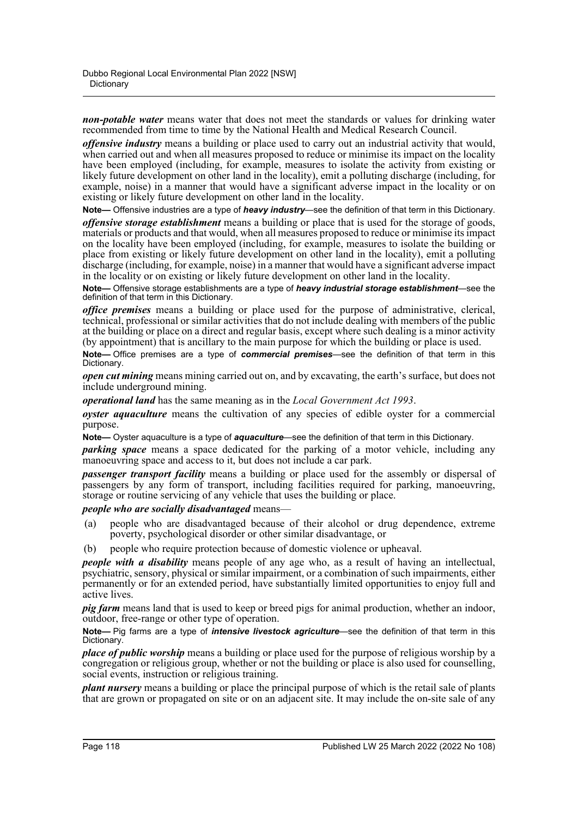*non-potable water* means water that does not meet the standards or values for drinking water recommended from time to time by the National Health and Medical Research Council.

*offensive industry* means a building or place used to carry out an industrial activity that would, when carried out and when all measures proposed to reduce or minimise its impact on the locality have been employed (including, for example, measures to isolate the activity from existing or likely future development on other land in the locality), emit a polluting discharge (including, for example, noise) in a manner that would have a significant adverse impact in the locality or on existing or likely future development on other land in the locality.

**Note—** Offensive industries are a type of *heavy industry*—see the definition of that term in this Dictionary.

*offensive storage establishment* means a building or place that is used for the storage of goods, materials or products and that would, when all measures proposed to reduce or minimise its impact on the locality have been employed (including, for example, measures to isolate the building or place from existing or likely future development on other land in the locality), emit a polluting discharge (including, for example, noise) in a manner that would have a significant adverse impact in the locality or on existing or likely future development on other land in the locality.

**Note—** Offensive storage establishments are a type of *heavy industrial storage establishment*—see the definition of that term in this Dictionary.

*office premises* means a building or place used for the purpose of administrative, clerical, technical, professional or similar activities that do not include dealing with members of the public at the building or place on a direct and regular basis, except where such dealing is a minor activity (by appointment) that is ancillary to the main purpose for which the building or place is used.

**Note—** Office premises are a type of *commercial premises*—see the definition of that term in this Dictionary.

*open cut mining* means mining carried out on, and by excavating, the earth's surface, but does not include underground mining.

*operational land* has the same meaning as in the *Local Government Act 1993*.

*oyster aquaculture* means the cultivation of any species of edible oyster for a commercial purpose.

**Note—** Oyster aquaculture is a type of *aquaculture*—see the definition of that term in this Dictionary.

*parking space* means a space dedicated for the parking of a motor vehicle, including any manoeuvring space and access to it, but does not include a car park.

*passenger transport facility* means a building or place used for the assembly or dispersal of passengers by any form of transport, including facilities required for parking, manoeuvring, storage or routine servicing of any vehicle that uses the building or place.

## *people who are socially disadvantaged* means—

- (a) people who are disadvantaged because of their alcohol or drug dependence, extreme poverty, psychological disorder or other similar disadvantage, or
- (b) people who require protection because of domestic violence or upheaval.

*people with a disability* means people of any age who, as a result of having an intellectual, psychiatric, sensory, physical or similar impairment, or a combination of such impairments, either permanently or for an extended period, have substantially limited opportunities to enjoy full and active lives.

*pig farm* means land that is used to keep or breed pigs for animal production, whether an indoor, outdoor, free-range or other type of operation.

**Note—** Pig farms are a type of *intensive livestock agriculture*—see the definition of that term in this Dictionary.

*place of public worship* means a building or place used for the purpose of religious worship by a congregation or religious group, whether or not the building or place is also used for counselling, social events, instruction or religious training.

*plant nursery* means a building or place the principal purpose of which is the retail sale of plants that are grown or propagated on site or on an adjacent site. It may include the on-site sale of any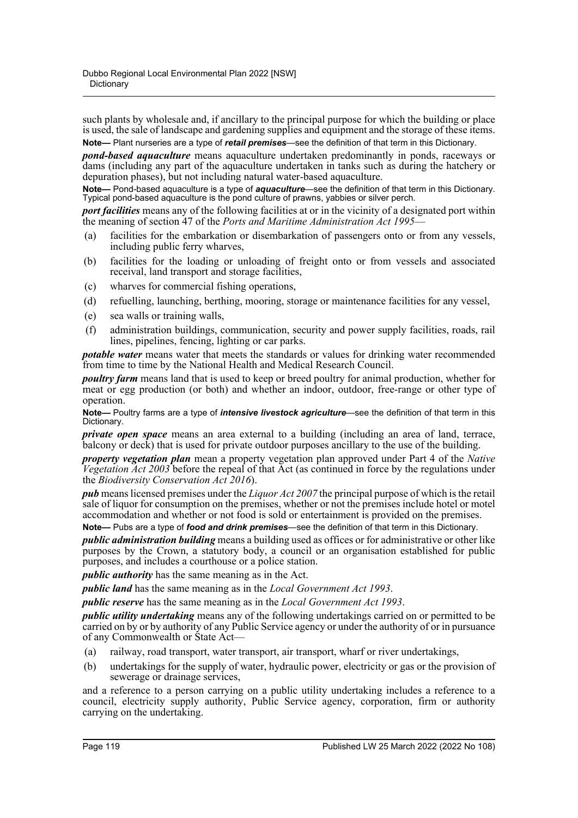such plants by wholesale and, if ancillary to the principal purpose for which the building or place is used, the sale of landscape and gardening supplies and equipment and the storage of these items. **Note—** Plant nurseries are a type of *retail premises*—see the definition of that term in this Dictionary.

*pond-based aquaculture* means aquaculture undertaken predominantly in ponds, raceways or dams (including any part of the aquaculture undertaken in tanks such as during the hatchery or depuration phases), but not including natural water-based aquaculture.

**Note—** Pond-based aquaculture is a type of *aquaculture*—see the definition of that term in this Dictionary. Typical pond-based aquaculture is the pond culture of prawns, yabbies or silver perch.

*port facilities* means any of the following facilities at or in the vicinity of a designated port within the meaning of section 47 of the *Ports and Maritime Administration Act 1995*—

- (a) facilities for the embarkation or disembarkation of passengers onto or from any vessels, including public ferry wharves,
- (b) facilities for the loading or unloading of freight onto or from vessels and associated receival, land transport and storage facilities,
- (c) wharves for commercial fishing operations,
- (d) refuelling, launching, berthing, mooring, storage or maintenance facilities for any vessel,
- (e) sea walls or training walls,
- (f) administration buildings, communication, security and power supply facilities, roads, rail lines, pipelines, fencing, lighting or car parks.

*potable water* means water that meets the standards or values for drinking water recommended from time to time by the National Health and Medical Research Council.

*poultry farm* means land that is used to keep or breed poultry for animal production, whether for meat or egg production (or both) and whether an indoor, outdoor, free-range or other type of operation.

**Note—** Poultry farms are a type of *intensive livestock agriculture*—see the definition of that term in this Dictionary.

*private open space* means an area external to a building (including an area of land, terrace, balcony or deck) that is used for private outdoor purposes ancillary to the use of the building.

*property vegetation plan* mean a property vegetation plan approved under Part 4 of the *Native Vegetation Act 2003* before the repeal of that Act (as continued in force by the regulations under the *Biodiversity Conservation Act 2016*).

*pub* means licensed premises under the *Liquor Act 2007* the principal purpose of which is the retail sale of liquor for consumption on the premises, whether or not the premises include hotel or motel accommodation and whether or not food is sold or entertainment is provided on the premises.

**Note—** Pubs are a type of *food and drink premises*—see the definition of that term in this Dictionary.

*public administration building* means a building used as offices or for administrative or other like purposes by the Crown, a statutory body, a council or an organisation established for public purposes, and includes a courthouse or a police station.

*public authority* has the same meaning as in the Act.

*public land* has the same meaning as in the *Local Government Act 1993*.

*public reserve* has the same meaning as in the *Local Government Act 1993*.

*public utility undertaking* means any of the following undertakings carried on or permitted to be carried on by or by authority of any Public Service agency or under the authority of or in pursuance of any Commonwealth or State Act—

- (a) railway, road transport, water transport, air transport, wharf or river undertakings,
- (b) undertakings for the supply of water, hydraulic power, electricity or gas or the provision of sewerage or drainage services,

and a reference to a person carrying on a public utility undertaking includes a reference to a council, electricity supply authority, Public Service agency, corporation, firm or authority carrying on the undertaking.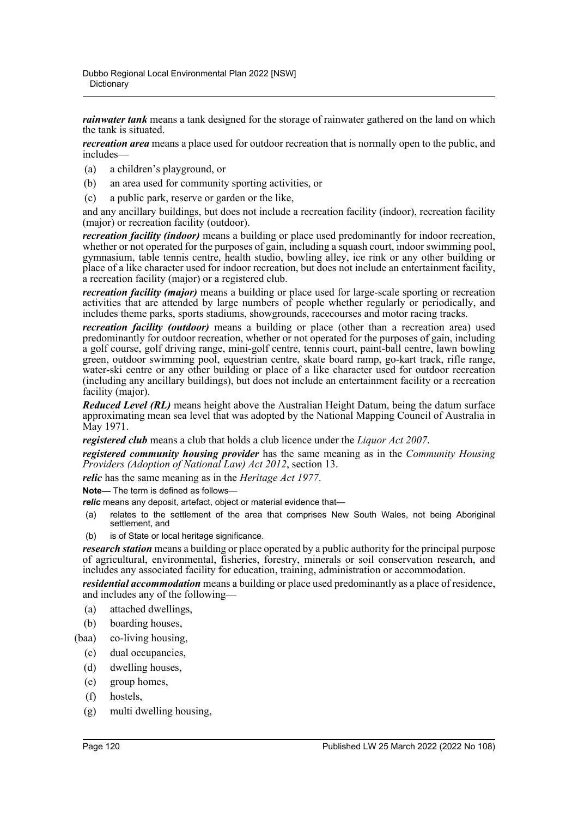*rainwater tank* means a tank designed for the storage of rainwater gathered on the land on which the tank is situated.

*recreation area* means a place used for outdoor recreation that is normally open to the public, and includes—

- (a) a children's playground, or
- (b) an area used for community sporting activities, or
- (c) a public park, reserve or garden or the like,

and any ancillary buildings, but does not include a recreation facility (indoor), recreation facility (major) or recreation facility (outdoor).

*recreation facility (indoor)* means a building or place used predominantly for indoor recreation, whether or not operated for the purposes of gain, including a squash court, indoor swimming pool, gymnasium, table tennis centre, health studio, bowling alley, ice rink or any other building or place of a like character used for indoor recreation, but does not include an entertainment facility, a recreation facility (major) or a registered club.

*recreation facility (major)* means a building or place used for large-scale sporting or recreation activities that are attended by large numbers of people whether regularly or periodically, and includes theme parks, sports stadiums, showgrounds, racecourses and motor racing tracks.

*recreation facility (outdoor)* means a building or place (other than a recreation area) used predominantly for outdoor recreation, whether or not operated for the purposes of gain, including a golf course, golf driving range, mini-golf centre, tennis court, paint-ball centre, lawn bowling green, outdoor swimming pool, equestrian centre, skate board ramp, go-kart track, rifle range, water-ski centre or any other building or place of a like character used for outdoor recreation (including any ancillary buildings), but does not include an entertainment facility or a recreation facility (major).

*Reduced Level (RL)* means height above the Australian Height Datum, being the datum surface approximating mean sea level that was adopted by the National Mapping Council of Australia in May 1971.

*registered club* means a club that holds a club licence under the *Liquor Act 2007*.

*registered community housing provider* has the same meaning as in the *Community Housing Providers (Adoption of National Law) Act 2012*, section 13.

*relic* has the same meaning as in the *Heritage Act 1977*.

**Note—** The term is defined as follows—

*relic* means any deposit, artefact, object or material evidence that—

- (a) relates to the settlement of the area that comprises New South Wales, not being Aboriginal settlement, and
- (b) is of State or local heritage significance.

*research station* means a building or place operated by a public authority for the principal purpose of agricultural, environmental, fisheries, forestry, minerals or soil conservation research, and includes any associated facility for education, training, administration or accommodation.

*residential accommodation* means a building or place used predominantly as a place of residence, and includes any of the following—

- (a) attached dwellings,
- (b) boarding houses,
- (baa) co-living housing,
	- (c) dual occupancies,
	- (d) dwelling houses,
	- (e) group homes,
	- (f) hostels,
	- (g) multi dwelling housing,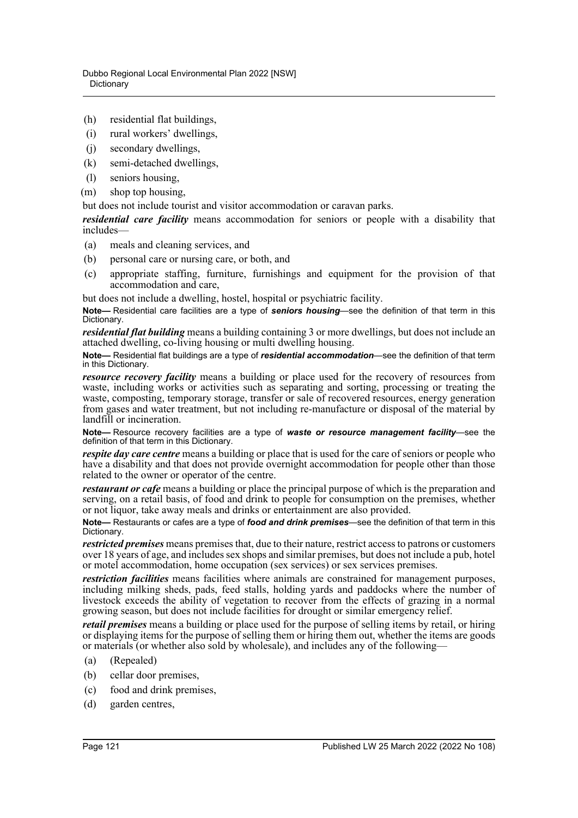- (h) residential flat buildings,
- (i) rural workers' dwellings,
- (j) secondary dwellings,
- (k) semi-detached dwellings,
- (l) seniors housing,
- (m) shop top housing,

but does not include tourist and visitor accommodation or caravan parks.

*residential care facility* means accommodation for seniors or people with a disability that includes—

- (a) meals and cleaning services, and
- (b) personal care or nursing care, or both, and
- (c) appropriate staffing, furniture, furnishings and equipment for the provision of that accommodation and care,

but does not include a dwelling, hostel, hospital or psychiatric facility.

**Note—** Residential care facilities are a type of *seniors housing*—see the definition of that term in this Dictionary.

*residential flat building* means a building containing 3 or more dwellings, but does not include an attached dwelling, co-living housing or multi dwelling housing.

**Note—** Residential flat buildings are a type of *residential accommodation*—see the definition of that term in this Dictionary.

*resource recovery facility* means a building or place used for the recovery of resources from waste, including works or activities such as separating and sorting, processing or treating the waste, composting, temporary storage, transfer or sale of recovered resources, energy generation from gases and water treatment, but not including re-manufacture or disposal of the material by landfill or incineration.

**Note—** Resource recovery facilities are a type of *waste or resource management facility*—see the definition of that term in this Dictionary.

*respite day care centre* means a building or place that is used for the care of seniors or people who have a disability and that does not provide overnight accommodation for people other than those related to the owner or operator of the centre.

*restaurant or cafe* means a building or place the principal purpose of which is the preparation and serving, on a retail basis, of food and drink to people for consumption on the premises, whether or not liquor, take away meals and drinks or entertainment are also provided.

**Note—** Restaurants or cafes are a type of *food and drink premises*—see the definition of that term in this Dictionary.

*restricted premises* means premises that, due to their nature, restrict access to patrons or customers over 18 years of age, and includes sex shops and similar premises, but does not include a pub, hotel or motel accommodation, home occupation (sex services) or sex services premises.

*restriction facilities* means facilities where animals are constrained for management purposes, including milking sheds, pads, feed stalls, holding yards and paddocks where the number of livestock exceeds the ability of vegetation to recover from the effects of grazing in a normal growing season, but does not include facilities for drought or similar emergency relief.

*retail premises* means a building or place used for the purpose of selling items by retail, or hiring or displaying items for the purpose of selling them or hiring them out, whether the items are goods or materials (or whether also sold by wholesale), and includes any of the following—

- (a) (Repealed)
- (b) cellar door premises,
- (c) food and drink premises,
- (d) garden centres,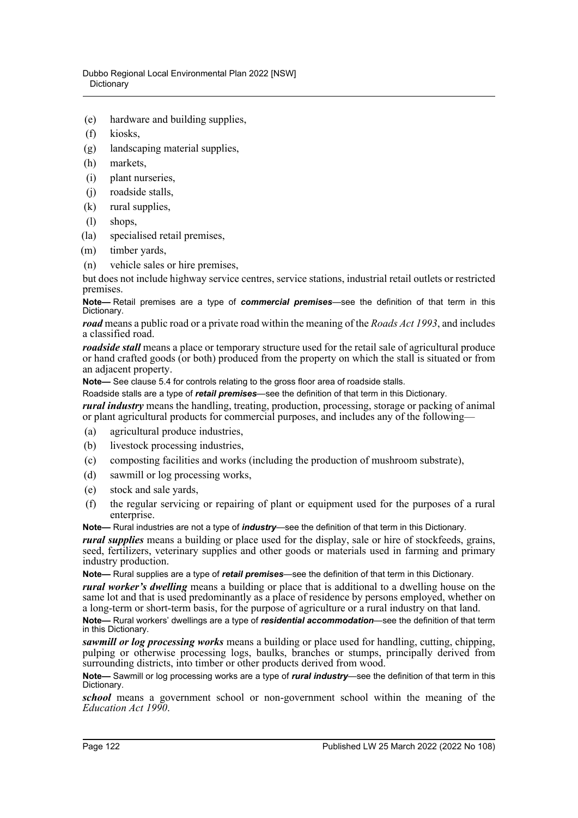- (e) hardware and building supplies,
- (f) kiosks,
- (g) landscaping material supplies,
- (h) markets,
- (i) plant nurseries,
- (j) roadside stalls,
- (k) rural supplies,
- (l) shops,
- (la) specialised retail premises,
- (m) timber yards,
- (n) vehicle sales or hire premises,

but does not include highway service centres, service stations, industrial retail outlets or restricted premises.

**Note—** Retail premises are a type of *commercial premises*—see the definition of that term in this Dictionary.

*road* means a public road or a private road within the meaning of the *Roads Act 1993*, and includes a classified road.

*roadside stall* means a place or temporary structure used for the retail sale of agricultural produce or hand crafted goods (or both) produced from the property on which the stall is situated or from an adjacent property.

**Note—** See clause 5.4 for controls relating to the gross floor area of roadside stalls.

Roadside stalls are a type of *retail premises*—see the definition of that term in this Dictionary.

*rural industry* means the handling, treating, production, processing, storage or packing of animal or plant agricultural products for commercial purposes, and includes any of the following—

- (a) agricultural produce industries,
- (b) livestock processing industries,
- (c) composting facilities and works (including the production of mushroom substrate),
- (d) sawmill or log processing works,
- (e) stock and sale yards,
- (f) the regular servicing or repairing of plant or equipment used for the purposes of a rural enterprise.

**Note—** Rural industries are not a type of *industry*—see the definition of that term in this Dictionary.

*rural supplies* means a building or place used for the display, sale or hire of stockfeeds, grains, seed, fertilizers, veterinary supplies and other goods or materials used in farming and primary industry production.

**Note—** Rural supplies are a type of *retail premises*—see the definition of that term in this Dictionary.

*rural worker's dwelling* means a building or place that is additional to a dwelling house on the same lot and that is used predominantly as a place of residence by persons employed, whether on a long-term or short-term basis, for the purpose of agriculture or a rural industry on that land.

**Note—** Rural workers' dwellings are a type of *residential accommodation*—see the definition of that term in this Dictionary.

*sawmill or log processing works* means a building or place used for handling, cutting, chipping, pulping or otherwise processing logs, baulks, branches or stumps, principally derived from surrounding districts, into timber or other products derived from wood.

**Note—** Sawmill or log processing works are a type of *rural industry*—see the definition of that term in this Dictionary.

*school* means a government school or non-government school within the meaning of the *Education Act 1990*.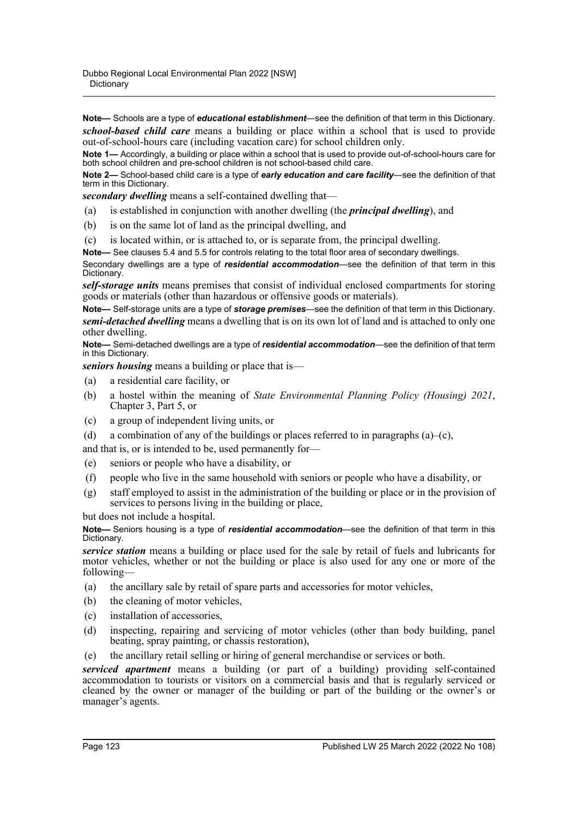**Note—** Schools are a type of *educational establishment*—see the definition of that term in this Dictionary. *school-based child care* means a building or place within a school that is used to provide out-of-school-hours care (including vacation care) for school children only.

**Note 1—** Accordingly, a building or place within a school that is used to provide out-of-school-hours care for both school children and pre-school children is not school-based child care.

**Note 2—** School-based child care is a type of *early education and care facility*—see the definition of that term in this Dictionary.

*secondary dwelling* means a self-contained dwelling that—

- (a) is established in conjunction with another dwelling (the *principal dwelling*), and
- (b) is on the same lot of land as the principal dwelling, and
- (c) is located within, or is attached to, or is separate from, the principal dwelling.

**Note—** See clauses 5.4 and 5.5 for controls relating to the total floor area of secondary dwellings. Secondary dwellings are a type of *residential accommodation*—see the definition of that term in this Dictionary.

*self-storage units* means premises that consist of individual enclosed compartments for storing goods or materials (other than hazardous or offensive goods or materials).

**Note—** Self-storage units are a type of *storage premises*—see the definition of that term in this Dictionary. *semi-detached dwelling* means a dwelling that is on its own lot of land and is attached to only one other dwelling.

**Note—** Semi-detached dwellings are a type of *residential accommodation*—see the definition of that term in this Dictionary.

*seniors housing* means a building or place that is—

- (a) a residential care facility, or
- (b) a hostel within the meaning of *State Environmental Planning Policy (Housing) 2021*, Chapter 3, Part 5, or
- (c) a group of independent living units, or
- (d) a combination of any of the buildings or places referred to in paragraphs  $(a)$ – $(c)$ ,

and that is, or is intended to be, used permanently for—

- (e) seniors or people who have a disability, or
- (f) people who live in the same household with seniors or people who have a disability, or
- (g) staff employed to assist in the administration of the building or place or in the provision of services to persons living in the building or place,

but does not include a hospital.

**Note—** Seniors housing is a type of *residential accommodation*—see the definition of that term in this Dictionary.

*service station* means a building or place used for the sale by retail of fuels and lubricants for motor vehicles, whether or not the building or place is also used for any one or more of the following—

- (a) the ancillary sale by retail of spare parts and accessories for motor vehicles,
- (b) the cleaning of motor vehicles,
- (c) installation of accessories,
- (d) inspecting, repairing and servicing of motor vehicles (other than body building, panel beating, spray painting, or chassis restoration),
- (e) the ancillary retail selling or hiring of general merchandise or services or both.

*serviced apartment* means a building (or part of a building) providing self-contained accommodation to tourists or visitors on a commercial basis and that is regularly serviced or cleaned by the owner or manager of the building or part of the building or the owner's or manager's agents.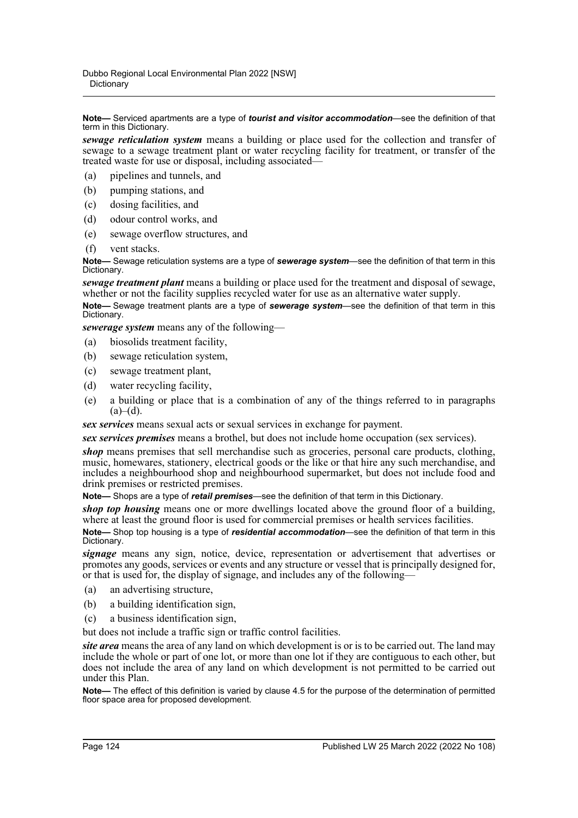**Note—** Serviced apartments are a type of *tourist and visitor accommodation*—see the definition of that term in this Dictionary.

*sewage reticulation system* means a building or place used for the collection and transfer of sewage to a sewage treatment plant or water recycling facility for treatment, or transfer of the treated waste for use or disposal, including associated—

- (a) pipelines and tunnels, and
- (b) pumping stations, and
- (c) dosing facilities, and
- (d) odour control works, and
- (e) sewage overflow structures, and
- (f) vent stacks.

**Note—** Sewage reticulation systems are a type of *sewerage system*—see the definition of that term in this Dictionary.

*sewage treatment plant* means a building or place used for the treatment and disposal of sewage, whether or not the facility supplies recycled water for use as an alternative water supply.

**Note—** Sewage treatment plants are a type of *sewerage system*—see the definition of that term in this Dictionary.

*sewerage system* means any of the following—

- (a) biosolids treatment facility,
- (b) sewage reticulation system,
- (c) sewage treatment plant,
- (d) water recycling facility,
- (e) a building or place that is a combination of any of the things referred to in paragraphs  $(a)–(d)$ .

*sex services* means sexual acts or sexual services in exchange for payment.

*sex services premises* means a brothel, but does not include home occupation (sex services).

*shop* means premises that sell merchandise such as groceries, personal care products, clothing, music, homewares, stationery, electrical goods or the like or that hire any such merchandise, and includes a neighbourhood shop and neighbourhood supermarket, but does not include food and drink premises or restricted premises.

**Note—** Shops are a type of *retail premises*—see the definition of that term in this Dictionary.

*shop top housing* means one or more dwellings located above the ground floor of a building, where at least the ground floor is used for commercial premises or health services facilities.

**Note—** Shop top housing is a type of *residential accommodation*—see the definition of that term in this Dictionary.

*signage* means any sign, notice, device, representation or advertisement that advertises or promotes any goods, services or events and any structure or vessel that is principally designed for, or that is used for, the display of signage, and includes any of the following—

- (a) an advertising structure,
- (b) a building identification sign,
- (c) a business identification sign,

but does not include a traffic sign or traffic control facilities.

*site area* means the area of any land on which development is or is to be carried out. The land may include the whole or part of one lot, or more than one lot if they are contiguous to each other, but does not include the area of any land on which development is not permitted to be carried out under this Plan.

**Note—** The effect of this definition is varied by clause 4.5 for the purpose of the determination of permitted floor space area for proposed development.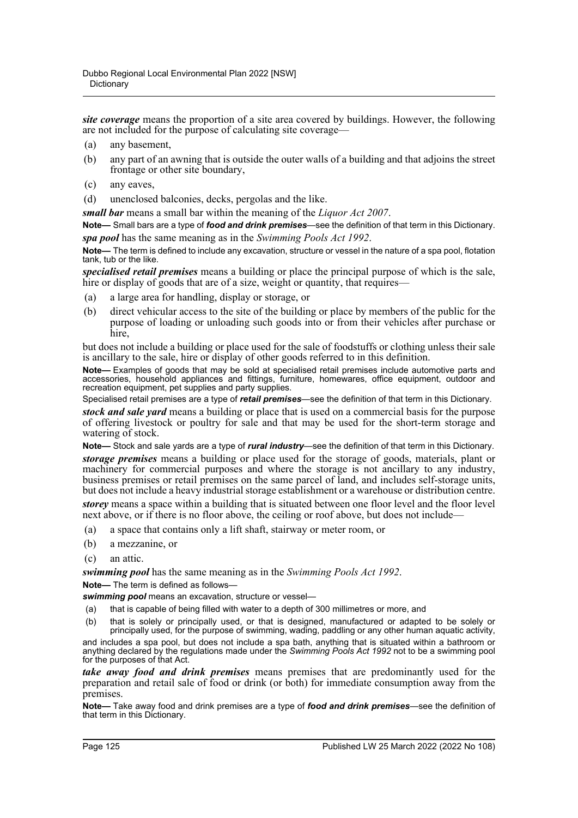*site coverage* means the proportion of a site area covered by buildings. However, the following are not included for the purpose of calculating site coverage—

- (a) any basement,
- (b) any part of an awning that is outside the outer walls of a building and that adjoins the street frontage or other site boundary,
- (c) any eaves,
- (d) unenclosed balconies, decks, pergolas and the like.

*small bar* means a small bar within the meaning of the *Liquor Act 2007*.

**Note—** Small bars are a type of *food and drink premises*—see the definition of that term in this Dictionary. *spa pool* has the same meaning as in the *Swimming Pools Act 1992*.

**Note—** The term is defined to include any excavation, structure or vessel in the nature of a spa pool, flotation tank, tub or the like.

*specialised retail premises* means a building or place the principal purpose of which is the sale, hire or display of goods that are of a size, weight or quantity, that requires—

- (a) a large area for handling, display or storage, or
- (b) direct vehicular access to the site of the building or place by members of the public for the purpose of loading or unloading such goods into or from their vehicles after purchase or hire,

but does not include a building or place used for the sale of foodstuffs or clothing unless their sale is ancillary to the sale, hire or display of other goods referred to in this definition.

**Note—** Examples of goods that may be sold at specialised retail premises include automotive parts and accessories, household appliances and fittings, furniture, homewares, office equipment, outdoor and recreation equipment, pet supplies and party supplies.

Specialised retail premises are a type of *retail premises*—see the definition of that term in this Dictionary.

*stock and sale yard* means a building or place that is used on a commercial basis for the purpose of offering livestock or poultry for sale and that may be used for the short-term storage and watering of stock.

**Note—** Stock and sale yards are a type of *rural industry*—see the definition of that term in this Dictionary.

*storage premises* means a building or place used for the storage of goods, materials, plant or machinery for commercial purposes and where the storage is not ancillary to any industry, business premises or retail premises on the same parcel of land, and includes self-storage units, but does not include a heavy industrial storage establishment or a warehouse or distribution centre.

*storey* means a space within a building that is situated between one floor level and the floor level next above, or if there is no floor above, the ceiling or roof above, but does not include—

- (a) a space that contains only a lift shaft, stairway or meter room, or
- (b) a mezzanine, or
- (c) an attic.

*swimming pool* has the same meaning as in the *Swimming Pools Act 1992*.

**Note—** The term is defined as follows—

*swimming pool* means an excavation, structure or vessel—

- (a) that is capable of being filled with water to a depth of 300 millimetres or more, and
- (b) that is solely or principally used, or that is designed, manufactured or adapted to be solely or principally used, for the purpose of swimming, wading, paddling or any other human aquatic activity,

and includes a spa pool, but does not include a spa bath, anything that is situated within a bathroom or anything declared by the regulations made under the *Swimming Pools Act 1992* not to be a swimming pool for the purposes of that Act.

*take away food and drink premises* means premises that are predominantly used for the preparation and retail sale of food or drink (or both) for immediate consumption away from the premises.

**Note—** Take away food and drink premises are a type of *food and drink premises*—see the definition of that term in this Dictionary.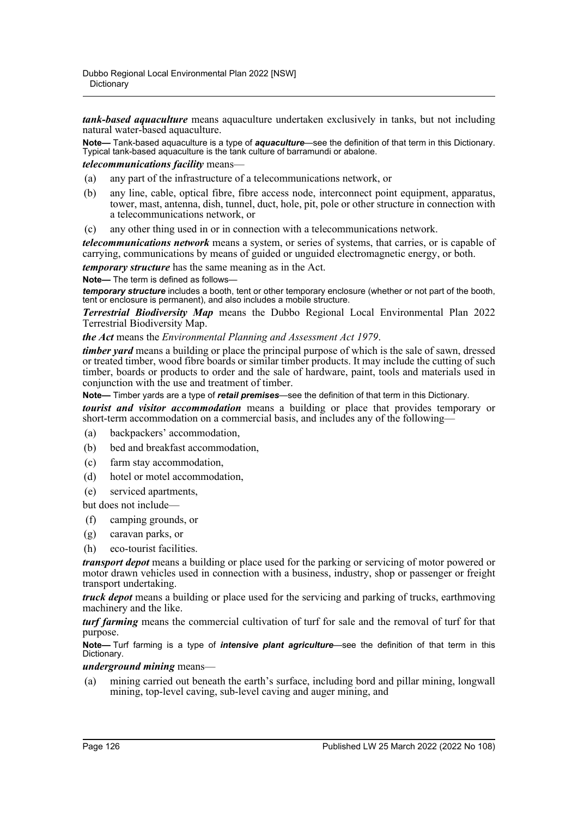*tank-based aquaculture* means aquaculture undertaken exclusively in tanks, but not including natural water-based aquaculture.

**Note—** Tank-based aquaculture is a type of *aquaculture*—see the definition of that term in this Dictionary. Typical tank-based aquaculture is the tank culture of barramundi or abalone.

## *telecommunications facility* means—

- (a) any part of the infrastructure of a telecommunications network, or
- (b) any line, cable, optical fibre, fibre access node, interconnect point equipment, apparatus, tower, mast, antenna, dish, tunnel, duct, hole, pit, pole or other structure in connection with a telecommunications network, or
- (c) any other thing used in or in connection with a telecommunications network.

*telecommunications network* means a system, or series of systems, that carries, or is capable of carrying, communications by means of guided or unguided electromagnetic energy, or both.

*temporary structure* has the same meaning as in the Act.

**Note—** The term is defined as follows—

*temporary structure* includes a booth, tent or other temporary enclosure (whether or not part of the booth, tent or enclosure is permanent), and also includes a mobile structure.

*Terrestrial Biodiversity Map* means the Dubbo Regional Local Environmental Plan 2022 Terrestrial Biodiversity Map.

*the Act* means the *Environmental Planning and Assessment Act 1979*.

*timber yard* means a building or place the principal purpose of which is the sale of sawn, dressed or treated timber, wood fibre boards or similar timber products. It may include the cutting of such timber, boards or products to order and the sale of hardware, paint, tools and materials used in conjunction with the use and treatment of timber.

**Note—** Timber yards are a type of *retail premises*—see the definition of that term in this Dictionary.

*tourist and visitor accommodation* means a building or place that provides temporary or short-term accommodation on a commercial basis, and includes any of the following—

- (a) backpackers' accommodation,
- (b) bed and breakfast accommodation,
- (c) farm stay accommodation,
- (d) hotel or motel accommodation,
- (e) serviced apartments,

but does not include—

- (f) camping grounds, or
- (g) caravan parks, or
- (h) eco-tourist facilities.

*transport depot* means a building or place used for the parking or servicing of motor powered or motor drawn vehicles used in connection with a business, industry, shop or passenger or freight transport undertaking.

*truck depot* means a building or place used for the servicing and parking of trucks, earthmoving machinery and the like.

*turf farming* means the commercial cultivation of turf for sale and the removal of turf for that purpose.

**Note—** Turf farming is a type of *intensive plant agriculture*—see the definition of that term in this Dictionary.

## *underground mining* means—

(a) mining carried out beneath the earth's surface, including bord and pillar mining, longwall mining, top-level caving, sub-level caving and auger mining, and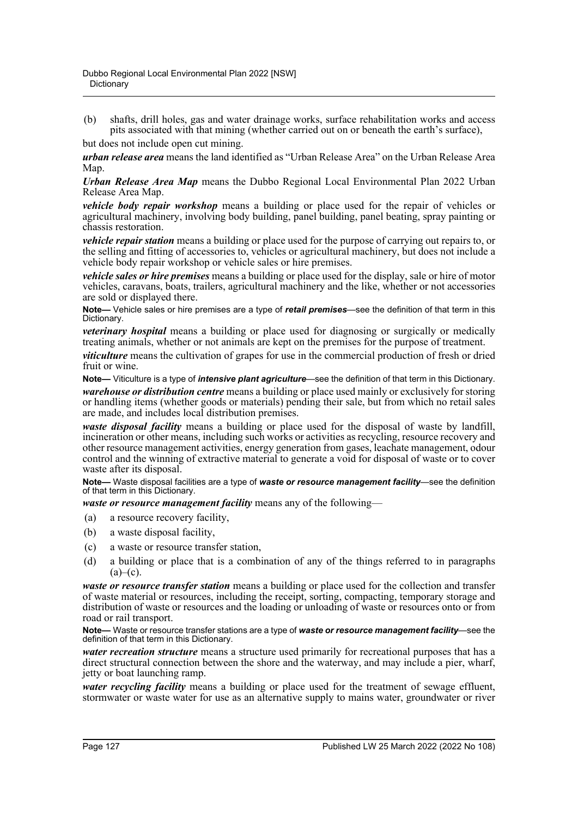(b) shafts, drill holes, gas and water drainage works, surface rehabilitation works and access pits associated with that mining (whether carried out on or beneath the earth's surface),

but does not include open cut mining.

*urban release area* means the land identified as "Urban Release Area" on the Urban Release Area Map.

*Urban Release Area Map* means the Dubbo Regional Local Environmental Plan 2022 Urban Release Area Map.

*vehicle body repair workshop* means a building or place used for the repair of vehicles or agricultural machinery, involving body building, panel building, panel beating, spray painting or chassis restoration.

*vehicle repair station* means a building or place used for the purpose of carrying out repairs to, or the selling and fitting of accessories to, vehicles or agricultural machinery, but does not include a vehicle body repair workshop or vehicle sales or hire premises.

*vehicle sales or hire premises* means a building or place used for the display, sale or hire of motor vehicles, caravans, boats, trailers, agricultural machinery and the like, whether or not accessories are sold or displayed there.

**Note—** Vehicle sales or hire premises are a type of *retail premises*—see the definition of that term in this Dictionary.

*veterinary hospital* means a building or place used for diagnosing or surgically or medically treating animals, whether or not animals are kept on the premises for the purpose of treatment.

*viticulture* means the cultivation of grapes for use in the commercial production of fresh or dried fruit or wine.

**Note—** Viticulture is a type of *intensive plant agriculture*—see the definition of that term in this Dictionary. *warehouse or distribution centre* means a building or place used mainly or exclusively for storing or handling items (whether goods or materials) pending their sale, but from which no retail sales are made, and includes local distribution premises.

*waste disposal facility* means a building or place used for the disposal of waste by landfill, incineration or other means, including such works or activities as recycling, resource recovery and other resource management activities, energy generation from gases, leachate management, odour control and the winning of extractive material to generate a void for disposal of waste or to cover waste after its disposal.

**Note—** Waste disposal facilities are a type of *waste or resource management facility*—see the definition of that term in this Dictionary.

*waste or resource management facility* means any of the following—

- (a) a resource recovery facility,
- (b) a waste disposal facility,
- (c) a waste or resource transfer station,
- (d) a building or place that is a combination of any of the things referred to in paragraphs  $(a)$ – $(c)$ .

*waste or resource transfer station* means a building or place used for the collection and transfer of waste material or resources, including the receipt, sorting, compacting, temporary storage and distribution of waste or resources and the loading or unloading of waste or resources onto or from road or rail transport.

**Note—** Waste or resource transfer stations are a type of *waste or resource management facility*—see the definition of that term in this Dictionary.

*water recreation structure* means a structure used primarily for recreational purposes that has a direct structural connection between the shore and the waterway, and may include a pier, wharf, jetty or boat launching ramp.

*water recycling facility* means a building or place used for the treatment of sewage effluent, stormwater or waste water for use as an alternative supply to mains water, groundwater or river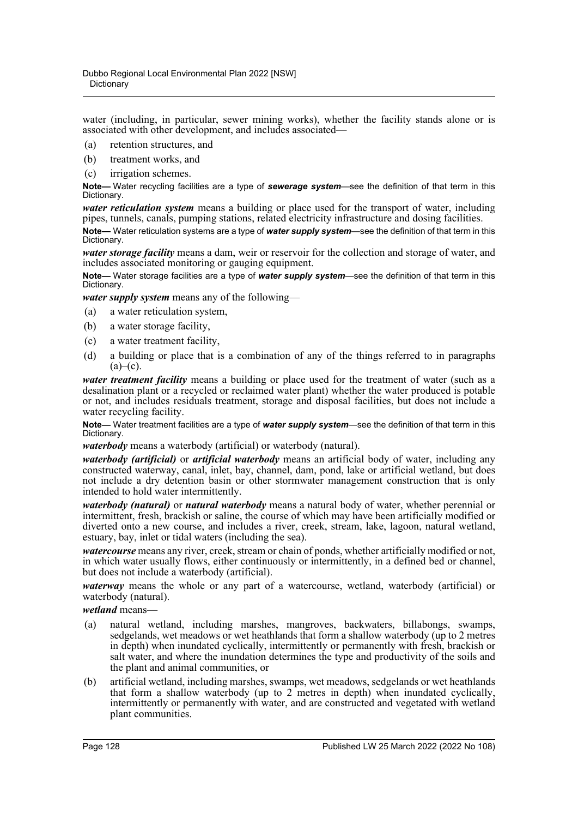water (including, in particular, sewer mining works), whether the facility stands alone or is associated with other development, and includes associated—

- (a) retention structures, and
- (b) treatment works, and
- (c) irrigation schemes.

**Note—** Water recycling facilities are a type of *sewerage system*—see the definition of that term in this Dictionary.

*water reticulation system* means a building or place used for the transport of water, including pipes, tunnels, canals, pumping stations, related electricity infrastructure and dosing facilities.

**Note—** Water reticulation systems are a type of *water supply system*—see the definition of that term in this Dictionary.

*water storage facility* means a dam, weir or reservoir for the collection and storage of water, and includes associated monitoring or gauging equipment.

**Note—** Water storage facilities are a type of *water supply system*—see the definition of that term in this Dictionary.

*water supply system* means any of the following—

- (a) a water reticulation system,
- (b) a water storage facility,
- (c) a water treatment facility,
- (d) a building or place that is a combination of any of the things referred to in paragraphs  $(a)$ – $(c)$ .

*water treatment facility* means a building or place used for the treatment of water (such as a desalination plant or a recycled or reclaimed water plant) whether the water produced is potable or not, and includes residuals treatment, storage and disposal facilities, but does not include a water recycling facility.

**Note—** Water treatment facilities are a type of *water supply system*—see the definition of that term in this Dictionary.

*waterbody* means a waterbody (artificial) or waterbody (natural).

*waterbody (artificial)* or *artificial waterbody* means an artificial body of water, including any constructed waterway, canal, inlet, bay, channel, dam, pond, lake or artificial wetland, but does not include a dry detention basin or other stormwater management construction that is only intended to hold water intermittently.

*waterbody (natural)* or *natural waterbody* means a natural body of water, whether perennial or intermittent, fresh, brackish or saline, the course of which may have been artificially modified or diverted onto a new course, and includes a river, creek, stream, lake, lagoon, natural wetland, estuary, bay, inlet or tidal waters (including the sea).

*watercourse* means any river, creek, stream or chain of ponds, whether artificially modified or not, in which water usually flows, either continuously or intermittently, in a defined bed or channel, but does not include a waterbody (artificial).

*waterway* means the whole or any part of a watercourse, wetland, waterbody (artificial) or waterbody (natural).

*wetland* means—

- (a) natural wetland, including marshes, mangroves, backwaters, billabongs, swamps, sedgelands, wet meadows or wet heathlands that form a shallow waterbody (up to 2 metres in depth) when inundated cyclically, intermittently or permanently with fresh, brackish or salt water, and where the inundation determines the type and productivity of the soils and the plant and animal communities, or
- (b) artificial wetland, including marshes, swamps, wet meadows, sedgelands or wet heathlands that form a shallow waterbody (up to 2 metres in depth) when inundated cyclically, intermittently or permanently with water, and are constructed and vegetated with wetland plant communities.